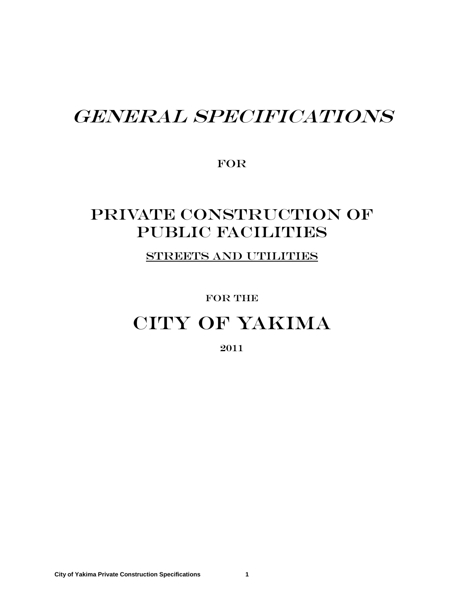# GENERAL SPECIFICATIONS

**FOR** 

# PRIVATE CONSTRUCTION OF Public Facilities

STREETS AND UTILITIES

FOR THE

# City of Yakima

2011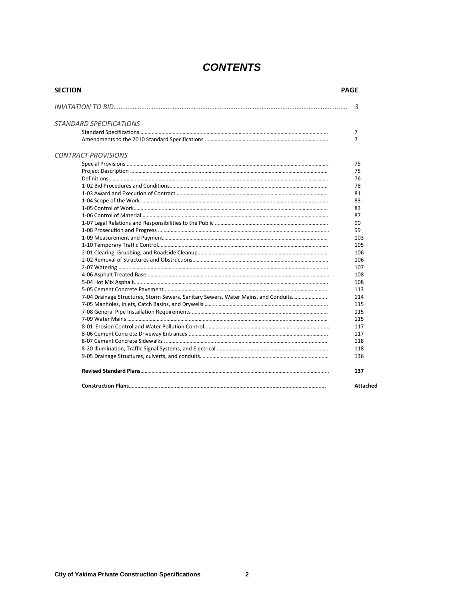### *CONTENTS*

| <b>SECTION</b>                                                                     | <b>PAGE</b>    |
|------------------------------------------------------------------------------------|----------------|
|                                                                                    | 3              |
| <i><b>STANDARD SPECIFICATIONS</b></i>                                              |                |
|                                                                                    | 7              |
|                                                                                    | $\overline{7}$ |
| <b>CONTRACT PROVISIONS</b>                                                         |                |
|                                                                                    | 75             |
|                                                                                    | 75             |
|                                                                                    | 76             |
|                                                                                    | 78             |
|                                                                                    | 81             |
|                                                                                    | 83             |
|                                                                                    | 83             |
|                                                                                    | 87             |
|                                                                                    | 90             |
|                                                                                    | 99             |
|                                                                                    | 103            |
|                                                                                    | 105            |
|                                                                                    | 106            |
|                                                                                    | 106            |
|                                                                                    | 107            |
|                                                                                    | 108            |
|                                                                                    | 108            |
|                                                                                    | 113            |
| 7-04 Drainage Structures, Storm Sewers, Sanitary Sewers, Water Mains, and Conduits | 114            |
|                                                                                    | 115            |
|                                                                                    | 115            |
|                                                                                    | 115            |
|                                                                                    | 117            |
|                                                                                    | 117            |
|                                                                                    | 118            |
|                                                                                    | 118            |
|                                                                                    | 136            |
|                                                                                    | 137            |
|                                                                                    | Attached       |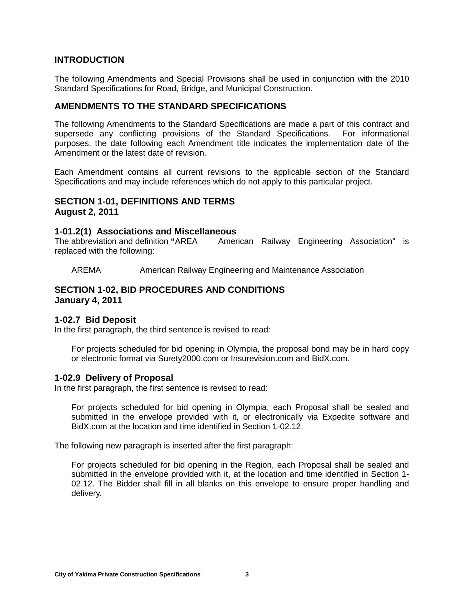#### **INTRODUCTION**

The following Amendments and Special Provisions shall be used in conjunction with the 2010 Standard Specifications for Road, Bridge, and Municipal Construction.

#### **AMENDMENTS TO THE STANDARD SPECIFICATIONS**

The following Amendments to the Standard Specifications are made a part of this contract and supersede any conflicting provisions of the Standard Specifications. For informational purposes, the date following each Amendment title indicates the implementation date of the Amendment or the latest date of revision.

Each Amendment contains all current revisions to the applicable section of the Standard Specifications and may include references which do not apply to this particular project.

#### **SECTION 1-01, DEFINITIONS AND TERMS August 2, 2011**

#### **1-01.2(1) Associations and Miscellaneous**

The abbreviation and definition **"**AREA American Railway Engineering Association" is replaced with the following:

AREMA American Railway Engineering and Maintenance Association

#### **SECTION 1-02, BID PROCEDURES AND CONDITIONS January 4, 2011**

#### **1-02.7 Bid Deposit**

In the first paragraph, the third sentence is revised to read:

For projects scheduled for bid opening in Olympia, the proposal bond may be in hard copy or electronic format via Surety2000.com or Insurevision.com and BidX.com.

#### **1-02.9 Delivery of Proposal**

In the first paragraph, the first sentence is revised to read:

For projects scheduled for bid opening in Olympia, each Proposal shall be sealed and submitted in the envelope provided with it, or electronically via Expedite software and BidX.com at the location and time identified in Section 1-02.12.

The following new paragraph is inserted after the first paragraph:

For projects scheduled for bid opening in the Region, each Proposal shall be sealed and submitted in the envelope provided with it, at the location and time identified in Section 1- 02.12. The Bidder shall fill in all blanks on this envelope to ensure proper handling and delivery.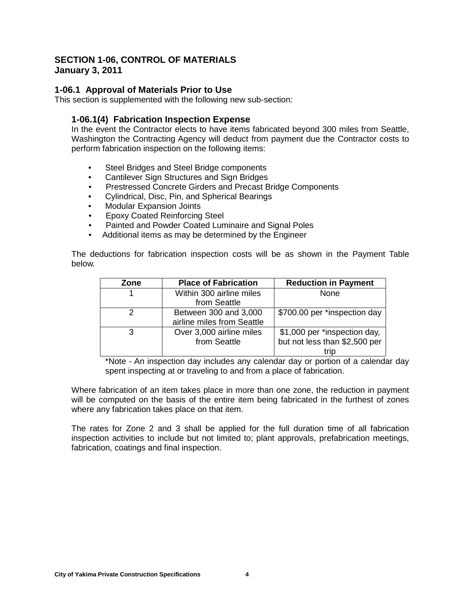#### **SECTION 1-06, CONTROL OF MATERIALS January 3, 2011**

#### **1-06.1 Approval of Materials Prior to Use**

This section is supplemented with the following new sub-section:

#### **1-06.1(4) Fabrication Inspection Expense**

In the event the Contractor elects to have items fabricated beyond 300 miles from Seattle, Washington the Contracting Agency will deduct from payment due the Contractor costs to perform fabrication inspection on the following items:

- Steel Bridges and Steel Bridge components
- Cantilever Sign Structures and Sign Bridges
- Prestressed Concrete Girders and Precast Bridge Components
- Cylindrical, Disc, Pin, and Spherical Bearings
- Modular Expansion Joints
- Epoxy Coated Reinforcing Steel
- Painted and Powder Coated Luminaire and Signal Poles
- Additional items as may be determined by the Engineer

The deductions for fabrication inspection costs will be as shown in the Payment Table below.

| Zone | <b>Place of Fabrication</b> | <b>Reduction in Payment</b>   |
|------|-----------------------------|-------------------------------|
|      | Within 300 airline miles    | <b>None</b>                   |
|      | from Seattle                |                               |
|      | Between 300 and 3,000       | \$700.00 per *inspection day  |
|      | airline miles from Seattle  |                               |
| 3    | Over 3,000 airline miles    | \$1,000 per *inspection day,  |
|      | from Seattle                | but not less than \$2,500 per |
|      |                             | tric                          |

\*Note - An inspection day includes any calendar day or portion of a calendar day spent inspecting at or traveling to and from a place of fabrication.

Where fabrication of an item takes place in more than one zone, the reduction in payment will be computed on the basis of the entire item being fabricated in the furthest of zones where any fabrication takes place on that item.

The rates for Zone 2 and 3 shall be applied for the full duration time of all fabrication inspection activities to include but not limited to; plant approvals, prefabrication meetings, fabrication, coatings and final inspection.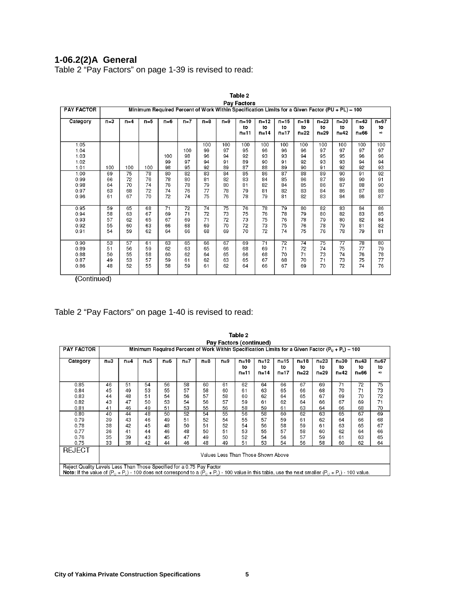#### **1-06.2(2)A General**

Table 2 "Pay Factors" on page 1-39 is revised to read:

| <b>PAY FACTOR</b>                    | Minimum Required Percent of Work Within Specification Limits for a Given Factor (PU + PL) – 100 |       |       |                 |                       |                             |                             |                             |                             |                             |                             |                             |                             |                             |                             |
|--------------------------------------|-------------------------------------------------------------------------------------------------|-------|-------|-----------------|-----------------------|-----------------------------|-----------------------------|-----------------------------|-----------------------------|-----------------------------|-----------------------------|-----------------------------|-----------------------------|-----------------------------|-----------------------------|
| Category                             | $n=3$                                                                                           | $n=4$ | $n=5$ | n=6             | $n=7$                 | $n = 8$                     | $n=9$                       | $n = 10$<br>to<br>$n = 11$  | $n = 12$<br>to<br>$n = 14$  | $n = 15$<br>to<br>$n = 17$  | $n = 18$<br>to<br>$n = 22$  | $n = 23$<br>to<br>$n = 29$  | $n = 30$<br>to<br>$n = 42$  | $n = 43$<br>to<br>n=66      | $n=67$<br>to<br>œ.          |
| 1.05<br>1.04<br>1.03<br>1.02<br>1.01 | 100                                                                                             | 100   | 100   | 100<br>99<br>98 | 100<br>98<br>97<br>95 | 100<br>99<br>96<br>94<br>92 | 100<br>97<br>94<br>91<br>89 | 100<br>95<br>92<br>89<br>87 | 100<br>96<br>93<br>90<br>88 | 100<br>96<br>93<br>91<br>89 | 100<br>96<br>94<br>92<br>90 | 100<br>97<br>95<br>93<br>91 | 100<br>97<br>95<br>93<br>92 | 100<br>97<br>96<br>94<br>92 | 100<br>97<br>96<br>94<br>93 |
| 1.00                                 | 69                                                                                              | 75    | 78    | 80              | 82                    | 83                          | 84                          | 85                          | 86                          | 87                          | 88                          | 89                          | 90                          | 91                          | 92                          |
| 0.99                                 | 66                                                                                              | 72    | 76    | 78              | 80                    | 81                          | 82                          | 83                          | 84                          | 85                          | 86                          | 87                          | 89                          | 90                          | 91                          |
| 0.98                                 | 64                                                                                              | 70    | 74    | 76              | 78                    | 79                          | 80                          | 81                          | 82                          | 84                          | 85                          | 86                          | 87                          | 88                          | 90                          |
| 0.97                                 | 63                                                                                              | 68    | 72    | 74              | 76                    | 77                          | 78                          | 79                          | 81                          | 82                          | 83                          | 84                          | 86                          | 87                          | 88                          |
| 0.96                                 | 61                                                                                              | 67    | 70    | 72              | 74                    | 75                          | 76                          | 78                          | 79                          | 81                          | 82                          | 83                          | 84                          | 86                          | 87                          |
| 0.95                                 | 59                                                                                              | 65    | 68    | 71              | 72                    | 74                          | 75                          | 76                          | 78                          | 79                          | 80                          | 82                          | 83                          | 84                          | 86                          |
| 0.94                                 | 58                                                                                              | 63    | 67    | 69              | 71                    | 72                          | 73                          | 75                          | 76                          | 78                          | 79                          | 80                          | 82                          | 83                          | 85                          |
| 0.93                                 | 57                                                                                              | 62    | 65    | 67              | 69                    | 71                          | 72                          | 73                          | 75                          | 76                          | 78                          | 79                          | 80                          | 82                          | 84                          |
| 0.92                                 | 55                                                                                              | 60    | 63    | 66              | 68                    | 69                          | 70                          | 72                          | 73                          | 75                          | 76                          | 78                          | 79                          | 81                          | 82                          |
| 0.91                                 | 54                                                                                              | 59    | 62    | 64              | 66                    | 68                          | 69                          | 70                          | 72                          | 74                          | 75                          | 76                          | 78                          | 79                          | 81                          |
| 0.90                                 | 53                                                                                              | 57    | 61    | 63              | 65                    | 66                          | 67                          | 69                          | $\overline{71}$             | $\overline{72}$             | $\overline{74}$             | $\overline{75}$             | $\overline{77}$             | 78                          | 80                          |
| 0.89                                 | 51                                                                                              | 56    | 59    | 62              | 63                    | 65                          | 66                          | 68                          | 69                          | 71                          | 72                          | 74                          | 75                          | 77                          | 79                          |
| 0.88                                 | 50                                                                                              | 55    | 58    | 60              | 62                    | 64                          | 65                          | 66                          | 68                          | 70                          | 71                          | 73                          | 74                          | 76                          | 78                          |
| 0.87                                 | 49                                                                                              | 53    | 57    | 59              | 61                    | 62                          | 63                          | 65                          | 67                          | 68                          | 70                          | 71                          | 73                          | 75                          | 77                          |
| 0.86                                 | 48                                                                                              | 52    | 55    | 58              | 59                    | 61                          | 62                          | 64                          | 66                          | 67                          | 69                          | 70                          | 72                          | 74                          | 76                          |

Table 2 **Pay Factors** 

(Continued)

### Table 2 "Pay Factors" on page 1-40 is revised to read:

| . <u>.</u><br>Pay Factors (continued)                                                                                                                                                                                                      |       |       |       |       |       |         |       |                            |                            |                            |                            |                          |                                                                                                        |                            |                     |
|--------------------------------------------------------------------------------------------------------------------------------------------------------------------------------------------------------------------------------------------|-------|-------|-------|-------|-------|---------|-------|----------------------------|----------------------------|----------------------------|----------------------------|--------------------------|--------------------------------------------------------------------------------------------------------|----------------------------|---------------------|
| <b>PAY FACTOR</b>                                                                                                                                                                                                                          |       |       |       |       |       |         |       |                            |                            |                            |                            |                          | Minimum Required Percent of Work Within Specification Limits for a Given Factor $(P_{ij} + P_i) - 100$ |                            |                     |
| Category                                                                                                                                                                                                                                   | $n=3$ | $n=4$ | $n=5$ | $n=6$ | $n=7$ | $n = 8$ | $n=9$ | $n = 10$<br>to<br>$n = 11$ | $n = 12$<br>to<br>$n = 14$ | $n = 15$<br>to<br>$n = 17$ | $n = 18$<br>to<br>$n = 22$ | $n = 23$<br>to<br>$n=29$ | $n=30$<br>to<br>$n=42$                                                                                 | $n = 43$<br>to<br>$n = 66$ | $n = 67$<br>to<br>∞ |
| 0.85                                                                                                                                                                                                                                       | 46    | 51    | 54    | 56    | 58    | 60      | 61    | 62                         | 64                         | 66                         | 67                         | 69                       | 71                                                                                                     | 72                         | 75                  |
| 0.84                                                                                                                                                                                                                                       | 45    | 49    | 53    | 55    | 57    | 58      | 60    | 61                         | 63                         | 65                         | 66                         | 68                       | 70                                                                                                     | 71                         | 73                  |
| 0.83                                                                                                                                                                                                                                       | 44    | 48    | 51    | 54    | 56    | 57      | 58    | 60                         | 62                         | 64                         | 65                         | 67                       | 69                                                                                                     | 70                         | 72                  |
| 0.82                                                                                                                                                                                                                                       | 43    | 47    | 50    | 53    | 54    | 56      | 57    | 59                         | 61                         | 62                         | 64                         | 66                       | 67                                                                                                     | 69                         | 71                  |
| 0.81                                                                                                                                                                                                                                       | 41    | 46    | 49    | 51    | 53    | 55      | 56    | 58                         | 59                         | 61                         | 63                         | 64                       | 66                                                                                                     | 68                         | 70                  |
| 0.80                                                                                                                                                                                                                                       | 40    | 44    | 48    | 50    | 52    | 54      | 55    | 56                         | 58                         | 60                         | 62                         | 63                       | 65                                                                                                     | 67                         | 69                  |
| 0.79                                                                                                                                                                                                                                       | 39    | 43    | 46    | 49    | 51    | 52      | 54    | 55                         | 57                         | 59                         | 61                         | 62                       | 64                                                                                                     | 66                         | 68                  |
| 0.78                                                                                                                                                                                                                                       | 38    | 42    | 45    | 48    | 50    | 51      | 52    | 54                         | 56                         | 58                         | 59                         | 61                       | 63                                                                                                     | 65                         | 67                  |
| 0.77                                                                                                                                                                                                                                       | 36    | 41    | 44    | 46    | 48    | 50      | 51    | 53                         | 55                         | 57                         | 58                         | 60                       | 62                                                                                                     | 64                         | 66                  |
| 0.76                                                                                                                                                                                                                                       | 35    | 39    | 43    | 45    | 47    | 49      | 50    | 52                         | 54                         | 56                         | 57                         | 59                       | 61                                                                                                     | 63                         | 65                  |
| 0.75                                                                                                                                                                                                                                       | 33    | 38    | 42    | 44    | 46    | 48      | 49    | 51                         | 53                         | 54                         | 56                         | 58                       | 60                                                                                                     | 62                         | 64                  |
| <b>REJECT</b><br>Values Less Than Those Shown Above                                                                                                                                                                                        |       |       |       |       |       |         |       |                            |                            |                            |                            |                          |                                                                                                        |                            |                     |
| Reject Quality Levels Less Than Those Specified for a 0.75 Pay Factor<br>Note: If the value of $(P_{U}+P_{1})$ - 100 does not correspond to a $(P_{U}+P_{1})$ - 100 value in this table, use the next smaller $(P_{U}+P_{1})$ - 100 value. |       |       |       |       |       |         |       |                            |                            |                            |                            |                          |                                                                                                        |                            |                     |

## Table 2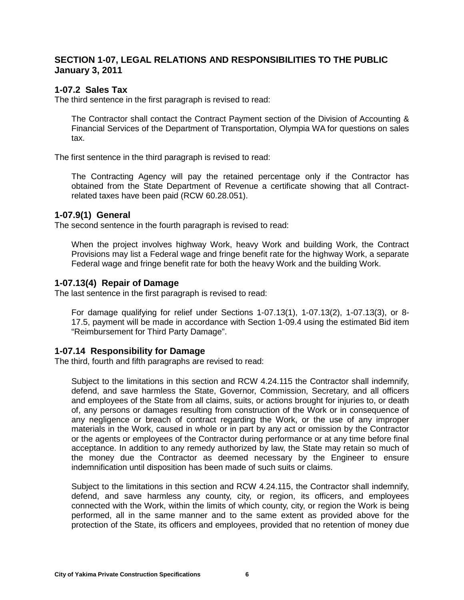#### **SECTION 1-07, LEGAL RELATIONS AND RESPONSIBILITIES TO THE PUBLIC January 3, 2011**

#### **1-07.2 Sales Tax**

The third sentence in the first paragraph is revised to read:

The Contractor shall contact the Contract Payment section of the Division of Accounting & Financial Services of the Department of Transportation, Olympia WA for questions on sales tax.

The first sentence in the third paragraph is revised to read:

The Contracting Agency will pay the retained percentage only if the Contractor has obtained from the State Department of Revenue a certificate showing that all Contractrelated taxes have been paid (RCW 60.28.051).

#### **1-07.9(1) General**

The second sentence in the fourth paragraph is revised to read:

When the project involves highway Work, heavy Work and building Work, the Contract Provisions may list a Federal wage and fringe benefit rate for the highway Work, a separate Federal wage and fringe benefit rate for both the heavy Work and the building Work.

#### **1-07.13(4) Repair of Damage**

The last sentence in the first paragraph is revised to read:

For damage qualifying for relief under Sections 1-07.13(1), 1-07.13(2), 1-07.13(3), or 8- 17.5, payment will be made in accordance with Section 1-09.4 using the estimated Bid item "Reimbursement for Third Party Damage".

#### **1-07.14 Responsibility for Damage**

The third, fourth and fifth paragraphs are revised to read:

Subject to the limitations in this section and RCW 4.24.115 the Contractor shall indemnify, defend, and save harmless the State, Governor, Commission, Secretary, and all officers and employees of the State from all claims, suits, or actions brought for injuries to, or death of, any persons or damages resulting from construction of the Work or in consequence of any negligence or breach of contract regarding the Work, or the use of any improper materials in the Work, caused in whole or in part by any act or omission by the Contractor or the agents or employees of the Contractor during performance or at any time before final acceptance. In addition to any remedy authorized by law, the State may retain so much of the money due the Contractor as deemed necessary by the Engineer to ensure indemnification until disposition has been made of such suits or claims.

Subject to the limitations in this section and RCW 4.24.115, the Contractor shall indemnify, defend, and save harmless any county, city, or region, its officers, and employees connected with the Work, within the limits of which county, city, or region the Work is being performed, all in the same manner and to the same extent as provided above for the protection of the State, its officers and employees, provided that no retention of money due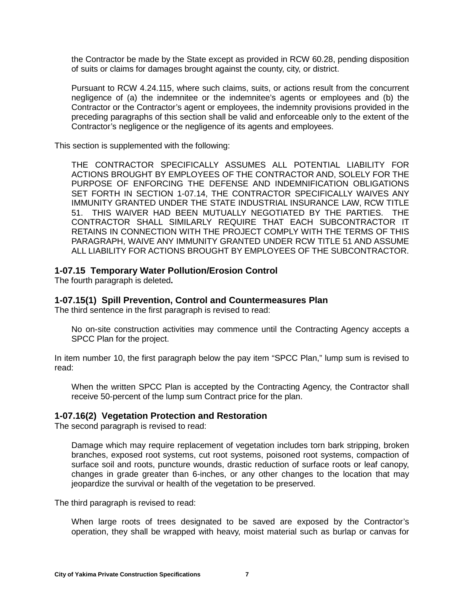the Contractor be made by the State except as provided in RCW 60.28, pending disposition of suits or claims for damages brought against the county, city, or district.

Pursuant to RCW 4.24.115, where such claims, suits, or actions result from the concurrent negligence of (a) the indemnitee or the indemnitee's agents or employees and (b) the Contractor or the Contractor's agent or employees, the indemnity provisions provided in the preceding paragraphs of this section shall be valid and enforceable only to the extent of the Contractor's negligence or the negligence of its agents and employees.

This section is supplemented with the following:

THE CONTRACTOR SPECIFICALLY ASSUMES ALL POTENTIAL LIABILITY FOR ACTIONS BROUGHT BY EMPLOYEES OF THE CONTRACTOR AND, SOLELY FOR THE PURPOSE OF ENFORCING THE DEFENSE AND INDEMNIFICATION OBLIGATIONS SET FORTH IN SECTION 1-07.14, THE CONTRACTOR SPECIFICALLY WAIVES ANY IMMUNITY GRANTED UNDER THE STATE INDUSTRIAL INSURANCE LAW, RCW TITLE 51. THIS WAIVER HAD BEEN MUTUALLY NEGOTIATED BY THE PARTIES. THE CONTRACTOR SHALL SIMILARLY REQUIRE THAT EACH SUBCONTRACTOR IT RETAINS IN CONNECTION WITH THE PROJECT COMPLY WITH THE TERMS OF THIS PARAGRAPH, WAIVE ANY IMMUNITY GRANTED UNDER RCW TITLE 51 AND ASSUME ALL LIABILITY FOR ACTIONS BROUGHT BY EMPLOYEES OF THE SUBCONTRACTOR.

#### **1-07.15 Temporary Water Pollution/Erosion Control**

The fourth paragraph is deleted**.**

#### **1-07.15(1) Spill Prevention, Control and Countermeasures Plan**

The third sentence in the first paragraph is revised to read:

No on-site construction activities may commence until the Contracting Agency accepts a SPCC Plan for the project.

In item number 10, the first paragraph below the pay item "SPCC Plan," lump sum is revised to read:

When the written SPCC Plan is accepted by the Contracting Agency, the Contractor shall receive 50-percent of the lump sum Contract price for the plan.

#### **1-07.16(2) Vegetation Protection and Restoration**

The second paragraph is revised to read:

Damage which may require replacement of vegetation includes torn bark stripping, broken branches, exposed root systems, cut root systems, poisoned root systems, compaction of surface soil and roots, puncture wounds, drastic reduction of surface roots or leaf canopy, changes in grade greater than 6-inches, or any other changes to the location that may jeopardize the survival or health of the vegetation to be preserved.

The third paragraph is revised to read:

When large roots of trees designated to be saved are exposed by the Contractor's operation, they shall be wrapped with heavy, moist material such as burlap or canvas for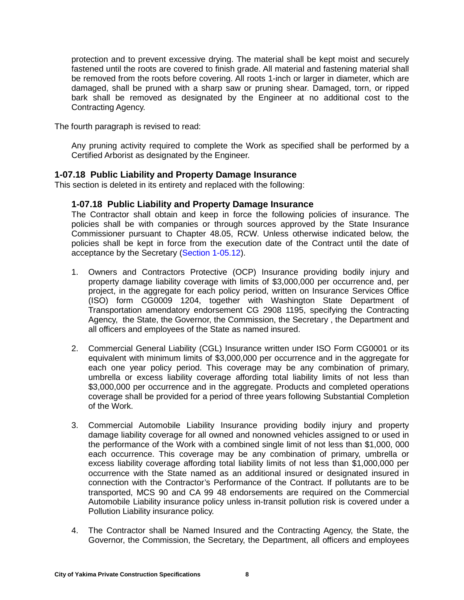protection and to prevent excessive drying. The material shall be kept moist and securely fastened until the roots are covered to finish grade. All material and fastening material shall be removed from the roots before covering. All roots 1-inch or larger in diameter, which are damaged, shall be pruned with a sharp saw or pruning shear. Damaged, torn, or ripped bark shall be removed as designated by the Engineer at no additional cost to the Contracting Agency.

The fourth paragraph is revised to read:

Any pruning activity required to complete the Work as specified shall be performed by a Certified Arborist as designated by the Engineer.

#### **1-07.18 Public Liability and Property Damage Insurance**

This section is deleted in its entirety and replaced with the following:

#### **1-07.18 Public Liability and Property Damage Insurance**

The Contractor shall obtain and keep in force the following policies of insurance. The policies shall be with companies or through sources approved by the State Insurance Commissioner pursuant to Chapter 48.05, RCW. Unless otherwise indicated below, the policies shall be kept in force from the execution date of the Contract until the date of acceptance by the Secretary (Section 1-05.12).

- 1. Owners and Contractors Protective (OCP) Insurance providing bodily injury and property damage liability coverage with limits of \$3,000,000 per occurrence and, per project, in the aggregate for each policy period, written on Insurance Services Office (ISO) form CG0009 1204, together with Washington State Department of Transportation amendatory endorsement CG 2908 1195, specifying the Contracting Agency, the State, the Governor, the Commission, the Secretary , the Department and all officers and employees of the State as named insured.
- 2. Commercial General Liability (CGL) Insurance written under ISO Form CG0001 or its equivalent with minimum limits of \$3,000,000 per occurrence and in the aggregate for each one year policy period. This coverage may be any combination of primary, umbrella or excess liability coverage affording total liability limits of not less than \$3,000,000 per occurrence and in the aggregate. Products and completed operations coverage shall be provided for a period of three years following Substantial Completion of the Work.
- 3. Commercial Automobile Liability Insurance providing bodily injury and property damage liability coverage for all owned and nonowned vehicles assigned to or used in the performance of the Work with a combined single limit of not less than \$1,000, 000 each occurrence. This coverage may be any combination of primary, umbrella or excess liability coverage affording total liability limits of not less than \$1,000,000 per occurrence with the State named as an additional insured or designated insured in connection with the Contractor's Performance of the Contract. If pollutants are to be transported, MCS 90 and CA 99 48 endorsements are required on the Commercial Automobile Liability insurance policy unless in-transit pollution risk is covered under a Pollution Liability insurance policy.
- 4. The Contractor shall be Named Insured and the Contracting Agency, the State, the Governor, the Commission, the Secretary, the Department, all officers and employees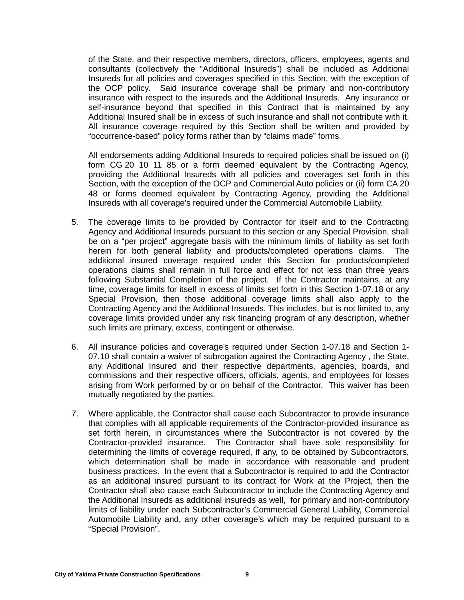of the State, and their respective members, directors, officers, employees, agents and consultants (collectively the "Additional Insureds") shall be included as Additional Insureds for all policies and coverages specified in this Section, with the exception of the OCP policy. Said insurance coverage shall be primary and non-contributory insurance with respect to the insureds and the Additional Insureds. Any insurance or self-insurance beyond that specified in this Contract that is maintained by any Additional Insured shall be in excess of such insurance and shall not contribute with it. All insurance coverage required by this Section shall be written and provided by "occurrence-based" policy forms rather than by "claims made" forms.

All endorsements adding Additional Insureds to required policies shall be issued on (i) form CG 20 10 11 85 or a form deemed equivalent by the Contracting Agency, providing the Additional Insureds with all policies and coverages set forth in this Section, with the exception of the OCP and Commercial Auto policies or (ii) form CA 20 48 or forms deemed equivalent by Contracting Agency, providing the Additional Insureds with all coverage's required under the Commercial Automobile Liability.

- 5. The coverage limits to be provided by Contractor for itself and to the Contracting Agency and Additional Insureds pursuant to this section or any Special Provision, shall be on a "per project" aggregate basis with the minimum limits of liability as set forth herein for both general liability and products/completed operations claims. The additional insured coverage required under this Section for products/completed operations claims shall remain in full force and effect for not less than three years following Substantial Completion of the project. If the Contractor maintains, at any time, coverage limits for itself in excess of limits set forth in this Section 1-07.18 or any Special Provision, then those additional coverage limits shall also apply to the Contracting Agency and the Additional Insureds. This includes, but is not limited to, any coverage limits provided under any risk financing program of any description, whether such limits are primary, excess, contingent or otherwise.
- 6. All insurance policies and coverage's required under Section 1-07.18 and Section 1- 07.10 shall contain a waiver of subrogation against the Contracting Agency , the State, any Additional Insured and their respective departments, agencies, boards, and commissions and their respective officers, officials, agents, and employees for losses arising from Work performed by or on behalf of the Contractor. This waiver has been mutually negotiated by the parties.
- 7. Where applicable, the Contractor shall cause each Subcontractor to provide insurance that complies with all applicable requirements of the Contractor-provided insurance as set forth herein, in circumstances where the Subcontractor is not covered by the Contractor-provided insurance. The Contractor shall have sole responsibility for determining the limits of coverage required, if any, to be obtained by Subcontractors, which determination shall be made in accordance with reasonable and prudent business practices. In the event that a Subcontractor is required to add the Contractor as an additional insured pursuant to its contract for Work at the Project, then the Contractor shall also cause each Subcontractor to include the Contracting Agency and the Additional Insureds as additional insureds as well, for primary and non-contributory limits of liability under each Subcontractor's Commercial General Liability, Commercial Automobile Liability and, any other coverage's which may be required pursuant to a "Special Provision".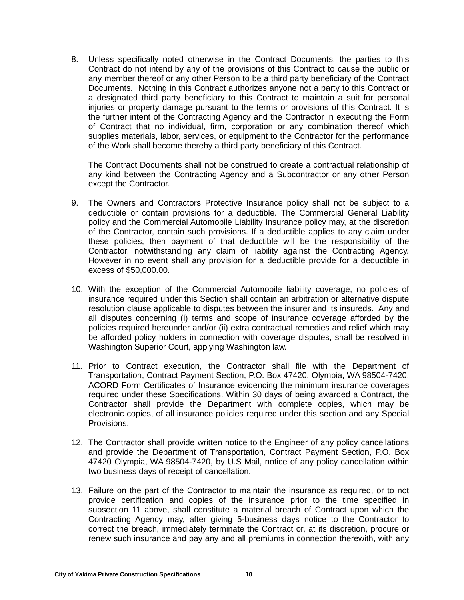8. Unless specifically noted otherwise in the Contract Documents, the parties to this Contract do not intend by any of the provisions of this Contract to cause the public or any member thereof or any other Person to be a third party beneficiary of the Contract Documents. Nothing in this Contract authorizes anyone not a party to this Contract or a designated third party beneficiary to this Contract to maintain a suit for personal injuries or property damage pursuant to the terms or provisions of this Contract. It is the further intent of the Contracting Agency and the Contractor in executing the Form of Contract that no individual, firm, corporation or any combination thereof which supplies materials, labor, services, or equipment to the Contractor for the performance of the Work shall become thereby a third party beneficiary of this Contract.

The Contract Documents shall not be construed to create a contractual relationship of any kind between the Contracting Agency and a Subcontractor or any other Person except the Contractor.

- 9. The Owners and Contractors Protective Insurance policy shall not be subject to a deductible or contain provisions for a deductible. The Commercial General Liability policy and the Commercial Automobile Liability Insurance policy may, at the discretion of the Contractor, contain such provisions. If a deductible applies to any claim under these policies, then payment of that deductible will be the responsibility of the Contractor, notwithstanding any claim of liability against the Contracting Agency. However in no event shall any provision for a deductible provide for a deductible in excess of \$50,000.00.
- 10. With the exception of the Commercial Automobile liability coverage, no policies of insurance required under this Section shall contain an arbitration or alternative dispute resolution clause applicable to disputes between the insurer and its insureds. Any and all disputes concerning (i) terms and scope of insurance coverage afforded by the policies required hereunder and/or (ii) extra contractual remedies and relief which may be afforded policy holders in connection with coverage disputes, shall be resolved in Washington Superior Court, applying Washington law.
- 11. Prior to Contract execution, the Contractor shall file with the Department of Transportation, Contract Payment Section, P.O. Box 47420, Olympia, WA 98504-7420, ACORD Form Certificates of Insurance evidencing the minimum insurance coverages required under these Specifications. Within 30 days of being awarded a Contract, the Contractor shall provide the Department with complete copies, which may be electronic copies, of all insurance policies required under this section and any Special Provisions.
- 12. The Contractor shall provide written notice to the Engineer of any policy cancellations and provide the Department of Transportation, Contract Payment Section, P.O. Box 47420 Olympia, WA 98504-7420, by U.S Mail, notice of any policy cancellation within two business days of receipt of cancellation.
- 13. Failure on the part of the Contractor to maintain the insurance as required, or to not provide certification and copies of the insurance prior to the time specified in subsection 11 above, shall constitute a material breach of Contract upon which the Contracting Agency may, after giving 5-business days notice to the Contractor to correct the breach, immediately terminate the Contract or, at its discretion, procure or renew such insurance and pay any and all premiums in connection therewith, with any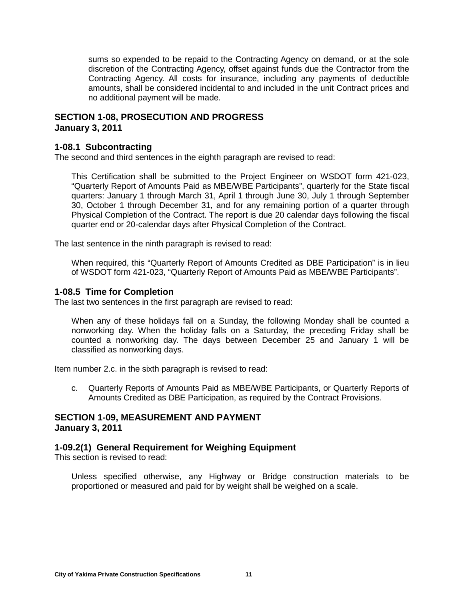sums so expended to be repaid to the Contracting Agency on demand, or at the sole discretion of the Contracting Agency, offset against funds due the Contractor from the Contracting Agency. All costs for insurance, including any payments of deductible amounts, shall be considered incidental to and included in the unit Contract prices and no additional payment will be made.

#### **SECTION 1-08, PROSECUTION AND PROGRESS January 3, 2011**

#### **1-08.1 Subcontracting**

The second and third sentences in the eighth paragraph are revised to read:

This Certification shall be submitted to the Project Engineer on WSDOT form 421-023, "Quarterly Report of Amounts Paid as MBE/WBE Participants", quarterly for the State fiscal quarters: January 1 through March 31, April 1 through June 30, July 1 through September 30, October 1 through December 31, and for any remaining portion of a quarter through Physical Completion of the Contract. The report is due 20 calendar days following the fiscal quarter end or 20-calendar days after Physical Completion of the Contract.

The last sentence in the ninth paragraph is revised to read:

When required, this "Quarterly Report of Amounts Credited as DBE Participation" is in lieu of WSDOT form 421-023, "Quarterly Report of Amounts Paid as MBE/WBE Participants".

#### **1-08.5 Time for Completion**

The last two sentences in the first paragraph are revised to read:

When any of these holidays fall on a Sunday, the following Monday shall be counted a nonworking day. When the holiday falls on a Saturday, the preceding Friday shall be counted a nonworking day. The days between December 25 and January 1 will be classified as nonworking days.

Item number 2.c. in the sixth paragraph is revised to read:

c. Quarterly Reports of Amounts Paid as MBE/WBE Participants, or Quarterly Reports of Amounts Credited as DBE Participation, as required by the Contract Provisions.

#### **SECTION 1-09, MEASUREMENT AND PAYMENT January 3, 2011**

#### **1-09.2(1) General Requirement for Weighing Equipment**

This section is revised to read:

Unless specified otherwise, any Highway or Bridge construction materials to be proportioned or measured and paid for by weight shall be weighed on a scale.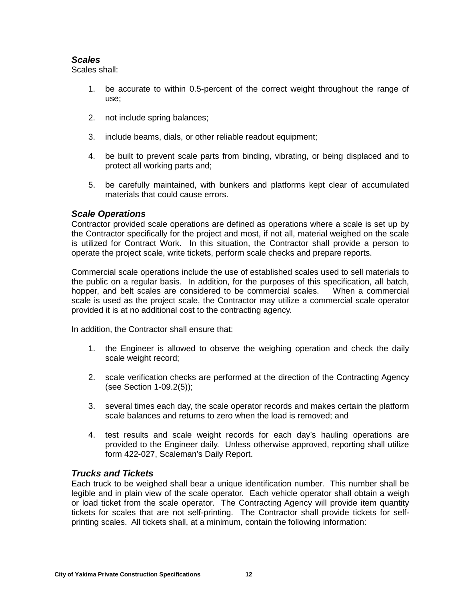#### *Scales*

Scales shall:

- 1. be accurate to within 0.5-percent of the correct weight throughout the range of use;
- 2. not include spring balances;
- 3. include beams, dials, or other reliable readout equipment;
- 4. be built to prevent scale parts from binding, vibrating, or being displaced and to protect all working parts and;
- 5. be carefully maintained, with bunkers and platforms kept clear of accumulated materials that could cause errors.

#### *Scale Operations*

Contractor provided scale operations are defined as operations where a scale is set up by the Contractor specifically for the project and most, if not all, material weighed on the scale is utilized for Contract Work. In this situation, the Contractor shall provide a person to operate the project scale, write tickets, perform scale checks and prepare reports.

Commercial scale operations include the use of established scales used to sell materials to the public on a regular basis. In addition, for the purposes of this specification, all batch, hopper, and belt scales are considered to be commercial scales. When a commercial scale is used as the project scale, the Contractor may utilize a commercial scale operator provided it is at no additional cost to the contracting agency.

In addition, the Contractor shall ensure that:

- 1. the Engineer is allowed to observe the weighing operation and check the daily scale weight record;
- 2. scale verification checks are performed at the direction of the Contracting Agency (see Section 1-09.2(5));
- 3. several times each day, the scale operator records and makes certain the platform scale balances and returns to zero when the load is removed; and
- 4. test results and scale weight records for each day's hauling operations are provided to the Engineer daily. Unless otherwise approved, reporting shall utilize form 422-027, Scaleman's Daily Report.

#### *Trucks and Tickets*

Each truck to be weighed shall bear a unique identification number. This number shall be legible and in plain view of the scale operator. Each vehicle operator shall obtain a weigh or load ticket from the scale operator. The Contracting Agency will provide item quantity tickets for scales that are not self-printing. The Contractor shall provide tickets for selfprinting scales. All tickets shall, at a minimum, contain the following information: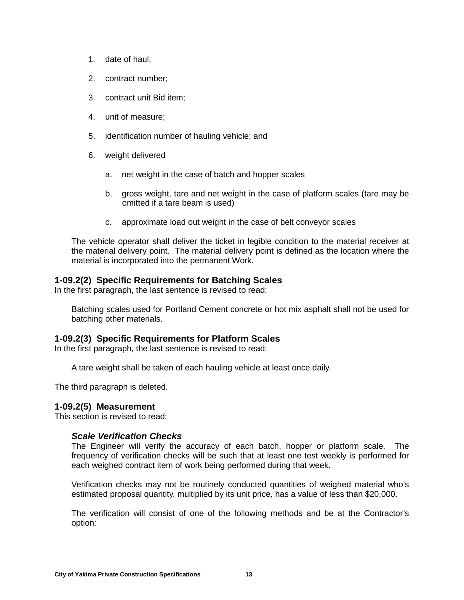- 1. date of haul;
- 2. contract number;
- 3. contract unit Bid item;
- 4. unit of measure;
- 5. identification number of hauling vehicle; and
- 6. weight delivered
	- a. net weight in the case of batch and hopper scales
	- b. gross weight, tare and net weight in the case of platform scales (tare may be omitted if a tare beam is used)
	- c. approximate load out weight in the case of belt conveyor scales

The vehicle operator shall deliver the ticket in legible condition to the material receiver at the material delivery point. The material delivery point is defined as the location where the material is incorporated into the permanent Work.

#### **1-09.2(2) Specific Requirements for Batching Scales**

In the first paragraph, the last sentence is revised to read:

Batching scales used for Portland Cement concrete or hot mix asphalt shall not be used for batching other materials.

#### **1-09.2(3) Specific Requirements for Platform Scales**

In the first paragraph, the last sentence is revised to read:

A tare weight shall be taken of each hauling vehicle at least once daily.

The third paragraph is deleted.

#### **1-09.2(5) Measurement**

This section is revised to read:

#### *Scale Verification Checks*

The Engineer will verify the accuracy of each batch, hopper or platform scale. The frequency of verification checks will be such that at least one test weekly is performed for each weighed contract item of work being performed during that week.

Verification checks may not be routinely conducted quantities of weighed material who's estimated proposal quantity, multiplied by its unit price, has a value of less than \$20,000.

The verification will consist of one of the following methods and be at the Contractor's option: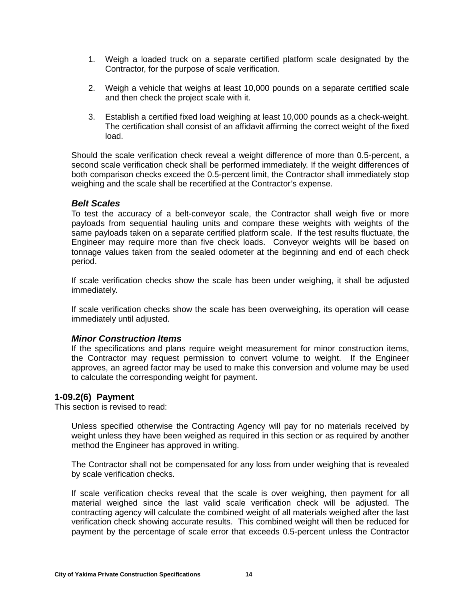- 1. Weigh a loaded truck on a separate certified platform scale designated by the Contractor, for the purpose of scale verification.
- 2. Weigh a vehicle that weighs at least 10,000 pounds on a separate certified scale and then check the project scale with it.
- 3. Establish a certified fixed load weighing at least 10,000 pounds as a check-weight. The certification shall consist of an affidavit affirming the correct weight of the fixed load.

Should the scale verification check reveal a weight difference of more than 0.5-percent, a second scale verification check shall be performed immediately. If the weight differences of both comparison checks exceed the 0.5-percent limit, the Contractor shall immediately stop weighing and the scale shall be recertified at the Contractor's expense.

#### *Belt Scales*

To test the accuracy of a belt-conveyor scale, the Contractor shall weigh five or more payloads from sequential hauling units and compare these weights with weights of the same payloads taken on a separate certified platform scale. If the test results fluctuate, the Engineer may require more than five check loads. Conveyor weights will be based on tonnage values taken from the sealed odometer at the beginning and end of each check period.

If scale verification checks show the scale has been under weighing, it shall be adjusted immediately.

If scale verification checks show the scale has been overweighing, its operation will cease immediately until adjusted.

#### *Minor Construction Items*

If the specifications and plans require weight measurement for minor construction items, the Contractor may request permission to convert volume to weight. If the Engineer approves, an agreed factor may be used to make this conversion and volume may be used to calculate the corresponding weight for payment.

#### **1-09.2(6) Payment**

This section is revised to read:

Unless specified otherwise the Contracting Agency will pay for no materials received by weight unless they have been weighed as required in this section or as required by another method the Engineer has approved in writing.

The Contractor shall not be compensated for any loss from under weighing that is revealed by scale verification checks.

If scale verification checks reveal that the scale is over weighing, then payment for all material weighed since the last valid scale verification check will be adjusted. The contracting agency will calculate the combined weight of all materials weighed after the last verification check showing accurate results. This combined weight will then be reduced for payment by the percentage of scale error that exceeds 0.5-percent unless the Contractor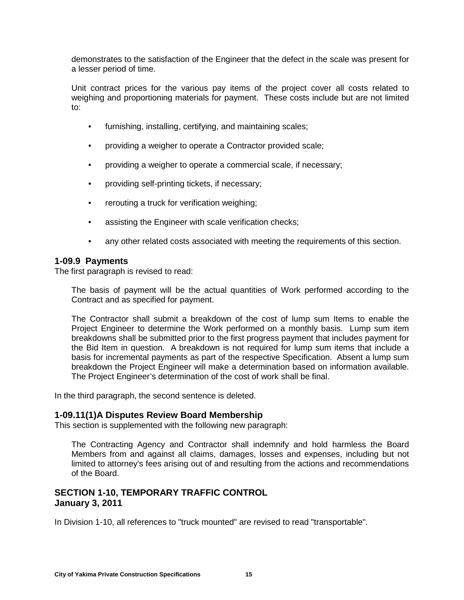demonstrates to the satisfaction of the Engineer that the defect in the scale was present for a lesser period of time.

Unit contract prices for the various pay items of the project cover all costs related to weighing and proportioning materials for payment. These costs include but are not limited to:

- furnishing, installing, certifying, and maintaining scales;
- providing a weigher to operate a Contractor provided scale;
- providing a weigher to operate a commercial scale, if necessary;
- providing self-printing tickets, if necessary;
- rerouting a truck for verification weighing;
- assisting the Engineer with scale verification checks;
- any other related costs associated with meeting the requirements of this section.

#### **1-09.9 Payments**

The first paragraph is revised to read:

The basis of payment will be the actual quantities of Work performed according to the Contract and as specified for payment.

The Contractor shall submit a breakdown of the cost of lump sum Items to enable the Project Engineer to determine the Work performed on a monthly basis. Lump sum item breakdowns shall be submitted prior to the first progress payment that includes payment for the Bid Item in question. A breakdown is not required for lump sum items that include a basis for incremental payments as part of the respective Specification. Absent a lump sum breakdown the Project Engineer will make a determination based on information available. The Project Engineer's determination of the cost of work shall be final.

In the third paragraph, the second sentence is deleted.

#### **1-09.11(1)A Disputes Review Board Membership**

This section is supplemented with the following new paragraph:

The Contracting Agency and Contractor shall indemnify and hold harmless the Board Members from and against all claims, damages, losses and expenses, including but not limited to attorney's fees arising out of and resulting from the actions and recommendations of the Board.

#### **SECTION 1-10, TEMPORARY TRAFFIC CONTROL January 3, 2011**

In Division 1-10, all references to "truck mounted" are revised to read "transportable".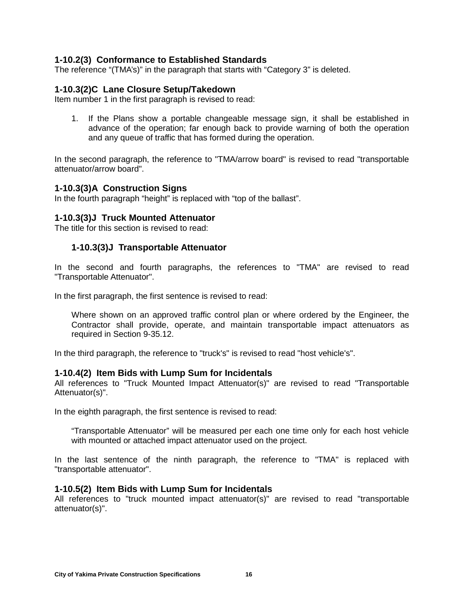#### **1-10.2(3) Conformance to Established Standards**

The reference "(TMA's)" in the paragraph that starts with "Category 3" is deleted.

#### **1-10.3(2)C Lane Closure Setup/Takedown**

Item number 1 in the first paragraph is revised to read:

1. If the Plans show a portable changeable message sign, it shall be established in advance of the operation; far enough back to provide warning of both the operation and any queue of traffic that has formed during the operation.

In the second paragraph, the reference to "TMA/arrow board" is revised to read "transportable attenuator/arrow board".

#### **1-10.3(3)A Construction Signs**

In the fourth paragraph "height" is replaced with "top of the ballast".

#### **1-10.3(3)J Truck Mounted Attenuator**

The title for this section is revised to read:

#### **1-10.3(3)J Transportable Attenuator**

In the second and fourth paragraphs, the references to "TMA" are revised to read "Transportable Attenuator".

In the first paragraph, the first sentence is revised to read:

Where shown on an approved traffic control plan or where ordered by the Engineer, the Contractor shall provide, operate, and maintain transportable impact attenuators as required in Section 9-35.12.

In the third paragraph, the reference to "truck's" is revised to read "host vehicle's".

#### **1-10.4(2) Item Bids with Lump Sum for Incidentals**

All references to "Truck Mounted Impact Attenuator(s)" are revised to read "Transportable Attenuator(s)".

In the eighth paragraph, the first sentence is revised to read:

"Transportable Attenuator" will be measured per each one time only for each host vehicle with mounted or attached impact attenuator used on the project.

In the last sentence of the ninth paragraph, the reference to "TMA" is replaced with "transportable attenuator".

#### **1-10.5(2) Item Bids with Lump Sum for Incidentals**

All references to "truck mounted impact attenuator(s)" are revised to read "transportable attenuator(s)".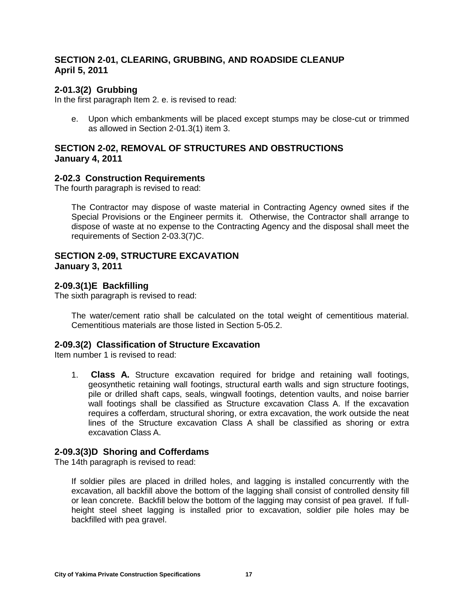### **SECTION 2-01, CLEARING, GRUBBING, AND ROADSIDE CLEANUP April 5, 2011**

### **2-01.3(2) Grubbing**

In the first paragraph Item 2. e. is revised to read:

e. Upon which embankments will be placed except stumps may be close-cut or trimmed as allowed in Section 2-01.3(1) item 3.

### **SECTION 2-02, REMOVAL OF STRUCTURES AND OBSTRUCTIONS January 4, 2011**

#### **2-02.3 Construction Requirements**

The fourth paragraph is revised to read:

The Contractor may dispose of waste material in Contracting Agency owned sites if the Special Provisions or the Engineer permits it. Otherwise, the Contractor shall arrange to dispose of waste at no expense to the Contracting Agency and the disposal shall meet the requirements of Section 2-03.3(7)C.

#### **SECTION 2-09, STRUCTURE EXCAVATION January 3, 2011**

#### **2-09.3(1)E Backfilling**

The sixth paragraph is revised to read:

The water/cement ratio shall be calculated on the total weight of cementitious material. Cementitious materials are those listed in Section 5-05.2.

#### **2-09.3(2) Classification of Structure Excavation**

Item number 1 is revised to read:

1. **Class A.** Structure excavation required for bridge and retaining wall footings, geosynthetic retaining wall footings, structural earth walls and sign structure footings, pile or drilled shaft caps, seals, wingwall footings, detention vaults, and noise barrier wall footings shall be classified as Structure excavation Class A. If the excavation requires a cofferdam, structural shoring, or extra excavation, the work outside the neat lines of the Structure excavation Class A shall be classified as shoring or extra excavation Class A.

#### **2-09.3(3)D Shoring and Cofferdams**

The 14th paragraph is revised to read:

If soldier piles are placed in drilled holes, and lagging is installed concurrently with the excavation, all backfill above the bottom of the lagging shall consist of controlled density fill or lean concrete. Backfill below the bottom of the lagging may consist of pea gravel. If fullheight steel sheet lagging is installed prior to excavation, soldier pile holes may be backfilled with pea gravel.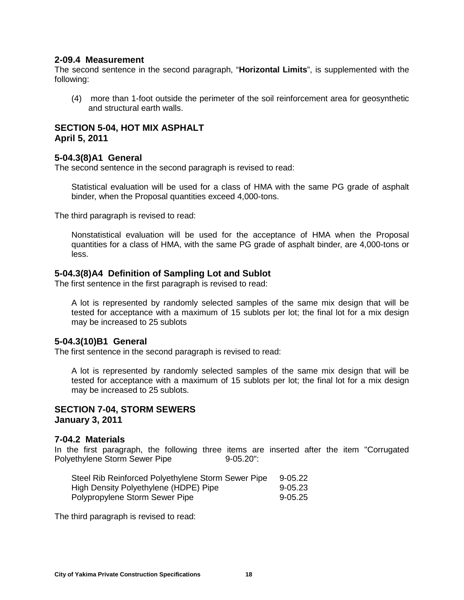#### **2-09.4 Measurement**

The second sentence in the second paragraph, "**Horizontal Limits**", is supplemented with the following:

(4) more than 1-foot outside the perimeter of the soil reinforcement area for geosynthetic and structural earth walls.

#### **SECTION 5-04, HOT MIX ASPHALT April 5, 2011**

#### **5-04.3(8)A1 General**

The second sentence in the second paragraph is revised to read:

Statistical evaluation will be used for a class of HMA with the same PG grade of asphalt binder, when the Proposal quantities exceed 4,000-tons.

The third paragraph is revised to read:

Nonstatistical evaluation will be used for the acceptance of HMA when the Proposal quantities for a class of HMA, with the same PG grade of asphalt binder, are 4,000-tons or less.

#### **5-04.3(8)A4 Definition of Sampling Lot and Sublot**

The first sentence in the first paragraph is revised to read:

A lot is represented by randomly selected samples of the same mix design that will be tested for acceptance with a maximum of 15 sublots per lot; the final lot for a mix design may be increased to 25 sublots

#### **5-04.3(10)B1 General**

The first sentence in the second paragraph is revised to read:

A lot is represented by randomly selected samples of the same mix design that will be tested for acceptance with a maximum of 15 sublots per lot; the final lot for a mix design may be increased to 25 sublots.

#### **SECTION 7-04, STORM SEWERS January 3, 2011**

#### **7-04.2 Materials**

In the first paragraph, the following three items are inserted after the item "Corrugated Polyethylene Storm Sewer Pipe 9-05.20":

| Steel Rib Reinforced Polyethylene Storm Sewer Pipe | 9-05.22     |
|----------------------------------------------------|-------------|
| High Density Polyethylene (HDPE) Pipe              | $9 - 05.23$ |
| Polypropylene Storm Sewer Pipe                     | $9 - 05.25$ |

The third paragraph is revised to read: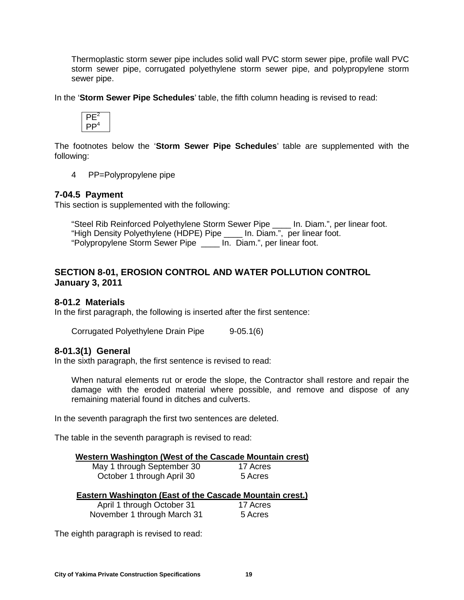Thermoplastic storm sewer pipe includes solid wall PVC storm sewer pipe, profile wall PVC storm sewer pipe, corrugated polyethylene storm sewer pipe, and polypropylene storm sewer pipe.

In the '**Storm Sewer Pipe Schedules**' table, the fifth column heading is revised to read:



The footnotes below the '**Storm Sewer Pipe Schedules**' table are supplemented with the following:

4 PP=Polypropylene pipe

#### **7-04.5 Payment**

This section is supplemented with the following:

"Steel Rib Reinforced Polyethylene Storm Sewer Pipe \_\_\_\_ In. Diam.", per linear foot. "High Density Polyethylene (HDPE) Pipe \_\_\_\_ In. Diam.", per linear foot. "Polypropylene Storm Sewer Pipe \_\_\_\_ In. Diam.", per linear foot.

#### **SECTION 8-01, EROSION CONTROL AND WATER POLLUTION CONTROL January 3, 2011**

#### **8-01.2 Materials**

In the first paragraph, the following is inserted after the first sentence:

```
Corrugated Polyethylene Drain Pipe 9-05.1(6)
```
#### **8-01.3(1) General**

In the sixth paragraph, the first sentence is revised to read:

When natural elements rut or erode the slope, the Contractor shall restore and repair the damage with the eroded material where possible, and remove and dispose of any remaining material found in ditches and culverts.

In the seventh paragraph the first two sentences are deleted.

The table in the seventh paragraph is revised to read:

|  | Western Washington (West of the Cascade Mountain crest) |
|--|---------------------------------------------------------|
|  |                                                         |

| May 1 through September 30 | 17 Acres |
|----------------------------|----------|
| October 1 through April 30 | 5 Acres  |

|--|

| April 1 through October 31  | 17 Acres |
|-----------------------------|----------|
| November 1 through March 31 | 5 Acres  |

The eighth paragraph is revised to read: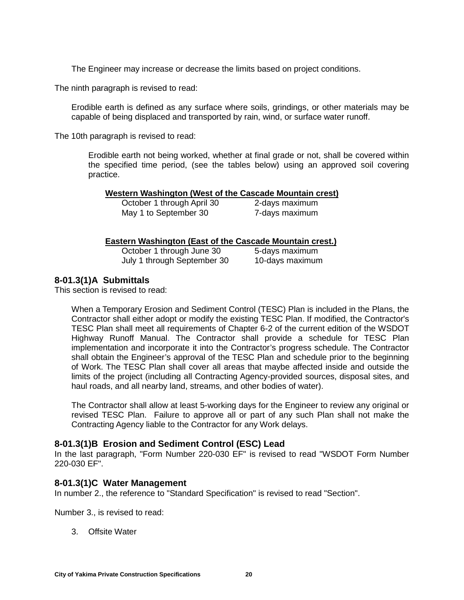The Engineer may increase or decrease the limits based on project conditions.

The ninth paragraph is revised to read:

Erodible earth is defined as any surface where soils, grindings, or other materials may be capable of being displaced and transported by rain, wind, or surface water runoff.

The 10th paragraph is revised to read:

Erodible earth not being worked, whether at final grade or not, shall be covered within the specified time period, (see the tables below) using an approved soil covering practice.

#### **Western Washington (West of the Cascade Mountain crest)**

October 1 through April 30 2-days maximum May 1 to September 30 7-days maximum

#### **Eastern Washington (East of the Cascade Mountain crest.)**

October 1 through June 30 5-days maximum July 1 through September 30 10-days maximum

#### **8-01.3(1)A Submittals**

This section is revised to read:

When a Temporary Erosion and Sediment Control (TESC) Plan is included in the Plans, the Contractor shall either adopt or modify the existing TESC Plan. If modified, the Contractor's TESC Plan shall meet all requirements of Chapter 6-2 of the current edition of the WSDOT Highway Runoff Manual. The Contractor shall provide a schedule for TESC Plan implementation and incorporate it into the Contractor's progress schedule. The Contractor shall obtain the Engineer's approval of the TESC Plan and schedule prior to the beginning of Work. The TESC Plan shall cover all areas that maybe affected inside and outside the limits of the project (including all Contracting Agency-provided sources, disposal sites, and haul roads, and all nearby land, streams, and other bodies of water).

The Contractor shall allow at least 5-working days for the Engineer to review any original or revised TESC Plan. Failure to approve all or part of any such Plan shall not make the Contracting Agency liable to the Contractor for any Work delays.

#### **8-01.3(1)B Erosion and Sediment Control (ESC) Lead**

In the last paragraph, "Form Number 220-030 EF" is revised to read "WSDOT Form Number 220-030 EF".

#### **8-01.3(1)C Water Management**

In number 2., the reference to "Standard Specification" is revised to read "Section".

Number 3., is revised to read:

3. Offsite Water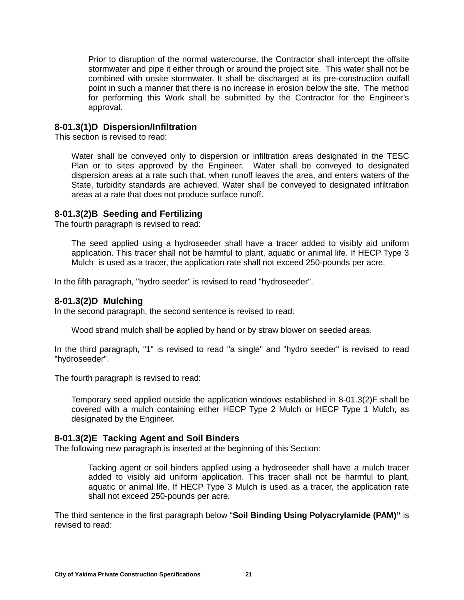Prior to disruption of the normal watercourse, the Contractor shall intercept the offsite stormwater and pipe it either through or around the project site. This water shall not be combined with onsite stormwater. It shall be discharged at its pre-construction outfall point in such a manner that there is no increase in erosion below the site. The method for performing this Work shall be submitted by the Contractor for the Engineer's approval.

#### **8-01.3(1)D Dispersion/Infiltration**

This section is revised to read:

Water shall be conveyed only to dispersion or infiltration areas designated in the TESC Plan or to sites approved by the Engineer. Water shall be conveyed to designated dispersion areas at a rate such that, when runoff leaves the area, and enters waters of the State, turbidity standards are achieved. Water shall be conveyed to designated infiltration areas at a rate that does not produce surface runoff.

#### **8-01.3(2)B Seeding and Fertilizing**

The fourth paragraph is revised to read:

The seed applied using a hydroseeder shall have a tracer added to visibly aid uniform application. This tracer shall not be harmful to plant, aquatic or animal life. If HECP Type 3 Mulch is used as a tracer, the application rate shall not exceed 250-pounds per acre.

In the fifth paragraph, "hydro seeder" is revised to read "hydroseeder".

#### **8-01.3(2)D Mulching**

In the second paragraph, the second sentence is revised to read:

Wood strand mulch shall be applied by hand or by straw blower on seeded areas.

In the third paragraph, "1" is revised to read "a single" and "hydro seeder" is revised to read "hydroseeder".

The fourth paragraph is revised to read:

Temporary seed applied outside the application windows established in 8-01.3(2)F shall be covered with a mulch containing either HECP Type 2 Mulch or HECP Type 1 Mulch, as designated by the Engineer.

#### **8-01.3(2)E Tacking Agent and Soil Binders**

The following new paragraph is inserted at the beginning of this Section:

Tacking agent or soil binders applied using a hydroseeder shall have a mulch tracer added to visibly aid uniform application. This tracer shall not be harmful to plant, aquatic or animal life. If HECP Type 3 Mulch is used as a tracer, the application rate shall not exceed 250-pounds per acre.

The third sentence in the first paragraph below "**Soil Binding Using Polyacrylamide (PAM)"** is revised to read: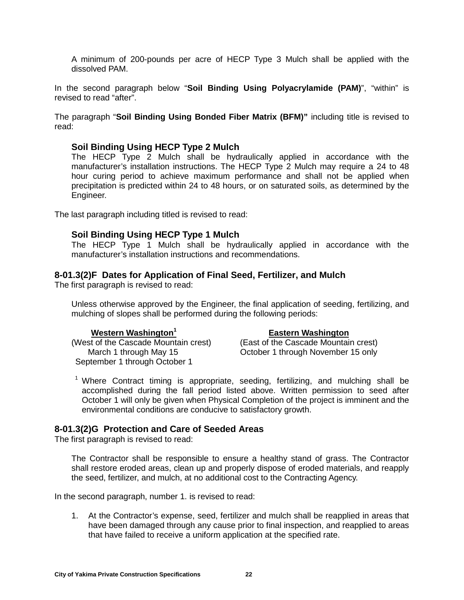A minimum of 200-pounds per acre of HECP Type 3 Mulch shall be applied with the dissolved PAM.

In the second paragraph below "**Soil Binding Using Polyacrylamide (PAM)**", "within" is revised to read "after".

The paragraph "**Soil Binding Using Bonded Fiber Matrix (BFM)"** including title is revised to read:

#### **Soil Binding Using HECP Type 2 Mulch**

The HECP Type 2 Mulch shall be hydraulically applied in accordance with the manufacturer's installation instructions. The HECP Type 2 Mulch may require a 24 to 48 hour curing period to achieve maximum performance and shall not be applied when precipitation is predicted within 24 to 48 hours, or on saturated soils, as determined by the Engineer.

The last paragraph including titled is revised to read:

#### **Soil Binding Using HECP Type 1 Mulch**

The HECP Type 1 Mulch shall be hydraulically applied in accordance with the manufacturer's installation instructions and recommendations.

#### **8-01.3(2)F Dates for Application of Final Seed, Fertilizer, and Mulch**

The first paragraph is revised to read:

Unless otherwise approved by the Engineer, the final application of seeding, fertilizing, and mulching of slopes shall be performed during the following periods:

#### Western Washington<sup>1</sup> **Eastern Washington**

(West of the Cascade Mountain crest) (East of the Cascade Mountain crest) September 1 through October 1

March 1 through May 15 October 1 through November 15 only

<sup>1</sup> Where Contract timing is appropriate, seeding, fertilizing, and mulching shall be accomplished during the fall period listed above. Written permission to seed after October 1 will only be given when Physical Completion of the project is imminent and the environmental conditions are conducive to satisfactory growth.

#### **8-01.3(2)G Protection and Care of Seeded Areas**

The first paragraph is revised to read:

The Contractor shall be responsible to ensure a healthy stand of grass. The Contractor shall restore eroded areas, clean up and properly dispose of eroded materials, and reapply the seed, fertilizer, and mulch, at no additional cost to the Contracting Agency.

In the second paragraph, number 1. is revised to read:

1. At the Contractor's expense, seed, fertilizer and mulch shall be reapplied in areas that have been damaged through any cause prior to final inspection, and reapplied to areas that have failed to receive a uniform application at the specified rate.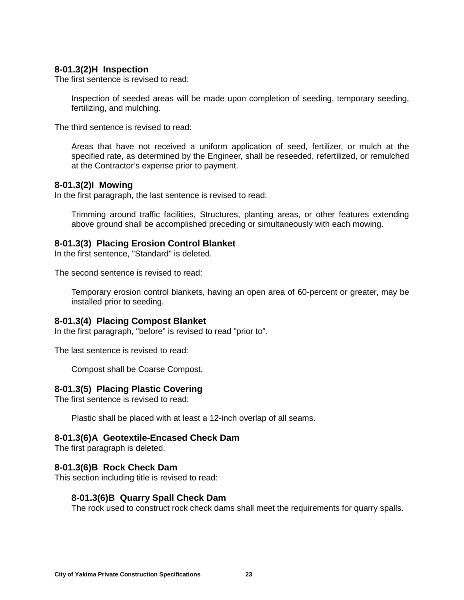#### **8-01.3(2)H Inspection**

The first sentence is revised to read:

Inspection of seeded areas will be made upon completion of seeding, temporary seeding, fertilizing, and mulching.

The third sentence is revised to read:

Areas that have not received a uniform application of seed, fertilizer, or mulch at the specified rate, as determined by the Engineer, shall be reseeded, refertilized, or remulched at the Contractor's expense prior to payment.

#### **8-01.3(2)I Mowing**

In the first paragraph, the last sentence is revised to read:

Trimming around traffic facilities, Structures, planting areas, or other features extending above ground shall be accomplished preceding or simultaneously with each mowing.

#### **8-01.3(3) Placing Erosion Control Blanket**

In the first sentence, "Standard" is deleted.

The second sentence is revised to read:

Temporary erosion control blankets, having an open area of 60-percent or greater, may be installed prior to seeding.

#### **8-01.3(4) Placing Compost Blanket**

In the first paragraph, "before" is revised to read "prior to".

The last sentence is revised to read:

Compost shall be Coarse Compost.

#### **8-01.3(5) Placing Plastic Covering**

The first sentence is revised to read:

Plastic shall be placed with at least a 12-inch overlap of all seams.

#### **8-01.3(6)A Geotextile-Encased Check Dam**

The first paragraph is deleted.

#### **8-01.3(6)B Rock Check Dam**

This section including title is revised to read:

#### **8-01.3(6)B****Quarry Spall Check Dam**

The rock used to construct rock check dams shall meet the requirements for quarry spalls.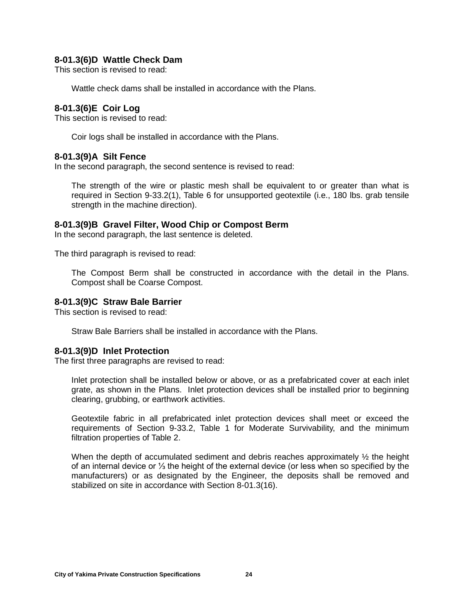#### **8-01.3(6)D Wattle Check Dam**

This section is revised to read:

Wattle check dams shall be installed in accordance with the Plans.

#### **8-01.3(6)E Coir Log**

This section is revised to read:

Coir logs shall be installed in accordance with the Plans.

#### **8-01.3(9)A Silt Fence**

In the second paragraph, the second sentence is revised to read:

The strength of the wire or plastic mesh shall be equivalent to or greater than what is required in Section 9-33.2(1), Table 6 for unsupported geotextile (i.e., 180 lbs. grab tensile strength in the machine direction).

#### **8-01.3(9)B Gravel Filter, Wood Chip or Compost Berm**

In the second paragraph, the last sentence is deleted.

The third paragraph is revised to read:

The Compost Berm shall be constructed in accordance with the detail in the Plans. Compost shall be Coarse Compost.

#### **8-01.3(9)C Straw Bale Barrier**

This section is revised to read:

Straw Bale Barriers shall be installed in accordance with the Plans.

#### **8-01.3(9)D Inlet Protection**

The first three paragraphs are revised to read:

Inlet protection shall be installed below or above, or as a prefabricated cover at each inlet grate, as shown in the Plans. Inlet protection devices shall be installed prior to beginning clearing, grubbing, or earthwork activities.

Geotextile fabric in all prefabricated inlet protection devices shall meet or exceed the requirements of Section 9-33.2, Table 1 for Moderate Survivability, and the minimum filtration properties of Table 2.

When the depth of accumulated sediment and debris reaches approximately  $\frac{1}{2}$  the height of an internal device or ⅓ the height of the external device (or less when so specified by the manufacturers) or as designated by the Engineer, the deposits shall be removed and stabilized on site in accordance with Section 8-01.3(16).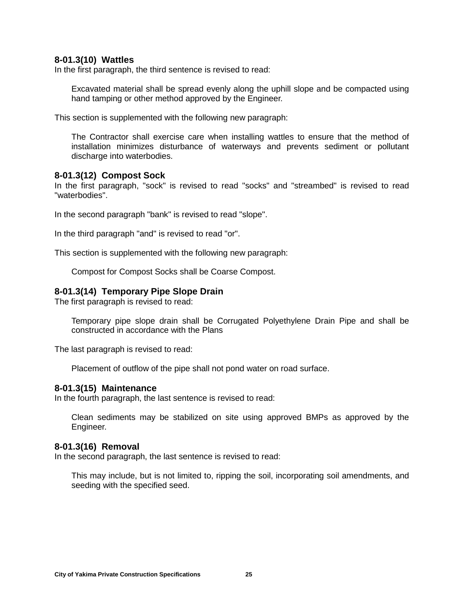#### **8-01.3(10) Wattles**

In the first paragraph, the third sentence is revised to read:

Excavated material shall be spread evenly along the uphill slope and be compacted using hand tamping or other method approved by the Engineer.

This section is supplemented with the following new paragraph:

The Contractor shall exercise care when installing wattles to ensure that the method of installation minimizes disturbance of waterways and prevents sediment or pollutant discharge into waterbodies.

#### **8-01.3(12) Compost Sock**

In the first paragraph, "sock" is revised to read "socks" and "streambed" is revised to read "waterbodies".

In the second paragraph "bank" is revised to read "slope".

In the third paragraph "and" is revised to read "or".

This section is supplemented with the following new paragraph:

Compost for Compost Socks shall be Coarse Compost.

#### **8-01.3(14) Temporary Pipe Slope Drain**

The first paragraph is revised to read:

Temporary pipe slope drain shall be Corrugated Polyethylene Drain Pipe and shall be constructed in accordance with the Plans

The last paragraph is revised to read:

Placement of outflow of the pipe shall not pond water on road surface.

#### **8-01.3(15) Maintenance**

In the fourth paragraph, the last sentence is revised to read:

Clean sediments may be stabilized on site using approved BMPs as approved by the Engineer.

#### **8-01.3(16) Removal**

In the second paragraph, the last sentence is revised to read:

This may include, but is not limited to, ripping the soil, incorporating soil amendments, and seeding with the specified seed.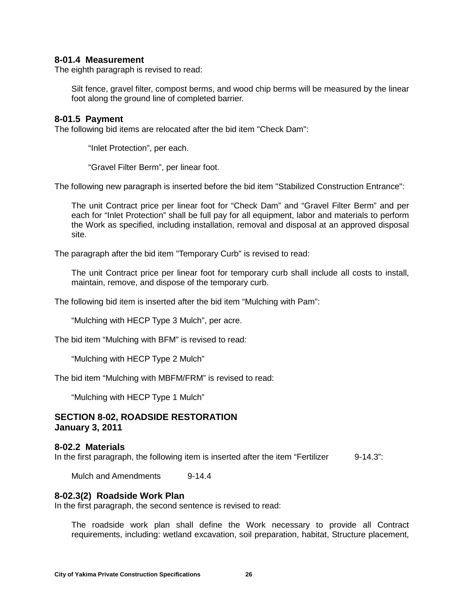#### **8-01.4 Measurement**

The eighth paragraph is revised to read:

Silt fence, gravel filter, compost berms, and wood chip berms will be measured by the linear foot along the ground line of completed barrier.

#### **8-01.5 Payment**

The following bid items are relocated after the bid item "Check Dam":

"Inlet Protection", per each.

"Gravel Filter Berm", per linear foot.

The following new paragraph is inserted before the bid item "Stabilized Construction Entrance":

The unit Contract price per linear foot for "Check Dam" and "Gravel Filter Berm" and per each for "Inlet Protection" shall be full pay for all equipment, labor and materials to perform the Work as specified, including installation, removal and disposal at an approved disposal site.

The paragraph after the bid item "Temporary Curb" is revised to read:

The unit Contract price per linear foot for temporary curb shall include all costs to install, maintain, remove, and dispose of the temporary curb.

The following bid item is inserted after the bid item "Mulching with Pam":

"Mulching with HECP Type 3 Mulch", per acre.

The bid item "Mulching with BFM" is revised to read:

"Mulching with HECP Type 2 Mulch"

The bid item "Mulching with MBFM/FRM" is revised to read:

"Mulching with HECP Type 1 Mulch"

#### **SECTION 8-02, ROADSIDE RESTORATION January 3, 2011**

#### **8-02.2 Materials**

In the first paragraph, the following item is inserted after the item "Fertilizer 9-14.3":

Mulch and Amendments 9-14.4

#### **8-02.3(2) Roadside Work Plan**

In the first paragraph, the second sentence is revised to read:

The roadside work plan shall define the Work necessary to provide all Contract requirements, including: wetland excavation, soil preparation, habitat, Structure placement,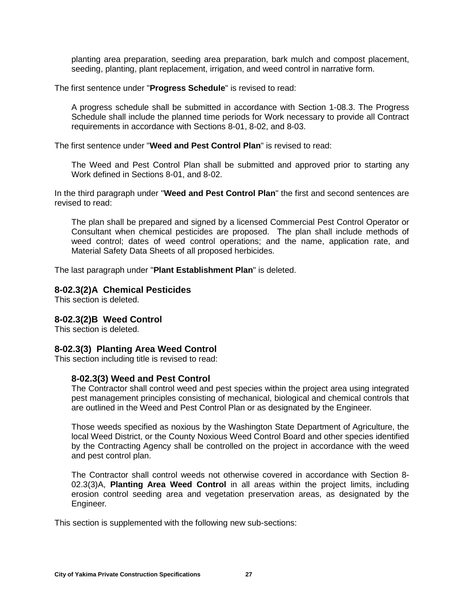planting area preparation, seeding area preparation, bark mulch and compost placement, seeding, planting, plant replacement, irrigation, and weed control in narrative form.

The first sentence under "**Progress Schedule**" is revised to read:

A progress schedule shall be submitted in accordance with Section 1-08.3. The Progress Schedule shall include the planned time periods for Work necessary to provide all Contract requirements in accordance with Sections 8-01, 8-02, and 8-03.

The first sentence under "**Weed and Pest Control Plan**" is revised to read:

The Weed and Pest Control Plan shall be submitted and approved prior to starting any Work defined in Sections 8-01, and 8-02.

In the third paragraph under "**Weed and Pest Control Plan**" the first and second sentences are revised to read:

The plan shall be prepared and signed by a licensed Commercial Pest Control Operator or Consultant when chemical pesticides are proposed. The plan shall include methods of weed control; dates of weed control operations; and the name, application rate, and Material Safety Data Sheets of all proposed herbicides.

The last paragraph under "**Plant Establishment Plan**" is deleted.

#### **8-02.3(2)A Chemical Pesticides**

This section is deleted.

#### **8-02.3(2)B Weed Control**

This section is deleted.

#### **8-02.3(3) Planting Area Weed Control**

This section including title is revised to read:

#### **8-02.3(3) Weed and Pest Control**

The Contractor shall control weed and pest species within the project area using integrated pest management principles consisting of mechanical, biological and chemical controls that are outlined in the Weed and Pest Control Plan or as designated by the Engineer.

Those weeds specified as noxious by the Washington State Department of Agriculture, the local Weed District, or the County Noxious Weed Control Board and other species identified by the Contracting Agency shall be controlled on the project in accordance with the weed and pest control plan.

The Contractor shall control weeds not otherwise covered in accordance with Section 8- 02.3(3)A, **Planting Area Weed Control** in all areas within the project limits, including erosion control seeding area and vegetation preservation areas, as designated by the Engineer.

This section is supplemented with the following new sub-sections: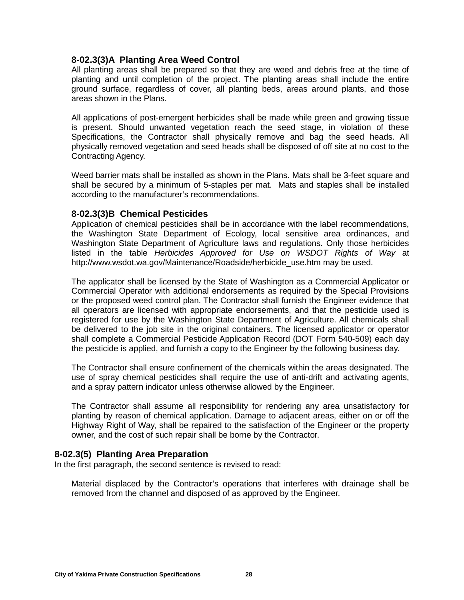#### **8-02.3(3)A Planting Area Weed Control**

All planting areas shall be prepared so that they are weed and debris free at the time of planting and until completion of the project. The planting areas shall include the entire ground surface, regardless of cover, all planting beds, areas around plants, and those areas shown in the Plans.

All applications of post-emergent herbicides shall be made while green and growing tissue is present. Should unwanted vegetation reach the seed stage, in violation of these Specifications, the Contractor shall physically remove and bag the seed heads. All physically removed vegetation and seed heads shall be disposed of off site at no cost to the Contracting Agency.

Weed barrier mats shall be installed as shown in the Plans. Mats shall be 3-feet square and shall be secured by a minimum of 5-staples per mat. Mats and staples shall be installed according to the manufacturer's recommendations.

#### **8-02.3(3)B Chemical Pesticides**

Application of chemical pesticides shall be in accordance with the label recommendations, the Washington State Department of Ecology, local sensitive area ordinances, and Washington State Department of Agriculture laws and regulations. Only those herbicides listed in the table *Herbicides Approved for Use on WSDOT Rights of Way* at http://www.wsdot.wa.gov/Maintenance/Roadside/herbicide\_use.htm may be used.

The applicator shall be licensed by the State of Washington as a Commercial Applicator or Commercial Operator with additional endorsements as required by the Special Provisions or the proposed weed control plan. The Contractor shall furnish the Engineer evidence that all operators are licensed with appropriate endorsements, and that the pesticide used is registered for use by the Washington State Department of Agriculture. All chemicals shall be delivered to the job site in the original containers. The licensed applicator or operator shall complete a Commercial Pesticide Application Record (DOT Form 540-509) each day the pesticide is applied, and furnish a copy to the Engineer by the following business day.

The Contractor shall ensure confinement of the chemicals within the areas designated. The use of spray chemical pesticides shall require the use of anti-drift and activating agents, and a spray pattern indicator unless otherwise allowed by the Engineer.

The Contractor shall assume all responsibility for rendering any area unsatisfactory for planting by reason of chemical application. Damage to adjacent areas, either on or off the Highway Right of Way, shall be repaired to the satisfaction of the Engineer or the property owner, and the cost of such repair shall be borne by the Contractor.

#### **8-02.3(5) Planting Area Preparation**

In the first paragraph, the second sentence is revised to read:

Material displaced by the Contractor's operations that interferes with drainage shall be removed from the channel and disposed of as approved by the Engineer.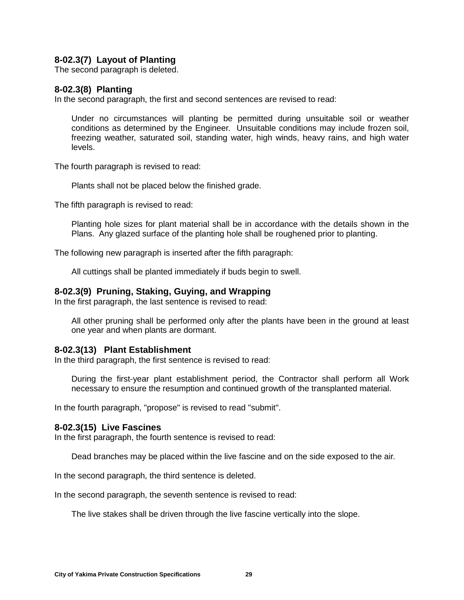#### **8-02.3(7) Layout of Planting**

The second paragraph is deleted.

#### **8-02.3(8) Planting**

In the second paragraph, the first and second sentences are revised to read:

Under no circumstances will planting be permitted during unsuitable soil or weather conditions as determined by the Engineer. Unsuitable conditions may include frozen soil, freezing weather, saturated soil, standing water, high winds, heavy rains, and high water levels.

The fourth paragraph is revised to read:

Plants shall not be placed below the finished grade.

The fifth paragraph is revised to read:

Planting hole sizes for plant material shall be in accordance with the details shown in the Plans. Any glazed surface of the planting hole shall be roughened prior to planting.

The following new paragraph is inserted after the fifth paragraph:

All cuttings shall be planted immediately if buds begin to swell.

#### **8-02.3(9) Pruning, Staking, Guying, and Wrapping**

In the first paragraph, the last sentence is revised to read:

All other pruning shall be performed only after the plants have been in the ground at least one year and when plants are dormant.

#### **8-02.3(13) Plant Establishment**

In the third paragraph, the first sentence is revised to read:

During the first-year plant establishment period, the Contractor shall perform all Work necessary to ensure the resumption and continued growth of the transplanted material.

In the fourth paragraph, "propose" is revised to read "submit".

#### **8-02.3(15) Live Fascines**

In the first paragraph, the fourth sentence is revised to read:

Dead branches may be placed within the live fascine and on the side exposed to the air.

In the second paragraph, the third sentence is deleted.

In the second paragraph, the seventh sentence is revised to read:

The live stakes shall be driven through the live fascine vertically into the slope.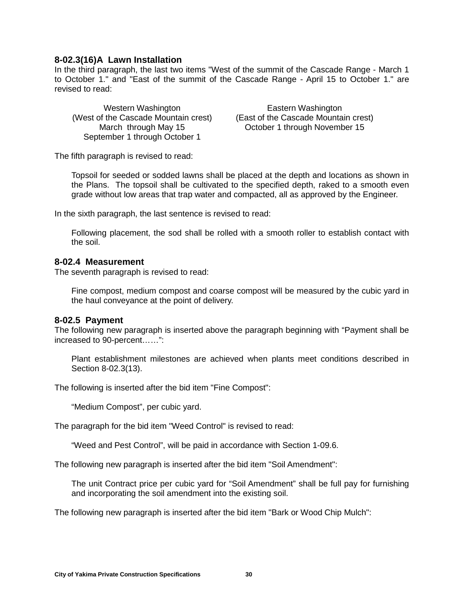#### **8-02.3(16)A Lawn Installation**

In the third paragraph, the last two items "West of the summit of the Cascade Range - March 1 to October 1." and "East of the summit of the Cascade Range - April 15 to October 1." are revised to read:

(West of the Cascade Mountain crest) September 1 through October 1

Western Washington<br>
Eastern Washington Eastern Washington<br>
(East of the Cascade Mountain crest)<br>
East of the Cascade Mountain crest) March through May 15 October 1 through November 15

The fifth paragraph is revised to read:

Topsoil for seeded or sodded lawns shall be placed at the depth and locations as shown in the Plans. The topsoil shall be cultivated to the specified depth, raked to a smooth even grade without low areas that trap water and compacted, all as approved by the Engineer.

In the sixth paragraph, the last sentence is revised to read:

Following placement, the sod shall be rolled with a smooth roller to establish contact with the soil.

#### **8-02.4 Measurement**

The seventh paragraph is revised to read:

Fine compost, medium compost and coarse compost will be measured by the cubic yard in the haul conveyance at the point of delivery.

#### **8-02.5 Payment**

The following new paragraph is inserted above the paragraph beginning with "Payment shall be increased to 90-percent……":

Plant establishment milestones are achieved when plants meet conditions described in Section 8-02.3(13).

The following is inserted after the bid item "Fine Compost":

"Medium Compost", per cubic yard.

The paragraph for the bid item "Weed Control" is revised to read:

"Weed and Pest Control", will be paid in accordance with Section 1-09.6.

The following new paragraph is inserted after the bid item "Soil Amendment":

The unit Contract price per cubic yard for "Soil Amendment" shall be full pay for furnishing and incorporating the soil amendment into the existing soil.

The following new paragraph is inserted after the bid item "Bark or Wood Chip Mulch":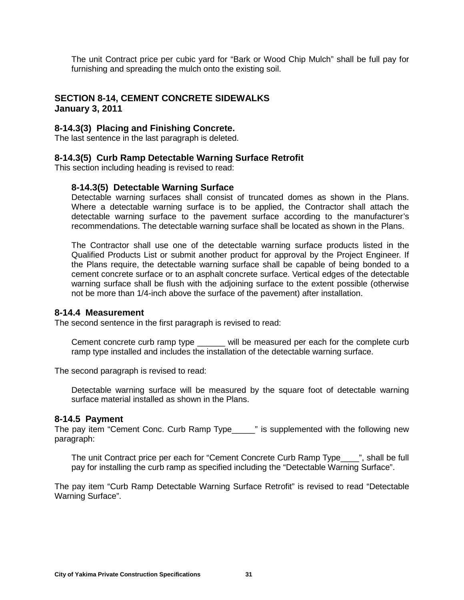The unit Contract price per cubic yard for "Bark or Wood Chip Mulch" shall be full pay for furnishing and spreading the mulch onto the existing soil.

#### **SECTION 8-14, CEMENT CONCRETE SIDEWALKS January 3, 2011**

#### **8-14.3(3) Placing and Finishing Concrete.**

The last sentence in the last paragraph is deleted.

#### **8-14.3(5) Curb Ramp Detectable Warning Surface Retrofit**

This section including heading is revised to read:

#### **8-14.3(5) Detectable Warning Surface**

Detectable warning surfaces shall consist of truncated domes as shown in the Plans. Where a detectable warning surface is to be applied, the Contractor shall attach the detectable warning surface to the pavement surface according to the manufacturer's recommendations. The detectable warning surface shall be located as shown in the Plans.

The Contractor shall use one of the detectable warning surface products listed in the Qualified Products List or submit another product for approval by the Project Engineer. If the Plans require, the detectable warning surface shall be capable of being bonded to a cement concrete surface or to an asphalt concrete surface. Vertical edges of the detectable warning surface shall be flush with the adjoining surface to the extent possible (otherwise not be more than 1/4-inch above the surface of the pavement) after installation.

#### **8-14.4 Measurement**

The second sentence in the first paragraph is revised to read:

Cement concrete curb ramp type \_\_\_\_\_\_ will be measured per each for the complete curb ramp type installed and includes the installation of the detectable warning surface.

The second paragraph is revised to read:

Detectable warning surface will be measured by the square foot of detectable warning surface material installed as shown in the Plans.

#### **8-14.5 Payment**

The pay item "Cement Conc. Curb Ramp Type\_\_\_\_\_" is supplemented with the following new paragraph:

The unit Contract price per each for "Cement Concrete Curb Ramp Type  $\ldots$ ", shall be full pay for installing the curb ramp as specified including the "Detectable Warning Surface".

The pay item "Curb Ramp Detectable Warning Surface Retrofit" is revised to read "Detectable Warning Surface".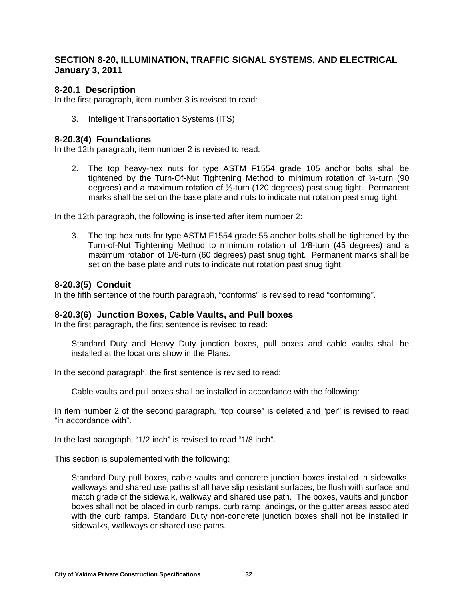#### **SECTION 8-20, ILLUMINATION, TRAFFIC SIGNAL SYSTEMS, AND ELECTRICAL January 3, 2011**

#### **8-20.1 Description**

In the first paragraph, item number 3 is revised to read:

3. Intelligent Transportation Systems (ITS)

#### **8-20.3(4) Foundations**

In the 12th paragraph, item number 2 is revised to read:

2. The top heavy-hex nuts for type ASTM F1554 grade 105 anchor bolts shall be tightened by the Turn-Of-Nut Tightening Method to minimum rotation of ¼-turn (90 degrees) and a maximum rotation of ⅓-turn (120 degrees) past snug tight. Permanent marks shall be set on the base plate and nuts to indicate nut rotation past snug tight.

In the 12th paragraph, the following is inserted after item number 2:

3. The top hex nuts for type ASTM F1554 grade 55 anchor bolts shall be tightened by the Turn-of-Nut Tightening Method to minimum rotation of 1/8-turn (45 degrees) and a maximum rotation of 1/6-turn (60 degrees) past snug tight. Permanent marks shall be set on the base plate and nuts to indicate nut rotation past snug tight.

#### **8-20.3(5) Conduit**

In the fifth sentence of the fourth paragraph, "conforms" is revised to read "conforming".

#### **8-20.3(6) Junction Boxes, Cable Vaults, and Pull boxes**

In the first paragraph, the first sentence is revised to read:

Standard Duty and Heavy Duty junction boxes, pull boxes and cable vaults shall be installed at the locations show in the Plans.

In the second paragraph, the first sentence is revised to read:

Cable vaults and pull boxes shall be installed in accordance with the following:

In item number 2 of the second paragraph, "top course" is deleted and "per" is revised to read "in accordance with".

In the last paragraph, "1/2 inch" is revised to read "1/8 inch".

This section is supplemented with the following:

Standard Duty pull boxes, cable vaults and concrete junction boxes installed in sidewalks, walkways and shared use paths shall have slip resistant surfaces, be flush with surface and match grade of the sidewalk, walkway and shared use path. The boxes, vaults and junction boxes shall not be placed in curb ramps, curb ramp landings, or the gutter areas associated with the curb ramps. Standard Duty non-concrete junction boxes shall not be installed in sidewalks, walkways or shared use paths.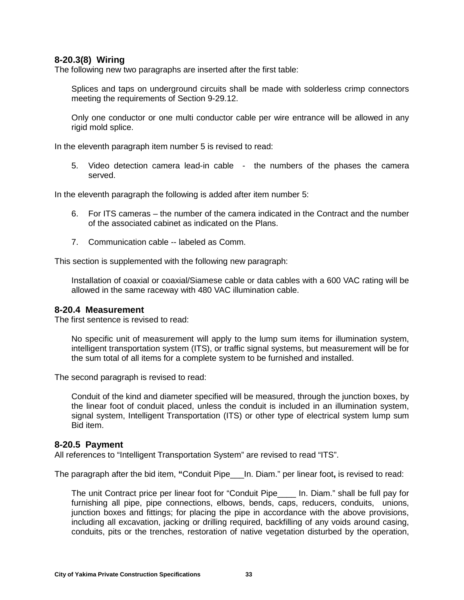#### **8-20.3(8) Wiring**

The following new two paragraphs are inserted after the first table:

Splices and taps on underground circuits shall be made with solderless crimp connectors meeting the requirements of Section 9-29.12.

Only one conductor or one multi conductor cable per wire entrance will be allowed in any rigid mold splice.

In the eleventh paragraph item number 5 is revised to read:

5. Video detection camera lead-in cable - the numbers of the phases the camera served.

In the eleventh paragraph the following is added after item number 5:

- 6. For ITS cameras the number of the camera indicated in the Contract and the number of the associated cabinet as indicated on the Plans.
- 7. Communication cable -- labeled as Comm.

This section is supplemented with the following new paragraph:

Installation of coaxial or coaxial/Siamese cable or data cables with a 600 VAC rating will be allowed in the same raceway with 480 VAC illumination cable.

#### **8-20.4 Measurement**

The first sentence is revised to read:

No specific unit of measurement will apply to the lump sum items for illumination system, intelligent transportation system (ITS), or traffic signal systems, but measurement will be for the sum total of all items for a complete system to be furnished and installed.

The second paragraph is revised to read:

Conduit of the kind and diameter specified will be measured, through the junction boxes, by the linear foot of conduit placed, unless the conduit is included in an illumination system, signal system, Intelligent Transportation (ITS) or other type of electrical system lump sum Bid item.

#### **8-20.5 Payment**

All references to "Intelligent Transportation System" are revised to read "ITS".

The paragraph after the bid item, **"**Conduit Pipe\_\_\_In. Diam." per linear foot**,** is revised to read:

The unit Contract price per linear foot for "Conduit Pipe In. Diam." shall be full pay for furnishing all pipe, pipe connections, elbows, bends, caps, reducers, conduits, unions, junction boxes and fittings; for placing the pipe in accordance with the above provisions, including all excavation, jacking or drilling required, backfilling of any voids around casing, conduits, pits or the trenches, restoration of native vegetation disturbed by the operation,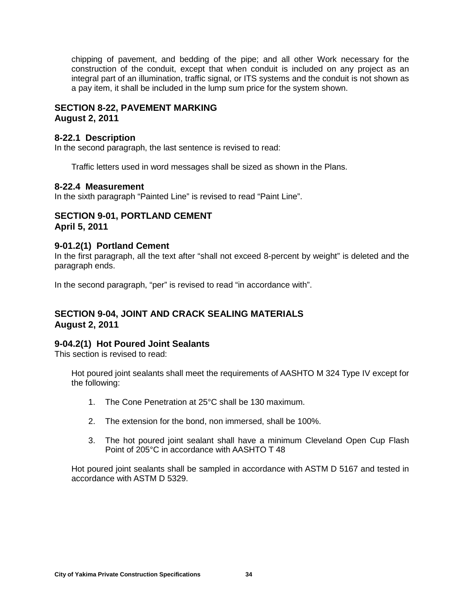chipping of pavement, and bedding of the pipe; and all other Work necessary for the construction of the conduit, except that when conduit is included on any project as an integral part of an illumination, traffic signal, or ITS systems and the conduit is not shown as a pay item, it shall be included in the lump sum price for the system shown.

#### **SECTION 8-22, PAVEMENT MARKING August 2, 2011**

#### **8-22.1 Description**

In the second paragraph, the last sentence is revised to read:

Traffic letters used in word messages shall be sized as shown in the Plans.

#### **8-22.4 Measurement**

In the sixth paragraph "Painted Line" is revised to read "Paint Line".

#### **SECTION 9-01, PORTLAND CEMENT April 5, 2011**

#### **9-01.2(1) Portland Cement**

In the first paragraph, all the text after "shall not exceed 8-percent by weight" is deleted and the paragraph ends.

In the second paragraph, "per" is revised to read "in accordance with".

#### **SECTION 9-04, JOINT AND CRACK SEALING MATERIALS August 2, 2011**

#### **9-04.2(1) Hot Poured Joint Sealants**

This section is revised to read:

Hot poured joint sealants shall meet the requirements of AASHTO M 324 Type IV except for the following:

- 1. The Cone Penetration at 25°C shall be 130 maximum.
- 2. The extension for the bond, non immersed, shall be 100%.
- 3. The hot poured joint sealant shall have a minimum Cleveland Open Cup Flash Point of 205°C in accordance with AASHTO T 48

Hot poured joint sealants shall be sampled in accordance with ASTM D 5167 and tested in accordance with ASTM D 5329.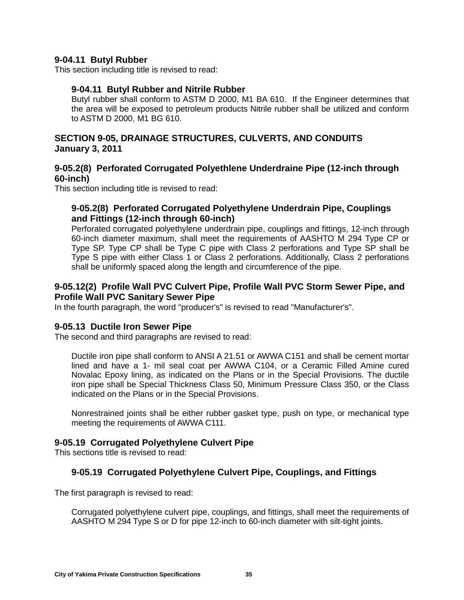#### **9-04.11 Butyl Rubber**

This section including title is revised to read:

#### **9-04.11 Butyl Rubber and Nitrile Rubber**

Butyl rubber shall conform to ASTM D 2000, M1 BA 610. If the Engineer determines that the area will be exposed to petroleum products Nitrile rubber shall be utilized and conform to ASTM D 2000, M1 BG 610.

#### **SECTION 9-05, DRAINAGE STRUCTURES, CULVERTS, AND CONDUITS January 3, 2011**

#### **9-05.2(8) Perforated Corrugated Polyethlene Underdraine Pipe (12-inch through 60-inch)**

This section including title is revised to read:

#### **9-05.2(8) Perforated Corrugated Polyethylene Underdrain Pipe, Couplings and Fittings (12-inch through 60-inch)**

Perforated corrugated polyethylene underdrain pipe, couplings and fittings, 12-inch through 60-inch diameter maximum, shall meet the requirements of AASHTO M 294 Type CP or Type SP. Type CP shall be Type C pipe with Class 2 perforations and Type SP shall be Type S pipe with either Class 1 or Class 2 perforations. Additionally, Class 2 perforations shall be uniformly spaced along the length and circumference of the pipe.

#### **9-05.12(2) Profile Wall PVC Culvert Pipe, Profile Wall PVC Storm Sewer Pipe, and Profile Wall PVC Sanitary Sewer Pipe**

In the fourth paragraph, the word "producer's" is revised to read "Manufacturer's".

#### **9-05.13 Ductile Iron Sewer Pipe**

The second and third paragraphs are revised to read:

Ductile iron pipe shall conform to ANSI A 21.51 or AWWA C151 and shall be cement mortar lined and have a 1- mil seal coat per AWWA C104, or a Ceramic Filled Amine cured Novalac Epoxy lining, as indicated on the Plans or in the Special Provisions. The ductile iron pipe shall be Special Thickness Class 50, Minimum Pressure Class 350, or the Class indicated on the Plans or in the Special Provisions.

Nonrestrained joints shall be either rubber gasket type, push on type, or mechanical type meeting the requirements of AWWA C111.

#### **9-05.19 Corrugated Polyethylene Culvert Pipe**

This sections title is revised to read:

#### **9-05.19 Corrugated Polyethylene Culvert Pipe, Couplings, and Fittings**

The first paragraph is revised to read:

Corrugated polyethylene culvert pipe, couplings, and fittings, shall meet the requirements of AASHTO M 294 Type S or D for pipe 12-inch to 60-inch diameter with silt-tight joints.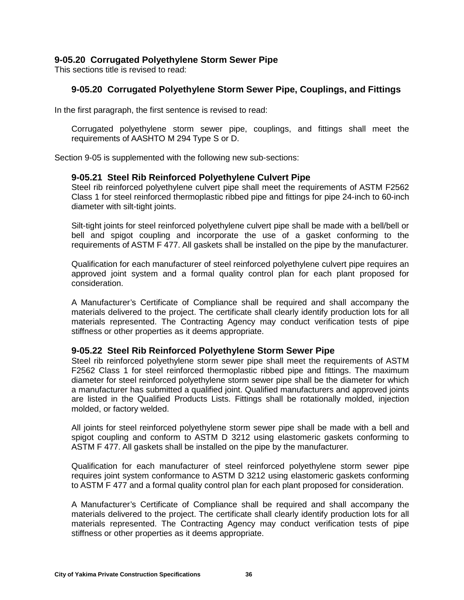#### **9-05.20 Corrugated Polyethylene Storm Sewer Pipe**

This sections title is revised to read:

#### **9-05.20 Corrugated Polyethylene Storm Sewer Pipe, Couplings, and Fittings**

In the first paragraph, the first sentence is revised to read:

Corrugated polyethylene storm sewer pipe, couplings, and fittings shall meet the requirements of AASHTO M 294 Type S or D.

Section 9-05 is supplemented with the following new sub-sections:

#### **9-05.21 Steel Rib Reinforced Polyethylene Culvert Pipe**

Steel rib reinforced polyethylene culvert pipe shall meet the requirements of ASTM F2562 Class 1 for steel reinforced thermoplastic ribbed pipe and fittings for pipe 24-inch to 60-inch diameter with silt-tight joints.

Silt-tight joints for steel reinforced polyethylene culvert pipe shall be made with a bell/bell or bell and spigot coupling and incorporate the use of a gasket conforming to the requirements of ASTM F 477. All gaskets shall be installed on the pipe by the manufacturer.

Qualification for each manufacturer of steel reinforced polyethylene culvert pipe requires an approved joint system and a formal quality control plan for each plant proposed for consideration.

A Manufacturer's Certificate of Compliance shall be required and shall accompany the materials delivered to the project. The certificate shall clearly identify production lots for all materials represented. The Contracting Agency may conduct verification tests of pipe stiffness or other properties as it deems appropriate.

#### **9-05.22 Steel Rib Reinforced Polyethylene Storm Sewer Pipe**

Steel rib reinforced polyethylene storm sewer pipe shall meet the requirements of ASTM F2562 Class 1 for steel reinforced thermoplastic ribbed pipe and fittings. The maximum diameter for steel reinforced polyethylene storm sewer pipe shall be the diameter for which a manufacturer has submitted a qualified joint. Qualified manufacturers and approved joints are listed in the Qualified Products Lists. Fittings shall be rotationally molded, injection molded, or factory welded.

All joints for steel reinforced polyethylene storm sewer pipe shall be made with a bell and spigot coupling and conform to ASTM D 3212 using elastomeric gaskets conforming to ASTM F 477. All gaskets shall be installed on the pipe by the manufacturer.

Qualification for each manufacturer of steel reinforced polyethylene storm sewer pipe requires joint system conformance to ASTM D 3212 using elastomeric gaskets conforming to ASTM F 477 and a formal quality control plan for each plant proposed for consideration.

A Manufacturer's Certificate of Compliance shall be required and shall accompany the materials delivered to the project. The certificate shall clearly identify production lots for all materials represented. The Contracting Agency may conduct verification tests of pipe stiffness or other properties as it deems appropriate.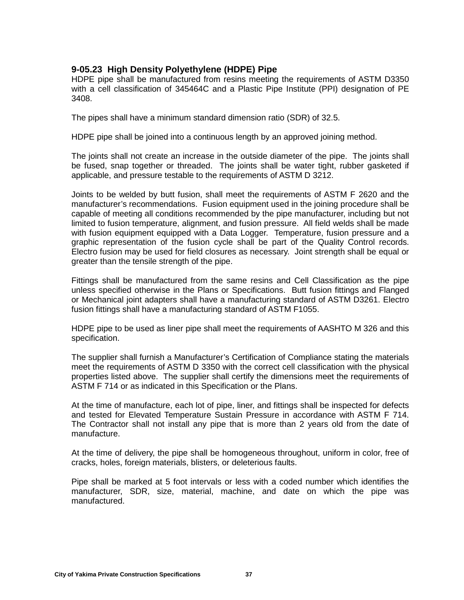## **9-05.23 High Density Polyethylene (HDPE) Pipe**

HDPE pipe shall be manufactured from resins meeting the requirements of ASTM D3350 with a cell classification of 345464C and a Plastic Pipe Institute (PPI) designation of PE 3408.

The pipes shall have a minimum standard dimension ratio (SDR) of 32.5.

HDPE pipe shall be joined into a continuous length by an approved joining method.

The joints shall not create an increase in the outside diameter of the pipe. The joints shall be fused, snap together or threaded. The joints shall be water tight, rubber gasketed if applicable, and pressure testable to the requirements of ASTM D 3212.

Joints to be welded by butt fusion, shall meet the requirements of ASTM F 2620 and the manufacturer's recommendations. Fusion equipment used in the joining procedure shall be capable of meeting all conditions recommended by the pipe manufacturer, including but not limited to fusion temperature, alignment, and fusion pressure. All field welds shall be made with fusion equipment equipped with a Data Logger. Temperature, fusion pressure and a graphic representation of the fusion cycle shall be part of the Quality Control records. Electro fusion may be used for field closures as necessary. Joint strength shall be equal or greater than the tensile strength of the pipe.

Fittings shall be manufactured from the same resins and Cell Classification as the pipe unless specified otherwise in the Plans or Specifications. Butt fusion fittings and Flanged or Mechanical joint adapters shall have a manufacturing standard of ASTM D3261. Electro fusion fittings shall have a manufacturing standard of ASTM F1055.

HDPE pipe to be used as liner pipe shall meet the requirements of AASHTO M 326 and this specification.

The supplier shall furnish a Manufacturer's Certification of Compliance stating the materials meet the requirements of ASTM D 3350 with the correct cell classification with the physical properties listed above. The supplier shall certify the dimensions meet the requirements of ASTM F 714 or as indicated in this Specification or the Plans.

At the time of manufacture, each lot of pipe, liner, and fittings shall be inspected for defects and tested for Elevated Temperature Sustain Pressure in accordance with ASTM F 714. The Contractor shall not install any pipe that is more than 2 years old from the date of manufacture.

At the time of delivery, the pipe shall be homogeneous throughout, uniform in color, free of cracks, holes, foreign materials, blisters, or deleterious faults.

Pipe shall be marked at 5 foot intervals or less with a coded number which identifies the manufacturer, SDR, size, material, machine, and date on which the pipe was manufactured.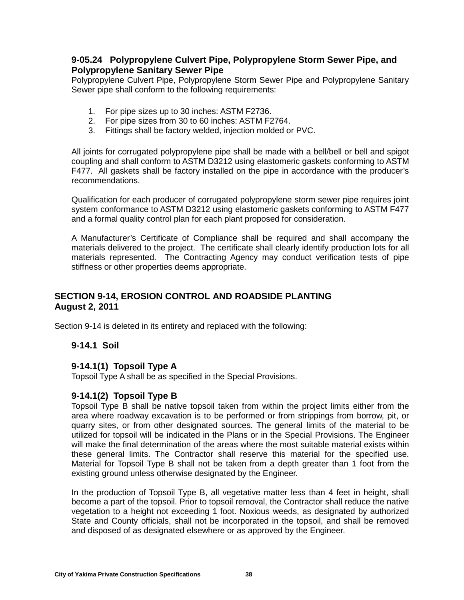# **9-05.24 Polypropylene Culvert Pipe, Polypropylene Storm Sewer Pipe, and Polypropylene Sanitary Sewer Pipe**

Polypropylene Culvert Pipe, Polypropylene Storm Sewer Pipe and Polypropylene Sanitary Sewer pipe shall conform to the following requirements:

- 1. For pipe sizes up to 30 inches: ASTM F2736.
- 2. For pipe sizes from 30 to 60 inches: ASTM F2764.
- 3. Fittings shall be factory welded, injection molded or PVC.

All joints for corrugated polypropylene pipe shall be made with a bell/bell or bell and spigot coupling and shall conform to ASTM D3212 using elastomeric gaskets conforming to ASTM F477. All gaskets shall be factory installed on the pipe in accordance with the producer's recommendations.

Qualification for each producer of corrugated polypropylene storm sewer pipe requires joint system conformance to ASTM D3212 using elastomeric gaskets conforming to ASTM F477 and a formal quality control plan for each plant proposed for consideration.

A Manufacturer's Certificate of Compliance shall be required and shall accompany the materials delivered to the project. The certificate shall clearly identify production lots for all materials represented. The Contracting Agency may conduct verification tests of pipe stiffness or other properties deems appropriate.

# **SECTION 9-14, EROSION CONTROL AND ROADSIDE PLANTING August 2, 2011**

Section 9-14 is deleted in its entirety and replaced with the following:

## **9-14.1 Soil**

# **9-14.1(1) Topsoil Type A**

Topsoil Type A shall be as specified in the Special Provisions.

# **9-14.1(2) Topsoil Type B**

Topsoil Type B shall be native topsoil taken from within the project limits either from the area where roadway excavation is to be performed or from strippings from borrow, pit, or quarry sites, or from other designated sources. The general limits of the material to be utilized for topsoil will be indicated in the Plans or in the Special Provisions. The Engineer will make the final determination of the areas where the most suitable material exists within these general limits. The Contractor shall reserve this material for the specified use. Material for Topsoil Type B shall not be taken from a depth greater than 1 foot from the existing ground unless otherwise designated by the Engineer.

In the production of Topsoil Type B, all vegetative matter less than 4 feet in height, shall become a part of the topsoil. Prior to topsoil removal, the Contractor shall reduce the native vegetation to a height not exceeding 1 foot. Noxious weeds, as designated by authorized State and County officials, shall not be incorporated in the topsoil, and shall be removed and disposed of as designated elsewhere or as approved by the Engineer.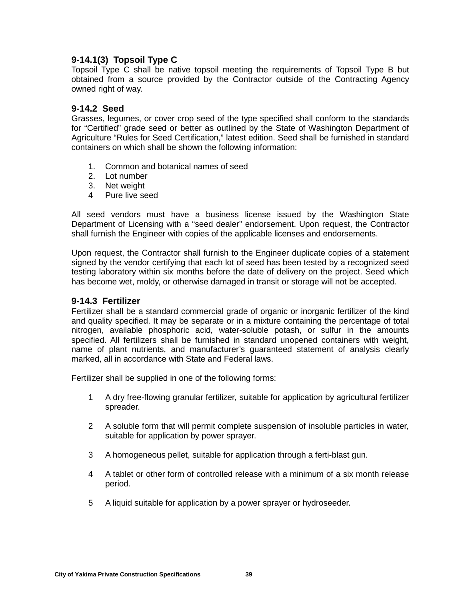# **9-14.1(3) Topsoil Type C**

Topsoil Type C shall be native topsoil meeting the requirements of Topsoil Type B but obtained from a source provided by the Contractor outside of the Contracting Agency owned right of way.

## **9-14.2 Seed**

Grasses, legumes, or cover crop seed of the type specified shall conform to the standards for "Certified" grade seed or better as outlined by the State of Washington Department of Agriculture "Rules for Seed Certification," latest edition. Seed shall be furnished in standard containers on which shall be shown the following information:

- 1. Common and botanical names of seed
- 2. Lot number
- 3. Net weight
- 4 Pure live seed

All seed vendors must have a business license issued by the Washington State Department of Licensing with a "seed dealer" endorsement. Upon request, the Contractor shall furnish the Engineer with copies of the applicable licenses and endorsements.

Upon request, the Contractor shall furnish to the Engineer duplicate copies of a statement signed by the vendor certifying that each lot of seed has been tested by a recognized seed testing laboratory within six months before the date of delivery on the project. Seed which has become wet, moldy, or otherwise damaged in transit or storage will not be accepted.

## **9-14.3 Fertilizer**

Fertilizer shall be a standard commercial grade of organic or inorganic fertilizer of the kind and quality specified. It may be separate or in a mixture containing the percentage of total nitrogen, available phosphoric acid, water-soluble potash, or sulfur in the amounts specified. All fertilizers shall be furnished in standard unopened containers with weight, name of plant nutrients, and manufacturer's guaranteed statement of analysis clearly marked, all in accordance with State and Federal laws.

Fertilizer shall be supplied in one of the following forms:

- 1 A dry free-flowing granular fertilizer, suitable for application by agricultural fertilizer spreader.
- 2 A soluble form that will permit complete suspension of insoluble particles in water, suitable for application by power sprayer.
- 3 A homogeneous pellet, suitable for application through a ferti-blast gun.
- 4 A tablet or other form of controlled release with a minimum of a six month release period.
- 5 A liquid suitable for application by a power sprayer or hydroseeder.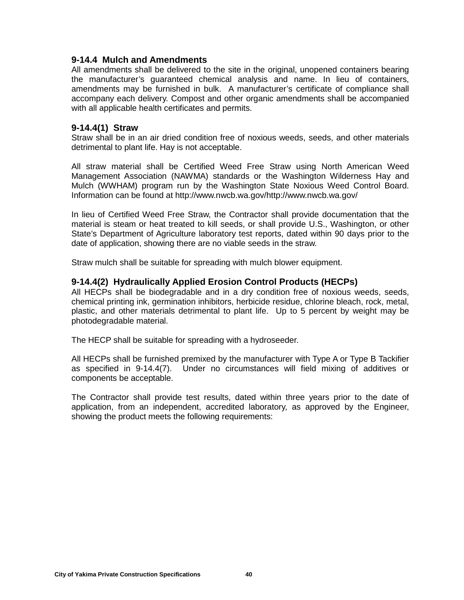### **9-14.4 Mulch and Amendments**

All amendments shall be delivered to the site in the original, unopened containers bearing the manufacturer's guaranteed chemical analysis and name. In lieu of containers, amendments may be furnished in bulk. A manufacturer's certificate of compliance shall accompany each delivery. Compost and other organic amendments shall be accompanied with all applicable health certificates and permits.

### **9-14.4(1) Straw**

Straw shall be in an air dried condition free of noxious weeds, seeds, and other materials detrimental to plant life. Hay is not acceptable.

All straw material shall be Certified Weed Free Straw using North American Weed Management Association (NAWMA) standards or the Washington Wilderness Hay and Mulch (WWHAM) program run by the Washington State Noxious Weed Control Board. Information can be found at http://www.nwcb.wa.gov/http://www.nwcb.wa.gov/

In lieu of Certified Weed Free Straw, the Contractor shall provide documentation that the material is steam or heat treated to kill seeds, or shall provide U.S., Washington, or other State's Department of Agriculture laboratory test reports, dated within 90 days prior to the date of application, showing there are no viable seeds in the straw.

Straw mulch shall be suitable for spreading with mulch blower equipment.

### **9-14.4(2) Hydraulically Applied Erosion Control Products (HECPs)**

All HECPs shall be biodegradable and in a dry condition free of noxious weeds, seeds, chemical printing ink, germination inhibitors, herbicide residue, chlorine bleach, rock, metal, plastic, and other materials detrimental to plant life. Up to 5 percent by weight may be photodegradable material.

The HECP shall be suitable for spreading with a hydroseeder.

All HECPs shall be furnished premixed by the manufacturer with Type A or Type B Tackifier as specified in 9-14.4(7). Under no circumstances will field mixing of additives or components be acceptable.

The Contractor shall provide test results, dated within three years prior to the date of application, from an independent, accredited laboratory, as approved by the Engineer, showing the product meets the following requirements: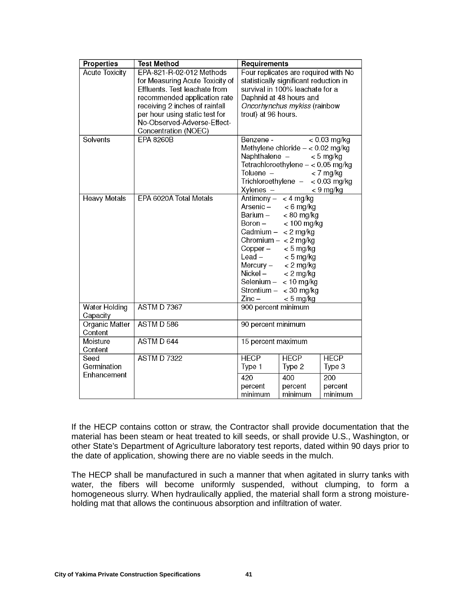| <b>Properties</b>                | <b>Test Method</b>                                                                                                                                                                                                                                      | Requirements                                                                                                                                                                                                                                                                                                                                      |  |
|----------------------------------|---------------------------------------------------------------------------------------------------------------------------------------------------------------------------------------------------------------------------------------------------------|---------------------------------------------------------------------------------------------------------------------------------------------------------------------------------------------------------------------------------------------------------------------------------------------------------------------------------------------------|--|
| <b>Acute Toxicity</b>            | EPA-821-R-02-012 Methods<br>for Measuring Acute Toxicity of<br>Effluents. Test leachate from<br>recommended application rate<br>receiving 2 inches of rainfall<br>per hour using static test for<br>No-Observed-Adverse-Effect-<br>Concentration (NOEC) | Four replicates are required with No<br>statistically significant reduction in<br>survival in 100% leachate for a<br>Daphnid at 48 hours and<br>Oncorhynchus mykiss (rainbow<br>trout) at 96 hours.                                                                                                                                               |  |
| Solvents                         | <b>EPA 8260B</b>                                                                                                                                                                                                                                        | Benzene -<br>$< 0.03$ mg/kg<br>Methylene chloride $- < 0.02$ mg/kg<br>Naphthalene $-$<br>$< 5$ mg/kg<br>Tetrachloroethylene $- < 0.05$ mg/kg<br>Toluene -<br>$<$ 7 mg/kg<br>Trichloroethylene -<br>$< 0.03$ mg/kg<br>$X$ ylenes $-$<br>$<$ 9 mg/kg                                                                                                |  |
| <b>Heavy Metals</b>              | EPA 6020A Total Metals                                                                                                                                                                                                                                  | Antimony $- < 4$ mg/kg<br>Arsenic –<br><6 mg/kg<br>$< 80$ mg/kg<br>Barium –<br>$< 100$ mg/kg<br>Boron –<br>Cadmium $-$ < 2 mg/kg<br>Chromium $- < 2$ mg/kg<br>Copper $-$ < 5 mg/kg<br>Lead $ <$ 5 mg/kg<br>Mercury $-$ < 2 mg/kg<br>$Nickel -$<br>$< 2$ mg/kg<br>Selenium-<br>$< 10$ mg/kg<br>Strontium $- < 30$ mg/kg<br>$Zinc -$<br>$< 5$ mg/kg |  |
| <b>Water Holding</b><br>Capacity | <b>ASTM D 7367</b>                                                                                                                                                                                                                                      | 900 percent minimum                                                                                                                                                                                                                                                                                                                               |  |
| <b>Organic Matter</b><br>Content | ASTM D 586                                                                                                                                                                                                                                              | 90 percent minimum                                                                                                                                                                                                                                                                                                                                |  |
| Moisture<br>Content              | <b>ASTM D 644</b>                                                                                                                                                                                                                                       | 15 percent maximum                                                                                                                                                                                                                                                                                                                                |  |
| Seed<br>Germination              | <b>ASTM D 7322</b>                                                                                                                                                                                                                                      | <b>HECP</b><br><b>HECP</b><br><b>HECP</b><br>Type 3<br>Type 1<br>Type 2                                                                                                                                                                                                                                                                           |  |
| Enhancement                      |                                                                                                                                                                                                                                                         | 420<br>200<br>400<br>percent<br>percent<br>percent<br>minimum<br>minimum<br>minimum                                                                                                                                                                                                                                                               |  |

If the HECP contains cotton or straw, the Contractor shall provide documentation that the material has been steam or heat treated to kill seeds, or shall provide U.S., Washington, or other State's Department of Agriculture laboratory test reports, dated within 90 days prior to the date of application, showing there are no viable seeds in the mulch.

The HECP shall be manufactured in such a manner that when agitated in slurry tanks with water, the fibers will become uniformly suspended, without clumping, to form a homogeneous slurry. When hydraulically applied, the material shall form a strong moistureholding mat that allows the continuous absorption and infiltration of water.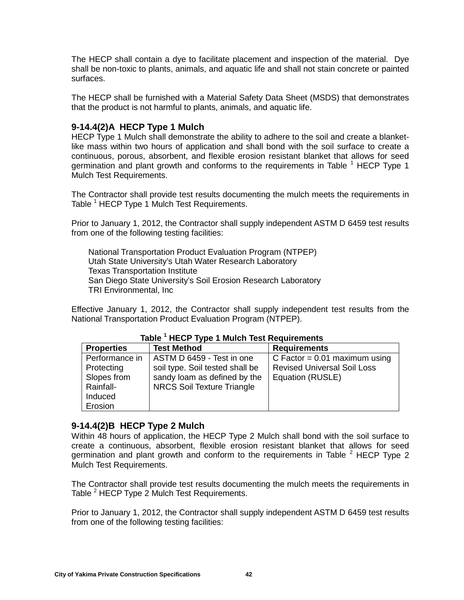The HECP shall contain a dye to facilitate placement and inspection of the material. Dye shall be non-toxic to plants, animals, and aquatic life and shall not stain concrete or painted surfaces.

The HECP shall be furnished with a Material Safety Data Sheet (MSDS) that demonstrates that the product is not harmful to plants, animals, and aquatic life.

## **9-14.4(2)A HECP Type 1 Mulch**

HECP Type 1 Mulch shall demonstrate the ability to adhere to the soil and create a blanketlike mass within two hours of application and shall bond with the soil surface to create a continuous, porous, absorbent, and flexible erosion resistant blanket that allows for seed germination and plant growth and conforms to the requirements in Table  $<sup>1</sup>$  HECP Type 1</sup> Mulch Test Requirements.

The Contractor shall provide test results documenting the mulch meets the requirements in Table <sup>1</sup> HECP Type 1 Mulch Test Requirements.

Prior to January 1, 2012, the Contractor shall supply independent ASTM D 6459 test results from one of the following testing facilities:

National Transportation Product Evaluation Program (NTPEP) Utah State University's Utah Water Research Laboratory Texas Transportation Institute San Diego State University's Soil Erosion Research Laboratory TRI Environmental, Inc

Effective January 1, 2012, the Contractor shall supply independent test results from the National Transportation Product Evaluation Program (NTPEP).

| $1.00018$ $1.1281$ $1.00018$ $1.000118$ $1.000118$ $1.000118$ |                                   |                                    |
|---------------------------------------------------------------|-----------------------------------|------------------------------------|
| <b>Properties</b>                                             | <b>Test Method</b>                | <b>Requirements</b>                |
| Performance in                                                | ASTM D 6459 - Test in one         | C Factor = $0.01$ maximum using    |
| Protecting                                                    | soil type. Soil tested shall be   | <b>Revised Universal Soil Loss</b> |
| Slopes from                                                   | sandy loam as defined by the      | Equation (RUSLE)                   |
| Rainfall-                                                     | <b>NRCS Soil Texture Triangle</b> |                                    |
| Induced                                                       |                                   |                                    |
| Erosion                                                       |                                   |                                    |

#### **Table <sup>1</sup> HECP Type 1 Mulch Test Requirements**

#### **9-14.4(2)B HECP Type 2 Mulch**

Within 48 hours of application, the HECP Type 2 Mulch shall bond with the soil surface to create a continuous, absorbent, flexible erosion resistant blanket that allows for seed germination and plant growth and conform to the requirements in Table  $2$  HECP Type 2 Mulch Test Requirements.

The Contractor shall provide test results documenting the mulch meets the requirements in Table <sup>2</sup> HECP Type 2 Mulch Test Requirements.

Prior to January 1, 2012, the Contractor shall supply independent ASTM D 6459 test results from one of the following testing facilities: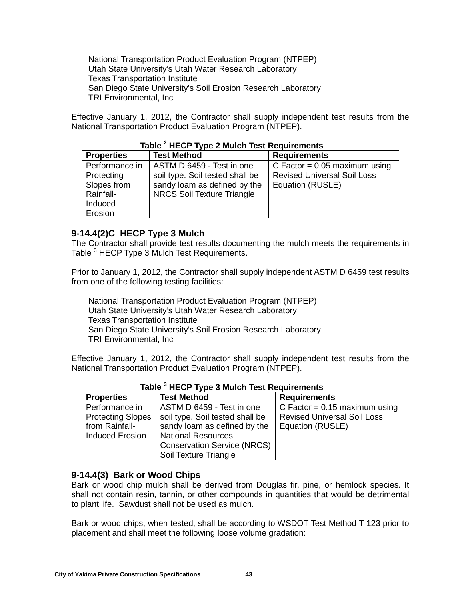National Transportation Product Evaluation Program (NTPEP) Utah State University's Utah Water Research Laboratory Texas Transportation Institute San Diego State University's Soil Erosion Research Laboratory TRI Environmental, Inc

Effective January 1, 2012, the Contractor shall supply independent test results from the National Transportation Product Evaluation Program (NTPEP).

| $11 = 91$ . The state individual resolution of the state of $11$ |                                   |                                    |
|------------------------------------------------------------------|-----------------------------------|------------------------------------|
| <b>Properties</b>                                                | <b>Test Method</b>                | <b>Requirements</b>                |
| Performance in                                                   | ASTM D 6459 - Test in one         | C Factor = $0.05$ maximum using    |
| Protecting                                                       | soil type. Soil tested shall be   | <b>Revised Universal Soil Loss</b> |
| Slopes from                                                      | sandy loam as defined by the      | Equation (RUSLE)                   |
| Rainfall-                                                        | <b>NRCS Soil Texture Triangle</b> |                                    |
| Induced                                                          |                                   |                                    |
| Erosion                                                          |                                   |                                    |

### **Table <sup>2</sup> HECP Type 2 Mulch Test Requirements**

## **9-14.4(2)C HECP Type 3 Mulch**

The Contractor shall provide test results documenting the mulch meets the requirements in Table <sup>3</sup> HECP Type 3 Mulch Test Requirements.

Prior to January 1, 2012, the Contractor shall supply independent ASTM D 6459 test results from one of the following testing facilities:

National Transportation Product Evaluation Program (NTPEP) Utah State University's Utah Water Research Laboratory Texas Transportation Institute San Diego State University's Soil Erosion Research Laboratory TRI Environmental, Inc

Effective January 1, 2012, the Contractor shall supply independent test results from the National Transportation Product Evaluation Program (NTPEP).

| $1900 - 11291 - 11090 - 1101011 - 1001 - 1100111011100$ |                                    |                                    |
|---------------------------------------------------------|------------------------------------|------------------------------------|
| <b>Properties</b>                                       | <b>Test Method</b>                 | <b>Requirements</b>                |
| Performance in                                          | ASTM D 6459 - Test in one          | C Factor = $0.15$ maximum using    |
| <b>Protecting Slopes</b>                                | soil type. Soil tested shall be    | <b>Revised Universal Soil Loss</b> |
| from Rainfall-                                          | sandy loam as defined by the       | Equation (RUSLE)                   |
| <b>Induced Erosion</b>                                  | <b>National Resources</b>          |                                    |
|                                                         | <b>Conservation Service (NRCS)</b> |                                    |
|                                                         | Soil Texture Triangle              |                                    |

## **Table <sup>3</sup> HECP Type 3 Mulch Test Requirements**

# **9-14.4(3) Bark or Wood Chips**

Bark or wood chip mulch shall be derived from Douglas fir, pine, or hemlock species. It shall not contain resin, tannin, or other compounds in quantities that would be detrimental to plant life. Sawdust shall not be used as mulch.

Bark or wood chips, when tested, shall be according to WSDOT Test Method T 123 prior to placement and shall meet the following loose volume gradation: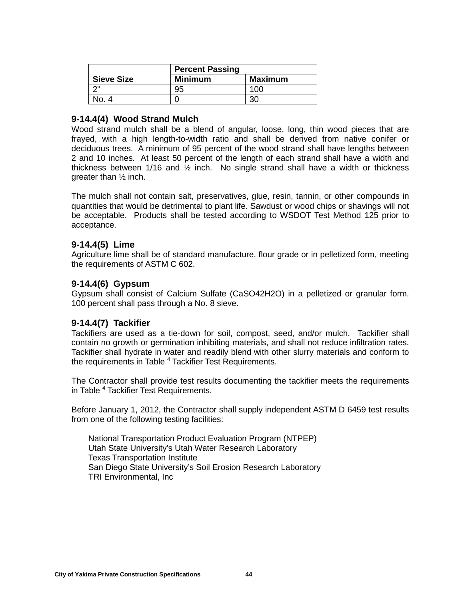|                   | <b>Percent Passing</b> |                |
|-------------------|------------------------|----------------|
| <b>Sieve Size</b> | <b>Minimum</b>         | <b>Maximum</b> |
| $\sim$            | 95                     | 100            |
| No 4              |                        |                |

### **9-14.4(4) Wood Strand Mulch**

Wood strand mulch shall be a blend of angular, loose, long, thin wood pieces that are frayed, with a high length-to-width ratio and shall be derived from native conifer or deciduous trees. A minimum of 95 percent of the wood strand shall have lengths between 2 and 10 inches. At least 50 percent of the length of each strand shall have a width and thickness between 1/16 and ½ inch. No single strand shall have a width or thickness greater than ½ inch.

The mulch shall not contain salt, preservatives, glue, resin, tannin, or other compounds in quantities that would be detrimental to plant life. Sawdust or wood chips or shavings will not be acceptable. Products shall be tested according to WSDOT Test Method 125 prior to acceptance.

### **9-14.4(5) Lime**

Agriculture lime shall be of standard manufacture, flour grade or in pelletized form, meeting the requirements of ASTM C 602.

## **9-14.4(6) Gypsum**

Gypsum shall consist of Calcium Sulfate (CaSO42H2O) in a pelletized or granular form. 100 percent shall pass through a No. 8 sieve.

#### **9-14.4(7) Tackifier**

Tackifiers are used as a tie-down for soil, compost, seed, and/or mulch. Tackifier shall contain no growth or germination inhibiting materials, and shall not reduce infiltration rates. Tackifier shall hydrate in water and readily blend with other slurry materials and conform to the requirements in Table <sup>4</sup> Tackifier Test Requirements.

The Contractor shall provide test results documenting the tackifier meets the requirements in Table <sup>4</sup> Tackifier Test Requirements.

Before January 1, 2012, the Contractor shall supply independent ASTM D 6459 test results from one of the following testing facilities:

National Transportation Product Evaluation Program (NTPEP) Utah State University's Utah Water Research Laboratory Texas Transportation Institute San Diego State University's Soil Erosion Research Laboratory TRI Environmental, Inc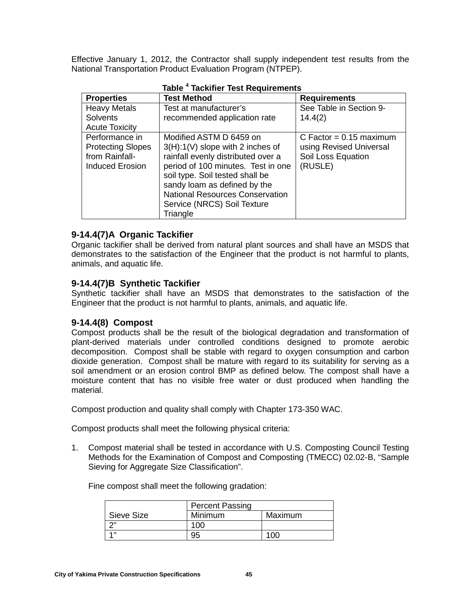Effective January 1, 2012, the Contractor shall supply independent test results from the National Transportation Product Evaluation Program (NTPEP).

| <b>Properties</b>        | <b>Test Method</b>                     | <b>Requirements</b>       |
|--------------------------|----------------------------------------|---------------------------|
| <b>Heavy Metals</b>      | Test at manufacturer's                 | See Table in Section 9-   |
| <b>Solvents</b>          | recommended application rate           | 14.4(2)                   |
| <b>Acute Toxicity</b>    |                                        |                           |
| Performance in           | Modified ASTM D 6459 on                | C Factor = $0.15$ maximum |
| <b>Protecting Slopes</b> | $3(H)$ : $1(V)$ slope with 2 inches of | using Revised Universal   |
| from Rainfall-           | rainfall evenly distributed over a     | Soil Loss Equation        |
| <b>Induced Erosion</b>   | period of 100 minutes. Test in one     | (RUSLE)                   |
|                          | soil type. Soil tested shall be        |                           |
|                          | sandy loam as defined by the           |                           |
|                          | <b>National Resources Conservation</b> |                           |
|                          | Service (NRCS) Soil Texture            |                           |
|                          | Triangle                               |                           |

## **Table <sup>4</sup> Tackifier Test Requirements**

## **9-14.4(7)A Organic Tackifier**

Organic tackifier shall be derived from natural plant sources and shall have an MSDS that demonstrates to the satisfaction of the Engineer that the product is not harmful to plants, animals, and aquatic life.

## **9-14.4(7)B Synthetic Tackifier**

Synthetic tackifier shall have an MSDS that demonstrates to the satisfaction of the Engineer that the product is not harmful to plants, animals, and aquatic life.

## **9-14.4(8) Compost**

Compost products shall be the result of the biological degradation and transformation of plant-derived materials under controlled conditions designed to promote aerobic decomposition. Compost shall be stable with regard to oxygen consumption and carbon dioxide generation. Compost shall be mature with regard to its suitability for serving as a soil amendment or an erosion control BMP as defined below. The compost shall have a moisture content that has no visible free water or dust produced when handling the material.

Compost production and quality shall comply with Chapter 173-350 WAC.

Compost products shall meet the following physical criteria:

1. Compost material shall be tested in accordance with U.S. Composting Council Testing Methods for the Examination of Compost and Composting (TMECC) 02.02-B, "Sample Sieving for Aggregate Size Classification".

|            | <b>Percent Passing</b> |         |
|------------|------------------------|---------|
| Sieve Size | Minimum                | Maximum |
| יירי       |                        |         |
| $A$ $B$    |                        |         |

Fine compost shall meet the following gradation: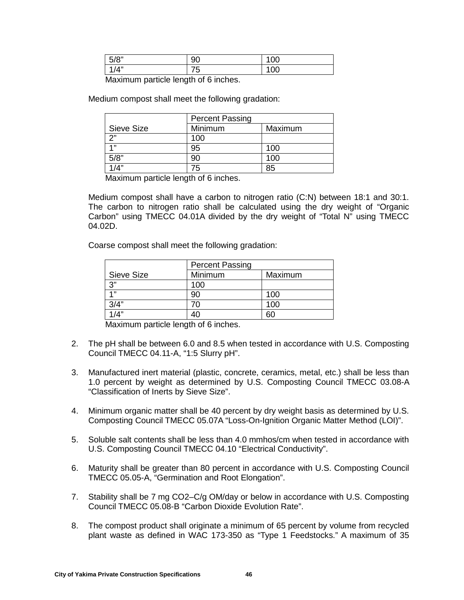| 5/8"                   | ar<br>JU. | ш<br>vv |
|------------------------|-----------|---------|
| / 1"<br>$\overline{1}$ | -<br>ັ    | ш<br>v. |

Maximum particle length of 6 inches.

Medium compost shall meet the following gradation:

|              | <b>Percent Passing</b> |         |
|--------------|------------------------|---------|
| Sieve Size   | Minimum                | Maximum |
| $\bigcap$    | 100                    |         |
| 411          | 95                     | 100     |
| 5/8"         | 90                     | 100     |
| $1/\Delta$ " | 75                     | 85      |

Maximum particle length of 6 inches.

Medium compost shall have a carbon to nitrogen ratio (C:N) between 18:1 and 30:1. The carbon to nitrogen ratio shall be calculated using the dry weight of "Organic Carbon" using TMECC 04.01A divided by the dry weight of "Total N" using TMECC 04.02D.

Coarse compost shall meet the following gradation:

|            | <b>Percent Passing</b> |         |
|------------|------------------------|---------|
| Sieve Size | Minimum                | Maximum |
| 3"         | 100                    |         |
| 4"         | 90                     | 100     |
| 3/4"       |                        | 100     |
| 1/4"       |                        |         |

Maximum particle length of 6 inches.

- 2. The pH shall be between 6.0 and 8.5 when tested in accordance with U.S. Composting Council TMECC 04.11-A, "1:5 Slurry pH".
- 3. Manufactured inert material (plastic, concrete, ceramics, metal, etc.) shall be less than 1.0 percent by weight as determined by U.S. Composting Council TMECC 03.08-A "Classification of Inerts by Sieve Size".
- 4. Minimum organic matter shall be 40 percent by dry weight basis as determined by U.S. Composting Council TMECC 05.07A "Loss-On-Ignition Organic Matter Method (LOI)".
- 5. Soluble salt contents shall be less than 4.0 mmhos/cm when tested in accordance with U.S. Composting Council TMECC 04.10 "Electrical Conductivity".
- 6. Maturity shall be greater than 80 percent in accordance with U.S. Composting Council TMECC 05.05-A, "Germination and Root Elongation".
- 7. Stability shall be 7 mg CO2–C/g OM/day or below in accordance with U.S. Composting Council TMECC 05.08-B "Carbon Dioxide Evolution Rate".
- 8. The compost product shall originate a minimum of 65 percent by volume from recycled plant waste as defined in WAC 173-350 as "Type 1 Feedstocks." A maximum of 35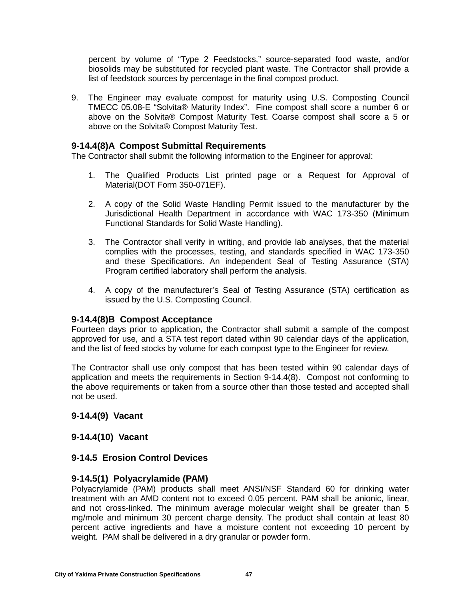percent by volume of "Type 2 Feedstocks," source-separated food waste, and/or biosolids may be substituted for recycled plant waste. The Contractor shall provide a list of feedstock sources by percentage in the final compost product.

9. The Engineer may evaluate compost for maturity using U.S. Composting Council TMECC 05.08-E "Solvita® Maturity Index". Fine compost shall score a number 6 or above on the Solvita® Compost Maturity Test. Coarse compost shall score a 5 or above on the Solvita® Compost Maturity Test.

## **9-14.4(8)A Compost Submittal Requirements**

The Contractor shall submit the following information to the Engineer for approval:

- 1. The Qualified Products List printed page or a Request for Approval of Material(DOT Form 350-071EF).
- 2. A copy of the Solid Waste Handling Permit issued to the manufacturer by the Jurisdictional Health Department in accordance with WAC 173-350 (Minimum Functional Standards for Solid Waste Handling).
- 3. The Contractor shall verify in writing, and provide lab analyses, that the material complies with the processes, testing, and standards specified in WAC 173-350 and these Specifications. An independent Seal of Testing Assurance (STA) Program certified laboratory shall perform the analysis.
- 4. A copy of the manufacturer's Seal of Testing Assurance (STA) certification as issued by the U.S. Composting Council.

## **9-14.4(8)B Compost Acceptance**

Fourteen days prior to application, the Contractor shall submit a sample of the compost approved for use, and a STA test report dated within 90 calendar days of the application, and the list of feed stocks by volume for each compost type to the Engineer for review.

The Contractor shall use only compost that has been tested within 90 calendar days of application and meets the requirements in Section 9-14.4(8). Compost not conforming to the above requirements or taken from a source other than those tested and accepted shall not be used.

# **9-14.4(9) Vacant**

## **9-14.4(10) Vacant**

# **9-14.5 Erosion Control Devices**

## **9-14.5(1) Polyacrylamide (PAM)**

Polyacrylamide (PAM) products shall meet ANSI/NSF Standard 60 for drinking water treatment with an AMD content not to exceed 0.05 percent. PAM shall be anionic, linear, and not cross-linked. The minimum average molecular weight shall be greater than 5 mg/mole and minimum 30 percent charge density. The product shall contain at least 80 percent active ingredients and have a moisture content not exceeding 10 percent by weight. PAM shall be delivered in a dry granular or powder form.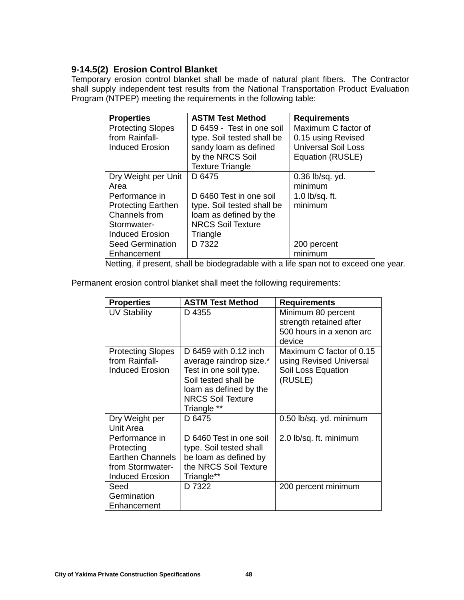# **9-14.5(2) Erosion Control Blanket**

Temporary erosion control blanket shall be made of natural plant fibers. The Contractor shall supply independent test results from the National Transportation Product Evaluation Program (NTPEP) meeting the requirements in the following table:

| <b>Properties</b>         | <b>ASTM Test Method</b>    | <b>Requirements</b>        |
|---------------------------|----------------------------|----------------------------|
| <b>Protecting Slopes</b>  | D 6459 - Test in one soil  | Maximum C factor of        |
| from Rainfall-            | type. Soil tested shall be | 0.15 using Revised         |
| Induced Erosion           | sandy loam as defined      | <b>Universal Soil Loss</b> |
|                           | by the NRCS Soil           | Equation (RUSLE)           |
|                           | <b>Texture Triangle</b>    |                            |
| Dry Weight per Unit       | D 6475                     | $0.36$ lb/sq. yd.          |
| Area                      |                            | minimum                    |
| Performance in            | D 6460 Test in one soil    | 1.0 lb/sq. ft.             |
| <b>Protecting Earthen</b> | type. Soil tested shall be | minimum                    |
| Channels from             | loam as defined by the     |                            |
| Stormwater-               | <b>NRCS Soil Texture</b>   |                            |
| <b>Induced Erosion</b>    | Triangle                   |                            |
| <b>Seed Germination</b>   | D 7322                     | 200 percent                |
| Enhancement               |                            | minimum                    |

Netting, if present, shall be biodegradable with a life span not to exceed one year.

Permanent erosion control blanket shall meet the following requirements:

| <b>Properties</b>                                                                                     | <b>ASTM Test Method</b>                                                                                                                                                 | <b>Requirements</b>                                                                  |
|-------------------------------------------------------------------------------------------------------|-------------------------------------------------------------------------------------------------------------------------------------------------------------------------|--------------------------------------------------------------------------------------|
| <b>UV Stability</b>                                                                                   | D4355                                                                                                                                                                   | Minimum 80 percent<br>strength retained after<br>500 hours in a xenon arc<br>device  |
| <b>Protecting Slopes</b><br>from Rainfall-<br><b>Induced Erosion</b>                                  | D 6459 with 0.12 inch<br>average raindrop size.*<br>Test in one soil type.<br>Soil tested shall be<br>loam as defined by the<br><b>NRCS Soil Texture</b><br>Triangle ** | Maximum C factor of 0.15<br>using Revised Universal<br>Soil Loss Equation<br>(RUSLE) |
| Dry Weight per<br><b>Unit Area</b>                                                                    | D 6475                                                                                                                                                                  | 0.50 lb/sq. yd. minimum                                                              |
| Performance in<br>Protecting<br><b>Earthen Channels</b><br>from Stormwater-<br><b>Induced Erosion</b> | D 6460 Test in one soil<br>type. Soil tested shall<br>be loam as defined by<br>the NRCS Soil Texture<br>Triangle**                                                      | 2.0 lb/sq. ft. minimum                                                               |
| Seed<br>Germination<br>Enhancement                                                                    | D 7322                                                                                                                                                                  | 200 percent minimum                                                                  |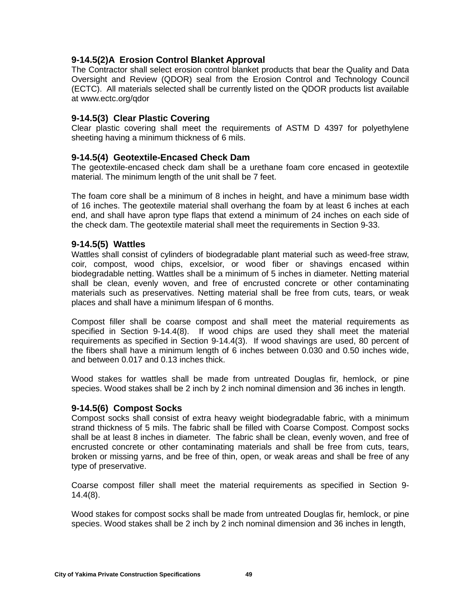# **9-14.5(2)A Erosion Control Blanket Approval**

The Contractor shall select erosion control blanket products that bear the Quality and Data Oversight and Review (QDOR) seal from the Erosion Control and Technology Council (ECTC). All materials selected shall be currently listed on the QDOR products list available at www.ectc.org/qdor

# **9-14.5(3) Clear Plastic Covering**

Clear plastic covering shall meet the requirements of ASTM D 4397 for polyethylene sheeting having a minimum thickness of 6 mils.

# **9-14.5(4) Geotextile-Encased Check Dam**

The geotextile-encased check dam shall be a urethane foam core encased in geotextile material. The minimum length of the unit shall be 7 feet.

The foam core shall be a minimum of 8 inches in height, and have a minimum base width of 16 inches. The geotextile material shall overhang the foam by at least 6 inches at each end, and shall have apron type flaps that extend a minimum of 24 inches on each side of the check dam. The geotextile material shall meet the requirements in Section 9-33.

## **9-14.5(5) Wattles**

Wattles shall consist of cylinders of biodegradable plant material such as weed-free straw, coir, compost, wood chips, excelsior, or wood fiber or shavings encased within biodegradable netting. Wattles shall be a minimum of 5 inches in diameter. Netting material shall be clean, evenly woven, and free of encrusted concrete or other contaminating materials such as preservatives. Netting material shall be free from cuts, tears, or weak places and shall have a minimum lifespan of 6 months.

Compost filler shall be coarse compost and shall meet the material requirements as specified in Section 9-14.4(8). If wood chips are used they shall meet the material requirements as specified in Section 9-14.4(3). If wood shavings are used, 80 percent of the fibers shall have a minimum length of 6 inches between 0.030 and 0.50 inches wide, and between 0.017 and 0.13 inches thick.

Wood stakes for wattles shall be made from untreated Douglas fir, hemlock, or pine species. Wood stakes shall be 2 inch by 2 inch nominal dimension and 36 inches in length.

## **9-14.5(6) Compost Socks**

Compost socks shall consist of extra heavy weight biodegradable fabric, with a minimum strand thickness of 5 mils. The fabric shall be filled with Coarse Compost. Compost socks shall be at least 8 inches in diameter. The fabric shall be clean, evenly woven, and free of encrusted concrete or other contaminating materials and shall be free from cuts, tears, broken or missing yarns, and be free of thin, open, or weak areas and shall be free of any type of preservative.

Coarse compost filler shall meet the material requirements as specified in Section 9- 14.4(8).

Wood stakes for compost socks shall be made from untreated Douglas fir, hemlock, or pine species. Wood stakes shall be 2 inch by 2 inch nominal dimension and 36 inches in length,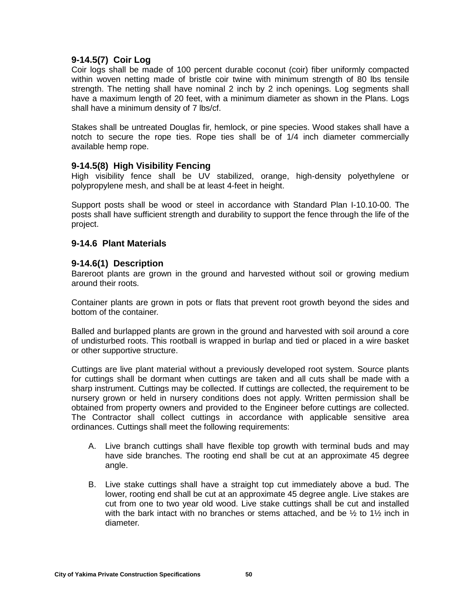# **9-14.5(7) Coir Log**

Coir logs shall be made of 100 percent durable coconut (coir) fiber uniformly compacted within woven netting made of bristle coir twine with minimum strength of 80 lbs tensile strength. The netting shall have nominal 2 inch by 2 inch openings. Log segments shall have a maximum length of 20 feet, with a minimum diameter as shown in the Plans. Logs shall have a minimum density of 7 lbs/cf.

Stakes shall be untreated Douglas fir, hemlock, or pine species. Wood stakes shall have a notch to secure the rope ties. Rope ties shall be of 1/4 inch diameter commercially available hemp rope.

## **9-14.5(8) High Visibility Fencing**

High visibility fence shall be UV stabilized, orange, high-density polyethylene or polypropylene mesh, and shall be at least 4-feet in height.

Support posts shall be wood or steel in accordance with Standard Plan I-10.10-00. The posts shall have sufficient strength and durability to support the fence through the life of the project.

## **9-14.6 Plant Materials**

## **9-14.6(1) Description**

Bareroot plants are grown in the ground and harvested without soil or growing medium around their roots.

Container plants are grown in pots or flats that prevent root growth beyond the sides and bottom of the container.

Balled and burlapped plants are grown in the ground and harvested with soil around a core of undisturbed roots. This rootball is wrapped in burlap and tied or placed in a wire basket or other supportive structure.

Cuttings are live plant material without a previously developed root system. Source plants for cuttings shall be dormant when cuttings are taken and all cuts shall be made with a sharp instrument. Cuttings may be collected. If cuttings are collected, the requirement to be nursery grown or held in nursery conditions does not apply. Written permission shall be obtained from property owners and provided to the Engineer before cuttings are collected. The Contractor shall collect cuttings in accordance with applicable sensitive area ordinances. Cuttings shall meet the following requirements:

- A. Live branch cuttings shall have flexible top growth with terminal buds and may have side branches. The rooting end shall be cut at an approximate 45 degree angle.
- B. Live stake cuttings shall have a straight top cut immediately above a bud. The lower, rooting end shall be cut at an approximate 45 degree angle. Live stakes are cut from one to two year old wood. Live stake cuttings shall be cut and installed with the bark intact with no branches or stems attached, and be  $\frac{1}{2}$  to 1 $\frac{1}{2}$  inch in diameter.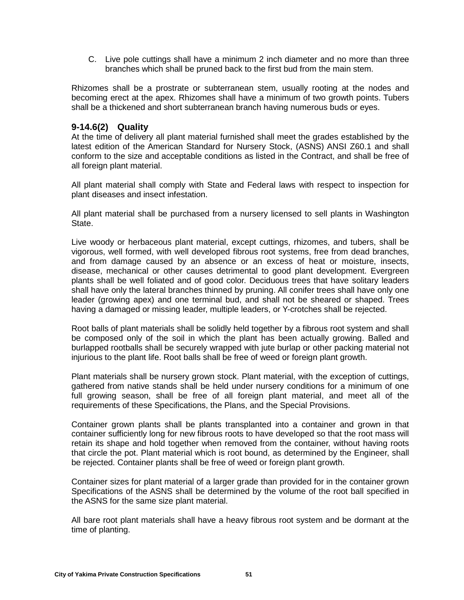C. Live pole cuttings shall have a minimum 2 inch diameter and no more than three branches which shall be pruned back to the first bud from the main stem.

Rhizomes shall be a prostrate or subterranean stem, usually rooting at the nodes and becoming erect at the apex. Rhizomes shall have a minimum of two growth points. Tubers shall be a thickened and short subterranean branch having numerous buds or eyes.

## **9-14.6(2) Quality**

At the time of delivery all plant material furnished shall meet the grades established by the latest edition of the American Standard for Nursery Stock, (ASNS) ANSI Z60.1 and shall conform to the size and acceptable conditions as listed in the Contract, and shall be free of all foreign plant material.

All plant material shall comply with State and Federal laws with respect to inspection for plant diseases and insect infestation.

All plant material shall be purchased from a nursery licensed to sell plants in Washington State.

Live woody or herbaceous plant material, except cuttings, rhizomes, and tubers, shall be vigorous, well formed, with well developed fibrous root systems, free from dead branches, and from damage caused by an absence or an excess of heat or moisture, insects, disease, mechanical or other causes detrimental to good plant development. Evergreen plants shall be well foliated and of good color. Deciduous trees that have solitary leaders shall have only the lateral branches thinned by pruning. All conifer trees shall have only one leader (growing apex) and one terminal bud, and shall not be sheared or shaped. Trees having a damaged or missing leader, multiple leaders, or Y-crotches shall be rejected.

Root balls of plant materials shall be solidly held together by a fibrous root system and shall be composed only of the soil in which the plant has been actually growing. Balled and burlapped rootballs shall be securely wrapped with jute burlap or other packing material not injurious to the plant life. Root balls shall be free of weed or foreign plant growth.

Plant materials shall be nursery grown stock. Plant material, with the exception of cuttings, gathered from native stands shall be held under nursery conditions for a minimum of one full growing season, shall be free of all foreign plant material, and meet all of the requirements of these Specifications, the Plans, and the Special Provisions.

Container grown plants shall be plants transplanted into a container and grown in that container sufficiently long for new fibrous roots to have developed so that the root mass will retain its shape and hold together when removed from the container, without having roots that circle the pot. Plant material which is root bound, as determined by the Engineer, shall be rejected. Container plants shall be free of weed or foreign plant growth.

Container sizes for plant material of a larger grade than provided for in the container grown Specifications of the ASNS shall be determined by the volume of the root ball specified in the ASNS for the same size plant material.

All bare root plant materials shall have a heavy fibrous root system and be dormant at the time of planting.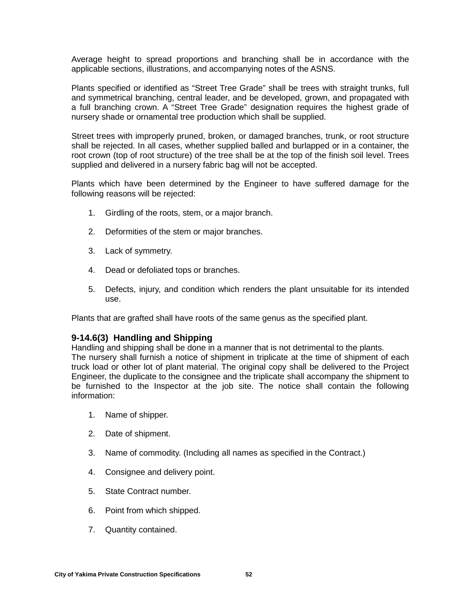Average height to spread proportions and branching shall be in accordance with the applicable sections, illustrations, and accompanying notes of the ASNS.

Plants specified or identified as "Street Tree Grade" shall be trees with straight trunks, full and symmetrical branching, central leader, and be developed, grown, and propagated with a full branching crown. A "Street Tree Grade" designation requires the highest grade of nursery shade or ornamental tree production which shall be supplied.

Street trees with improperly pruned, broken, or damaged branches, trunk, or root structure shall be rejected. In all cases, whether supplied balled and burlapped or in a container, the root crown (top of root structure) of the tree shall be at the top of the finish soil level. Trees supplied and delivered in a nursery fabric bag will not be accepted.

Plants which have been determined by the Engineer to have suffered damage for the following reasons will be rejected:

- 1. Girdling of the roots, stem, or a major branch.
- 2. Deformities of the stem or major branches.
- 3. Lack of symmetry.
- 4. Dead or defoliated tops or branches.
- 5. Defects, injury, and condition which renders the plant unsuitable for its intended use.

Plants that are grafted shall have roots of the same genus as the specified plant.

## **9-14.6(3) Handling and Shipping**

Handling and shipping shall be done in a manner that is not detrimental to the plants. The nursery shall furnish a notice of shipment in triplicate at the time of shipment of each truck load or other lot of plant material. The original copy shall be delivered to the Project Engineer, the duplicate to the consignee and the triplicate shall accompany the shipment to be furnished to the Inspector at the job site. The notice shall contain the following information:

- 1. Name of shipper.
- 2. Date of shipment.
- 3. Name of commodity. (Including all names as specified in the Contract.)
- 4. Consignee and delivery point.
- 5. State Contract number.
- 6. Point from which shipped.
- 7. Quantity contained.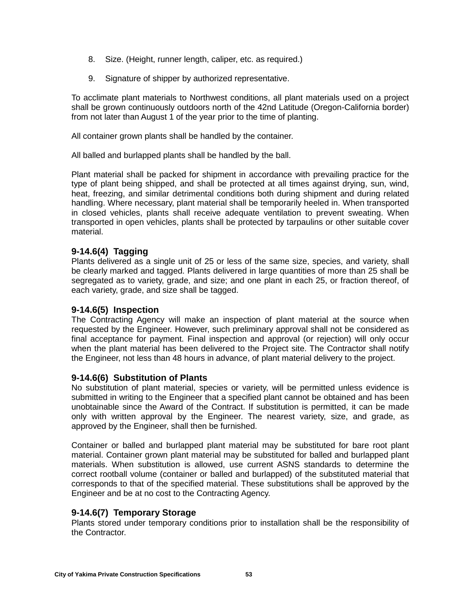- 8. Size. (Height, runner length, caliper, etc. as required.)
- 9. Signature of shipper by authorized representative.

To acclimate plant materials to Northwest conditions, all plant materials used on a project shall be grown continuously outdoors north of the 42nd Latitude (Oregon-California border) from not later than August 1 of the year prior to the time of planting.

All container grown plants shall be handled by the container.

All balled and burlapped plants shall be handled by the ball.

Plant material shall be packed for shipment in accordance with prevailing practice for the type of plant being shipped, and shall be protected at all times against drying, sun, wind, heat, freezing, and similar detrimental conditions both during shipment and during related handling. Where necessary, plant material shall be temporarily heeled in. When transported in closed vehicles, plants shall receive adequate ventilation to prevent sweating. When transported in open vehicles, plants shall be protected by tarpaulins or other suitable cover material.

## **9-14.6(4) Tagging**

Plants delivered as a single unit of 25 or less of the same size, species, and variety, shall be clearly marked and tagged. Plants delivered in large quantities of more than 25 shall be segregated as to variety, grade, and size; and one plant in each 25, or fraction thereof, of each variety, grade, and size shall be tagged.

## **9-14.6(5) Inspection**

The Contracting Agency will make an inspection of plant material at the source when requested by the Engineer. However, such preliminary approval shall not be considered as final acceptance for payment. Final inspection and approval (or rejection) will only occur when the plant material has been delivered to the Project site. The Contractor shall notify the Engineer, not less than 48 hours in advance, of plant material delivery to the project.

## **9-14.6(6) Substitution of Plants**

No substitution of plant material, species or variety, will be permitted unless evidence is submitted in writing to the Engineer that a specified plant cannot be obtained and has been unobtainable since the Award of the Contract. If substitution is permitted, it can be made only with written approval by the Engineer. The nearest variety, size, and grade, as approved by the Engineer, shall then be furnished.

Container or balled and burlapped plant material may be substituted for bare root plant material. Container grown plant material may be substituted for balled and burlapped plant materials. When substitution is allowed, use current ASNS standards to determine the correct rootball volume (container or balled and burlapped) of the substituted material that corresponds to that of the specified material. These substitutions shall be approved by the Engineer and be at no cost to the Contracting Agency.

## **9-14.6(7) Temporary Storage**

Plants stored under temporary conditions prior to installation shall be the responsibility of the Contractor.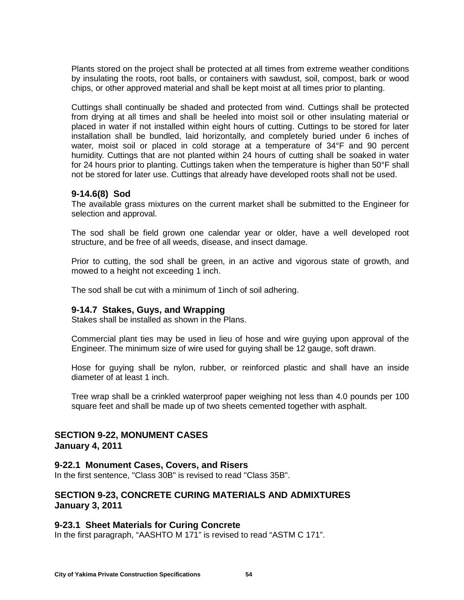Plants stored on the project shall be protected at all times from extreme weather conditions by insulating the roots, root balls, or containers with sawdust, soil, compost, bark or wood chips, or other approved material and shall be kept moist at all times prior to planting.

Cuttings shall continually be shaded and protected from wind. Cuttings shall be protected from drying at all times and shall be heeled into moist soil or other insulating material or placed in water if not installed within eight hours of cutting. Cuttings to be stored for later installation shall be bundled, laid horizontally, and completely buried under 6 inches of water, moist soil or placed in cold storage at a temperature of 34°F and 90 percent humidity. Cuttings that are not planted within 24 hours of cutting shall be soaked in water for 24 hours prior to planting. Cuttings taken when the temperature is higher than 50°F shall not be stored for later use. Cuttings that already have developed roots shall not be used.

## **9-14.6(8) Sod**

The available grass mixtures on the current market shall be submitted to the Engineer for selection and approval.

The sod shall be field grown one calendar year or older, have a well developed root structure, and be free of all weeds, disease, and insect damage.

Prior to cutting, the sod shall be green, in an active and vigorous state of growth, and mowed to a height not exceeding 1 inch.

The sod shall be cut with a minimum of 1inch of soil adhering.

## **9-14.7 Stakes, Guys, and Wrapping**

Stakes shall be installed as shown in the Plans.

Commercial plant ties may be used in lieu of hose and wire guying upon approval of the Engineer. The minimum size of wire used for guying shall be 12 gauge, soft drawn.

Hose for guying shall be nylon, rubber, or reinforced plastic and shall have an inside diameter of at least 1 inch.

Tree wrap shall be a crinkled waterproof paper weighing not less than 4.0 pounds per 100 square feet and shall be made up of two sheets cemented together with asphalt.

## **SECTION 9-22, MONUMENT CASES January 4, 2011**

#### **9-22.1 Monument Cases, Covers, and Risers**

In the first sentence, "Class 30B" is revised to read "Class 35B".

## **SECTION 9-23, CONCRETE CURING MATERIALS AND ADMIXTURES January 3, 2011**

## **9-23.1 Sheet Materials for Curing Concrete**

In the first paragraph, "AASHTO M 171" is revised to read "ASTM C 171".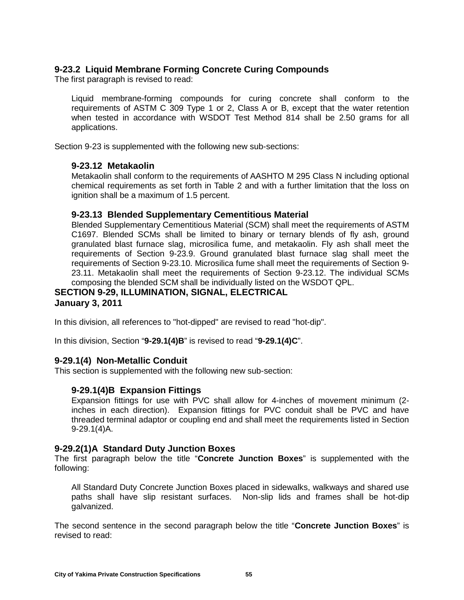# **9-23.2 Liquid Membrane Forming Concrete Curing Compounds**

The first paragraph is revised to read:

Liquid membrane-forming compounds for curing concrete shall conform to the requirements of ASTM C 309 Type 1 or 2, Class A or B, except that the water retention when tested in accordance with WSDOT Test Method 814 shall be 2.50 grams for all applications.

Section 9-23 is supplemented with the following new sub-sections:

### **9-23.12 Metakaolin**

Metakaolin shall conform to the requirements of AASHTO M 295 Class N including optional chemical requirements as set forth in Table 2 and with a further limitation that the loss on ignition shall be a maximum of 1.5 percent.

### **9-23.13 Blended Supplementary Cementitious Material**

Blended Supplementary Cementitious Material (SCM) shall meet the requirements of ASTM C1697. Blended SCMs shall be limited to binary or ternary blends of fly ash, ground granulated blast furnace slag, microsilica fume, and metakaolin. Fly ash shall meet the requirements of Section 9-23.9. Ground granulated blast furnace slag shall meet the requirements of Section 9-23.10. Microsilica fume shall meet the requirements of Section 9- 23.11. Metakaolin shall meet the requirements of Section 9-23.12. The individual SCMs composing the blended SCM shall be individually listed on the WSDOT QPL.

# **SECTION 9-29, ILLUMINATION, SIGNAL, ELECTRICAL January 3, 2011**

In this division, all references to "hot-dipped" are revised to read "hot-dip".

In this division, Section "**9-29.1(4)B**" is revised to read "**9-29.1(4)C**".

#### **9-29.1(4) Non-Metallic Conduit**

This section is supplemented with the following new sub-section:

## **9-29.1(4)B Expansion Fittings**

Expansion fittings for use with PVC shall allow for 4-inches of movement minimum (2 inches in each direction). Expansion fittings for PVC conduit shall be PVC and have threaded terminal adaptor or coupling end and shall meet the requirements listed in Section 9-29.1(4)A.

#### **9-29.2(1)A Standard Duty Junction Boxes**

The first paragraph below the title "**Concrete Junction Boxes**" is supplemented with the following:

All Standard Duty Concrete Junction Boxes placed in sidewalks, walkways and shared use paths shall have slip resistant surfaces. Non-slip lids and frames shall be hot-dip galvanized.

The second sentence in the second paragraph below the title "**Concrete Junction Boxes**" is revised to read: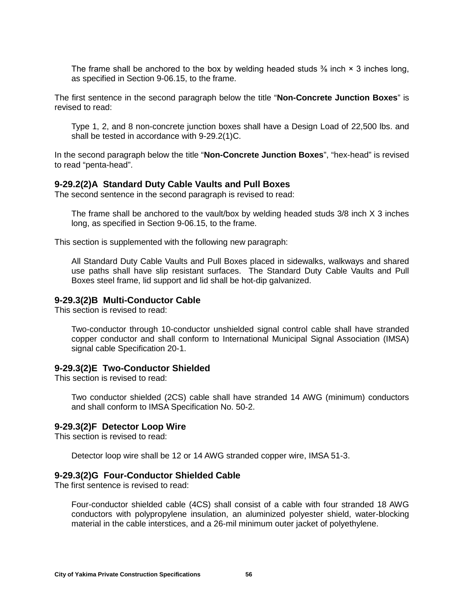The frame shall be anchored to the box by welding headed studs  $\frac{3}{6}$  inch  $\times$  3 inches long, as specified in Section 9-06.15, to the frame.

The first sentence in the second paragraph below the title "**Non-Concrete Junction Boxes**" is revised to read:

Type 1, 2, and 8 non-concrete junction boxes shall have a Design Load of 22,500 lbs. and shall be tested in accordance with 9-29.2(1)C.

In the second paragraph below the title "**Non-Concrete Junction Boxes**", "hex-head" is revised to read "penta-head".

#### **9-29.2(2)A Standard Duty Cable Vaults and Pull Boxes**

The second sentence in the second paragraph is revised to read:

The frame shall be anchored to the vault/box by welding headed studs 3/8 inch X 3 inches long, as specified in Section 9-06.15, to the frame.

This section is supplemented with the following new paragraph:

All Standard Duty Cable Vaults and Pull Boxes placed in sidewalks, walkways and shared use paths shall have slip resistant surfaces. The Standard Duty Cable Vaults and Pull Boxes steel frame, lid support and lid shall be hot-dip galvanized.

#### **9-29.3(2)B Multi-Conductor Cable**

This section is revised to read:

Two-conductor through 10-conductor unshielded signal control cable shall have stranded copper conductor and shall conform to International Municipal Signal Association (IMSA) signal cable Specification 20-1.

## **9-29.3(2)E Two-Conductor Shielded**

This section is revised to read:

Two conductor shielded (2CS) cable shall have stranded 14 AWG (minimum) conductors and shall conform to IMSA Specification No. 50-2.

#### **9-29.3(2)F Detector Loop Wire**

This section is revised to read:

Detector loop wire shall be 12 or 14 AWG stranded copper wire, IMSA 51-3.

#### **9-29.3(2)G Four-Conductor Shielded Cable**

The first sentence is revised to read:

Four-conductor shielded cable (4CS) shall consist of a cable with four stranded 18 AWG conductors with polypropylene insulation, an aluminized polyester shield, water-blocking material in the cable interstices, and a 26-mil minimum outer jacket of polyethylene.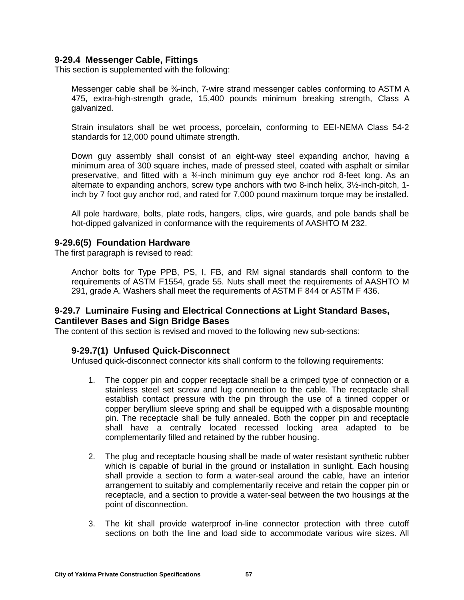## **9-29.4 Messenger Cable, Fittings**

This section is supplemented with the following:

Messenger cable shall be <sup>3</sup><sub>8</sub>-inch, 7-wire strand messenger cables conforming to ASTM A 475, extra-high-strength grade, 15,400 pounds minimum breaking strength, Class A galvanized.

Strain insulators shall be wet process, porcelain, conforming to EEI-NEMA Class 54-2 standards for 12,000 pound ultimate strength.

Down guy assembly shall consist of an eight-way steel expanding anchor, having a minimum area of 300 square inches, made of pressed steel, coated with asphalt or similar preservative, and fitted with a ¾-inch minimum guy eye anchor rod 8-feet long. As an alternate to expanding anchors, screw type anchors with two 8-inch helix, 3½-inch-pitch, 1 inch by 7 foot guy anchor rod, and rated for 7,000 pound maximum torque may be installed.

All pole hardware, bolts, plate rods, hangers, clips, wire guards, and pole bands shall be hot-dipped galvanized in conformance with the requirements of AASHTO M 232.

### **9-29.6(5) Foundation Hardware**

The first paragraph is revised to read:

Anchor bolts for Type PPB, PS, I, FB, and RM signal standards shall conform to the requirements of ASTM F1554, grade 55. Nuts shall meet the requirements of AASHTO M 291, grade A. Washers shall meet the requirements of ASTM F 844 or ASTM F 436.

## **9-29.7 Luminaire Fusing and Electrical Connections at Light Standard Bases, Cantilever Bases and Sign Bridge Bases**

The content of this section is revised and moved to the following new sub-sections:

#### **9-29.7(1) Unfused Quick-Disconnect**

Unfused quick-disconnect connector kits shall conform to the following requirements:

- 1. The copper pin and copper receptacle shall be a crimped type of connection or a stainless steel set screw and lug connection to the cable. The receptacle shall establish contact pressure with the pin through the use of a tinned copper or copper beryllium sleeve spring and shall be equipped with a disposable mounting pin. The receptacle shall be fully annealed. Both the copper pin and receptacle shall have a centrally located recessed locking area adapted to be complementarily filled and retained by the rubber housing.
- 2. The plug and receptacle housing shall be made of water resistant synthetic rubber which is capable of burial in the ground or installation in sunlight. Each housing shall provide a section to form a water-seal around the cable, have an interior arrangement to suitably and complementarily receive and retain the copper pin or receptacle, and a section to provide a water-seal between the two housings at the point of disconnection.
- 3. The kit shall provide waterproof in-line connector protection with three cutoff sections on both the line and load side to accommodate various wire sizes. All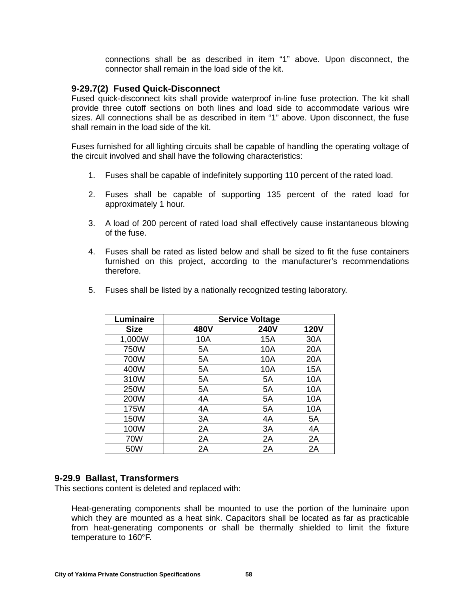connections shall be as described in item "1" above. Upon disconnect, the connector shall remain in the load side of the kit.

### **9-29.7(2) Fused Quick-Disconnect**

Fused quick-disconnect kits shall provide waterproof in-line fuse protection. The kit shall provide three cutoff sections on both lines and load side to accommodate various wire sizes. All connections shall be as described in item "1" above. Upon disconnect, the fuse shall remain in the load side of the kit.

Fuses furnished for all lighting circuits shall be capable of handling the operating voltage of the circuit involved and shall have the following characteristics:

- 1. Fuses shall be capable of indefinitely supporting 110 percent of the rated load.
- 2. Fuses shall be capable of supporting 135 percent of the rated load for approximately 1 hour.
- 3. A load of 200 percent of rated load shall effectively cause instantaneous blowing of the fuse.
- 4. Fuses shall be rated as listed below and shall be sized to fit the fuse containers furnished on this project, according to the manufacturer's recommendations therefore.

|  |  | 5. Fuses shall be listed by a nationally recognized testing laboratory. |  |
|--|--|-------------------------------------------------------------------------|--|
|  |  |                                                                         |  |

| Luminaire   | <b>Service Voltage</b> |             |             |  |
|-------------|------------------------|-------------|-------------|--|
| <b>Size</b> | 480V                   | <b>240V</b> | <b>120V</b> |  |
| 1,000W      | 10A                    | 15A         | 30A         |  |
| 750W        | 5A                     | 10A         | 20A         |  |
| 700W        | 5A                     | 10A         | 20A         |  |
| 400W        | 5A                     | 10A         | 15A         |  |
| 310W        | 5A                     | 5A          | 10A         |  |
| 250W        | 5A                     | 5A          | 10A         |  |
| 200W        | 4A                     | 5A          | 10A         |  |
| 175W        | 4A                     | 5A          | 10A         |  |
| 150W        | 3A                     | 4A          | 5A          |  |
| 100W        | 2A                     | 3A          | 4A          |  |
| <b>70W</b>  | 2A                     | 2A          | 2A          |  |
| 50W         | 2A                     | 2A          | 2A          |  |

## **9-29.9 Ballast, Transformers**

This sections content is deleted and replaced with:

Heat-generating components shall be mounted to use the portion of the luminaire upon which they are mounted as a heat sink. Capacitors shall be located as far as practicable from heat-generating components or shall be thermally shielded to limit the fixture temperature to 160°F.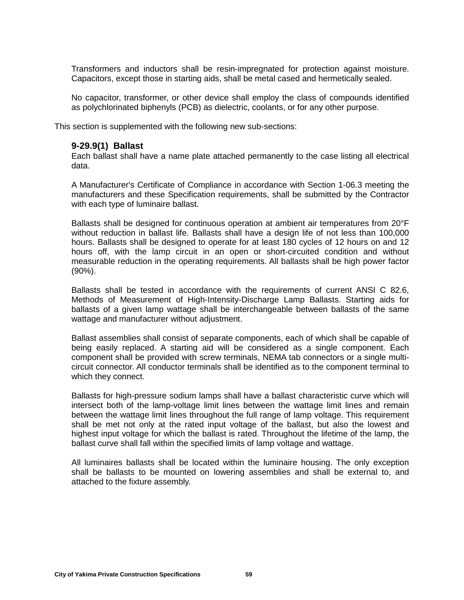Transformers and inductors shall be resin-impregnated for protection against moisture. Capacitors, except those in starting aids, shall be metal cased and hermetically sealed.

No capacitor, transformer, or other device shall employ the class of compounds identified as polychlorinated biphenyls (PCB) as dielectric, coolants, or for any other purpose.

This section is supplemented with the following new sub-sections:

### **9-29.9(1) Ballast**

Each ballast shall have a name plate attached permanently to the case listing all electrical data.

A Manufacturer's Certificate of Compliance in accordance with Section 1-06.3 meeting the manufacturers and these Specification requirements, shall be submitted by the Contractor with each type of luminaire ballast.

Ballasts shall be designed for continuous operation at ambient air temperatures from 20°F without reduction in ballast life. Ballasts shall have a design life of not less than 100,000 hours. Ballasts shall be designed to operate for at least 180 cycles of 12 hours on and 12 hours off, with the lamp circuit in an open or short-circuited condition and without measurable reduction in the operating requirements. All ballasts shall be high power factor (90%).

Ballasts shall be tested in accordance with the requirements of current ANSI C 82.6, Methods of Measurement of High-Intensity-Discharge Lamp Ballasts. Starting aids for ballasts of a given lamp wattage shall be interchangeable between ballasts of the same wattage and manufacturer without adjustment.

Ballast assemblies shall consist of separate components, each of which shall be capable of being easily replaced. A starting aid will be considered as a single component. Each component shall be provided with screw terminals, NEMA tab connectors or a single multicircuit connector. All conductor terminals shall be identified as to the component terminal to which they connect.

Ballasts for high-pressure sodium lamps shall have a ballast characteristic curve which will intersect both of the lamp-voltage limit lines between the wattage limit lines and remain between the wattage limit lines throughout the full range of lamp voltage. This requirement shall be met not only at the rated input voltage of the ballast, but also the lowest and highest input voltage for which the ballast is rated. Throughout the lifetime of the lamp, the ballast curve shall fall within the specified limits of lamp voltage and wattage.

All luminaires ballasts shall be located within the luminaire housing. The only exception shall be ballasts to be mounted on lowering assemblies and shall be external to, and attached to the fixture assembly.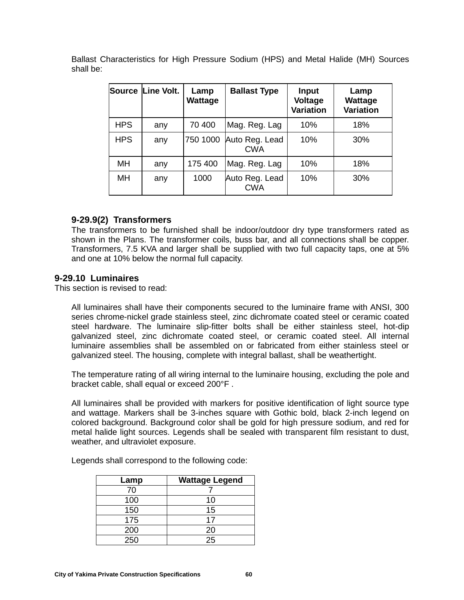Ballast Characteristics for High Pressure Sodium (HPS) and Metal Halide (MH) Sources shall be:

| <b>Source</b> | Line Volt. | Lamp<br>Wattage | <b>Ballast Type</b>          | <b>Input</b><br><b>Voltage</b><br><b>Variation</b> | Lamp<br>Wattage<br><b>Variation</b> |
|---------------|------------|-----------------|------------------------------|----------------------------------------------------|-------------------------------------|
| <b>HPS</b>    | any        | 70 400          | Mag. Reg. Lag                | 10%                                                | 18%                                 |
| <b>HPS</b>    | any        | 750 1000        | Auto Reg. Lead<br><b>CWA</b> | 10%                                                | 30%                                 |
| MH            | any        | 175 400         | Mag. Reg. Lag                | 10%                                                | 18%                                 |
| <b>MH</b>     | any        | 1000            | Auto Reg. Lead<br><b>CWA</b> | 10%                                                | 30%                                 |

## **9-29.9(2) Transformers**

The transformers to be furnished shall be indoor/outdoor dry type transformers rated as shown in the Plans. The transformer coils, buss bar, and all connections shall be copper. Transformers, 7.5 KVA and larger shall be supplied with two full capacity taps, one at 5% and one at 10% below the normal full capacity.

## **9-29.10 Luminaires**

This section is revised to read:

All luminaires shall have their components secured to the luminaire frame with ANSI, 300 series chrome-nickel grade stainless steel, zinc dichromate coated steel or ceramic coated steel hardware. The luminaire slip-fitter bolts shall be either stainless steel, hot-dip galvanized steel, zinc dichromate coated steel, or ceramic coated steel. All internal luminaire assemblies shall be assembled on or fabricated from either stainless steel or galvanized steel. The housing, complete with integral ballast, shall be weathertight.

The temperature rating of all wiring internal to the luminaire housing, excluding the pole and bracket cable, shall equal or exceed 200°F .

All luminaires shall be provided with markers for positive identification of light source type and wattage. Markers shall be 3-inches square with Gothic bold, black 2-inch legend on colored background. Background color shall be gold for high pressure sodium, and red for metal halide light sources. Legends shall be sealed with transparent film resistant to dust, weather, and ultraviolet exposure.

| Lamp | <b>Wattage Legend</b> |
|------|-----------------------|
| 70   |                       |
| 100  | 10                    |
| 150  | 15                    |
| 175  | 17                    |
| 200  | 20                    |
| 250  | 25                    |

Legends shall correspond to the following code: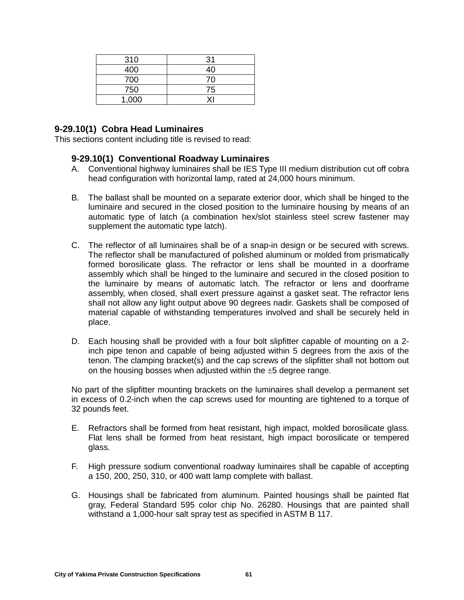| 310   | 31 |
|-------|----|
| 400   | 40 |
| 700   | 70 |
| 750   | 75 |
| 1,000 |    |

# **9-29.10(1) Cobra Head Luminaires**

This sections content including title is revised to read:

## **9-29.10(1) Conventional Roadway Luminaires**

- A. Conventional highway luminaires shall be IES Type III medium distribution cut off cobra head configuration with horizontal lamp, rated at 24,000 hours minimum.
- B. The ballast shall be mounted on a separate exterior door, which shall be hinged to the luminaire and secured in the closed position to the luminaire housing by means of an automatic type of latch (a combination hex/slot stainless steel screw fastener may supplement the automatic type latch).
- C. The reflector of all luminaires shall be of a snap-in design or be secured with screws. The reflector shall be manufactured of polished aluminum or molded from prismatically formed borosilicate glass. The refractor or lens shall be mounted in a doorframe assembly which shall be hinged to the luminaire and secured in the closed position to the luminaire by means of automatic latch. The refractor or lens and doorframe assembly, when closed, shall exert pressure against a gasket seat. The refractor lens shall not allow any light output above 90 degrees nadir. Gaskets shall be composed of material capable of withstanding temperatures involved and shall be securely held in place.
- D. Each housing shall be provided with a four bolt slipfitter capable of mounting on a 2 inch pipe tenon and capable of being adjusted within 5 degrees from the axis of the tenon. The clamping bracket(s) and the cap screws of the slipfitter shall not bottom out on the housing bosses when adjusted within the  $\pm 5$  degree range.

No part of the slipfitter mounting brackets on the luminaires shall develop a permanent set in excess of 0.2-inch when the cap screws used for mounting are tightened to a torque of 32 pounds feet.

- E. Refractors shall be formed from heat resistant, high impact, molded borosilicate glass. Flat lens shall be formed from heat resistant, high impact borosilicate or tempered glass.
- F. High pressure sodium conventional roadway luminaires shall be capable of accepting a 150, 200, 250, 310, or 400 watt lamp complete with ballast.
- G. Housings shall be fabricated from aluminum. Painted housings shall be painted flat gray, Federal Standard 595 color chip No. 26280. Housings that are painted shall withstand a 1,000-hour salt spray test as specified in ASTM B 117.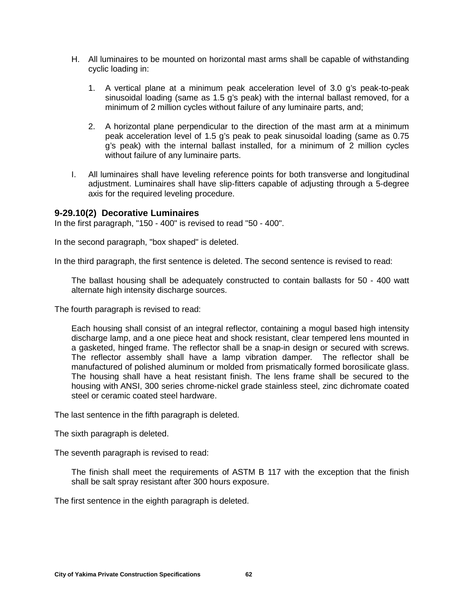- H. All luminaires to be mounted on horizontal mast arms shall be capable of withstanding cyclic loading in:
	- 1. A vertical plane at a minimum peak acceleration level of 3.0 g's peak-to-peak sinusoidal loading (same as 1.5 g's peak) with the internal ballast removed, for a minimum of 2 million cycles without failure of any luminaire parts, and;
	- 2. A horizontal plane perpendicular to the direction of the mast arm at a minimum peak acceleration level of 1.5 g's peak to peak sinusoidal loading (same as 0.75 g's peak) with the internal ballast installed, for a minimum of 2 million cycles without failure of any luminaire parts.
- I. All luminaires shall have leveling reference points for both transverse and longitudinal adjustment. Luminaires shall have slip-fitters capable of adjusting through a 5-degree axis for the required leveling procedure.

### **9-29.10(2) Decorative Luminaires**

In the first paragraph, "150 - 400" is revised to read "50 - 400".

In the second paragraph, "box shaped" is deleted.

In the third paragraph, the first sentence is deleted. The second sentence is revised to read:

The ballast housing shall be adequately constructed to contain ballasts for 50 - 400 watt alternate high intensity discharge sources.

The fourth paragraph is revised to read:

Each housing shall consist of an integral reflector, containing a mogul based high intensity discharge lamp, and a one piece heat and shock resistant, clear tempered lens mounted in a gasketed, hinged frame. The reflector shall be a snap-in design or secured with screws. The reflector assembly shall have a lamp vibration damper. The reflector shall be manufactured of polished aluminum or molded from prismatically formed borosilicate glass. The housing shall have a heat resistant finish. The lens frame shall be secured to the housing with ANSI, 300 series chrome-nickel grade stainless steel, zinc dichromate coated steel or ceramic coated steel hardware.

The last sentence in the fifth paragraph is deleted.

The sixth paragraph is deleted.

The seventh paragraph is revised to read:

The finish shall meet the requirements of ASTM B 117 with the exception that the finish shall be salt spray resistant after 300 hours exposure.

The first sentence in the eighth paragraph is deleted.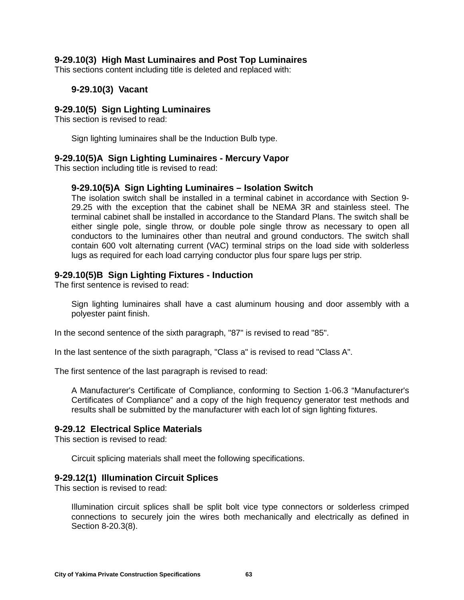## **9-29.10(3) High Mast Luminaires and Post Top Luminaires**

This sections content including title is deleted and replaced with:

## **9-29.10(3) Vacant**

### **9-29.10(5) Sign Lighting Luminaires**

This section is revised to read:

Sign lighting luminaires shall be the Induction Bulb type.

### **9-29.10(5)A Sign Lighting Luminaires - Mercury Vapor**

This section including title is revised to read:

### **9-29.10(5)A Sign Lighting Luminaires – Isolation Switch**

The isolation switch shall be installed in a terminal cabinet in accordance with Section 9- 29.25 with the exception that the cabinet shall be NEMA 3R and stainless steel. The terminal cabinet shall be installed in accordance to the Standard Plans. The switch shall be either single pole, single throw, or double pole single throw as necessary to open all conductors to the luminaires other than neutral and ground conductors. The switch shall contain 600 volt alternating current (VAC) terminal strips on the load side with solderless lugs as required for each load carrying conductor plus four spare lugs per strip.

### **9-29.10(5)B Sign Lighting Fixtures - Induction**

The first sentence is revised to read:

Sign lighting luminaires shall have a cast aluminum housing and door assembly with a polyester paint finish.

In the second sentence of the sixth paragraph, "87" is revised to read "85".

In the last sentence of the sixth paragraph, "Class a" is revised to read "Class A".

The first sentence of the last paragraph is revised to read:

A Manufacturer's Certificate of Compliance, conforming to Section 1-06.3 "Manufacturer's Certificates of Compliance" and a copy of the high frequency generator test methods and results shall be submitted by the manufacturer with each lot of sign lighting fixtures.

## **9-29.12 Electrical Splice Materials**

This section is revised to read:

Circuit splicing materials shall meet the following specifications.

## **9-29.12(1) Illumination Circuit Splices**

This section is revised to read:

Illumination circuit splices shall be split bolt vice type connectors or solderless crimped connections to securely join the wires both mechanically and electrically as defined in Section 8-20.3(8).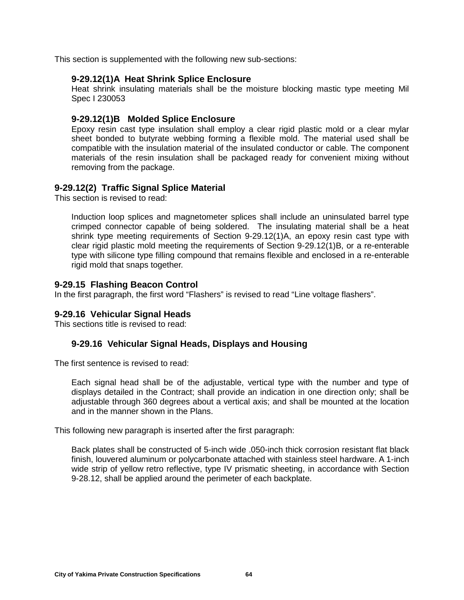This section is supplemented with the following new sub-sections:

### **9-29.12(1)A Heat Shrink Splice Enclosure**

Heat shrink insulating materials shall be the moisture blocking mastic type meeting Mil Spec I 230053

### **9-29.12(1)B Molded Splice Enclosure**

Epoxy resin cast type insulation shall employ a clear rigid plastic mold or a clear mylar sheet bonded to butyrate webbing forming a flexible mold. The material used shall be compatible with the insulation material of the insulated conductor or cable. The component materials of the resin insulation shall be packaged ready for convenient mixing without removing from the package.

### **9-29.12(2) Traffic Signal Splice Material**

This section is revised to read:

Induction loop splices and magnetometer splices shall include an uninsulated barrel type crimped connector capable of being soldered. The insulating material shall be a heat shrink type meeting requirements of Section 9-29.12(1)A, an epoxy resin cast type with clear rigid plastic mold meeting the requirements of Section 9-29.12(1)B, or a re-enterable type with silicone type filling compound that remains flexible and enclosed in a re-enterable rigid mold that snaps together.

### **9-29.15 Flashing Beacon Control**

In the first paragraph, the first word "Flashers" is revised to read "Line voltage flashers".

#### **9-29.16 Vehicular Signal Heads**

This sections title is revised to read:

## **9-29.16 Vehicular Signal Heads, Displays and Housing**

The first sentence is revised to read:

Each signal head shall be of the adjustable, vertical type with the number and type of displays detailed in the Contract; shall provide an indication in one direction only; shall be adjustable through 360 degrees about a vertical axis; and shall be mounted at the location and in the manner shown in the Plans.

This following new paragraph is inserted after the first paragraph:

Back plates shall be constructed of 5-inch wide .050-inch thick corrosion resistant flat black finish, louvered aluminum or polycarbonate attached with stainless steel hardware. A 1-inch wide strip of yellow retro reflective, type IV prismatic sheeting, in accordance with Section 9-28.12, shall be applied around the perimeter of each backplate.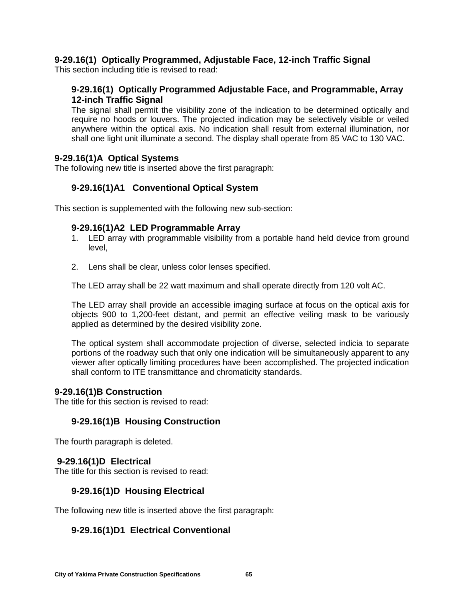# **9-29.16(1) Optically Programmed, Adjustable Face, 12-inch Traffic Signal**

This section including title is revised to read:

# **9-29.16(1) Optically Programmed Adjustable Face, and Programmable, Array 12-inch Traffic Signal**

The signal shall permit the visibility zone of the indication to be determined optically and require no hoods or louvers. The projected indication may be selectively visible or veiled anywhere within the optical axis. No indication shall result from external illumination, nor shall one light unit illuminate a second. The display shall operate from 85 VAC to 130 VAC.

# **9-29.16(1)A Optical Systems**

The following new title is inserted above the first paragraph:

# **9-29.16(1)A1 Conventional Optical System**

This section is supplemented with the following new sub-section:

## **9-29.16(1)A2 LED Programmable Array**

- 1. LED array with programmable visibility from a portable hand held device from ground level,
- 2. Lens shall be clear, unless color lenses specified.

The LED array shall be 22 watt maximum and shall operate directly from 120 volt AC.

The LED array shall provide an accessible imaging surface at focus on the optical axis for objects 900 to 1,200-feet distant, and permit an effective veiling mask to be variously applied as determined by the desired visibility zone.

The optical system shall accommodate projection of diverse, selected indicia to separate portions of the roadway such that only one indication will be simultaneously apparent to any viewer after optically limiting procedures have been accomplished. The projected indication shall conform to ITE transmittance and chromaticity standards.

## **9-29.16(1)B Construction**

The title for this section is revised to read:

# **9-29.16(1)B Housing Construction**

The fourth paragraph is deleted.

## **9-29.16(1)D Electrical**

The title for this section is revised to read:

# **9-29.16(1)D Housing Electrical**

The following new title is inserted above the first paragraph:

# **9-29.16(1)D1 Electrical Conventional**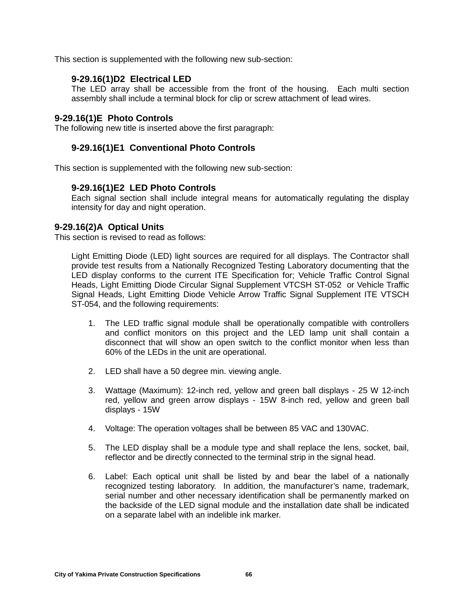This section is supplemented with the following new sub-section:

# **9-29.16(1)D2 Electrical LED**

The LED array shall be accessible from the front of the housing. Each multi section assembly shall include a terminal block for clip or screw attachment of lead wires.

# **9-29.16(1)E Photo Controls**

The following new title is inserted above the first paragraph:

## **9-29.16(1)E1 Conventional Photo Controls**

This section is supplemented with the following new sub-section:

## **9-29.16(1)E2 LED Photo Controls**

Each signal section shall include integral means for automatically regulating the display intensity for day and night operation.

### **9-29.16(2)A Optical Units**

This section is revised to read as follows:

Light Emitting Diode (LED) light sources are required for all displays. The Contractor shall provide test results from a Nationally Recognized Testing Laboratory documenting that the LED display conforms to the current ITE Specification for; Vehicle Traffic Control Signal Heads, Light Emitting Diode Circular Signal Supplement VTCSH ST-052 or Vehicle Traffic Signal Heads, Light Emitting Diode Vehicle Arrow Traffic Signal Supplement ITE VTSCH ST-054, and the following requirements:

- 1. The LED traffic signal module shall be operationally compatible with controllers and conflict monitors on this project and the LED lamp unit shall contain a disconnect that will show an open switch to the conflict monitor when less than 60% of the LEDs in the unit are operational.
- 2. LED shall have a 50 degree min. viewing angle.
- 3. Wattage (Maximum): 12-inch red, yellow and green ball displays 25 W 12-inch red, yellow and green arrow displays - 15W 8-inch red, yellow and green ball displays - 15W
- 4. Voltage: The operation voltages shall be between 85 VAC and 130VAC.
- 5. The LED display shall be a module type and shall replace the lens, socket, bail, reflector and be directly connected to the terminal strip in the signal head.
- 6. Label: Each optical unit shall be listed by and bear the label of a nationally recognized testing laboratory. In addition, the manufacturer's name, trademark, serial number and other necessary identification shall be permanently marked on the backside of the LED signal module and the installation date shall be indicated on a separate label with an indelible ink marker.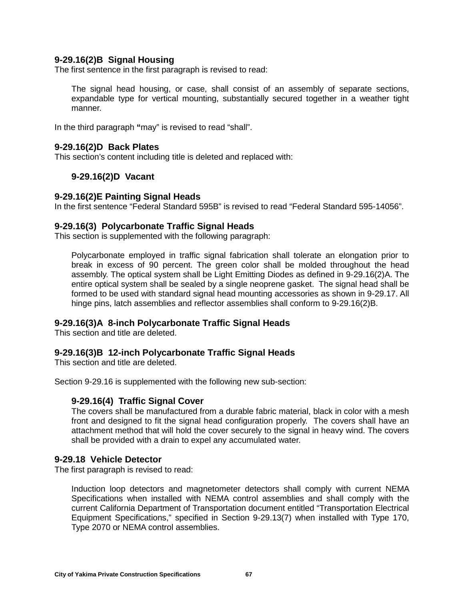## **9-29.16(2)B Signal Housing**

The first sentence in the first paragraph is revised to read:

The signal head housing, or case, shall consist of an assembly of separate sections, expandable type for vertical mounting, substantially secured together in a weather tight manner.

In the third paragraph **"**may" is revised to read "shall".

### **9-29.16(2)D Back Plates**

This section's content including title is deleted and replaced with:

### **9-29.16(2)D Vacant**

#### **9-29.16(2)E Painting Signal Heads**

In the first sentence "Federal Standard 595B" is revised to read "Federal Standard 595-14056".

#### **9-29.16(3) Polycarbonate Traffic Signal Heads**

This section is supplemented with the following paragraph:

Polycarbonate employed in traffic signal fabrication shall tolerate an elongation prior to break in excess of 90 percent. The green color shall be molded throughout the head assembly. The optical system shall be Light Emitting Diodes as defined in 9-29.16(2)A. The entire optical system shall be sealed by a single neoprene gasket. The signal head shall be formed to be used with standard signal head mounting accessories as shown in 9-29.17. All hinge pins, latch assemblies and reflector assemblies shall conform to 9-29.16(2)B.

## **9-29.16(3)A 8-inch Polycarbonate Traffic Signal Heads**

This section and title are deleted.

#### **9-29.16(3)B 12-inch Polycarbonate Traffic Signal Heads**

This section and title are deleted.

Section 9-29.16 is supplemented with the following new sub-section:

## **9-29.16(4) Traffic Signal Cover**

The covers shall be manufactured from a durable fabric material, black in color with a mesh front and designed to fit the signal head configuration properly. The covers shall have an attachment method that will hold the cover securely to the signal in heavy wind. The covers shall be provided with a drain to expel any accumulated water.

#### **9-29.18 Vehicle Detector**

The first paragraph is revised to read:

Induction loop detectors and magnetometer detectors shall comply with current NEMA Specifications when installed with NEMA control assemblies and shall comply with the current California Department of Transportation document entitled "Transportation Electrical Equipment Specifications," specified in Section 9-29.13(7) when installed with Type 170, Type 2070 or NEMA control assemblies.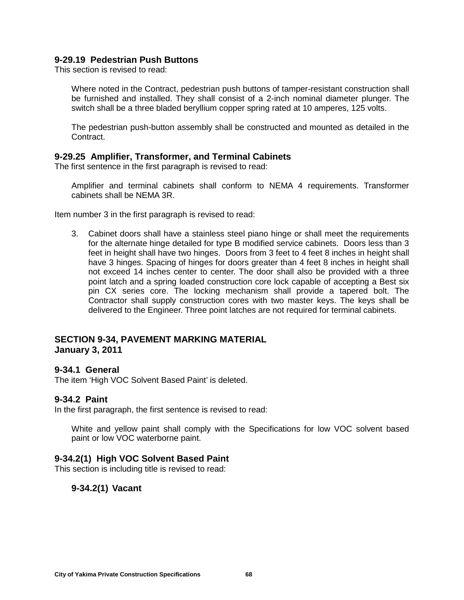## **9-29.19 Pedestrian Push Buttons**

This section is revised to read:

Where noted in the Contract, pedestrian push buttons of tamper-resistant construction shall be furnished and installed. They shall consist of a 2-inch nominal diameter plunger. The switch shall be a three bladed beryllium copper spring rated at 10 amperes, 125 volts.

The pedestrian push-button assembly shall be constructed and mounted as detailed in the Contract.

## **9-29.25 Amplifier, Transformer, and Terminal Cabinets**

The first sentence in the first paragraph is revised to read:

Amplifier and terminal cabinets shall conform to NEMA 4 requirements. Transformer cabinets shall be NEMA 3R.

Item number 3 in the first paragraph is revised to read:

3. Cabinet doors shall have a stainless steel piano hinge or shall meet the requirements for the alternate hinge detailed for type B modified service cabinets. Doors less than 3 feet in height shall have two hinges. Doors from 3 feet to 4 feet 8 inches in height shall have 3 hinges. Spacing of hinges for doors greater than 4 feet 8 inches in height shall not exceed 14 inches center to center. The door shall also be provided with a three point latch and a spring loaded construction core lock capable of accepting a Best six pin CX series core. The locking mechanism shall provide a tapered bolt. The Contractor shall supply construction cores with two master keys. The keys shall be delivered to the Engineer. Three point latches are not required for terminal cabinets.

### **SECTION 9-34, PAVEMENT MARKING MATERIAL January 3, 2011**

#### **9-34.1 General**

The item 'High VOC Solvent Based Paint' is deleted.

#### **9-34.2 Paint**

In the first paragraph, the first sentence is revised to read:

White and yellow paint shall comply with the Specifications for low VOC solvent based paint or low VOC waterborne paint.

## **9-34.2(1) High VOC Solvent Based Paint**

This section is including title is revised to read:

## **9-34.2(1) Vacant**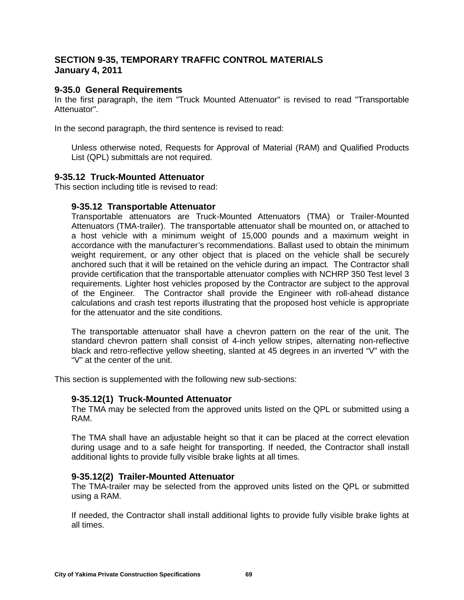# **SECTION 9-35, TEMPORARY TRAFFIC CONTROL MATERIALS January 4, 2011**

### **9-35.0 General Requirements**

In the first paragraph, the item "Truck Mounted Attenuator" is revised to read "Transportable Attenuator".

In the second paragraph, the third sentence is revised to read:

Unless otherwise noted, Requests for Approval of Material (RAM) and Qualified Products List (QPL) submittals are not required.

### **9-35.12 Truck-Mounted Attenuator**

This section including title is revised to read:

### **9-35.12 Transportable Attenuator**

Transportable attenuators are Truck-Mounted Attenuators (TMA) or Trailer-Mounted Attenuators (TMA-trailer). The transportable attenuator shall be mounted on, or attached to a host vehicle with a minimum weight of 15,000 pounds and a maximum weight in accordance with the manufacturer's recommendations. Ballast used to obtain the minimum weight requirement, or any other object that is placed on the vehicle shall be securely anchored such that it will be retained on the vehicle during an impact. The Contractor shall provide certification that the transportable attenuator complies with NCHRP 350 Test level 3 requirements. Lighter host vehicles proposed by the Contractor are subject to the approval of the Engineer. The Contractor shall provide the Engineer with roll-ahead distance calculations and crash test reports illustrating that the proposed host vehicle is appropriate for the attenuator and the site conditions.

The transportable attenuator shall have a chevron pattern on the rear of the unit. The standard chevron pattern shall consist of 4-inch yellow stripes, alternating non-reflective black and retro-reflective yellow sheeting, slanted at 45 degrees in an inverted "V" with the "V" at the center of the unit.

This section is supplemented with the following new sub-sections:

#### **9-35.12(1) Truck-Mounted Attenuator**

The TMA may be selected from the approved units listed on the QPL or submitted using a RAM.

The TMA shall have an adjustable height so that it can be placed at the correct elevation during usage and to a safe height for transporting. If needed, the Contractor shall install additional lights to provide fully visible brake lights at all times.

#### **9-35.12(2) Trailer-Mounted Attenuator**

The TMA-trailer may be selected from the approved units listed on the QPL or submitted using a RAM.

If needed, the Contractor shall install additional lights to provide fully visible brake lights at all times.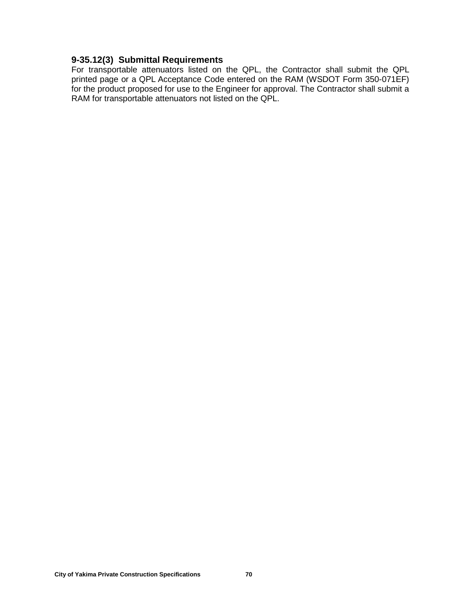# **9-35.12(3) Submittal Requirements**

For transportable attenuators listed on the QPL, the Contractor shall submit the QPL printed page or a QPL Acceptance Code entered on the RAM (WSDOT Form 350-071EF) for the product proposed for use to the Engineer for approval. The Contractor shall submit a RAM for transportable attenuators not listed on the QPL.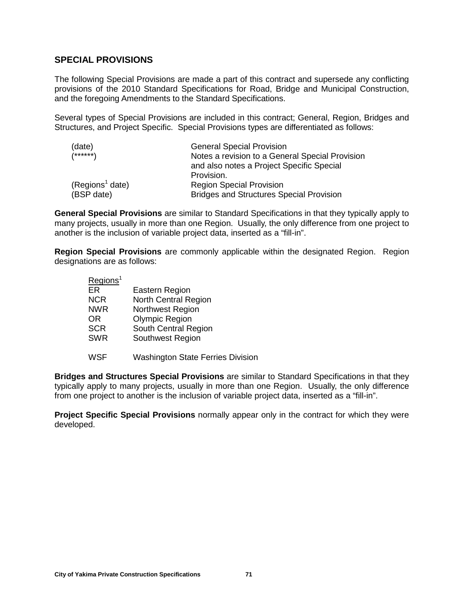## **SPECIAL PROVISIONS**

The following Special Provisions are made a part of this contract and supersede any conflicting provisions of the 2010 Standard Specifications for Road, Bridge and Municipal Construction, and the foregoing Amendments to the Standard Specifications.

Several types of Special Provisions are included in this contract; General, Region, Bridges and Structures, and Project Specific. Special Provisions types are differentiated as follows:

| <b>General Special Provision</b>                |
|-------------------------------------------------|
| Notes a revision to a General Special Provision |
| and also notes a Project Specific Special       |
| Provision.                                      |
| <b>Region Special Provision</b>                 |
| <b>Bridges and Structures Special Provision</b> |
|                                                 |

**General Special Provisions** are similar to Standard Specifications in that they typically apply to many projects, usually in more than one Region. Usually, the only difference from one project to another is the inclusion of variable project data, inserted as a "fill-in".

**Region Special Provisions** are commonly applicable within the designated Region. Region designations are as follows:

| Regions <sup>1</sup> |                                          |
|----------------------|------------------------------------------|
| ER                   | Eastern Region                           |
| <b>NCR</b>           | North Central Region                     |
| <b>NWR</b>           | Northwest Region                         |
| OR.                  | <b>Olympic Region</b>                    |
| <b>SCR</b>           | South Central Region                     |
| <b>SWR</b>           | Southwest Region                         |
|                      |                                          |
| WSF                  | <b>Washington State Ferries Division</b> |

**Bridges and Structures Special Provisions** are similar to Standard Specifications in that they typically apply to many projects, usually in more than one Region. Usually, the only difference from one project to another is the inclusion of variable project data, inserted as a "fill-in".

**Project Specific Special Provisions** normally appear only in the contract for which they were developed.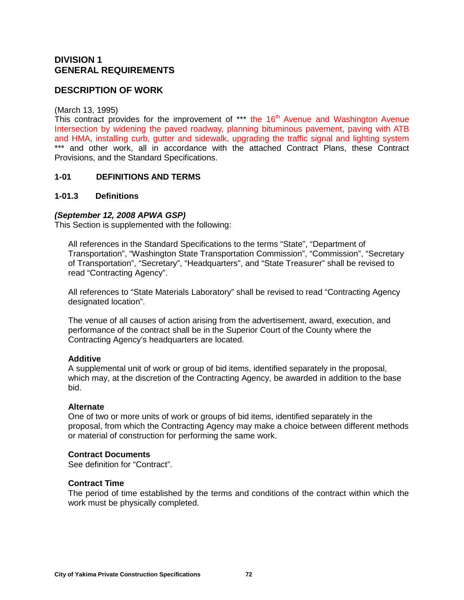## **DIVISION 1 GENERAL REQUIREMENTS**

## **DESCRIPTION OF WORK**

#### (March 13, 1995)

This contract provides for the improvement of \*\*\* the 16<sup>th</sup> Avenue and Washington Avenue Intersection by widening the paved roadway, planning bituminous pavement, paving with ATB and HMA, installing curb, gutter and sidewalk, upgrading the traffic signal and lighting system \*\*\* and other work, all in accordance with the attached Contract Plans, these Contract Provisions, and the Standard Specifications.

### **1-01 DEFINITIONS AND TERMS**

### **1-01.3 Definitions**

### *(September 12, 2008 APWA GSP)*

This Section is supplemented with the following:

All references in the Standard Specifications to the terms "State", "Department of Transportation", "Washington State Transportation Commission", "Commission", "Secretary of Transportation", "Secretary", "Headquarters", and "State Treasurer" shall be revised to read "Contracting Agency".

All references to "State Materials Laboratory" shall be revised to read "Contracting Agency designated location".

The venue of all causes of action arising from the advertisement, award, execution, and performance of the contract shall be in the Superior Court of the County where the Contracting Agency's headquarters are located.

#### **Additive**

A supplemental unit of work or group of bid items, identified separately in the proposal, which may, at the discretion of the Contracting Agency, be awarded in addition to the base bid.

#### **Alternate**

One of two or more units of work or groups of bid items, identified separately in the proposal, from which the Contracting Agency may make a choice between different methods or material of construction for performing the same work.

## **Contract Documents**

See definition for "Contract".

## **Contract Time**

The period of time established by the terms and conditions of the contract within which the work must be physically completed.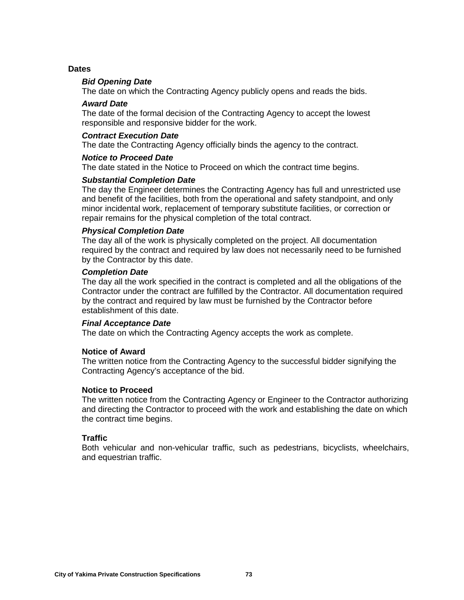#### **Dates**

#### *Bid Opening Date*

The date on which the Contracting Agency publicly opens and reads the bids.

#### *Award Date*

The date of the formal decision of the Contracting Agency to accept the lowest responsible and responsive bidder for the work.

#### *Contract Execution Date*

The date the Contracting Agency officially binds the agency to the contract.

#### *Notice to Proceed Date*

The date stated in the Notice to Proceed on which the contract time begins.

#### *Substantial Completion Date*

The day the Engineer determines the Contracting Agency has full and unrestricted use and benefit of the facilities, both from the operational and safety standpoint, and only minor incidental work, replacement of temporary substitute facilities, or correction or repair remains for the physical completion of the total contract.

#### *Physical Completion Date*

The day all of the work is physically completed on the project. All documentation required by the contract and required by law does not necessarily need to be furnished by the Contractor by this date.

#### *Completion Date*

The day all the work specified in the contract is completed and all the obligations of the Contractor under the contract are fulfilled by the Contractor. All documentation required by the contract and required by law must be furnished by the Contractor before establishment of this date.

#### *Final Acceptance Date*

The date on which the Contracting Agency accepts the work as complete.

#### **Notice of Award**

The written notice from the Contracting Agency to the successful bidder signifying the Contracting Agency's acceptance of the bid.

#### **Notice to Proceed**

The written notice from the Contracting Agency or Engineer to the Contractor authorizing and directing the Contractor to proceed with the work and establishing the date on which the contract time begins.

#### **Traffic**

Both vehicular and non-vehicular traffic, such as pedestrians, bicyclists, wheelchairs, and equestrian traffic.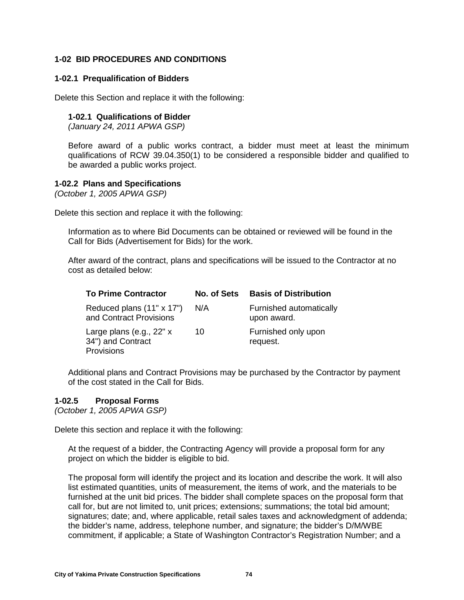### **1-02 BID PROCEDURES AND CONDITIONS**

#### **1-02.1 Prequalification of Bidders**

Delete this Section and replace it with the following:

#### **1-02.1 Qualifications of Bidder**

*(January 24, 2011 APWA GSP)*

Before award of a public works contract, a bidder must meet at least the minimum qualifications of RCW 39.04.350(1) to be considered a responsible bidder and qualified to be awarded a public works project.

#### **1-02.2 Plans and Specifications**

*(October 1, 2005 APWA GSP)*

Delete this section and replace it with the following:

Information as to where Bid Documents can be obtained or reviewed will be found in the Call for Bids (Advertisement for Bids) for the work.

After award of the contract, plans and specifications will be issued to the Contractor at no cost as detailed below:

| <b>To Prime Contractor</b>                                  | No. of Sets | <b>Basis of Distribution</b>           |
|-------------------------------------------------------------|-------------|----------------------------------------|
| Reduced plans (11" x 17")<br>and Contract Provisions        | N/A         | Furnished automatically<br>upon award. |
| Large plans (e.g., 22" x<br>34") and Contract<br>Provisions | 10          | Furnished only upon<br>request.        |

Additional plans and Contract Provisions may be purchased by the Contractor by payment of the cost stated in the Call for Bids.

### **1-02.5 Proposal Forms**

*(October 1, 2005 APWA GSP)*

Delete this section and replace it with the following:

At the request of a bidder, the Contracting Agency will provide a proposal form for any project on which the bidder is eligible to bid.

The proposal form will identify the project and its location and describe the work. It will also list estimated quantities, units of measurement, the items of work, and the materials to be furnished at the unit bid prices. The bidder shall complete spaces on the proposal form that call for, but are not limited to, unit prices; extensions; summations; the total bid amount; signatures; date; and, where applicable, retail sales taxes and acknowledgment of addenda; the bidder's name, address, telephone number, and signature; the bidder's D/M/WBE commitment, if applicable; a State of Washington Contractor's Registration Number; and a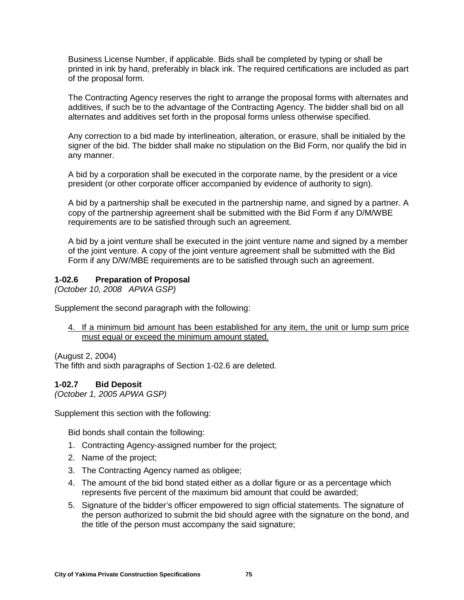Business License Number, if applicable. Bids shall be completed by typing or shall be printed in ink by hand, preferably in black ink. The required certifications are included as part of the proposal form.

The Contracting Agency reserves the right to arrange the proposal forms with alternates and additives, if such be to the advantage of the Contracting Agency. The bidder shall bid on all alternates and additives set forth in the proposal forms unless otherwise specified.

Any correction to a bid made by interlineation, alteration, or erasure, shall be initialed by the signer of the bid. The bidder shall make no stipulation on the Bid Form, nor qualify the bid in any manner.

A bid by a corporation shall be executed in the corporate name, by the president or a vice president (or other corporate officer accompanied by evidence of authority to sign).

A bid by a partnership shall be executed in the partnership name, and signed by a partner. A copy of the partnership agreement shall be submitted with the Bid Form if any D/M/WBE requirements are to be satisfied through such an agreement.

A bid by a joint venture shall be executed in the joint venture name and signed by a member of the joint venture. A copy of the joint venture agreement shall be submitted with the Bid Form if any D/W/MBE requirements are to be satisfied through such an agreement.

### **1-02.6 Preparation of Proposal**

*(October 10, 2008 APWA GSP)*

Supplement the second paragraph with the following:

4. If a minimum bid amount has been established for any item, the unit or lump sum price must equal or exceed the minimum amount stated.

(August 2, 2004)

The fifth and sixth paragraphs of Section 1-02.6 are deleted.

### **1-02.7 Bid Deposit**

*(October 1, 2005 APWA GSP)*

Supplement this section with the following:

Bid bonds shall contain the following:

- 1. Contracting Agency-assigned number for the project;
- 2. Name of the project;
- 3. The Contracting Agency named as obligee;
- 4. The amount of the bid bond stated either as a dollar figure or as a percentage which represents five percent of the maximum bid amount that could be awarded;
- 5. Signature of the bidder's officer empowered to sign official statements. The signature of the person authorized to submit the bid should agree with the signature on the bond, and the title of the person must accompany the said signature;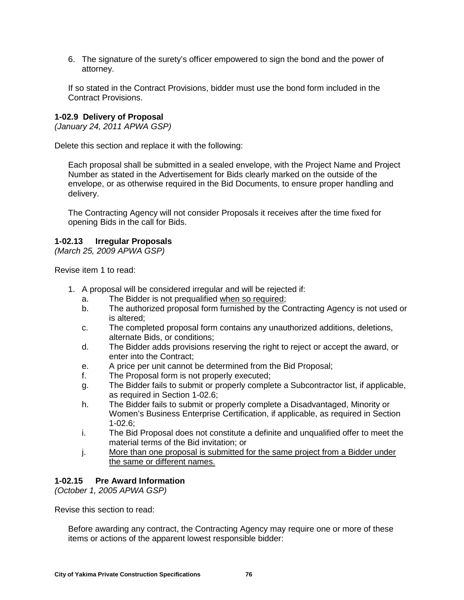6. The signature of the surety's officer empowered to sign the bond and the power of attorney.

If so stated in the Contract Provisions, bidder must use the bond form included in the Contract Provisions.

#### **1-02.9 Delivery of Proposal**

*(January 24, 2011 APWA GSP)*

Delete this section and replace it with the following:

Each proposal shall be submitted in a sealed envelope, with the Project Name and Project Number as stated in the Advertisement for Bids clearly marked on the outside of the envelope, or as otherwise required in the Bid Documents, to ensure proper handling and delivery.

The Contracting Agency will not consider Proposals it receives after the time fixed for opening Bids in the call for Bids.

### **1-02.13 Irregular Proposals**

*(March 25, 2009 APWA GSP)*

Revise item 1 to read:

- 1. A proposal will be considered irregular and will be rejected if:
	- a. The Bidder is not prequalified when so required;
	- b. The authorized proposal form furnished by the Contracting Agency is not used or is altered;
	- c. The completed proposal form contains any unauthorized additions, deletions, alternate Bids, or conditions;
	- d. The Bidder adds provisions reserving the right to reject or accept the award, or enter into the Contract;
	- e. A price per unit cannot be determined from the Bid Proposal;
	- f. The Proposal form is not properly executed;
	- g. The Bidder fails to submit or properly complete a Subcontractor list, if applicable, as required in Section 1-02.6;
	- h. The Bidder fails to submit or properly complete a Disadvantaged, Minority or Women's Business Enterprise Certification, if applicable, as required in Section 1-02.6;
	- i. The Bid Proposal does not constitute a definite and unqualified offer to meet the material terms of the Bid invitation; or
	- j. More than one proposal is submitted for the same project from a Bidder under the same or different names.

### **1-02.15 Pre Award Information**

*(October 1, 2005 APWA GSP)*

Revise this section to read:

Before awarding any contract, the Contracting Agency may require one or more of these items or actions of the apparent lowest responsible bidder: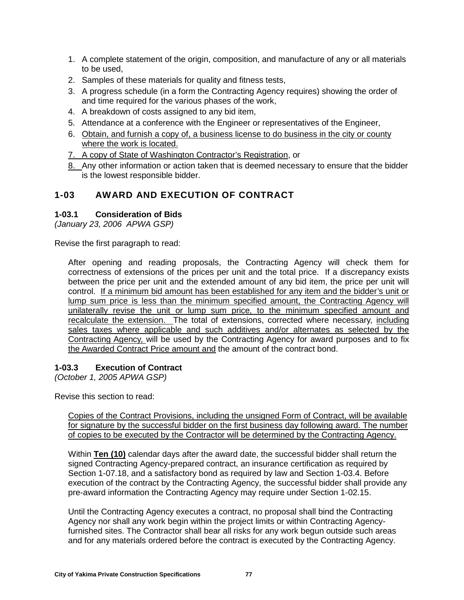- 1. A complete statement of the origin, composition, and manufacture of any or all materials to be used,
- 2. Samples of these materials for quality and fitness tests,
- 3. A progress schedule (in a form the Contracting Agency requires) showing the order of and time required for the various phases of the work,
- 4. A breakdown of costs assigned to any bid item,
- 5. Attendance at a conference with the Engineer or representatives of the Engineer,
- 6. Obtain, and furnish a copy of, a business license to do business in the city or county where the work is located.
- 7. A copy of State of Washington Contractor's Registration, or
- 8. Any other information or action taken that is deemed necessary to ensure that the bidder is the lowest responsible bidder.

# **1-03 AWARD AND EXECUTION OF CONTRACT**

### **1-03.1 Consideration of Bids**

*(January 23, 2006 APWA GSP)*

Revise the first paragraph to read:

After opening and reading proposals, the Contracting Agency will check them for correctness of extensions of the prices per unit and the total price. If a discrepancy exists between the price per unit and the extended amount of any bid item, the price per unit will control. If a minimum bid amount has been established for any item and the bidder's unit or lump sum price is less than the minimum specified amount, the Contracting Agency will unilaterally revise the unit or lump sum price, to the minimum specified amount and recalculate the extension. The total of extensions, corrected where necessary, including sales taxes where applicable and such additives and/or alternates as selected by the Contracting Agency, will be used by the Contracting Agency for award purposes and to fix the Awarded Contract Price amount and the amount of the contract bond.

### **1-03.3 Execution of Contract**

*(October 1, 2005 APWA GSP)*

Revise this section to read:

Copies of the Contract Provisions, including the unsigned Form of Contract, will be available for signature by the successful bidder on the first business day following award. The number of copies to be executed by the Contractor will be determined by the Contracting Agency.

Within **Ten (10)** calendar days after the award date, the successful bidder shall return the signed Contracting Agency-prepared contract, an insurance certification as required by Section 1-07.18, and a satisfactory bond as required by law and Section 1-03.4. Before execution of the contract by the Contracting Agency, the successful bidder shall provide any pre-award information the Contracting Agency may require under Section 1-02.15.

Until the Contracting Agency executes a contract, no proposal shall bind the Contracting Agency nor shall any work begin within the project limits or within Contracting Agencyfurnished sites. The Contractor shall bear all risks for any work begun outside such areas and for any materials ordered before the contract is executed by the Contracting Agency.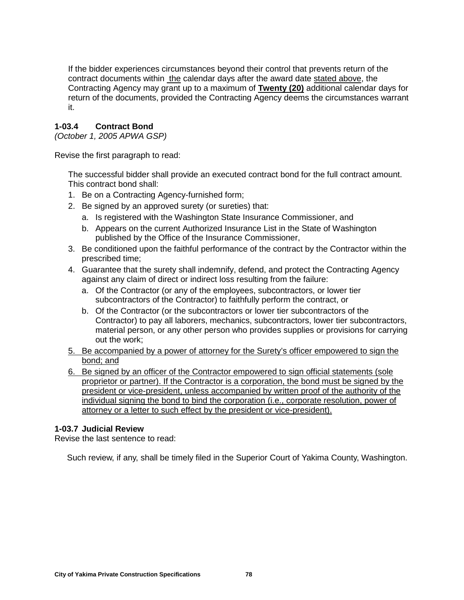If the bidder experiences circumstances beyond their control that prevents return of the contract documents within the calendar days after the award date stated above, the Contracting Agency may grant up to a maximum of **Twenty (20)** additional calendar days for return of the documents, provided the Contracting Agency deems the circumstances warrant it.

# **1-03.4 Contract Bond**

*(October 1, 2005 APWA GSP)*

Revise the first paragraph to read:

The successful bidder shall provide an executed contract bond for the full contract amount. This contract bond shall:

- 1. Be on a Contracting Agency-furnished form;
- 2. Be signed by an approved surety (or sureties) that:
	- a. Is registered with the Washington State Insurance Commissioner, and
	- b. Appears on the current Authorized Insurance List in the State of Washington published by the Office of the Insurance Commissioner,
- 3. Be conditioned upon the faithful performance of the contract by the Contractor within the prescribed time;
- 4. Guarantee that the surety shall indemnify, defend, and protect the Contracting Agency against any claim of direct or indirect loss resulting from the failure:
	- a. Of the Contractor (or any of the employees, subcontractors, or lower tier subcontractors of the Contractor) to faithfully perform the contract, or
	- b. Of the Contractor (or the subcontractors or lower tier subcontractors of the Contractor) to pay all laborers, mechanics, subcontractors, lower tier subcontractors, material person, or any other person who provides supplies or provisions for carrying out the work;
- 5. Be accompanied by a power of attorney for the Surety's officer empowered to sign the bond; and
- 6. Be signed by an officer of the Contractor empowered to sign official statements (sole proprietor or partner). If the Contractor is a corporation, the bond must be signed by the president or vice-president, unless accompanied by written proof of the authority of the individual signing the bond to bind the corporation (i.e., corporate resolution, power of attorney or a letter to such effect by the president or vice-president).

### **1-03.7 Judicial Review**

Revise the last sentence to read:

Such review, if any, shall be timely filed in the Superior Court of Yakima County, Washington.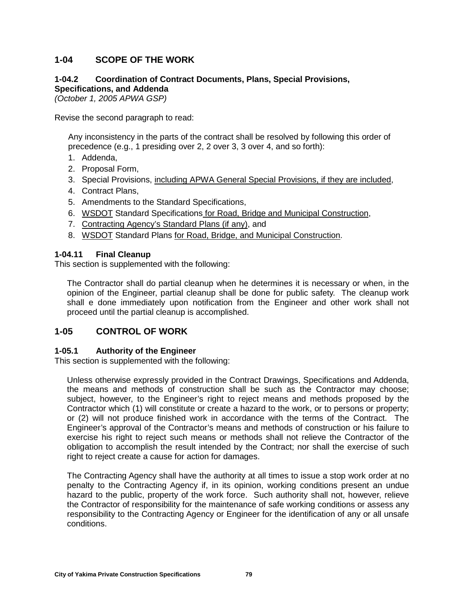# **1-04 SCOPE OF THE WORK**

### **1-04.2 Coordination of Contract Documents, Plans, Special Provisions, Specifications, and Addenda**

*(October 1, 2005 APWA GSP)*

Revise the second paragraph to read:

Any inconsistency in the parts of the contract shall be resolved by following this order of precedence (e.g., 1 presiding over 2, 2 over 3, 3 over 4, and so forth):

- 1. Addenda,
- 2. Proposal Form,
- 3. Special Provisions, including APWA General Special Provisions, if they are included,
- 4. Contract Plans,
- 5. Amendments to the Standard Specifications,
- 6. WSDOT Standard Specifications for Road, Bridge and Municipal Construction,
- 7. Contracting Agency's Standard Plans (if any), and
- 8. WSDOT Standard Plans for Road, Bridge, and Municipal Construction.

#### **1-04.11 Final Cleanup**

This section is supplemented with the following:

The Contractor shall do partial cleanup when he determines it is necessary or when, in the opinion of the Engineer, partial cleanup shall be done for public safety. The cleanup work shall e done immediately upon notification from the Engineer and other work shall not proceed until the partial cleanup is accomplished.

### **1-05 CONTROL OF WORK**

#### **1-05.1 Authority of the Engineer**

This section is supplemented with the following:

Unless otherwise expressly provided in the Contract Drawings, Specifications and Addenda, the means and methods of construction shall be such as the Contractor may choose; subject, however, to the Engineer's right to reject means and methods proposed by the Contractor which (1) will constitute or create a hazard to the work, or to persons or property; or (2) will not produce finished work in accordance with the terms of the Contract. The Engineer's approval of the Contractor's means and methods of construction or his failure to exercise his right to reject such means or methods shall not relieve the Contractor of the obligation to accomplish the result intended by the Contract; nor shall the exercise of such right to reject create a cause for action for damages.

The Contracting Agency shall have the authority at all times to issue a stop work order at no penalty to the Contracting Agency if, in its opinion, working conditions present an undue hazard to the public, property of the work force. Such authority shall not, however, relieve the Contractor of responsibility for the maintenance of safe working conditions or assess any responsibility to the Contracting Agency or Engineer for the identification of any or all unsafe conditions.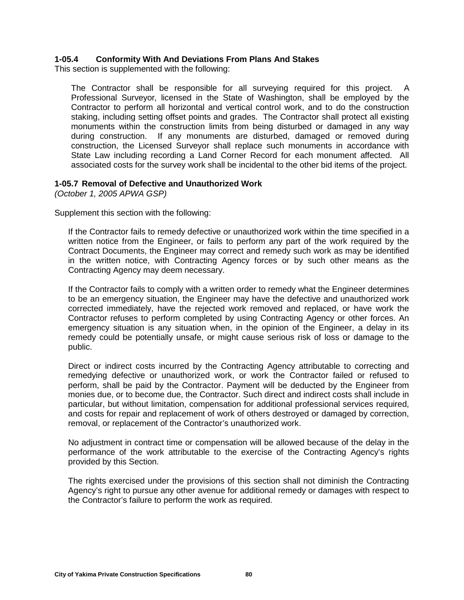### **1-05.4 Conformity With And Deviations From Plans And Stakes**

This section is supplemented with the following:

The Contractor shall be responsible for all surveying required for this project. A Professional Surveyor, licensed in the State of Washington, shall be employed by the Contractor to perform all horizontal and vertical control work, and to do the construction staking, including setting offset points and grades. The Contractor shall protect all existing monuments within the construction limits from being disturbed or damaged in any way during construction. If any monuments are disturbed, damaged or removed during construction, the Licensed Surveyor shall replace such monuments in accordance with State Law including recording a Land Corner Record for each monument affected. All associated costs for the survey work shall be incidental to the other bid items of the project.

#### **1-05.7 Removal of Defective and Unauthorized Work**

*(October 1, 2005 APWA GSP)*

Supplement this section with the following:

If the Contractor fails to remedy defective or unauthorized work within the time specified in a written notice from the Engineer, or fails to perform any part of the work required by the Contract Documents, the Engineer may correct and remedy such work as may be identified in the written notice, with Contracting Agency forces or by such other means as the Contracting Agency may deem necessary.

If the Contractor fails to comply with a written order to remedy what the Engineer determines to be an emergency situation, the Engineer may have the defective and unauthorized work corrected immediately, have the rejected work removed and replaced, or have work the Contractor refuses to perform completed by using Contracting Agency or other forces. An emergency situation is any situation when, in the opinion of the Engineer, a delay in its remedy could be potentially unsafe, or might cause serious risk of loss or damage to the public.

Direct or indirect costs incurred by the Contracting Agency attributable to correcting and remedying defective or unauthorized work, or work the Contractor failed or refused to perform, shall be paid by the Contractor. Payment will be deducted by the Engineer from monies due, or to become due, the Contractor. Such direct and indirect costs shall include in particular, but without limitation, compensation for additional professional services required, and costs for repair and replacement of work of others destroyed or damaged by correction, removal, or replacement of the Contractor's unauthorized work.

No adjustment in contract time or compensation will be allowed because of the delay in the performance of the work attributable to the exercise of the Contracting Agency's rights provided by this Section.

The rights exercised under the provisions of this section shall not diminish the Contracting Agency's right to pursue any other avenue for additional remedy or damages with respect to the Contractor's failure to perform the work as required.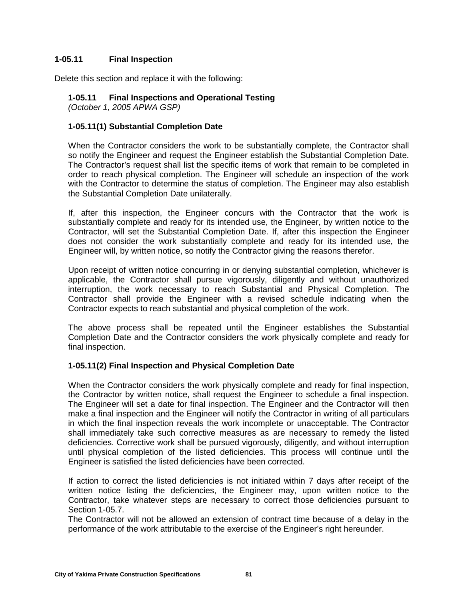### **1-05.11 Final Inspection**

Delete this section and replace it with the following:

# **1-05.11 Final Inspections and Operational Testing**

*(October 1, 2005 APWA GSP)*

### **1-05.11(1) Substantial Completion Date**

When the Contractor considers the work to be substantially complete, the Contractor shall so notify the Engineer and request the Engineer establish the Substantial Completion Date. The Contractor's request shall list the specific items of work that remain to be completed in order to reach physical completion. The Engineer will schedule an inspection of the work with the Contractor to determine the status of completion. The Engineer may also establish the Substantial Completion Date unilaterally.

If, after this inspection, the Engineer concurs with the Contractor that the work is substantially complete and ready for its intended use, the Engineer, by written notice to the Contractor, will set the Substantial Completion Date. If, after this inspection the Engineer does not consider the work substantially complete and ready for its intended use, the Engineer will, by written notice, so notify the Contractor giving the reasons therefor.

Upon receipt of written notice concurring in or denying substantial completion, whichever is applicable, the Contractor shall pursue vigorously, diligently and without unauthorized interruption, the work necessary to reach Substantial and Physical Completion. The Contractor shall provide the Engineer with a revised schedule indicating when the Contractor expects to reach substantial and physical completion of the work.

The above process shall be repeated until the Engineer establishes the Substantial Completion Date and the Contractor considers the work physically complete and ready for final inspection.

### **1-05.11(2) Final Inspection and Physical Completion Date**

When the Contractor considers the work physically complete and ready for final inspection, the Contractor by written notice, shall request the Engineer to schedule a final inspection. The Engineer will set a date for final inspection. The Engineer and the Contractor will then make a final inspection and the Engineer will notify the Contractor in writing of all particulars in which the final inspection reveals the work incomplete or unacceptable. The Contractor shall immediately take such corrective measures as are necessary to remedy the listed deficiencies. Corrective work shall be pursued vigorously, diligently, and without interruption until physical completion of the listed deficiencies. This process will continue until the Engineer is satisfied the listed deficiencies have been corrected.

If action to correct the listed deficiencies is not initiated within 7 days after receipt of the written notice listing the deficiencies, the Engineer may, upon written notice to the Contractor, take whatever steps are necessary to correct those deficiencies pursuant to Section 1-05.7.

The Contractor will not be allowed an extension of contract time because of a delay in the performance of the work attributable to the exercise of the Engineer's right hereunder.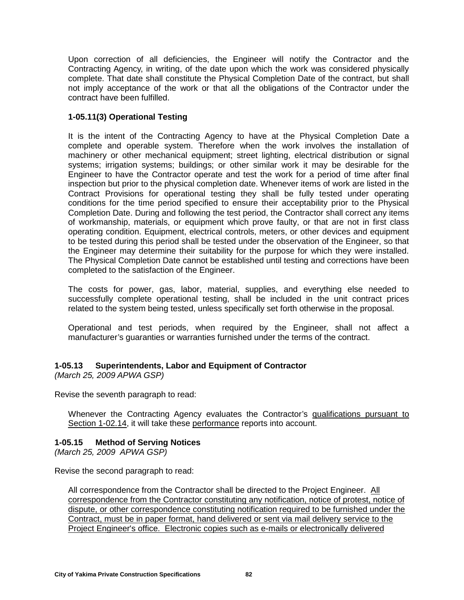Upon correction of all deficiencies, the Engineer will notify the Contractor and the Contracting Agency, in writing, of the date upon which the work was considered physically complete. That date shall constitute the Physical Completion Date of the contract, but shall not imply acceptance of the work or that all the obligations of the Contractor under the contract have been fulfilled.

# **1-05.11(3) Operational Testing**

It is the intent of the Contracting Agency to have at the Physical Completion Date a complete and operable system. Therefore when the work involves the installation of machinery or other mechanical equipment; street lighting, electrical distribution or signal systems; irrigation systems; buildings; or other similar work it may be desirable for the Engineer to have the Contractor operate and test the work for a period of time after final inspection but prior to the physical completion date. Whenever items of work are listed in the Contract Provisions for operational testing they shall be fully tested under operating conditions for the time period specified to ensure their acceptability prior to the Physical Completion Date. During and following the test period, the Contractor shall correct any items of workmanship, materials, or equipment which prove faulty, or that are not in first class operating condition. Equipment, electrical controls, meters, or other devices and equipment to be tested during this period shall be tested under the observation of the Engineer, so that the Engineer may determine their suitability for the purpose for which they were installed. The Physical Completion Date cannot be established until testing and corrections have been completed to the satisfaction of the Engineer.

The costs for power, gas, labor, material, supplies, and everything else needed to successfully complete operational testing, shall be included in the unit contract prices related to the system being tested, unless specifically set forth otherwise in the proposal.

Operational and test periods, when required by the Engineer, shall not affect a manufacturer's guaranties or warranties furnished under the terms of the contract.

# **1-05.13 Superintendents, Labor and Equipment of Contractor**

*(March 25, 2009 APWA GSP)*

Revise the seventh paragraph to read:

Whenever the Contracting Agency evaluates the Contractor's qualifications pursuant to Section 1-02.14, it will take these performance reports into account.

### **1-05.15 Method of Serving Notices**

*(March 25, 2009 APWA GSP)*

Revise the second paragraph to read:

All correspondence from the Contractor shall be directed to the Project Engineer. All correspondence from the Contractor constituting any notification, notice of protest, notice of dispute, or other correspondence constituting notification required to be furnished under the Contract, must be in paper format, hand delivered or sent via mail delivery service to the Project Engineer's office. Electronic copies such as e-mails or electronically delivered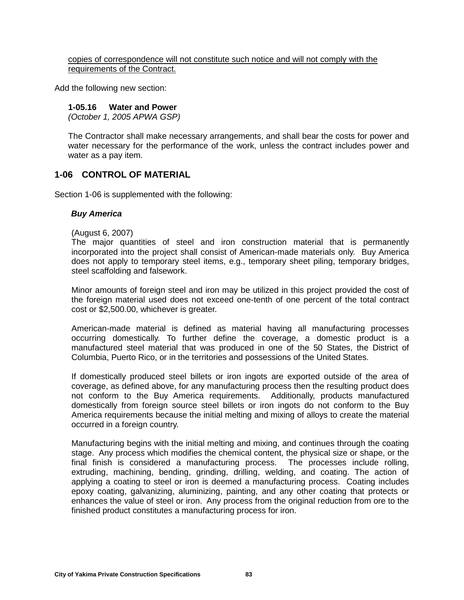#### copies of correspondence will not constitute such notice and will not comply with the requirements of the Contract.

Add the following new section:

#### **1-05.16 Water and Power**

*(October 1, 2005 APWA GSP)*

The Contractor shall make necessary arrangements, and shall bear the costs for power and water necessary for the performance of the work, unless the contract includes power and water as a pay item.

# **1-06 CONTROL OF MATERIAL**

Section 1-06 is supplemented with the following:

#### *Buy America*

(August 6, 2007)

The major quantities of steel and iron construction material that is permanently incorporated into the project shall consist of American-made materials only. Buy America does not apply to temporary steel items, e.g., temporary sheet piling, temporary bridges, steel scaffolding and falsework.

Minor amounts of foreign steel and iron may be utilized in this project provided the cost of the foreign material used does not exceed one-tenth of one percent of the total contract cost or \$2,500.00, whichever is greater.

American-made material is defined as material having all manufacturing processes occurring domestically. To further define the coverage, a domestic product is a manufactured steel material that was produced in one of the 50 States, the District of Columbia, Puerto Rico, or in the territories and possessions of the United States.

If domestically produced steel billets or iron ingots are exported outside of the area of coverage, as defined above, for any manufacturing process then the resulting product does not conform to the Buy America requirements. Additionally, products manufactured domestically from foreign source steel billets or iron ingots do not conform to the Buy America requirements because the initial melting and mixing of alloys to create the material occurred in a foreign country.

Manufacturing begins with the initial melting and mixing, and continues through the coating stage. Any process which modifies the chemical content, the physical size or shape, or the final finish is considered a manufacturing process. The processes include rolling, extruding, machining, bending, grinding, drilling, welding, and coating. The action of applying a coating to steel or iron is deemed a manufacturing process. Coating includes epoxy coating, galvanizing, aluminizing, painting, and any other coating that protects or enhances the value of steel or iron. Any process from the original reduction from ore to the finished product constitutes a manufacturing process for iron.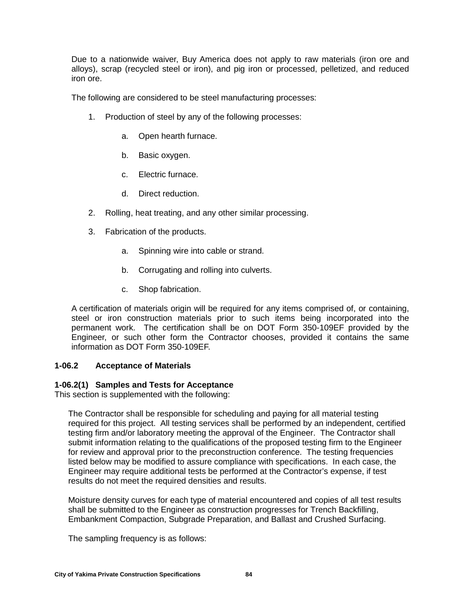Due to a nationwide waiver, Buy America does not apply to raw materials (iron ore and alloys), scrap (recycled steel or iron), and pig iron or processed, pelletized, and reduced iron ore.

The following are considered to be steel manufacturing processes:

- 1. Production of steel by any of the following processes:
	- a. Open hearth furnace.
	- b. Basic oxygen.
	- c. Electric furnace.
	- d. Direct reduction.
- 2. Rolling, heat treating, and any other similar processing.
- 3. Fabrication of the products.
	- a. Spinning wire into cable or strand.
	- b. Corrugating and rolling into culverts.
	- c. Shop fabrication.

A certification of materials origin will be required for any items comprised of, or containing, steel or iron construction materials prior to such items being incorporated into the permanent work. The certification shall be on DOT Form 350-109EF provided by the Engineer, or such other form the Contractor chooses, provided it contains the same information as DOT Form 350-109EF.

#### **1-06.2 Acceptance of Materials**

#### **1-06.2(1) Samples and Tests for Acceptance**

This section is supplemented with the following:

The Contractor shall be responsible for scheduling and paying for all material testing required for this project. All testing services shall be performed by an independent, certified testing firm and/or laboratory meeting the approval of the Engineer. The Contractor shall submit information relating to the qualifications of the proposed testing firm to the Engineer for review and approval prior to the preconstruction conference. The testing frequencies listed below may be modified to assure compliance with specifications. In each case, the Engineer may require additional tests be performed at the Contractor's expense, if test results do not meet the required densities and results.

Moisture density curves for each type of material encountered and copies of all test results shall be submitted to the Engineer as construction progresses for Trench Backfilling, Embankment Compaction, Subgrade Preparation, and Ballast and Crushed Surfacing.

The sampling frequency is as follows: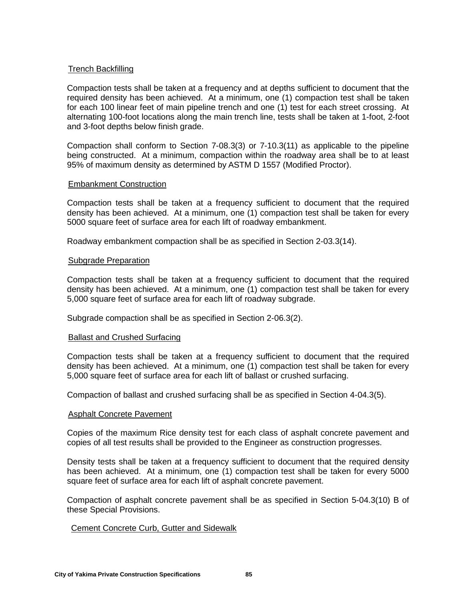#### Trench Backfilling

Compaction tests shall be taken at a frequency and at depths sufficient to document that the required density has been achieved. At a minimum, one (1) compaction test shall be taken for each 100 linear feet of main pipeline trench and one (1) test for each street crossing. At alternating 100-foot locations along the main trench line, tests shall be taken at 1-foot, 2-foot and 3-foot depths below finish grade.

Compaction shall conform to Section 7-08.3(3) or 7-10.3(11) as applicable to the pipeline being constructed. At a minimum, compaction within the roadway area shall be to at least 95% of maximum density as determined by ASTM D 1557 (Modified Proctor).

#### Embankment Construction

Compaction tests shall be taken at a frequency sufficient to document that the required density has been achieved. At a minimum, one (1) compaction test shall be taken for every 5000 square feet of surface area for each lift of roadway embankment.

Roadway embankment compaction shall be as specified in Section 2-03.3(14).

#### Subgrade Preparation

Compaction tests shall be taken at a frequency sufficient to document that the required density has been achieved. At a minimum, one (1) compaction test shall be taken for every 5,000 square feet of surface area for each lift of roadway subgrade.

Subgrade compaction shall be as specified in Section 2-06.3(2).

#### Ballast and Crushed Surfacing

Compaction tests shall be taken at a frequency sufficient to document that the required density has been achieved. At a minimum, one (1) compaction test shall be taken for every 5,000 square feet of surface area for each lift of ballast or crushed surfacing.

Compaction of ballast and crushed surfacing shall be as specified in Section 4-04.3(5).

#### Asphalt Concrete Pavement

Copies of the maximum Rice density test for each class of asphalt concrete pavement and copies of all test results shall be provided to the Engineer as construction progresses.

Density tests shall be taken at a frequency sufficient to document that the required density has been achieved. At a minimum, one (1) compaction test shall be taken for every 5000 square feet of surface area for each lift of asphalt concrete pavement.

Compaction of asphalt concrete pavement shall be as specified in Section 5-04.3(10) B of these Special Provisions.

### Cement Concrete Curb, Gutter and Sidewalk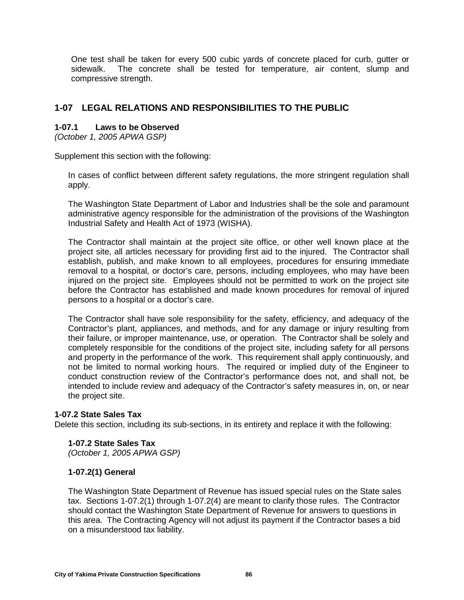One test shall be taken for every 500 cubic yards of concrete placed for curb, gutter or sidewalk. The concrete shall be tested for temperature, air content, slump and compressive strength.

# **1-07 LEGAL RELATIONS AND RESPONSIBILITIES TO THE PUBLIC**

### **1-07.1 Laws to be Observed**

*(October 1, 2005 APWA GSP)*

Supplement this section with the following:

In cases of conflict between different safety regulations, the more stringent regulation shall apply.

The Washington State Department of Labor and Industries shall be the sole and paramount administrative agency responsible for the administration of the provisions of the Washington Industrial Safety and Health Act of 1973 (WISHA).

The Contractor shall maintain at the project site office, or other well known place at the project site, all articles necessary for providing first aid to the injured. The Contractor shall establish, publish, and make known to all employees, procedures for ensuring immediate removal to a hospital, or doctor's care, persons, including employees, who may have been injured on the project site. Employees should not be permitted to work on the project site before the Contractor has established and made known procedures for removal of injured persons to a hospital or a doctor's care.

The Contractor shall have sole responsibility for the safety, efficiency, and adequacy of the Contractor's plant, appliances, and methods, and for any damage or injury resulting from their failure, or improper maintenance, use, or operation. The Contractor shall be solely and completely responsible for the conditions of the project site, including safety for all persons and property in the performance of the work. This requirement shall apply continuously, and not be limited to normal working hours. The required or implied duty of the Engineer to conduct construction review of the Contractor's performance does not, and shall not, be intended to include review and adequacy of the Contractor's safety measures in, on, or near the project site.

#### **1-07.2 State Sales Tax**

Delete this section, including its sub-sections, in its entirety and replace it with the following:

### **1-07.2 State Sales Tax**

*(October 1, 2005 APWA GSP)*

### **1-07.2(1) General**

The Washington State Department of Revenue has issued special rules on the State sales tax. Sections 1-07.2(1) through 1-07.2(4) are meant to clarify those rules. The Contractor should contact the Washington State Department of Revenue for answers to questions in this area. The Contracting Agency will not adjust its payment if the Contractor bases a bid on a misunderstood tax liability.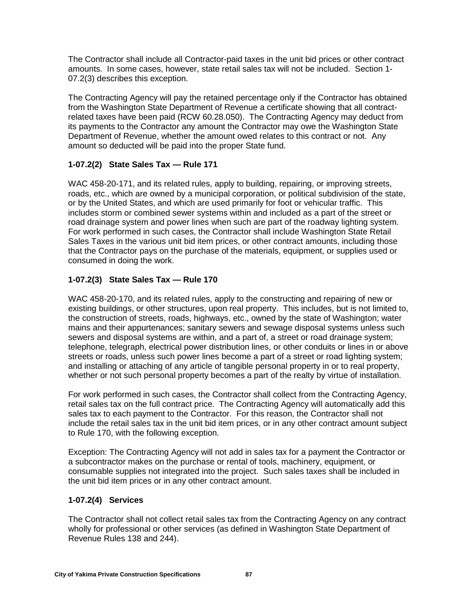The Contractor shall include all Contractor-paid taxes in the unit bid prices or other contract amounts. In some cases, however, state retail sales tax will not be included. Section 1- 07.2(3) describes this exception.

The Contracting Agency will pay the retained percentage only if the Contractor has obtained from the Washington State Department of Revenue a certificate showing that all contractrelated taxes have been paid (RCW 60.28.050). The Contracting Agency may deduct from its payments to the Contractor any amount the Contractor may owe the Washington State Department of Revenue, whether the amount owed relates to this contract or not. Any amount so deducted will be paid into the proper State fund.

# **1-07.2(2) State Sales Tax — Rule 171**

WAC 458-20-171, and its related rules, apply to building, repairing, or improving streets, roads, etc., which are owned by a municipal corporation, or political subdivision of the state, or by the United States, and which are used primarily for foot or vehicular traffic. This includes storm or combined sewer systems within and included as a part of the street or road drainage system and power lines when such are part of the roadway lighting system. For work performed in such cases, the Contractor shall include Washington State Retail Sales Taxes in the various unit bid item prices, or other contract amounts, including those that the Contractor pays on the purchase of the materials, equipment, or supplies used or consumed in doing the work.

# **1-07.2(3) State Sales Tax — Rule 170**

WAC 458-20-170, and its related rules, apply to the constructing and repairing of new or existing buildings, or other structures, upon real property. This includes, but is not limited to, the construction of streets, roads, highways, etc., owned by the state of Washington; water mains and their appurtenances; sanitary sewers and sewage disposal systems unless such sewers and disposal systems are within, and a part of, a street or road drainage system; telephone, telegraph, electrical power distribution lines, or other conduits or lines in or above streets or roads, unless such power lines become a part of a street or road lighting system; and installing or attaching of any article of tangible personal property in or to real property, whether or not such personal property becomes a part of the realty by virtue of installation.

For work performed in such cases, the Contractor shall collect from the Contracting Agency, retail sales tax on the full contract price. The Contracting Agency will automatically add this sales tax to each payment to the Contractor. For this reason, the Contractor shall not include the retail sales tax in the unit bid item prices, or in any other contract amount subject to Rule 170, with the following exception.

Exception: The Contracting Agency will not add in sales tax for a payment the Contractor or a subcontractor makes on the purchase or rental of tools, machinery, equipment, or consumable supplies not integrated into the project. Such sales taxes shall be included in the unit bid item prices or in any other contract amount.

# **1-07.2(4) Services**

The Contractor shall not collect retail sales tax from the Contracting Agency on any contract wholly for professional or other services (as defined in Washington State Department of Revenue Rules 138 and 244).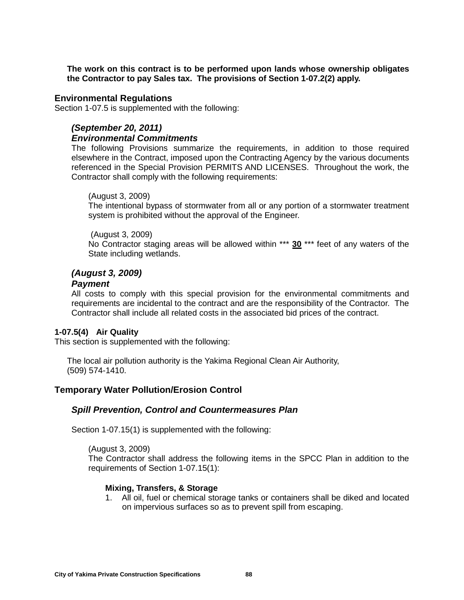**The work on this contract is to be performed upon lands whose ownership obligates the Contractor to pay Sales tax. The provisions of Section 1-07.2(2) apply.**

#### **Environmental Regulations**

Section 1-07.5 is supplemented with the following:

# *(September 20, 2011)*

# *Environmental Commitments*

The following Provisions summarize the requirements, in addition to those required elsewhere in the Contract, imposed upon the Contracting Agency by the various documents referenced in the Special Provision PERMITS AND LICENSES. Throughout the work, the Contractor shall comply with the following requirements:

#### (August 3, 2009)

The intentional bypass of stormwater from all or any portion of a stormwater treatment system is prohibited without the approval of the Engineer.

#### (August 3, 2009)

No Contractor staging areas will be allowed within \*\*\* **30** \*\*\* feet of any waters of the State including wetlands.

### *(August 3, 2009) Payment*

All costs to comply with this special provision for the environmental commitments and requirements are incidental to the contract and are the responsibility of the Contractor. The Contractor shall include all related costs in the associated bid prices of the contract.

#### **1-07.5(4) Air Quality**

This section is supplemented with the following:

The local air pollution authority is the Yakima Regional Clean Air Authority, (509) 574-1410.

### **Temporary Water Pollution/Erosion Control**

#### *Spill Prevention, Control and Countermeasures Plan*

Section 1-07.15(1) is supplemented with the following:

(August 3, 2009)

The Contractor shall address the following items in the SPCC Plan in addition to the requirements of Section 1-07.15(1):

#### **Mixing, Transfers, & Storage**

1. All oil, fuel or chemical storage tanks or containers shall be diked and located on impervious surfaces so as to prevent spill from escaping.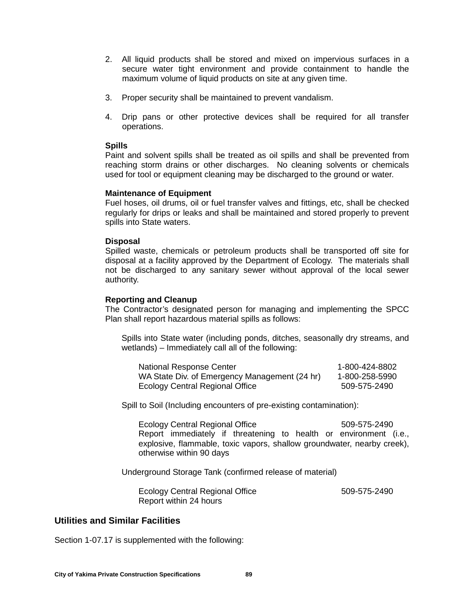- 2. All liquid products shall be stored and mixed on impervious surfaces in a secure water tight environment and provide containment to handle the maximum volume of liquid products on site at any given time.
- 3. Proper security shall be maintained to prevent vandalism.
- 4. Drip pans or other protective devices shall be required for all transfer operations.

### **Spills**

Paint and solvent spills shall be treated as oil spills and shall be prevented from reaching storm drains or other discharges. No cleaning solvents or chemicals used for tool or equipment cleaning may be discharged to the ground or water.

#### **Maintenance of Equipment**

Fuel hoses, oil drums, oil or fuel transfer valves and fittings, etc, shall be checked regularly for drips or leaks and shall be maintained and stored properly to prevent spills into State waters.

### **Disposal**

Spilled waste, chemicals or petroleum products shall be transported off site for disposal at a facility approved by the Department of Ecology. The materials shall not be discharged to any sanitary sewer without approval of the local sewer authority.

### **Reporting and Cleanup**

The Contractor's designated person for managing and implementing the SPCC Plan shall report hazardous material spills as follows:

Spills into State water (including ponds, ditches, seasonally dry streams, and wetlands) – Immediately call all of the following:

| National Response Center                      | 1-800-424-8802 |
|-----------------------------------------------|----------------|
| WA State Div. of Emergency Management (24 hr) | 1-800-258-5990 |
| Ecology Central Regional Office               | 509-575-2490   |

Spill to Soil (Including encounters of pre-existing contamination):

Ecology Central Regional Office 509-575-2490 Report immediately if threatening to health or environment (i.e., explosive, flammable, toxic vapors, shallow groundwater, nearby creek), otherwise within 90 days

Underground Storage Tank (confirmed release of material)

Ecology Central Regional Office 509-575-2490 Report within 24 hours

# **Utilities and Similar Facilities**

Section 1-07.17 is supplemented with the following: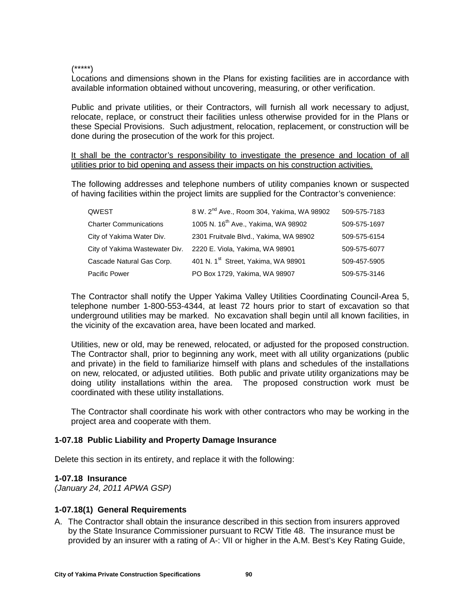#### (\*\*\*\*\*)

Locations and dimensions shown in the Plans for existing facilities are in accordance with available information obtained without uncovering, measuring, or other verification.

Public and private utilities, or their Contractors, will furnish all work necessary to adjust, relocate, replace, or construct their facilities unless otherwise provided for in the Plans or these Special Provisions. Such adjustment, relocation, replacement, or construction will be done during the prosecution of the work for this project.

It shall be the contractor's responsibility to investigate the presence and location of all utilities prior to bid opening and assess their impacts on his construction activities.

The following addresses and telephone numbers of utility companies known or suspected of having facilities within the project limits are supplied for the Contractor's convenience:

| QWEST                         | 8 W. 2 <sup>nd</sup> Ave., Room 304, Yakima, WA 98902          | 509-575-7183 |
|-------------------------------|----------------------------------------------------------------|--------------|
| <b>Charter Communications</b> | 1005 N. 16 <sup>th</sup> Ave., Yakima, WA 98902                | 509-575-1697 |
| City of Yakima Water Div.     | 2301 Fruitvale Blvd., Yakima, WA 98902                         | 509-575-6154 |
|                               | City of Yakima Wastewater Div. 2220 E. Viola, Yakima, WA 98901 | 509-575-6077 |
| Cascade Natural Gas Corp.     | 401 N. 1 <sup>st</sup> Street, Yakima, WA 98901                | 509-457-5905 |
| Pacific Power                 | PO Box 1729, Yakima, WA 98907                                  | 509-575-3146 |

The Contractor shall notify the Upper Yakima Valley Utilities Coordinating Council-Area 5, telephone number 1-800-553-4344, at least 72 hours prior to start of excavation so that underground utilities may be marked. No excavation shall begin until all known facilities, in the vicinity of the excavation area, have been located and marked.

Utilities, new or old, may be renewed, relocated, or adjusted for the proposed construction. The Contractor shall, prior to beginning any work, meet with all utility organizations (public and private) in the field to familiarize himself with plans and schedules of the installations on new, relocated, or adjusted utilities. Both public and private utility organizations may be doing utility installations within the area. The proposed construction work must be coordinated with these utility installations.

The Contractor shall coordinate his work with other contractors who may be working in the project area and cooperate with them.

#### **1-07.18 Public Liability and Property Damage Insurance**

Delete this section in its entirety, and replace it with the following:

#### **1-07.18 Insurance**

*(January 24, 2011 APWA GSP)*

#### **1-07.18(1) General Requirements**

A. The Contractor shall obtain the insurance described in this section from insurers approved by the State Insurance Commissioner pursuant to RCW Title 48. The insurance must be provided by an insurer with a rating of A-: VII or higher in the A.M. Best's Key Rating Guide,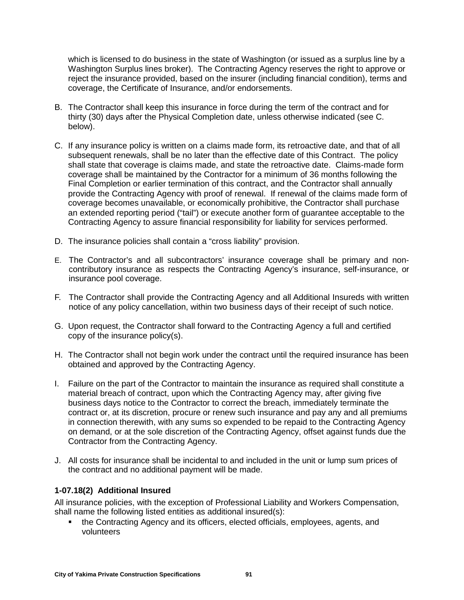which is licensed to do business in the state of Washington (or issued as a surplus line by a Washington Surplus lines broker). The Contracting Agency reserves the right to approve or reject the insurance provided, based on the insurer (including financial condition), terms and coverage, the Certificate of Insurance, and/or endorsements.

- B. The Contractor shall keep this insurance in force during the term of the contract and for thirty (30) days after the Physical Completion date, unless otherwise indicated (see C. below).
- C. If any insurance policy is written on a claims made form, its retroactive date, and that of all subsequent renewals, shall be no later than the effective date of this Contract. The policy shall state that coverage is claims made, and state the retroactive date. Claims-made form coverage shall be maintained by the Contractor for a minimum of 36 months following the Final Completion or earlier termination of this contract, and the Contractor shall annually provide the Contracting Agency with proof of renewal. If renewal of the claims made form of coverage becomes unavailable, or economically prohibitive, the Contractor shall purchase an extended reporting period ("tail") or execute another form of guarantee acceptable to the Contracting Agency to assure financial responsibility for liability for services performed.
- D. The insurance policies shall contain a "cross liability" provision.
- E. The Contractor's and all subcontractors' insurance coverage shall be primary and noncontributory insurance as respects the Contracting Agency's insurance, self-insurance, or insurance pool coverage.
- F. The Contractor shall provide the Contracting Agency and all Additional Insureds with written notice of any policy cancellation, within two business days of their receipt of such notice.
- G. Upon request, the Contractor shall forward to the Contracting Agency a full and certified copy of the insurance policy(s).
- H. The Contractor shall not begin work under the contract until the required insurance has been obtained and approved by the Contracting Agency.
- I. Failure on the part of the Contractor to maintain the insurance as required shall constitute a material breach of contract, upon which the Contracting Agency may, after giving five business days notice to the Contractor to correct the breach, immediately terminate the contract or, at its discretion, procure or renew such insurance and pay any and all premiums in connection therewith, with any sums so expended to be repaid to the Contracting Agency on demand, or at the sole discretion of the Contracting Agency, offset against funds due the Contractor from the Contracting Agency.
- J. All costs for insurance shall be incidental to and included in the unit or lump sum prices of the contract and no additional payment will be made.

### **1-07.18(2) Additional Insured**

All insurance policies, with the exception of Professional Liability and Workers Compensation, shall name the following listed entities as additional insured(s):

 the Contracting Agency and its officers, elected officials, employees, agents, and volunteers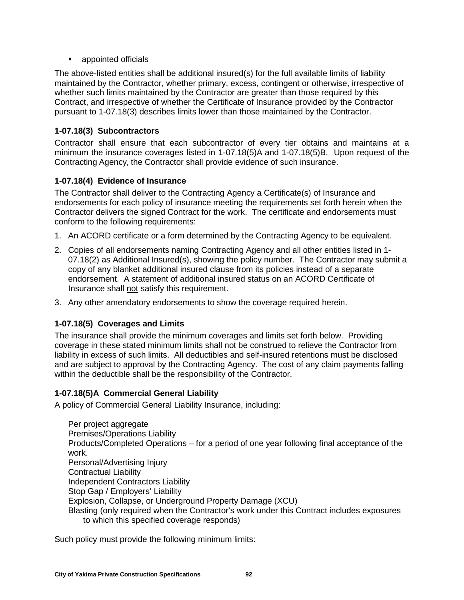**Example 1** appointed officials

The above-listed entities shall be additional insured(s) for the full available limits of liability maintained by the Contractor, whether primary, excess, contingent or otherwise, irrespective of whether such limits maintained by the Contractor are greater than those required by this Contract, and irrespective of whether the Certificate of Insurance provided by the Contractor pursuant to 1-07.18(3) describes limits lower than those maintained by the Contractor.

# **1-07.18(3) Subcontractors**

Contractor shall ensure that each subcontractor of every tier obtains and maintains at a minimum the insurance coverages listed in 1-07.18(5)A and 1-07.18(5)B. Upon request of the Contracting Agency, the Contractor shall provide evidence of such insurance.

# **1-07.18(4) Evidence of Insurance**

The Contractor shall deliver to the Contracting Agency a Certificate(s) of Insurance and endorsements for each policy of insurance meeting the requirements set forth herein when the Contractor delivers the signed Contract for the work. The certificate and endorsements must conform to the following requirements:

- 1. An ACORD certificate or a form determined by the Contracting Agency to be equivalent.
- 2. Copies of all endorsements naming Contracting Agency and all other entities listed in 1- 07.18(2) as Additional Insured(s), showing the policy number. The Contractor may submit a copy of any blanket additional insured clause from its policies instead of a separate endorsement. A statement of additional insured status on an ACORD Certificate of Insurance shall not satisfy this requirement.
- 3. Any other amendatory endorsements to show the coverage required herein.

# **1-07.18(5) Coverages and Limits**

The insurance shall provide the minimum coverages and limits set forth below. Providing coverage in these stated minimum limits shall not be construed to relieve the Contractor from liability in excess of such limits. All deductibles and self-insured retentions must be disclosed and are subject to approval by the Contracting Agency. The cost of any claim payments falling within the deductible shall be the responsibility of the Contractor.

### **1-07.18(5)A Commercial General Liability**

A policy of Commercial General Liability Insurance, including:

Per project aggregate Premises/Operations Liability Products/Completed Operations – for a period of one year following final acceptance of the work. Personal/Advertising Injury Contractual Liability Independent Contractors Liability Stop Gap / Employers' Liability Explosion, Collapse, or Underground Property Damage (XCU) Blasting (only required when the Contractor's work under this Contract includes exposures to which this specified coverage responds)

Such policy must provide the following minimum limits: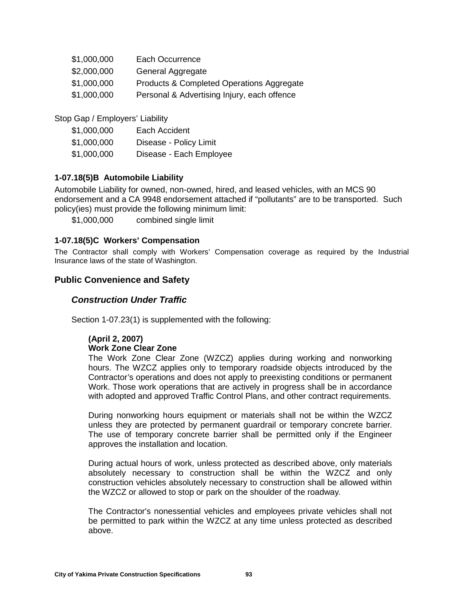| \$1,000,000 | Each Occurrence                             |
|-------------|---------------------------------------------|
| \$2,000,000 | General Aggregate                           |
| \$1,000,000 | Products & Completed Operations Aggregate   |
| \$1,000,000 | Personal & Advertising Injury, each offence |

Stop Gap / Employers' Liability

| \$1,000,000 | Each Accident           |
|-------------|-------------------------|
| \$1,000,000 | Disease - Policy Limit  |
| \$1,000,000 | Disease - Each Employee |

### **1-07.18(5)B Automobile Liability**

Automobile Liability for owned, non-owned, hired, and leased vehicles, with an MCS 90 endorsement and a CA 9948 endorsement attached if "pollutants" are to be transported. Such policy(ies) must provide the following minimum limit:

\$1,000,000 combined single limit

#### **1-07.18(5)C Workers' Compensation**

The Contractor shall comply with Workers' Compensation coverage as required by the Industrial Insurance laws of the state of Washington.

#### **Public Convenience and Safety**

#### *Construction Under Traffic*

Section 1-07.23(1) is supplemented with the following:

### **(April 2, 2007)**

#### **Work Zone Clear Zone**

The Work Zone Clear Zone (WZCZ) applies during working and nonworking hours. The WZCZ applies only to temporary roadside objects introduced by the Contractor's operations and does not apply to preexisting conditions or permanent Work. Those work operations that are actively in progress shall be in accordance with adopted and approved Traffic Control Plans, and other contract requirements.

During nonworking hours equipment or materials shall not be within the WZCZ unless they are protected by permanent guardrail or temporary concrete barrier. The use of temporary concrete barrier shall be permitted only if the Engineer approves the installation and location.

During actual hours of work, unless protected as described above, only materials absolutely necessary to construction shall be within the WZCZ and only construction vehicles absolutely necessary to construction shall be allowed within the WZCZ or allowed to stop or park on the shoulder of the roadway.

The Contractor's nonessential vehicles and employees private vehicles shall not be permitted to park within the WZCZ at any time unless protected as described above.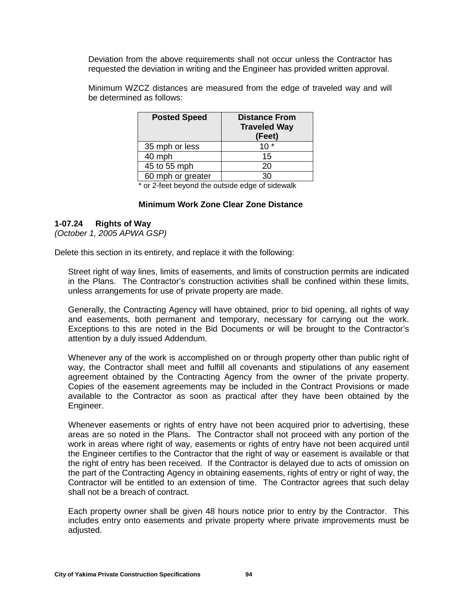Deviation from the above requirements shall not occur unless the Contractor has requested the deviation in writing and the Engineer has provided written approval.

Minimum WZCZ distances are measured from the edge of traveled way and will be determined as follows:

| <b>Posted Speed</b> | <b>Distance From</b><br><b>Traveled Way</b><br>(Feet) |
|---------------------|-------------------------------------------------------|
| 35 mph or less      | $10*$                                                 |
| 40 mph              | 15                                                    |
| 45 to 55 mph        | 20                                                    |
| 60 mph or greater   | חצ                                                    |

\* or 2-feet beyond the outside edge of sidewalk

#### **Minimum Work Zone Clear Zone Distance**

#### **1-07.24 Rights of Way**

*(October 1, 2005 APWA GSP)*

Delete this section in its entirety, and replace it with the following:

Street right of way lines, limits of easements, and limits of construction permits are indicated in the Plans. The Contractor's construction activities shall be confined within these limits, unless arrangements for use of private property are made.

Generally, the Contracting Agency will have obtained, prior to bid opening, all rights of way and easements, both permanent and temporary, necessary for carrying out the work. Exceptions to this are noted in the Bid Documents or will be brought to the Contractor's attention by a duly issued Addendum.

Whenever any of the work is accomplished on or through property other than public right of way, the Contractor shall meet and fulfill all covenants and stipulations of any easement agreement obtained by the Contracting Agency from the owner of the private property. Copies of the easement agreements may be included in the Contract Provisions or made available to the Contractor as soon as practical after they have been obtained by the Engineer.

Whenever easements or rights of entry have not been acquired prior to advertising, these areas are so noted in the Plans. The Contractor shall not proceed with any portion of the work in areas where right of way, easements or rights of entry have not been acquired until the Engineer certifies to the Contractor that the right of way or easement is available or that the right of entry has been received. If the Contractor is delayed due to acts of omission on the part of the Contracting Agency in obtaining easements, rights of entry or right of way, the Contractor will be entitled to an extension of time. The Contractor agrees that such delay shall not be a breach of contract.

Each property owner shall be given 48 hours notice prior to entry by the Contractor. This includes entry onto easements and private property where private improvements must be adiusted.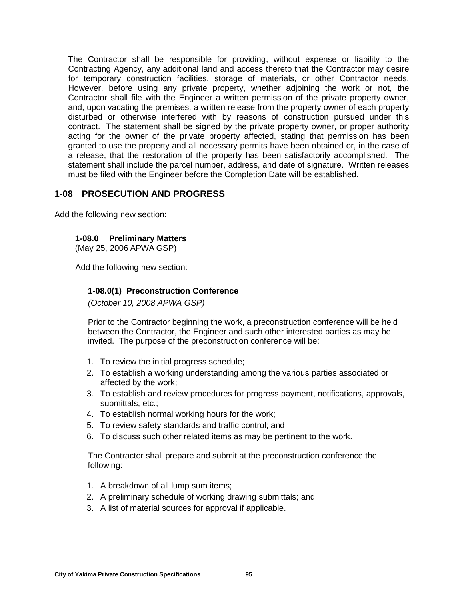The Contractor shall be responsible for providing, without expense or liability to the Contracting Agency, any additional land and access thereto that the Contractor may desire for temporary construction facilities, storage of materials, or other Contractor needs. However, before using any private property, whether adjoining the work or not, the Contractor shall file with the Engineer a written permission of the private property owner, and, upon vacating the premises, a written release from the property owner of each property disturbed or otherwise interfered with by reasons of construction pursued under this contract. The statement shall be signed by the private property owner, or proper authority acting for the owner of the private property affected, stating that permission has been granted to use the property and all necessary permits have been obtained or, in the case of a release, that the restoration of the property has been satisfactorily accomplished. The statement shall include the parcel number, address, and date of signature. Written releases must be filed with the Engineer before the Completion Date will be established.

# **1-08 PROSECUTION AND PROGRESS**

Add the following new section:

#### **1-08.0 Preliminary Matters**

(May 25, 2006 APWA GSP)

Add the following new section:

#### **1-08.0(1) Preconstruction Conference**

*(October 10, 2008 APWA GSP)*

Prior to the Contractor beginning the work, a preconstruction conference will be held between the Contractor, the Engineer and such other interested parties as may be invited. The purpose of the preconstruction conference will be:

- 1. To review the initial progress schedule;
- 2. To establish a working understanding among the various parties associated or affected by the work;
- 3. To establish and review procedures for progress payment, notifications, approvals, submittals, etc.;
- 4. To establish normal working hours for the work;
- 5. To review safety standards and traffic control; and
- 6. To discuss such other related items as may be pertinent to the work.

The Contractor shall prepare and submit at the preconstruction conference the following:

- 1. A breakdown of all lump sum items;
- 2. A preliminary schedule of working drawing submittals; and
- 3. A list of material sources for approval if applicable.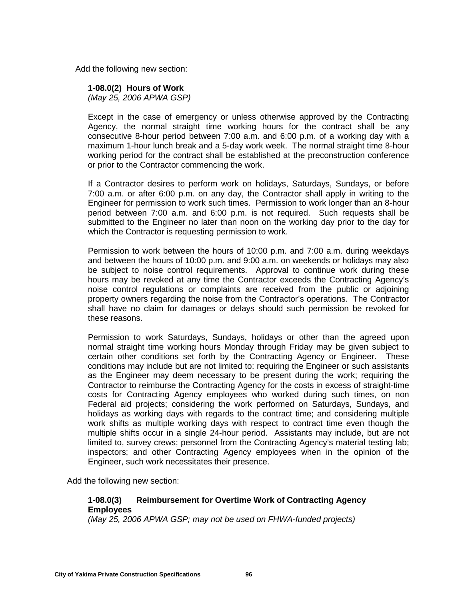Add the following new section:

**1-08.0(2) Hours of Work**  *(May 25, 2006 APWA GSP)*

Except in the case of emergency or unless otherwise approved by the Contracting Agency, the normal straight time working hours for the contract shall be any consecutive 8-hour period between 7:00 a.m. and 6:00 p.m. of a working day with a maximum 1-hour lunch break and a 5-day work week. The normal straight time 8-hour working period for the contract shall be established at the preconstruction conference or prior to the Contractor commencing the work.

If a Contractor desires to perform work on holidays, Saturdays, Sundays, or before 7:00 a.m. or after 6:00 p.m. on any day, the Contractor shall apply in writing to the Engineer for permission to work such times. Permission to work longer than an 8-hour period between 7:00 a.m. and 6:00 p.m. is not required. Such requests shall be submitted to the Engineer no later than noon on the working day prior to the day for which the Contractor is requesting permission to work.

Permission to work between the hours of 10:00 p.m. and 7:00 a.m. during weekdays and between the hours of 10:00 p.m. and 9:00 a.m. on weekends or holidays may also be subject to noise control requirements. Approval to continue work during these hours may be revoked at any time the Contractor exceeds the Contracting Agency's noise control regulations or complaints are received from the public or adjoining property owners regarding the noise from the Contractor's operations. The Contractor shall have no claim for damages or delays should such permission be revoked for these reasons.

Permission to work Saturdays, Sundays, holidays or other than the agreed upon normal straight time working hours Monday through Friday may be given subject to certain other conditions set forth by the Contracting Agency or Engineer. These conditions may include but are not limited to: requiring the Engineer or such assistants as the Engineer may deem necessary to be present during the work; requiring the Contractor to reimburse the Contracting Agency for the costs in excess of straight-time costs for Contracting Agency employees who worked during such times, on non Federal aid projects; considering the work performed on Saturdays, Sundays, and holidays as working days with regards to the contract time; and considering multiple work shifts as multiple working days with respect to contract time even though the multiple shifts occur in a single 24-hour period. Assistants may include, but are not limited to, survey crews; personnel from the Contracting Agency's material testing lab; inspectors; and other Contracting Agency employees when in the opinion of the Engineer, such work necessitates their presence.

Add the following new section:

# **1-08.0(3) Reimbursement for Overtime Work of Contracting Agency Employees**

*(May 25, 2006 APWA GSP; may not be used on FHWA-funded projects)*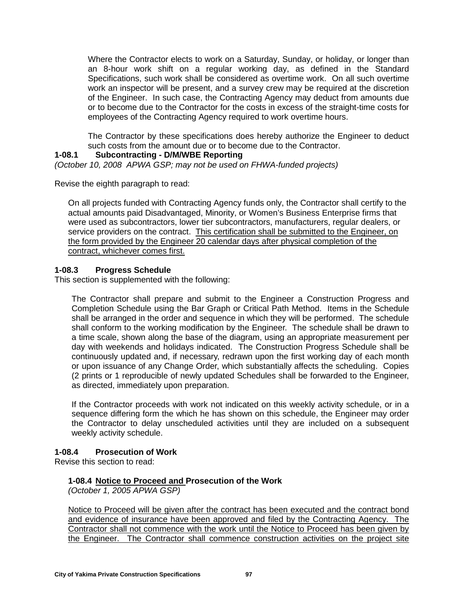Where the Contractor elects to work on a Saturday, Sunday, or holiday, or longer than an 8-hour work shift on a regular working day, as defined in the Standard Specifications, such work shall be considered as overtime work. On all such overtime work an inspector will be present, and a survey crew may be required at the discretion of the Engineer. In such case, the Contracting Agency may deduct from amounts due or to become due to the Contractor for the costs in excess of the straight-time costs for employees of the Contracting Agency required to work overtime hours.

The Contractor by these specifications does hereby authorize the Engineer to deduct such costs from the amount due or to become due to the Contractor.

### **1-08.1 Subcontracting - D/M/WBE Reporting**

*(October 10, 2008 APWA GSP; may not be used on FHWA-funded projects)*

Revise the eighth paragraph to read:

On all projects funded with Contracting Agency funds only, the Contractor shall certify to the actual amounts paid Disadvantaged, Minority, or Women's Business Enterprise firms that were used as subcontractors, lower tier subcontractors, manufacturers, regular dealers, or service providers on the contract. This certification shall be submitted to the Engineer, on the form provided by the Engineer 20 calendar days after physical completion of the contract, whichever comes first.

### **1-08.3 Progress Schedule**

This section is supplemented with the following:

The Contractor shall prepare and submit to the Engineer a Construction Progress and Completion Schedule using the Bar Graph or Critical Path Method. Items in the Schedule shall be arranged in the order and sequence in which they will be performed. The schedule shall conform to the working modification by the Engineer. The schedule shall be drawn to a time scale, shown along the base of the diagram, using an appropriate measurement per day with weekends and holidays indicated. The Construction Progress Schedule shall be continuously updated and, if necessary, redrawn upon the first working day of each month or upon issuance of any Change Order, which substantially affects the scheduling. Copies (2 prints or 1 reproducible of newly updated Schedules shall be forwarded to the Engineer, as directed, immediately upon preparation.

If the Contractor proceeds with work not indicated on this weekly activity schedule, or in a sequence differing form the which he has shown on this schedule, the Engineer may order the Contractor to delay unscheduled activities until they are included on a subsequent weekly activity schedule.

#### **1-08.4 Prosecution of Work**

Revise this section to read:

### **1-08.4 Notice to Proceed and Prosecution of the Work**

*(October 1, 2005 APWA GSP)*

Notice to Proceed will be given after the contract has been executed and the contract bond and evidence of insurance have been approved and filed by the Contracting Agency. The Contractor shall not commence with the work until the Notice to Proceed has been given by the Engineer. The Contractor shall commence construction activities on the project site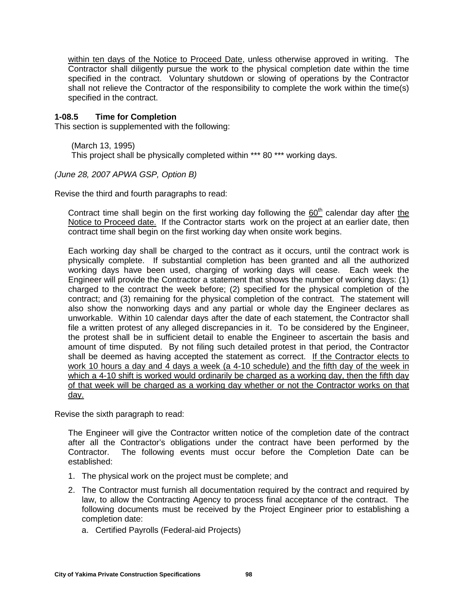within ten days of the Notice to Proceed Date, unless otherwise approved in writing. The Contractor shall diligently pursue the work to the physical completion date within the time specified in the contract. Voluntary shutdown or slowing of operations by the Contractor shall not relieve the Contractor of the responsibility to complete the work within the time(s) specified in the contract.

#### **1-08.5 Time for Completion**

This section is supplemented with the following:

(March 13, 1995) This project shall be physically completed within \*\*\* 80 \*\*\* working days.

*(June 28, 2007 APWA GSP, Option B)*

Revise the third and fourth paragraphs to read:

Contract time shall begin on the first working day following the  $60<sup>th</sup>$  calendar day after the Notice to Proceed date. If the Contractor starts work on the project at an earlier date, then contract time shall begin on the first working day when onsite work begins.

Each working day shall be charged to the contract as it occurs, until the contract work is physically complete. If substantial completion has been granted and all the authorized working days have been used, charging of working days will cease. Each week the Engineer will provide the Contractor a statement that shows the number of working days: (1) charged to the contract the week before; (2) specified for the physical completion of the contract; and (3) remaining for the physical completion of the contract. The statement will also show the nonworking days and any partial or whole day the Engineer declares as unworkable. Within 10 calendar days after the date of each statement, the Contractor shall file a written protest of any alleged discrepancies in it. To be considered by the Engineer, the protest shall be in sufficient detail to enable the Engineer to ascertain the basis and amount of time disputed. By not filing such detailed protest in that period, the Contractor shall be deemed as having accepted the statement as correct. If the Contractor elects to work 10 hours a day and 4 days a week (a 4-10 schedule) and the fifth day of the week in which a 4-10 shift is worked would ordinarily be charged as a working day, then the fifth day of that week will be charged as a working day whether or not the Contractor works on that day.

Revise the sixth paragraph to read:

The Engineer will give the Contractor written notice of the completion date of the contract after all the Contractor's obligations under the contract have been performed by the Contractor. The following events must occur before the Completion Date can be established:

- 1. The physical work on the project must be complete; and
- 2. The Contractor must furnish all documentation required by the contract and required by law, to allow the Contracting Agency to process final acceptance of the contract. The following documents must be received by the Project Engineer prior to establishing a completion date:
	- a. Certified Payrolls (Federal-aid Projects)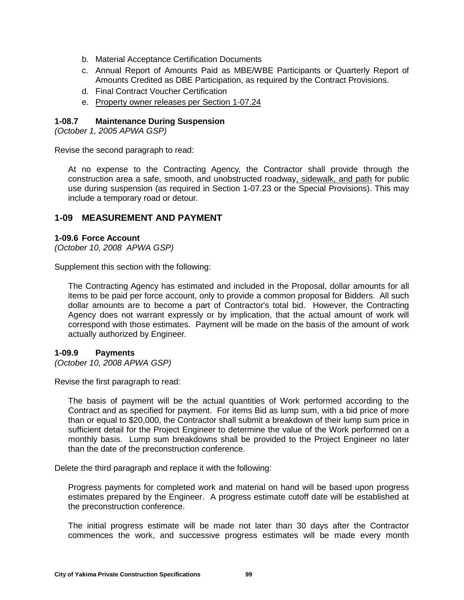- b. Material Acceptance Certification Documents
- c. Annual Report of Amounts Paid as MBE/WBE Participants or Quarterly Report of Amounts Credited as DBE Participation, as required by the Contract Provisions.
- d. Final Contract Voucher Certification
- e. Property owner releases per Section 1-07.24

# **1-08.7 Maintenance During Suspension**

*(October 1, 2005 APWA GSP)*

Revise the second paragraph to read:

At no expense to the Contracting Agency, the Contractor shall provide through the construction area a safe, smooth, and unobstructed roadway, sidewalk, and path for public use during suspension (as required in Section 1-07.23 or the Special Provisions). This may include a temporary road or detour.

### **1-09 MEASUREMENT AND PAYMENT**

#### **1-09.6 Force Account**

*(October 10, 2008 APWA GSP)*

Supplement this section with the following:

The Contracting Agency has estimated and included in the Proposal, dollar amounts for all items to be paid per force account, only to provide a common proposal for Bidders. All such dollar amounts are to become a part of Contractor's total bid. However, the Contracting Agency does not warrant expressly or by implication, that the actual amount of work will correspond with those estimates. Payment will be made on the basis of the amount of work actually authorized by Engineer.

#### **1-09.9 Payments**

*(October 10, 2008 APWA GSP)*

Revise the first paragraph to read:

The basis of payment will be the actual quantities of Work performed according to the Contract and as specified for payment. For items Bid as lump sum, with a bid price of more than or equal to \$20,000, the Contractor shall submit a breakdown of their lump sum price in sufficient detail for the Project Engineer to determine the value of the Work performed on a monthly basis. Lump sum breakdowns shall be provided to the Project Engineer no later than the date of the preconstruction conference.

Delete the third paragraph and replace it with the following:

Progress payments for completed work and material on hand will be based upon progress estimates prepared by the Engineer. A progress estimate cutoff date will be established at the preconstruction conference.

The initial progress estimate will be made not later than 30 days after the Contractor commences the work, and successive progress estimates will be made every month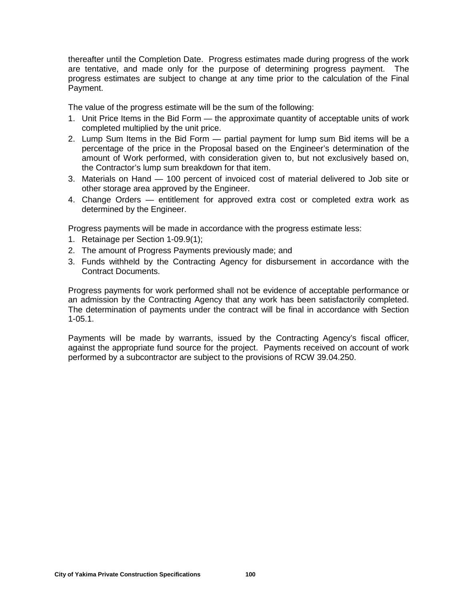thereafter until the Completion Date. Progress estimates made during progress of the work are tentative, and made only for the purpose of determining progress payment. The progress estimates are subject to change at any time prior to the calculation of the Final Payment.

The value of the progress estimate will be the sum of the following:

- 1. Unit Price Items in the Bid Form the approximate quantity of acceptable units of work completed multiplied by the unit price.
- 2. Lump Sum Items in the Bid Form partial payment for lump sum Bid items will be a percentage of the price in the Proposal based on the Engineer's determination of the amount of Work performed, with consideration given to, but not exclusively based on, the Contractor's lump sum breakdown for that item.
- 3. Materials on Hand 100 percent of invoiced cost of material delivered to Job site or other storage area approved by the Engineer.
- 4. Change Orders entitlement for approved extra cost or completed extra work as determined by the Engineer.

Progress payments will be made in accordance with the progress estimate less:

- 1. Retainage per Section 1-09.9(1);
- 2. The amount of Progress Payments previously made; and
- 3. Funds withheld by the Contracting Agency for disbursement in accordance with the Contract Documents.

Progress payments for work performed shall not be evidence of acceptable performance or an admission by the Contracting Agency that any work has been satisfactorily completed. The determination of payments under the contract will be final in accordance with Section 1-05.1.

Payments will be made by warrants, issued by the Contracting Agency's fiscal officer, against the appropriate fund source for the project. Payments received on account of work performed by a subcontractor are subject to the provisions of RCW 39.04.250.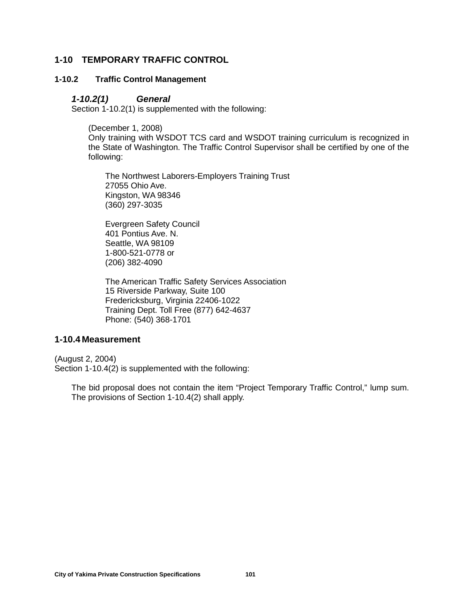# **1-10 TEMPORARY TRAFFIC CONTROL**

### **1-10.2 Traffic Control Management**

#### *1-10.2(1) General*

Section 1-10.2(1) is supplemented with the following:

(December 1, 2008) Only training with WSDOT TCS card and WSDOT training curriculum is recognized in the State of Washington. The Traffic Control Supervisor shall be certified by one of the following:

The Northwest Laborers-Employers Training Trust 27055 Ohio Ave. Kingston, WA 98346 (360) 297-3035

Evergreen Safety Council 401 Pontius Ave. N. Seattle, WA 98109 1-800-521-0778 or (206) 382-4090

The American Traffic Safety Services Association 15 Riverside Parkway, Suite 100 Fredericksburg, Virginia 22406-1022 Training Dept. Toll Free (877) 642-4637 Phone: (540) 368-1701

### **1-10.4 Measurement**

(August 2, 2004) Section 1-10.4(2) is supplemented with the following:

The bid proposal does not contain the item "Project Temporary Traffic Control," lump sum. The provisions of Section 1-10.4(2) shall apply.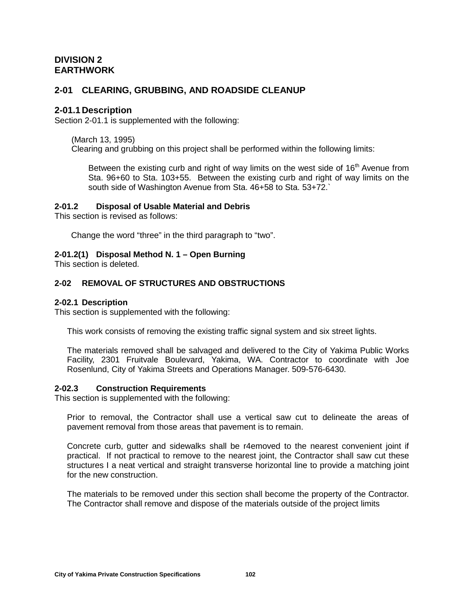# **DIVISION 2 EARTHWORK**

# **2-01 CLEARING, GRUBBING, AND ROADSIDE CLEANUP**

### **2-01.1 Description**

Section 2-01.1 is supplemented with the following:

(March 13, 1995)

Clearing and grubbing on this project shall be performed within the following limits:

Between the existing curb and right of way limits on the west side of  $16<sup>th</sup>$  Avenue from Sta. 96+60 to Sta. 103+55. Between the existing curb and right of way limits on the south side of Washington Avenue from Sta. 46+58 to Sta. 53+72.`

### **2-01.2 Disposal of Usable Material and Debris**

This section is revised as follows:

Change the word "three" in the third paragraph to "two".

### **2-01.2(1) Disposal Method N. 1 – Open Burning**

This section is deleted.

### **2-02 REMOVAL OF STRUCTURES AND OBSTRUCTIONS**

#### **2-02.1 Description**

This section is supplemented with the following:

This work consists of removing the existing traffic signal system and six street lights.

The materials removed shall be salvaged and delivered to the City of Yakima Public Works Facility, 2301 Fruitvale Boulevard, Yakima, WA. Contractor to coordinate with Joe Rosenlund, City of Yakima Streets and Operations Manager. 509-576-6430.

#### **2-02.3 Construction Requirements**

This section is supplemented with the following:

Prior to removal, the Contractor shall use a vertical saw cut to delineate the areas of pavement removal from those areas that pavement is to remain.

Concrete curb, gutter and sidewalks shall be r4emoved to the nearest convenient joint if practical. If not practical to remove to the nearest joint, the Contractor shall saw cut these structures I a neat vertical and straight transverse horizontal line to provide a matching joint for the new construction.

The materials to be removed under this section shall become the property of the Contractor. The Contractor shall remove and dispose of the materials outside of the project limits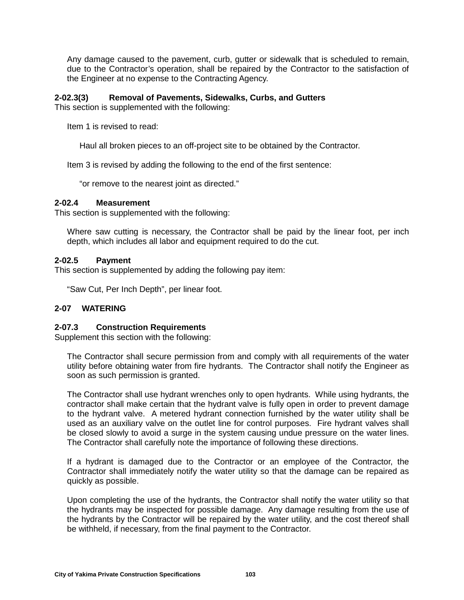Any damage caused to the pavement, curb, gutter or sidewalk that is scheduled to remain, due to the Contractor's operation, shall be repaired by the Contractor to the satisfaction of the Engineer at no expense to the Contracting Agency.

### **2-02.3(3) Removal of Pavements, Sidewalks, Curbs, and Gutters**

This section is supplemented with the following:

Item 1 is revised to read:

Haul all broken pieces to an off-project site to be obtained by the Contractor.

Item 3 is revised by adding the following to the end of the first sentence:

"or remove to the nearest joint as directed."

#### **2-02.4 Measurement**

This section is supplemented with the following:

Where saw cutting is necessary, the Contractor shall be paid by the linear foot, per inch depth, which includes all labor and equipment required to do the cut.

#### **2-02.5 Payment**

This section is supplemented by adding the following pay item:

"Saw Cut, Per Inch Depth", per linear foot.

#### **2-07 WATERING**

#### **2-07.3 Construction Requirements**

Supplement this section with the following:

The Contractor shall secure permission from and comply with all requirements of the water utility before obtaining water from fire hydrants. The Contractor shall notify the Engineer as soon as such permission is granted.

The Contractor shall use hydrant wrenches only to open hydrants. While using hydrants, the contractor shall make certain that the hydrant valve is fully open in order to prevent damage to the hydrant valve. A metered hydrant connection furnished by the water utility shall be used as an auxiliary valve on the outlet line for control purposes. Fire hydrant valves shall be closed slowly to avoid a surge in the system causing undue pressure on the water lines. The Contractor shall carefully note the importance of following these directions.

If a hydrant is damaged due to the Contractor or an employee of the Contractor, the Contractor shall immediately notify the water utility so that the damage can be repaired as quickly as possible.

Upon completing the use of the hydrants, the Contractor shall notify the water utility so that the hydrants may be inspected for possible damage. Any damage resulting from the use of the hydrants by the Contractor will be repaired by the water utility, and the cost thereof shall be withheld, if necessary, from the final payment to the Contractor.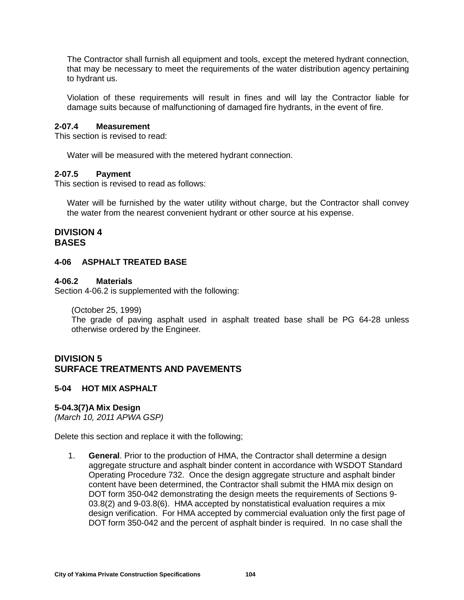The Contractor shall furnish all equipment and tools, except the metered hydrant connection, that may be necessary to meet the requirements of the water distribution agency pertaining to hydrant us.

Violation of these requirements will result in fines and will lay the Contractor liable for damage suits because of malfunctioning of damaged fire hydrants, in the event of fire.

#### **2-07.4 Measurement**

This section is revised to read:

Water will be measured with the metered hydrant connection.

#### **2-07.5 Payment**

This section is revised to read as follows:

Water will be furnished by the water utility without charge, but the Contractor shall convey the water from the nearest convenient hydrant or other source at his expense.

### **DIVISION 4 BASES**

#### **4-06 ASPHALT TREATED BASE**

#### **4-06.2 Materials**

Section 4-06.2 is supplemented with the following:

(October 25, 1999)

The grade of paving asphalt used in asphalt treated base shall be PG 64-28 unless otherwise ordered by the Engineer.

# **DIVISION 5 SURFACE TREATMENTS AND PAVEMENTS**

#### **5-04 HOT MIX ASPHALT**

#### **5-04.3(7)A Mix Design**

*(March 10, 2011 APWA GSP)*

Delete this section and replace it with the following;

1. **General**. Prior to the production of HMA, the Contractor shall determine a design aggregate structure and asphalt binder content in accordance with WSDOT Standard Operating Procedure 732. Once the design aggregate structure and asphalt binder content have been determined, the Contractor shall submit the HMA mix design on DOT form 350-042 demonstrating the design meets the requirements of Sections 9- 03.8(2) and 9-03.8(6). HMA accepted by nonstatistical evaluation requires a mix design verification. For HMA accepted by commercial evaluation only the first page of DOT form 350-042 and the percent of asphalt binder is required. In no case shall the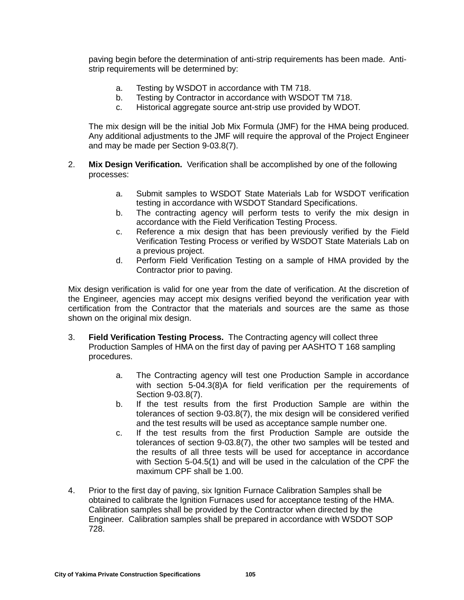paving begin before the determination of anti-strip requirements has been made. Antistrip requirements will be determined by:

- a. Testing by WSDOT in accordance with TM 718.
- b. Testing by Contractor in accordance with WSDOT TM 718.
- c. Historical aggregate source ant-strip use provided by WDOT.

The mix design will be the initial Job Mix Formula (JMF) for the HMA being produced. Any additional adjustments to the JMF will require the approval of the Project Engineer and may be made per Section 9-03.8(7).

- 2. **Mix Design Verification.** Verification shall be accomplished by one of the following processes:
	- a. Submit samples to WSDOT State Materials Lab for WSDOT verification testing in accordance with WSDOT Standard Specifications.
	- b. The contracting agency will perform tests to verify the mix design in accordance with the Field Verification Testing Process.
	- c. Reference a mix design that has been previously verified by the Field Verification Testing Process or verified by WSDOT State Materials Lab on a previous project.
	- d. Perform Field Verification Testing on a sample of HMA provided by the Contractor prior to paving.

Mix design verification is valid for one year from the date of verification. At the discretion of the Engineer, agencies may accept mix designs verified beyond the verification year with certification from the Contractor that the materials and sources are the same as those shown on the original mix design.

- 3. **Field Verification Testing Process.** The Contracting agency will collect three Production Samples of HMA on the first day of paving per AASHTO T 168 sampling procedures.
	- a. The Contracting agency will test one Production Sample in accordance with section 5-04.3(8)A for field verification per the requirements of Section 9-03.8(7).
	- b. If the test results from the first Production Sample are within the tolerances of section 9-03.8(7), the mix design will be considered verified and the test results will be used as acceptance sample number one.
	- c. If the test results from the first Production Sample are outside the tolerances of section 9-03.8(7), the other two samples will be tested and the results of all three tests will be used for acceptance in accordance with Section 5-04.5(1) and will be used in the calculation of the CPF the maximum CPF shall be 1.00.
- 4. Prior to the first day of paving, six Ignition Furnace Calibration Samples shall be obtained to calibrate the Ignition Furnaces used for acceptance testing of the HMA. Calibration samples shall be provided by the Contractor when directed by the Engineer. Calibration samples shall be prepared in accordance with WSDOT SOP 728.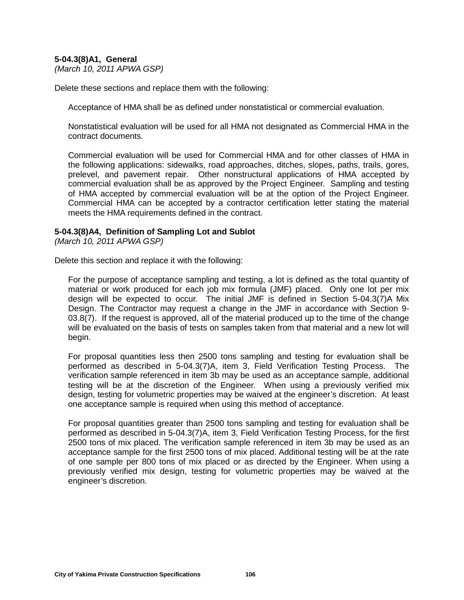### **5-04.3(8)A1, General**

*(March 10, 2011 APWA GSP)*

Delete these sections and replace them with the following:

Acceptance of HMA shall be as defined under nonstatistical or commercial evaluation.

Nonstatistical evaluation will be used for all HMA not designated as Commercial HMA in the contract documents.

Commercial evaluation will be used for Commercial HMA and for other classes of HMA in the following applications: sidewalks, road approaches, ditches, slopes, paths, trails, gores, prelevel, and pavement repair. Other nonstructural applications of HMA accepted by commercial evaluation shall be as approved by the Project Engineer. Sampling and testing of HMA accepted by commercial evaluation will be at the option of the Project Engineer. Commercial HMA can be accepted by a contractor certification letter stating the material meets the HMA requirements defined in the contract.

### **5-04.3(8)A4, Definition of Sampling Lot and Sublot**

*(March 10, 2011 APWA GSP)*

Delete this section and replace it with the following:

For the purpose of acceptance sampling and testing, a lot is defined as the total quantity of material or work produced for each job mix formula (JMF) placed. Only one lot per mix design will be expected to occur. The initial JMF is defined in Section 5-04.3(7)A Mix Design. The Contractor may request a change in the JMF in accordance with Section 9- 03.8(7). If the request is approved, all of the material produced up to the time of the change will be evaluated on the basis of tests on samples taken from that material and a new lot will begin.

For proposal quantities less then 2500 tons sampling and testing for evaluation shall be performed as described in 5-04.3(7)A, item 3, Field Verification Testing Process. The verification sample referenced in item 3b may be used as an acceptance sample, additional testing will be at the discretion of the Engineer. When using a previously verified mix design, testing for volumetric properties may be waived at the engineer's discretion. At least one acceptance sample is required when using this method of acceptance.

For proposal quantities greater than 2500 tons sampling and testing for evaluation shall be performed as described in 5-04.3(7)A, item 3, Field Verification Testing Process, for the first 2500 tons of mix placed. The verification sample referenced in item 3b may be used as an acceptance sample for the first 2500 tons of mix placed. Additional testing will be at the rate of one sample per 800 tons of mix placed or as directed by the Engineer. When using a previously verified mix design, testing for volumetric properties may be waived at the engineer's discretion.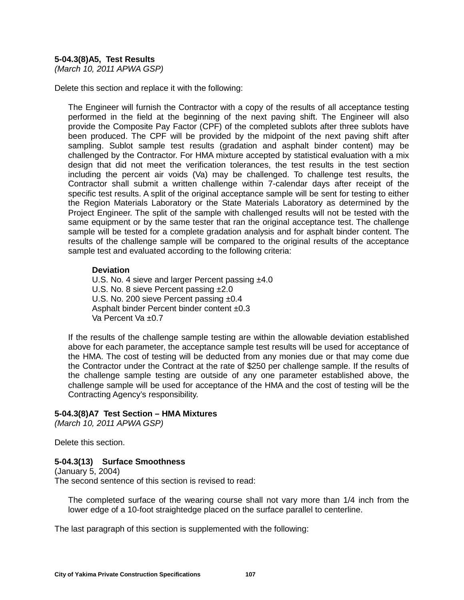### **5-04.3(8)A5, Test Results**

*(March 10, 2011 APWA GSP)*

Delete this section and replace it with the following:

The Engineer will furnish the Contractor with a copy of the results of all acceptance testing performed in the field at the beginning of the next paving shift. The Engineer will also provide the Composite Pay Factor (CPF) of the completed sublots after three sublots have been produced. The CPF will be provided by the midpoint of the next paving shift after sampling. Sublot sample test results (gradation and asphalt binder content) may be challenged by the Contractor. For HMA mixture accepted by statistical evaluation with a mix design that did not meet the verification tolerances, the test results in the test section including the percent air voids (Va) may be challenged. To challenge test results, the Contractor shall submit a written challenge within 7-calendar days after receipt of the specific test results. A split of the original acceptance sample will be sent for testing to either the Region Materials Laboratory or the State Materials Laboratory as determined by the Project Engineer. The split of the sample with challenged results will not be tested with the same equipment or by the same tester that ran the original acceptance test. The challenge sample will be tested for a complete gradation analysis and for asphalt binder content. The results of the challenge sample will be compared to the original results of the acceptance sample test and evaluated according to the following criteria:

#### **Deviation**

U.S. No. 4 sieve and larger Percent passing  $±4.0$ U.S. No. 8 sieve Percent passing ±2.0 U.S. No. 200 sieve Percent passing ±0.4 Asphalt binder Percent binder content ±0.3 Va Percent Va ±0.7

If the results of the challenge sample testing are within the allowable deviation established above for each parameter, the acceptance sample test results will be used for acceptance of the HMA. The cost of testing will be deducted from any monies due or that may come due the Contractor under the Contract at the rate of \$250 per challenge sample. If the results of the challenge sample testing are outside of any one parameter established above, the challenge sample will be used for acceptance of the HMA and the cost of testing will be the Contracting Agency's responsibility.

#### **5-04.3(8)A7 Test Section – HMA Mixtures**

*(March 10, 2011 APWA GSP)*

Delete this section.

#### **5-04.3(13) Surface Smoothness**

(January 5, 2004) The second sentence of this section is revised to read:

The completed surface of the wearing course shall not vary more than 1/4 inch from the lower edge of a 10-foot straightedge placed on the surface parallel to centerline.

The last paragraph of this section is supplemented with the following: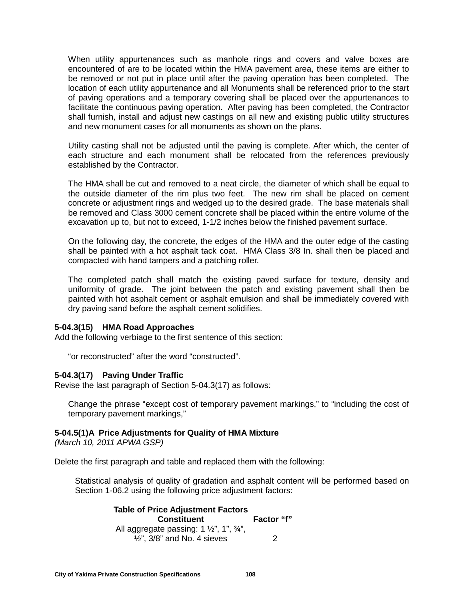When utility appurtenances such as manhole rings and covers and valve boxes are encountered of are to be located within the HMA pavement area, these items are either to be removed or not put in place until after the paving operation has been completed. The location of each utility appurtenance and all Monuments shall be referenced prior to the start of paving operations and a temporary covering shall be placed over the appurtenances to facilitate the continuous paving operation. After paving has been completed, the Contractor shall furnish, install and adjust new castings on all new and existing public utility structures and new monument cases for all monuments as shown on the plans.

Utility casting shall not be adjusted until the paving is complete. After which, the center of each structure and each monument shall be relocated from the references previously established by the Contractor.

The HMA shall be cut and removed to a neat circle, the diameter of which shall be equal to the outside diameter of the rim plus two feet. The new rim shall be placed on cement concrete or adjustment rings and wedged up to the desired grade. The base materials shall be removed and Class 3000 cement concrete shall be placed within the entire volume of the excavation up to, but not to exceed, 1-1/2 inches below the finished pavement surface.

On the following day, the concrete, the edges of the HMA and the outer edge of the casting shall be painted with a hot asphalt tack coat. HMA Class 3/8 In. shall then be placed and compacted with hand tampers and a patching roller.

The completed patch shall match the existing paved surface for texture, density and uniformity of grade. The joint between the patch and existing pavement shall then be painted with hot asphalt cement or asphalt emulsion and shall be immediately covered with dry paving sand before the asphalt cement solidifies.

#### **5-04.3(15) HMA Road Approaches**

Add the following verbiage to the first sentence of this section:

"or reconstructed" after the word "constructed".

#### **5-04.3(17) Paving Under Traffic**

Revise the last paragraph of Section 5-04.3(17) as follows:

Change the phrase "except cost of temporary pavement markings," to "including the cost of temporary pavement markings,"

#### **5-04.5(1)A Price Adjustments for Quality of HMA Mixture**

*(March 10, 2011 APWA GSP)*

Delete the first paragraph and table and replaced them with the following:

Statistical analysis of quality of gradation and asphalt content will be performed based on Section 1-06.2 using the following price adjustment factors:

| <b>Table of Price Adjustment Factors</b>                   |            |
|------------------------------------------------------------|------------|
| <b>Constituent</b>                                         | Factor "f" |
| All aggregate passing: $1 \frac{1}{2}$ , $1 \frac{3}{4}$ , |            |
| $\frac{1}{2}$ , 3/8" and No. 4 sieves                      | 2          |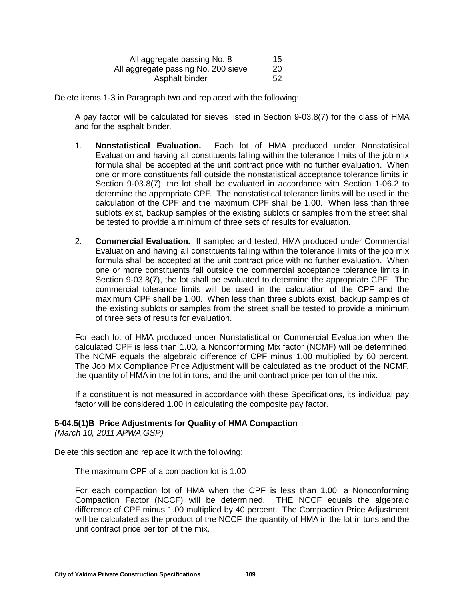| All aggregate passing No. 8         | 15 |
|-------------------------------------|----|
| All aggregate passing No. 200 sieve | 20 |
| Asphalt binder                      | 52 |

Delete items 1-3 in Paragraph two and replaced with the following:

A pay factor will be calculated for sieves listed in Section 9-03.8(7) for the class of HMA and for the asphalt binder.

- 1. **Nonstatistical Evaluation.** Each lot of HMA produced under Nonstatisical Evaluation and having all constituents falling within the tolerance limits of the job mix formula shall be accepted at the unit contract price with no further evaluation. When one or more constituents fall outside the nonstatistical acceptance tolerance limits in Section 9-03.8(7), the lot shall be evaluated in accordance with Section 1-06.2 to determine the appropriate CPF. The nonstatistical tolerance limits will be used in the calculation of the CPF and the maximum CPF shall be 1.00. When less than three sublots exist, backup samples of the existing sublots or samples from the street shall be tested to provide a minimum of three sets of results for evaluation.
- 2. **Commercial Evaluation.** If sampled and tested, HMA produced under Commercial Evaluation and having all constituents falling within the tolerance limits of the job mix formula shall be accepted at the unit contract price with no further evaluation. When one or more constituents fall outside the commercial acceptance tolerance limits in Section 9-03.8(7), the lot shall be evaluated to determine the appropriate CPF. The commercial tolerance limits will be used in the calculation of the CPF and the maximum CPF shall be 1.00. When less than three sublots exist, backup samples of the existing sublots or samples from the street shall be tested to provide a minimum of three sets of results for evaluation.

For each lot of HMA produced under Nonstatistical or Commercial Evaluation when the calculated CPF is less than 1.00, a Nonconforming Mix factor (NCMF) will be determined. The NCMF equals the algebraic difference of CPF minus 1.00 multiplied by 60 percent. The Job Mix Compliance Price Adjustment will be calculated as the product of the NCMF, the quantity of HMA in the lot in tons, and the unit contract price per ton of the mix.

If a constituent is not measured in accordance with these Specifications, its individual pay factor will be considered 1.00 in calculating the composite pay factor.

# **5-04.5(1)B Price Adjustments for Quality of HMA Compaction**

*(March 10, 2011 APWA GSP)*

Delete this section and replace it with the following:

The maximum CPF of a compaction lot is 1.00

For each compaction lot of HMA when the CPF is less than 1.00, a Nonconforming Compaction Factor (NCCF) will be determined. THE NCCF equals the algebraic difference of CPF minus 1.00 multiplied by 40 percent. The Compaction Price Adjustment will be calculated as the product of the NCCF, the quantity of HMA in the lot in tons and the unit contract price per ton of the mix.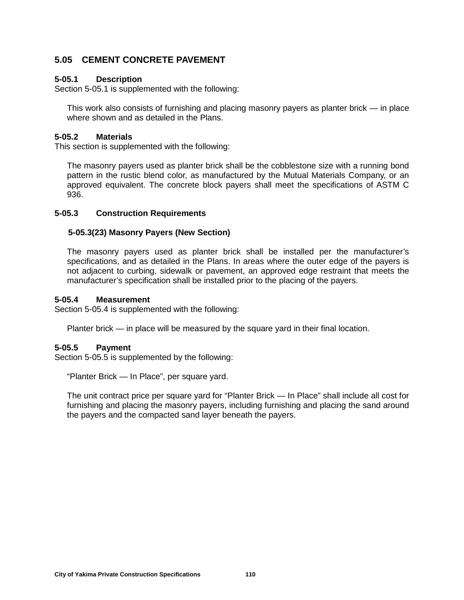# **5.05 CEMENT CONCRETE PAVEMENT**

### **5-05.1 Description**

Section 5-05.1 is supplemented with the following:

This work also consists of furnishing and placing masonry payers as planter brick — in place where shown and as detailed in the Plans.

### **5-05.2 Materials**

This section is supplemented with the following:

The masonry payers used as planter brick shall be the cobblestone size with a running bond pattern in the rustic blend color, as manufactured by the Mutual Materials Company, or an approved equivalent. The concrete block payers shall meet the specifications of ASTM C 936.

### **5-05.3 Construction Requirements**

### **5-05.3(23) Masonry Payers (New Section)**

The masonry payers used as planter brick shall be installed per the manufacturer's specifications, and as detailed in the Plans. In areas where the outer edge of the payers is not adjacent to curbing, sidewalk or pavement, an approved edge restraint that meets the manufacturer's specification shall be installed prior to the placing of the payers.

### **5-05.4 Measurement**

Section 5-05.4 is supplemented with the following:

Planter brick — in place will be measured by the square yard in their final location.

### **5-05.5 Payment**

Section 5-05.5 is supplemented by the following:

"Planter Brick — In Place", per square yard.

The unit contract price per square yard for "Planter Brick — In Place" shall include all cost for furnishing and placing the masonry payers, including furnishing and placing the sand around the payers and the compacted sand layer beneath the payers.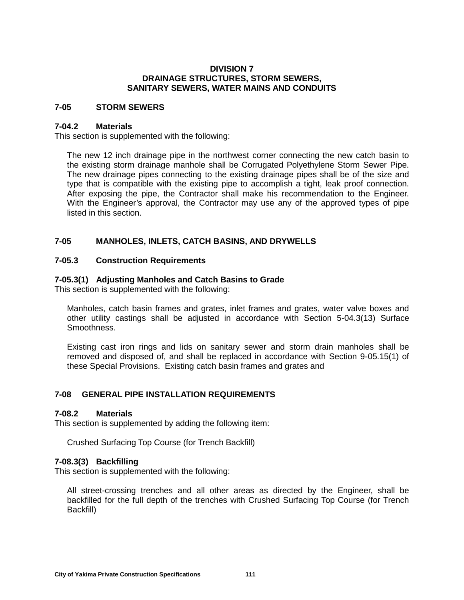### **DIVISION 7 DRAINAGE STRUCTURES, STORM SEWERS, SANITARY SEWERS, WATER MAINS AND CONDUITS**

### **7-05 STORM SEWERS**

### **7-04.2 Materials**

This section is supplemented with the following:

The new 12 inch drainage pipe in the northwest corner connecting the new catch basin to the existing storm drainage manhole shall be Corrugated Polyethylene Storm Sewer Pipe. The new drainage pipes connecting to the existing drainage pipes shall be of the size and type that is compatible with the existing pipe to accomplish a tight, leak proof connection. After exposing the pipe, the Contractor shall make his recommendation to the Engineer. With the Engineer's approval, the Contractor may use any of the approved types of pipe listed in this section.

# **7-05 MANHOLES, INLETS, CATCH BASINS, AND DRYWELLS**

### **7-05.3 Construction Requirements**

### **7-05.3(1) Adjusting Manholes and Catch Basins to Grade**

This section is supplemented with the following:

Manholes, catch basin frames and grates, inlet frames and grates, water valve boxes and other utility castings shall be adjusted in accordance with Section 5-04.3(13) Surface Smoothness.

Existing cast iron rings and lids on sanitary sewer and storm drain manholes shall be removed and disposed of, and shall be replaced in accordance with Section 9-05.15(1) of these Special Provisions. Existing catch basin frames and grates and

### **7-08 GENERAL PIPE INSTALLATION REQUIREMENTS**

### **7-08.2 Materials**

This section is supplemented by adding the following item:

Crushed Surfacing Top Course (for Trench Backfill)

### **7-08.3(3) Backfilling**

This section is supplemented with the following:

All street-crossing trenches and all other areas as directed by the Engineer, shall be backfilled for the full depth of the trenches with Crushed Surfacing Top Course (for Trench Backfill)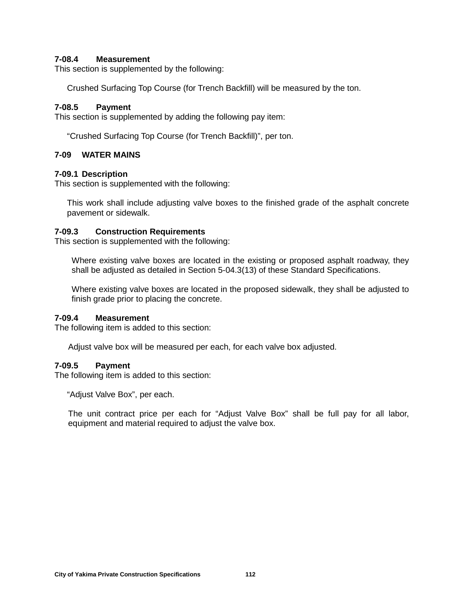# **7-08.4 Measurement**

This section is supplemented by the following:

Crushed Surfacing Top Course (for Trench Backfill) will be measured by the ton.

### **7-08.5 Payment**

This section is supplemented by adding the following pay item:

"Crushed Surfacing Top Course (for Trench Backfill)", per ton.

### **7-09 WATER MAINS**

### **7-09.1 Description**

This section is supplemented with the following:

This work shall include adjusting valve boxes to the finished grade of the asphalt concrete pavement or sidewalk.

### **7-09.3 Construction Requirements**

This section is supplemented with the following:

Where existing valve boxes are located in the existing or proposed asphalt roadway, they shall be adjusted as detailed in Section 5-04.3(13) of these Standard Specifications.

Where existing valve boxes are located in the proposed sidewalk, they shall be adjusted to finish grade prior to placing the concrete.

### **7-09.4 Measurement**

The following item is added to this section:

Adjust valve box will be measured per each, for each valve box adjusted.

### **7-09.5 Payment**

The following item is added to this section:

"Adjust Valve Box", per each.

The unit contract price per each for "Adjust Valve Box" shall be full pay for all labor, equipment and material required to adjust the valve box.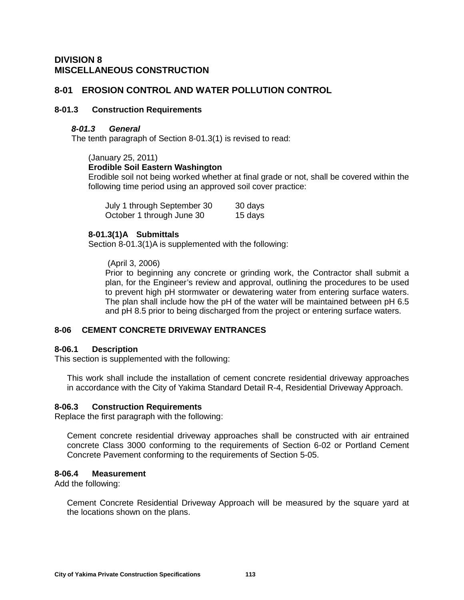# **DIVISION 8 MISCELLANEOUS CONSTRUCTION**

# **8-01 EROSION CONTROL AND WATER POLLUTION CONTROL**

### **8-01.3 Construction Requirements**

### *8-01.3 General*

The tenth paragraph of Section 8-01.3(1) is revised to read:

(January 25, 2011)

# **Erodible Soil Eastern Washington**

Erodible soil not being worked whether at final grade or not, shall be covered within the following time period using an approved soil cover practice:

| July 1 through September 30 | 30 days |
|-----------------------------|---------|
| October 1 through June 30   | 15 days |

### **8-01.3(1)A Submittals**

Section 8-01.3(1)A is supplemented with the following:

### (April 3, 2006)

Prior to beginning any concrete or grinding work, the Contractor shall submit a plan, for the Engineer's review and approval, outlining the procedures to be used to prevent high pH stormwater or dewatering water from entering surface waters. The plan shall include how the pH of the water will be maintained between pH 6.5 and pH 8.5 prior to being discharged from the project or entering surface waters.

# **8-06 CEMENT CONCRETE DRIVEWAY ENTRANCES**

### **8-06.1 Description**

This section is supplemented with the following:

This work shall include the installation of cement concrete residential driveway approaches in accordance with the City of Yakima Standard Detail R-4, Residential Driveway Approach.

### **8-06.3 Construction Requirements**

Replace the first paragraph with the following:

Cement concrete residential driveway approaches shall be constructed with air entrained concrete Class 3000 conforming to the requirements of Section 6-02 or Portland Cement Concrete Pavement conforming to the requirements of Section 5-05.

### **8-06.4 Measurement**

Add the following:

Cement Concrete Residential Driveway Approach will be measured by the square yard at the locations shown on the plans.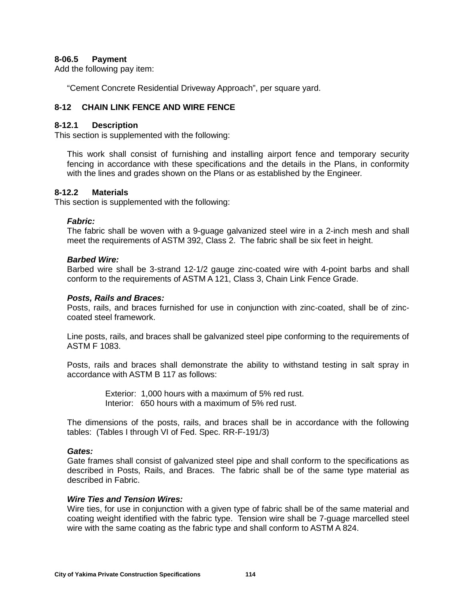### **8-06.5 Payment**

Add the following pay item:

"Cement Concrete Residential Driveway Approach", per square yard.

## **8-12 CHAIN LINK FENCE AND WIRE FENCE**

#### **8-12.1 Description**

This section is supplemented with the following:

This work shall consist of furnishing and installing airport fence and temporary security fencing in accordance with these specifications and the details in the Plans, in conformity with the lines and grades shown on the Plans or as established by the Engineer.

### **8-12.2 Materials**

This section is supplemented with the following:

#### *Fabric:*

The fabric shall be woven with a 9-guage galvanized steel wire in a 2-inch mesh and shall meet the requirements of ASTM 392, Class 2. The fabric shall be six feet in height.

#### *Barbed Wire:*

Barbed wire shall be 3-strand 12-1/2 gauge zinc-coated wire with 4-point barbs and shall conform to the requirements of ASTM A 121, Class 3, Chain Link Fence Grade.

#### *Posts, Rails and Braces:*

Posts, rails, and braces furnished for use in conjunction with zinc-coated, shall be of zinccoated steel framework.

Line posts, rails, and braces shall be galvanized steel pipe conforming to the requirements of ASTM F 1083.

Posts, rails and braces shall demonstrate the ability to withstand testing in salt spray in accordance with ASTM B 117 as follows:

> Exterior: 1,000 hours with a maximum of 5% red rust. Interior: 650 hours with a maximum of 5% red rust.

The dimensions of the posts, rails, and braces shall be in accordance with the following tables: (Tables I through VI of Fed. Spec. RR-F-191/3)

#### *Gates:*

Gate frames shall consist of galvanized steel pipe and shall conform to the specifications as described in Posts, Rails, and Braces. The fabric shall be of the same type material as described in Fabric.

#### *Wire Ties and Tension Wires:*

Wire ties, for use in conjunction with a given type of fabric shall be of the same material and coating weight identified with the fabric type. Tension wire shall be 7-guage marcelled steel wire with the same coating as the fabric type and shall conform to ASTM A 824.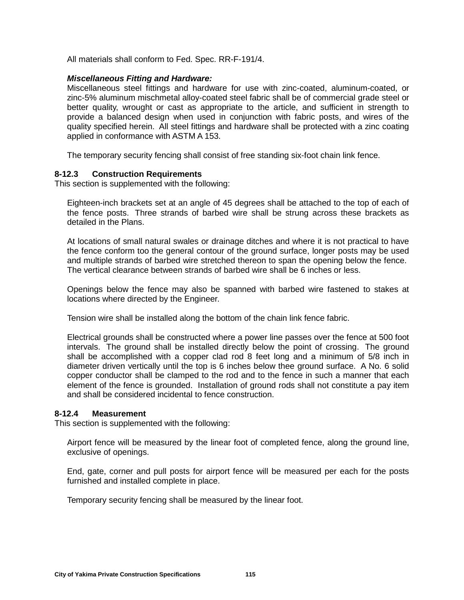All materials shall conform to Fed. Spec. RR-F-191/4.

### *Miscellaneous Fitting and Hardware:*

Miscellaneous steel fittings and hardware for use with zinc-coated, aluminum-coated, or zinc-5% aluminum mischmetal alloy-coated steel fabric shall be of commercial grade steel or better quality, wrought or cast as appropriate to the article, and sufficient in strength to provide a balanced design when used in conjunction with fabric posts, and wires of the quality specified herein. All steel fittings and hardware shall be protected with a zinc coating applied in conformance with ASTM A 153.

The temporary security fencing shall consist of free standing six-foot chain link fence.

### **8-12.3 Construction Requirements**

This section is supplemented with the following:

Eighteen-inch brackets set at an angle of 45 degrees shall be attached to the top of each of the fence posts. Three strands of barbed wire shall be strung across these brackets as detailed in the Plans.

At locations of small natural swales or drainage ditches and where it is not practical to have the fence conform too the general contour of the ground surface, longer posts may be used and multiple strands of barbed wire stretched thereon to span the opening below the fence. The vertical clearance between strands of barbed wire shall be 6 inches or less.

Openings below the fence may also be spanned with barbed wire fastened to stakes at locations where directed by the Engineer.

Tension wire shall be installed along the bottom of the chain link fence fabric.

Electrical grounds shall be constructed where a power line passes over the fence at 500 foot intervals. The ground shall be installed directly below the point of crossing. The ground shall be accomplished with a copper clad rod 8 feet long and a minimum of 5/8 inch in diameter driven vertically until the top is 6 inches below thee ground surface. A No. 6 solid copper conductor shall be clamped to the rod and to the fence in such a manner that each element of the fence is grounded. Installation of ground rods shall not constitute a pay item and shall be considered incidental to fence construction.

#### **8-12.4 Measurement**

This section is supplemented with the following:

Airport fence will be measured by the linear foot of completed fence, along the ground line, exclusive of openings.

End, gate, corner and pull posts for airport fence will be measured per each for the posts furnished and installed complete in place.

Temporary security fencing shall be measured by the linear foot.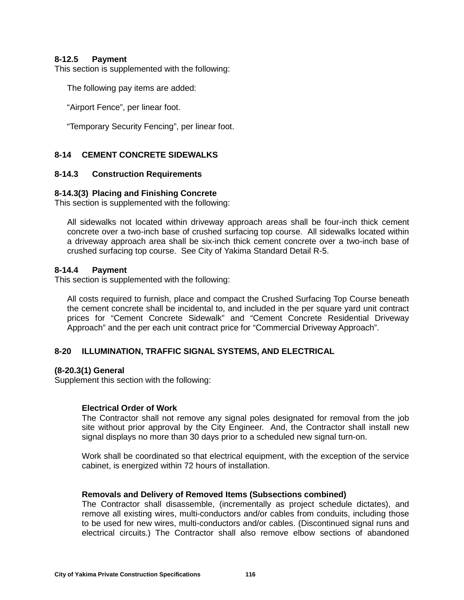### **8-12.5 Payment**

This section is supplemented with the following:

The following pay items are added:

"Airport Fence", per linear foot.

"Temporary Security Fencing", per linear foot.

### **8-14 CEMENT CONCRETE SIDEWALKS**

### **8-14.3 Construction Requirements**

#### **8-14.3(3) Placing and Finishing Concrete**

This section is supplemented with the following:

All sidewalks not located within driveway approach areas shall be four-inch thick cement concrete over a two-inch base of crushed surfacing top course. All sidewalks located within a driveway approach area shall be six-inch thick cement concrete over a two-inch base of crushed surfacing top course. See City of Yakima Standard Detail R-5.

#### **8-14.4 Payment**

This section is supplemented with the following:

All costs required to furnish, place and compact the Crushed Surfacing Top Course beneath the cement concrete shall be incidental to, and included in the per square yard unit contract prices for "Cement Concrete Sidewalk" and "Cement Concrete Residential Driveway Approach" and the per each unit contract price for "Commercial Driveway Approach".

### **8-20 ILLUMINATION, TRAFFIC SIGNAL SYSTEMS, AND ELECTRICAL**

#### **(8-20.3(1) General**

Supplement this section with the following:

### **Electrical Order of Work**

The Contractor shall not remove any signal poles designated for removal from the job site without prior approval by the City Engineer. And, the Contractor shall install new signal displays no more than 30 days prior to a scheduled new signal turn-on.

Work shall be coordinated so that electrical equipment, with the exception of the service cabinet, is energized within 72 hours of installation.

### **Removals and Delivery of Removed Items (Subsections combined)**

The Contractor shall disassemble, (incrementally as project schedule dictates), and remove all existing wires, multi-conductors and/or cables from conduits, including those to be used for new wires, multi-conductors and/or cables. (Discontinued signal runs and electrical circuits.) The Contractor shall also remove elbow sections of abandoned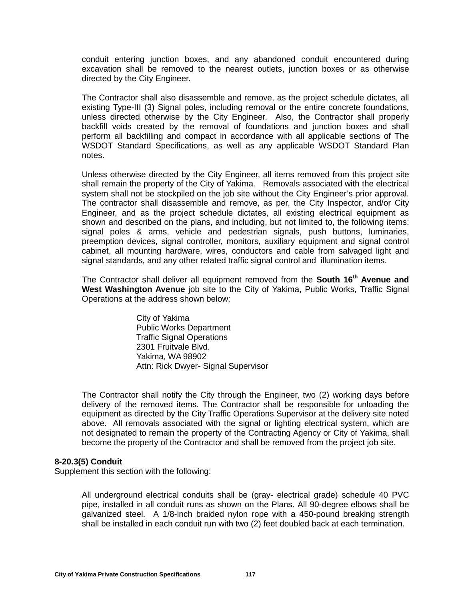conduit entering junction boxes, and any abandoned conduit encountered during excavation shall be removed to the nearest outlets, junction boxes or as otherwise directed by the City Engineer.

The Contractor shall also disassemble and remove, as the project schedule dictates, all existing Type-III (3) Signal poles, including removal or the entire concrete foundations, unless directed otherwise by the City Engineer. Also, the Contractor shall properly backfill voids created by the removal of foundations and junction boxes and shall perform all backfilling and compact in accordance with all applicable sections of The WSDOT Standard Specifications, as well as any applicable WSDOT Standard Plan notes.

Unless otherwise directed by the City Engineer, all items removed from this project site shall remain the property of the City of Yakima. Removals associated with the electrical system shall not be stockpiled on the job site without the City Engineer's prior approval. The contractor shall disassemble and remove, as per, the City Inspector, and/or City Engineer, and as the project schedule dictates, all existing electrical equipment as shown and described on the plans, and including, but not limited to, the following items: signal poles & arms, vehicle and pedestrian signals, push buttons, luminaries, preemption devices, signal controller, monitors, auxiliary equipment and signal control cabinet, all mounting hardware, wires, conductors and cable from salvaged light and signal standards, and any other related traffic signal control and illumination items.

The Contractor shall deliver all equipment removed from the **South 16th Avenue and West Washington Avenue** job site to the City of Yakima, Public Works, Traffic Signal Operations at the address shown below:

> City of Yakima Public Works Department Traffic Signal Operations 2301 Fruitvale Blvd. Yakima, WA 98902 Attn: Rick Dwyer- Signal Supervisor

The Contractor shall notify the City through the Engineer, two (2) working days before delivery of the removed items. The Contractor shall be responsible for unloading the equipment as directed by the City Traffic Operations Supervisor at the delivery site noted above. All removals associated with the signal or lighting electrical system, which are not designated to remain the property of the Contracting Agency or City of Yakima, shall become the property of the Contractor and shall be removed from the project job site.

### **8-20.3(5) Conduit**

Supplement this section with the following:

All underground electrical conduits shall be (gray- electrical grade) schedule 40 PVC pipe, installed in all conduit runs as shown on the Plans. All 90-degree elbows shall be galvanized steel. A 1/8-inch braided nylon rope with a 450-pound breaking strength shall be installed in each conduit run with two (2) feet doubled back at each termination.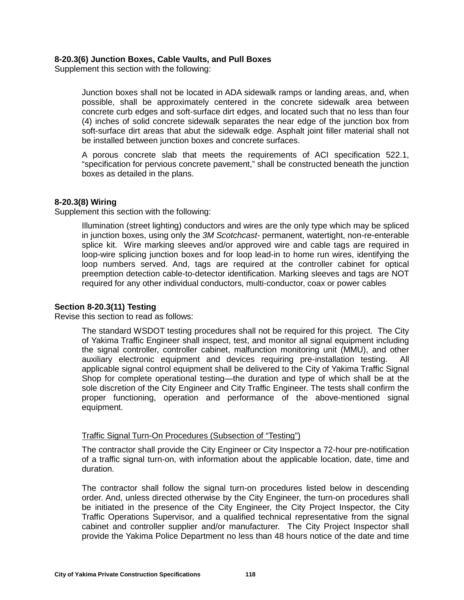### **8-20.3(6) Junction Boxes, Cable Vaults, and Pull Boxes**

Supplement this section with the following:

Junction boxes shall not be located in ADA sidewalk ramps or landing areas, and, when possible, shall be approximately centered in the concrete sidewalk area between concrete curb edges and soft-surface dirt edges, and located such that no less than four (4) inches of solid concrete sidewalk separates the near edge of the junction box from soft-surface dirt areas that abut the sidewalk edge. Asphalt joint filler material shall not be installed between junction boxes and concrete surfaces.

A porous concrete slab that meets the requirements of ACI specification 522.1, "specification for pervious concrete pavement," shall be constructed beneath the junction boxes as detailed in the plans.

### **8-20.3(8) Wiring**

Supplement this section with the following:

Illumination (street lighting) conductors and wires are the only type which may be spliced in junction boxes, using only the *3M Scotchcast-* permanent, watertight, non-re-enterable splice kit. Wire marking sleeves and/or approved wire and cable tags are required in loop-wire splicing junction boxes and for loop lead-in to home run wires, identifying the loop numbers served. And, tags are required at the controller cabinet for optical preemption detection cable-to-detector identification. Marking sleeves and tags are NOT required for any other individual conductors, multi-conductor, coax or power cables

### **Section 8-20.3(11) Testing**

Revise this section to read as follows:

The standard WSDOT testing procedures shall not be required for this project. The City of Yakima Traffic Engineer shall inspect, test, and monitor all signal equipment including the signal controller, controller cabinet, malfunction monitoring unit (MMU), and other auxiliary electronic equipment and devices requiring pre-installation testing. All applicable signal control equipment shall be delivered to the City of Yakima Traffic Signal Shop for complete operational testing—the duration and type of which shall be at the sole discretion of the City Engineer and City Traffic Engineer. The tests shall confirm the proper functioning, operation and performance of the above-mentioned signal equipment.

### Traffic Signal Turn-On Procedures (Subsection of "Testing")

The contractor shall provide the City Engineer or City Inspector a 72-hour pre-notification of a traffic signal turn-on, with information about the applicable location, date, time and duration.

The contractor shall follow the signal turn-on procedures listed below in descending order. And, unless directed otherwise by the City Engineer, the turn-on procedures shall be initiated in the presence of the City Engineer, the City Project Inspector, the City Traffic Operations Supervisor, and a qualified technical representative from the signal cabinet and controller supplier and/or manufacturer. The City Project Inspector shall provide the Yakima Police Department no less than 48 hours notice of the date and time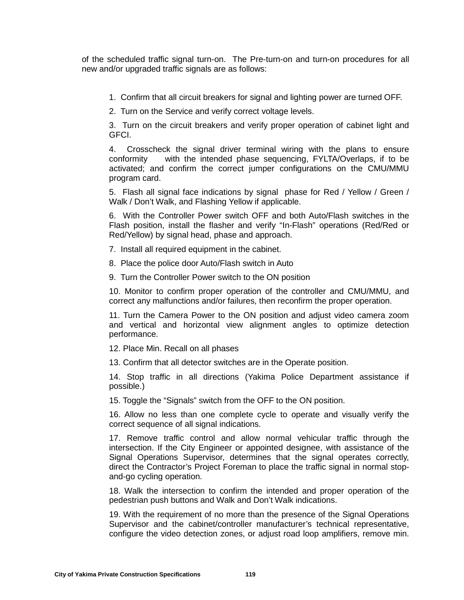of the scheduled traffic signal turn-on. The Pre-turn-on and turn-on procedures for all new and/or upgraded traffic signals are as follows:

- 1. Confirm that all circuit breakers for signal and lighting power are turned OFF.
- 2. Turn on the Service and verify correct voltage levels.

3. Turn on the circuit breakers and verify proper operation of cabinet light and GFCI.

4. Crosscheck the signal driver terminal wiring with the plans to ensure conformity with the intended phase sequencing, FYLTA/Overlaps, if to be activated; and confirm the correct jumper configurations on the CMU/MMU program card.

5. Flash all signal face indications by signal phase for Red / Yellow / Green / Walk / Don't Walk, and Flashing Yellow if applicable.

6. With the Controller Power switch OFF and both Auto/Flash switches in the Flash position, install the flasher and verify "In-Flash" operations (Red/Red or Red/Yellow) by signal head, phase and approach.

- 7. Install all required equipment in the cabinet.
- 8. Place the police door Auto/Flash switch in Auto
- 9. Turn the Controller Power switch to the ON position

10. Monitor to confirm proper operation of the controller and CMU/MMU, and correct any malfunctions and/or failures, then reconfirm the proper operation.

11. Turn the Camera Power to the ON position and adjust video camera zoom and vertical and horizontal view alignment angles to optimize detection performance.

12. Place Min. Recall on all phases

13. Confirm that all detector switches are in the Operate position.

14. Stop traffic in all directions (Yakima Police Department assistance if possible.)

15. Toggle the "Signals" switch from the OFF to the ON position.

16. Allow no less than one complete cycle to operate and visually verify the correct sequence of all signal indications.

17. Remove traffic control and allow normal vehicular traffic through the intersection. If the City Engineer or appointed designee, with assistance of the Signal Operations Supervisor, determines that the signal operates correctly, direct the Contractor's Project Foreman to place the traffic signal in normal stopand-go cycling operation.

18. Walk the intersection to confirm the intended and proper operation of the pedestrian push buttons and Walk and Don't Walk indications.

19. With the requirement of no more than the presence of the Signal Operations Supervisor and the cabinet/controller manufacturer's technical representative, configure the video detection zones, or adjust road loop amplifiers, remove min.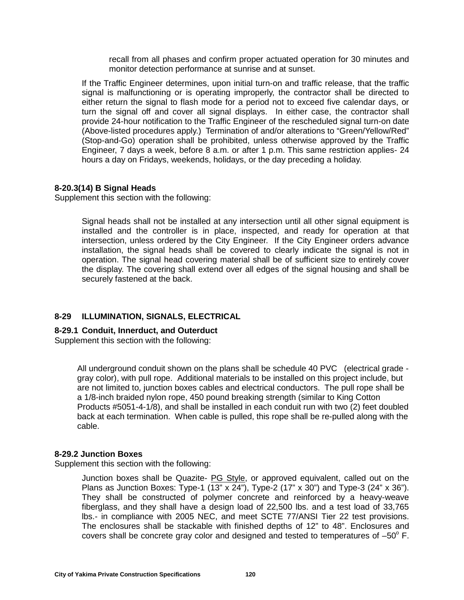recall from all phases and confirm proper actuated operation for 30 minutes and monitor detection performance at sunrise and at sunset.

If the Traffic Engineer determines, upon initial turn-on and traffic release, that the traffic signal is malfunctioning or is operating improperly, the contractor shall be directed to either return the signal to flash mode for a period not to exceed five calendar days, or turn the signal off and cover all signal displays. In either case, the contractor shall provide 24-hour notification to the Traffic Engineer of the rescheduled signal turn-on date (Above-listed procedures apply.) Termination of and/or alterations to "Green/Yellow/Red" (Stop-and-Go) operation shall be prohibited, unless otherwise approved by the Traffic Engineer, 7 days a week, before 8 a.m. or after 1 p.m. This same restriction applies- 24 hours a day on Fridays, weekends, holidays, or the day preceding a holiday.

### **8-20.3(14) B Signal Heads**

Supplement this section with the following:

Signal heads shall not be installed at any intersection until all other signal equipment is installed and the controller is in place, inspected, and ready for operation at that intersection, unless ordered by the City Engineer. If the City Engineer orders advance installation, the signal heads shall be covered to clearly indicate the signal is not in operation. The signal head covering material shall be of sufficient size to entirely cover the display. The covering shall extend over all edges of the signal housing and shall be securely fastened at the back.

# **8-29 ILLUMINATION, SIGNALS, ELECTRICAL**

# **8-29.1 Conduit, Innerduct, and Outerduct**

Supplement this section with the following:

All underground conduit shown on the plans shall be schedule 40 PVC (electrical grade gray color), with pull rope. Additional materials to be installed on this project include, but are not limited to, junction boxes cables and electrical conductors. The pull rope shall be a 1/8-inch braided nylon rope, 450 pound breaking strength (similar to King Cotton Products #5051-4-1/8), and shall be installed in each conduit run with two (2) feet doubled back at each termination. When cable is pulled, this rope shall be re-pulled along with the cable.

### **8-29.2 Junction Boxes**

Supplement this section with the following:

Junction boxes shall be Quazite- PG Style, or approved equivalent, called out on the Plans as Junction Boxes: Type-1  $(13'' \times 24'')$ , Type-2  $(17'' \times 30'')$  and Type-3  $(24'' \times 36'')$ . They shall be constructed of polymer concrete and reinforced by a heavy-weave fiberglass, and they shall have a design load of 22,500 lbs. and a test load of 33,765 lbs.- in compliance with 2005 NEC, and meet SCTE 77/ANSI Tier 22 test provisions. The enclosures shall be stackable with finished depths of 12" to 48". Enclosures and covers shall be concrete gray color and designed and tested to temperatures of  $-50^{\circ}$  F.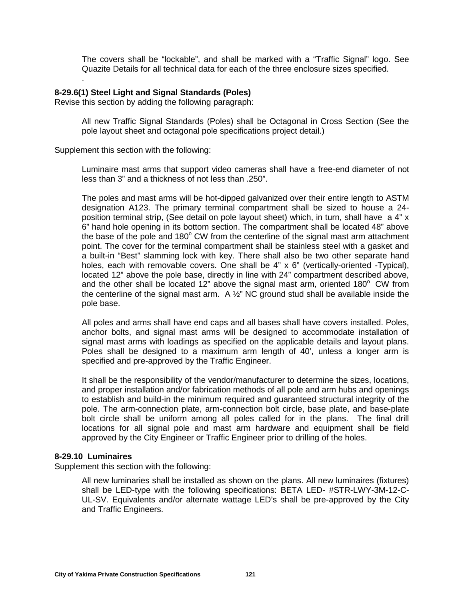The covers shall be "lockable", and shall be marked with a "Traffic Signal" logo. See Quazite Details for all technical data for each of the three enclosure sizes specified.

### **8-29.6(1) Steel Light and Signal Standards (Poles)**

Revise this section by adding the following paragraph:

All new Traffic Signal Standards (Poles) shall be Octagonal in Cross Section (See the pole layout sheet and octagonal pole specifications project detail.)

Supplement this section with the following:

.

Luminaire mast arms that support video cameras shall have a free-end diameter of not less than 3" and a thickness of not less than .250".

The poles and mast arms will be hot-dipped galvanized over their entire length to ASTM designation A123. The primary terminal compartment shall be sized to house a 24 position terminal strip, (See detail on pole layout sheet) which, in turn, shall have a 4" x 6" hand hole opening in its bottom section. The compartment shall be located 48" above the base of the pole and  $180^{\circ}$  CW from the centerline of the signal mast arm attachment point. The cover for the terminal compartment shall be stainless steel with a gasket and a built-in "Best" slamming lock with key. There shall also be two other separate hand holes, each with removable covers. One shall be 4" x 6" (vertically-oriented -Typical), located 12" above the pole base, directly in line with 24" compartment described above, and the other shall be located 12" above the signal mast arm, oriented  $180^\circ$  CW from the centerline of the signal mast arm. A  $\frac{1}{2}$ " NC ground stud shall be available inside the pole base.

All poles and arms shall have end caps and all bases shall have covers installed. Poles, anchor bolts, and signal mast arms will be designed to accommodate installation of signal mast arms with loadings as specified on the applicable details and layout plans. Poles shall be designed to a maximum arm length of 40', unless a longer arm is specified and pre-approved by the Traffic Engineer.

It shall be the responsibility of the vendor/manufacturer to determine the sizes, locations, and proper installation and/or fabrication methods of all pole and arm hubs and openings to establish and build-in the minimum required and guaranteed structural integrity of the pole. The arm-connection plate, arm-connection bolt circle, base plate, and base-plate bolt circle shall be uniform among all poles called for in the plans. The final drill locations for all signal pole and mast arm hardware and equipment shall be field approved by the City Engineer or Traffic Engineer prior to drilling of the holes.

### **8-29.10 Luminaires**

Supplement this section with the following:

All new luminaries shall be installed as shown on the plans. All new luminaires (fixtures) shall be LED-type with the following specifications: BETA LED- #STR-LWY-3M-12-C-UL-SV. Equivalents and/or alternate wattage LED's shall be pre-approved by the City and Traffic Engineers.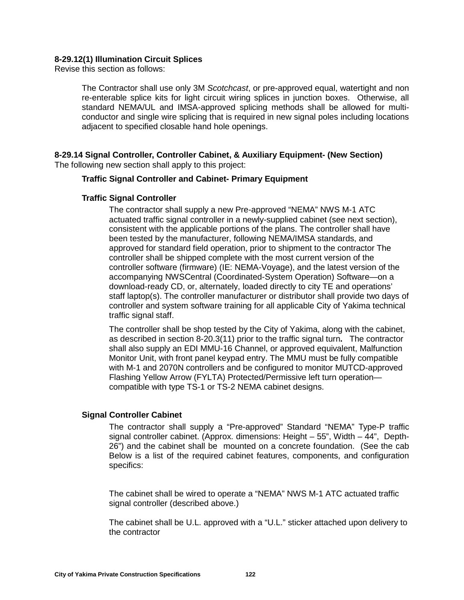### **8-29.12(1) Illumination Circuit Splices**

Revise this section as follows:

The Contractor shall use only 3M *Scotchcast*, or pre-approved equal, watertight and non re-enterable splice kits for light circuit wiring splices in junction boxes. Otherwise, all standard NEMA/UL and IMSA-approved splicing methods shall be allowed for multiconductor and single wire splicing that is required in new signal poles including locations adjacent to specified closable hand hole openings.

# **8-29.14 Signal Controller, Controller Cabinet, & Auxiliary Equipment- (New Section)**

The following new section shall apply to this project:

### **Traffic Signal Controller and Cabinet- Primary Equipment**

### **Traffic Signal Controller**

The contractor shall supply a new Pre-approved "NEMA" NWS M-1 ATC actuated traffic signal controller in a newly-supplied cabinet (see next section), consistent with the applicable portions of the plans. The controller shall have been tested by the manufacturer, following NEMA/IMSA standards, and approved for standard field operation, prior to shipment to the contractor The controller shall be shipped complete with the most current version of the controller software (firmware) (IE: NEMA-Voyage), and the latest version of the accompanying NWSCentral (Coordinated-System Operation) Software—on a download-ready CD, or, alternately, loaded directly to city TE and operations' staff laptop(s). The controller manufacturer or distributor shall provide two days of controller and system software training for all applicable City of Yakima technical traffic signal staff.

The controller shall be shop tested by the City of Yakima, along with the cabinet, as described in section 8-20.3(11) prior to the traffic signal turn**.** The contractor shall also supply an EDI MMU-16 Channel, or approved equivalent, Malfunction Monitor Unit, with front panel keypad entry. The MMU must be fully compatible with M-1 and 2070N controllers and be configured to monitor MUTCD-approved Flashing Yellow Arrow (FYLTA) Protected/Permissive left turn operation compatible with type TS-1 or TS-2 NEMA cabinet designs.

# **Signal Controller Cabinet**

The contractor shall supply a "Pre-approved" Standard "NEMA" Type-P traffic signal controller cabinet. (Approx. dimensions: Height – 55", Width – 44", Depth-26") and the cabinet shall be mounted on a concrete foundation. (See the cab Below is a list of the required cabinet features, components, and configuration specifics:

The cabinet shall be wired to operate a "NEMA" NWS M-1 ATC actuated traffic signal controller (described above.)

The cabinet shall be U.L. approved with a "U.L." sticker attached upon delivery to the contractor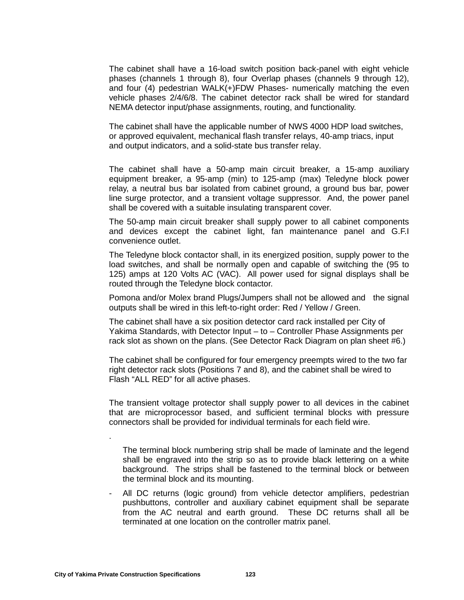The cabinet shall have a 16-load switch position back-panel with eight vehicle phases (channels 1 through 8), four Overlap phases (channels 9 through 12), and four (4) pedestrian WALK(+)FDW Phases- numerically matching the even vehicle phases 2/4/6/8. The cabinet detector rack shall be wired for standard NEMA detector input/phase assignments, routing, and functionality.

The cabinet shall have the applicable number of NWS 4000 HDP load switches, or approved equivalent, mechanical flash transfer relays, 40-amp triacs, input and output indicators, and a solid-state bus transfer relay.

The cabinet shall have a 50-amp main circuit breaker, a 15-amp auxiliary equipment breaker, a 95-amp (min) to 125-amp (max) Teledyne block power relay, a neutral bus bar isolated from cabinet ground, a ground bus bar, power line surge protector, and a transient voltage suppressor. And, the power panel shall be covered with a suitable insulating transparent cover.

The 50-amp main circuit breaker shall supply power to all cabinet components and devices except the cabinet light, fan maintenance panel and G.F.I convenience outlet.

The Teledyne block contactor shall, in its energized position, supply power to the load switches, and shall be normally open and capable of switching the (95 to 125) amps at 120 Volts AC (VAC). All power used for signal displays shall be routed through the Teledyne block contactor.

Pomona and/or Molex brand Plugs/Jumpers shall not be allowed and the signal outputs shall be wired in this left-to-right order: Red / Yellow / Green.

The cabinet shall have a six position detector card rack installed per City of Yakima Standards, with Detector Input – to – Controller Phase Assignments per rack slot as shown on the plans. (See Detector Rack Diagram on plan sheet #6.)

The cabinet shall be configured for four emergency preempts wired to the two far right detector rack slots (Positions 7 and 8), and the cabinet shall be wired to Flash "ALL RED" for all active phases.

The transient voltage protector shall supply power to all devices in the cabinet that are microprocessor based, and sufficient terminal blocks with pressure connectors shall be provided for individual terminals for each field wire.

The terminal block numbering strip shall be made of laminate and the legend shall be engraved into the strip so as to provide black lettering on a white background. The strips shall be fastened to the terminal block or between the terminal block and its mounting.

All DC returns (logic ground) from vehicle detector amplifiers, pedestrian pushbuttons, controller and auxiliary cabinet equipment shall be separate from the AC neutral and earth ground. These DC returns shall all be terminated at one location on the controller matrix panel.

.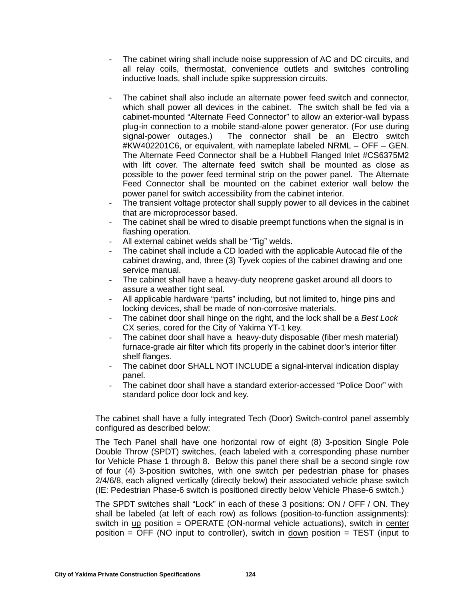- The cabinet wiring shall include noise suppression of AC and DC circuits, and all relay coils, thermostat, convenience outlets and switches controlling inductive loads, shall include spike suppression circuits.
- The cabinet shall also include an alternate power feed switch and connector, which shall power all devices in the cabinet. The switch shall be fed via a cabinet-mounted "Alternate Feed Connector" to allow an exterior-wall bypass plug-in connection to a mobile stand-alone power generator. (For use during signal-power outages.) The connector shall be an Electro switch #KW402201C6, or equivalent, with nameplate labeled NRML – OFF – GEN. The Alternate Feed Connector shall be a Hubbell Flanged Inlet #CS6375M2 with lift cover. The alternate feed switch shall be mounted as close as possible to the power feed terminal strip on the power panel. The Alternate Feed Connector shall be mounted on the cabinet exterior wall below the power panel for switch accessibility from the cabinet interior.
- The transient voltage protector shall supply power to all devices in the cabinet that are microprocessor based.
- The cabinet shall be wired to disable preempt functions when the signal is in flashing operation.
- All external cabinet welds shall be "Tig" welds.
- The cabinet shall include a CD loaded with the applicable Autocad file of the cabinet drawing, and, three (3) Tyvek copies of the cabinet drawing and one service manual.
- The cabinet shall have a heavy-duty neoprene gasket around all doors to assure a weather tight seal.
- All applicable hardware "parts" including, but not limited to, hinge pins and locking devices, shall be made of non-corrosive materials.
- The cabinet door shall hinge on the right, and the lock shall be a *Best Lock* CX series, cored for the City of Yakima YT-1 key.
- The cabinet door shall have a heavy-duty disposable (fiber mesh material) furnace-grade air filter which fits properly in the cabinet door's interior filter shelf flanges.
- The cabinet door SHALL NOT INCLUDE a signal-interval indication display panel.
- The cabinet door shall have a standard exterior-accessed "Police Door" with standard police door lock and key.

The cabinet shall have a fully integrated Tech (Door) Switch-control panel assembly configured as described below:

The Tech Panel shall have one horizontal row of eight (8) 3-position Single Pole Double Throw (SPDT) switches, (each labeled with a corresponding phase number for Vehicle Phase 1 through 8. Below this panel there shall be a second single row of four (4) 3-position switches, with one switch per pedestrian phase for phases 2/4/6/8, each aligned vertically (directly below) their associated vehicle phase switch (IE: Pedestrian Phase-6 switch is positioned directly below Vehicle Phase-6 switch.)

The SPDT switches shall "Lock" in each of these 3 positions: ON / OFF / ON. They shall be labeled (at left of each row) as follows (position-to-function assignments): switch in up position = OPERATE (ON-normal vehicle actuations), switch in center position  $=$  OFF (NO input to controller), switch in down position  $=$  TEST (input to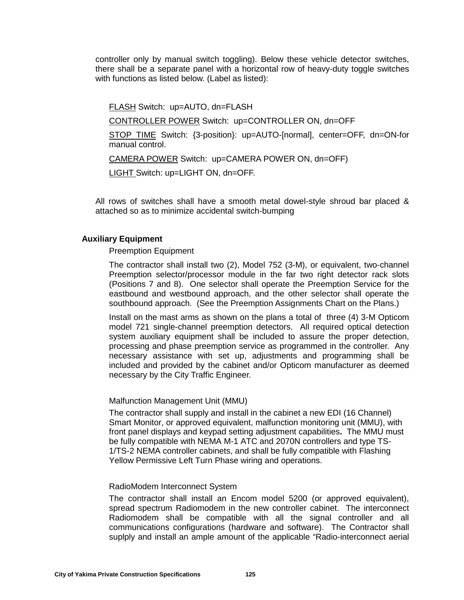controller only by manual switch toggling). Below these vehicle detector switches, there shall be a separate panel with a horizontal row of heavy-duty toggle switches with functions as listed below. (Label as listed):

FLASH Switch: up=AUTO, dn=FLASH CONTROLLER POWER Switch: up=CONTROLLER ON, dn=OFF STOP TIME Switch: {3-position}: up=AUTO-[normal], center=OFF, dn=ON-for manual control. CAMERA POWER Switch: up=CAMERA POWER ON, dn=OFF) LIGHT Switch: up=LIGHT ON, dn=OFF.

All rows of switches shall have a smooth metal dowel-style shroud bar placed & attached so as to minimize accidental switch-bumping

### **Auxiliary Equipment**

Preemption Equipment

The contractor shall install two (2), Model 752 (3-M), or equivalent, two-channel Preemption selector/processor module in the far two right detector rack slots (Positions 7 and 8). One selector shall operate the Preemption Service for the eastbound and westbound approach, and the other selector shall operate the southbound approach. (See the Preemption Assignments Chart on the Plans.)

Install on the mast arms as shown on the plans a total of three (4) 3-M Opticom model 721 single-channel preemption detectors. All required optical detection system auxiliary equipment shall be included to assure the proper detection, processing and phase preemption service as programmed in the controller. Any necessary assistance with set up, adjustments and programming shall be included and provided by the cabinet and/or Opticom manufacturer as deemed necessary by the City Traffic Engineer.

### Malfunction Management Unit (MMU)

The contractor shall supply and install in the cabinet a new EDI (16 Channel) Smart Monitor, or approved equivalent, malfunction monitoring unit (MMU), with front panel displays and keypad setting adjustment capabilities**.** The MMU must be fully compatible with NEMA M-1 ATC and 2070N controllers and type TS-1/TS-2 NEMA controller cabinets, and shall be fully compatible with Flashing Yellow Permissive Left Turn Phase wiring and operations.

### RadioModem Interconnect System

The contractor shall install an Encom model 5200 (or approved equivalent), spread spectrum Radiomodem in the new controller cabinet. The interconnect Radiomodem shall be compatible with all the signal controller and all communications configurations (hardware and software). The Contractor shall suplply and install an ample amount of the applicable "Radio-interconnect aerial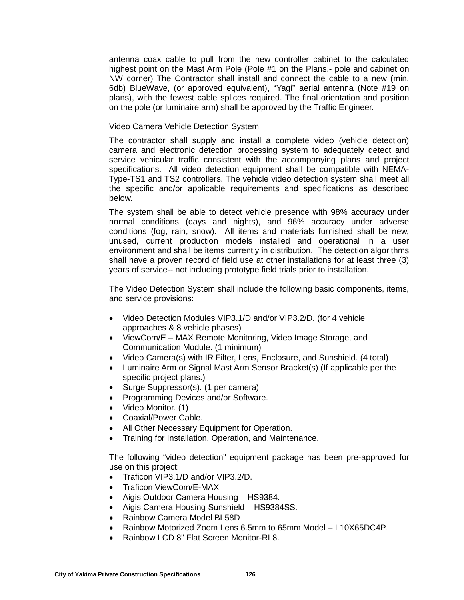antenna coax cable to pull from the new controller cabinet to the calculated highest point on the Mast Arm Pole (Pole #1 on the Plans.- pole and cabinet on NW corner) The Contractor shall install and connect the cable to a new (min. 6db) BlueWave, (or approved equivalent), "Yagi" aerial antenna (Note #19 on plans), with the fewest cable splices required. The final orientation and position on the pole (or luminaire arm) shall be approved by the Traffic Engineer.

#### Video Camera Vehicle Detection System

The contractor shall supply and install a complete video (vehicle detection) camera and electronic detection processing system to adequately detect and service vehicular traffic consistent with the accompanying plans and project specifications. All video detection equipment shall be compatible with NEMA-Type-TS1 and TS2 controllers. The vehicle video detection system shall meet all the specific and/or applicable requirements and specifications as described below.

The system shall be able to detect vehicle presence with 98% accuracy under normal conditions (days and nights), and 96% accuracy under adverse conditions (fog, rain, snow). All items and materials furnished shall be new, unused, current production models installed and operational in a user environment and shall be items currently in distribution. The detection algorithms shall have a proven record of field use at other installations for at least three (3) years of service-- not including prototype field trials prior to installation.

The Video Detection System shall include the following basic components, items, and service provisions:

- Video Detection Modules VIP3.1/D and/or VIP3.2/D. (for 4 vehicle approaches & 8 vehicle phases)
- ViewCom/E MAX Remote Monitoring, Video Image Storage, and Communication Module. (1 minimum)
- Video Camera(s) with IR Filter, Lens, Enclosure, and Sunshield. (4 total)
- Luminaire Arm or Signal Mast Arm Sensor Bracket(s) (If applicable per the specific project plans.)
- Surge Suppressor(s). (1 per camera)
- Programming Devices and/or Software.
- Video Monitor. (1)
- Coaxial/Power Cable.
- All Other Necessary Equipment for Operation.
- Training for Installation, Operation, and Maintenance.

The following "video detection" equipment package has been pre-approved for use on this project:

- Traficon VIP3.1/D and/or VIP3.2/D.
- Traficon ViewCom/E-MAX
- Aigis Outdoor Camera Housing HS9384.
- Aigis Camera Housing Sunshield HS9384SS.
- Rainbow Camera Model BL58D
- Rainbow Motorized Zoom Lens 6.5mm to 65mm Model L10X65DC4P.
- Rainbow LCD 8" Flat Screen Monitor-RL8.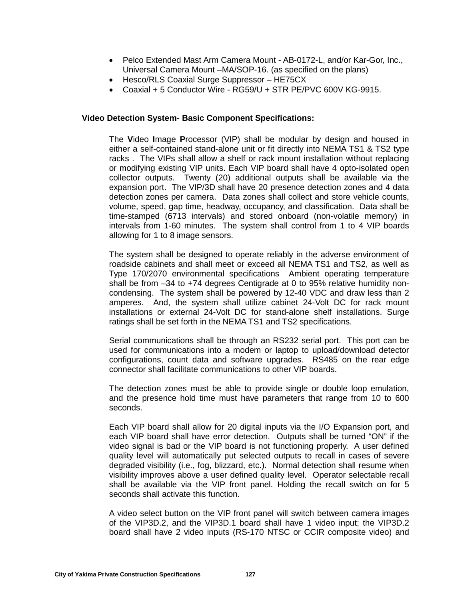- Pelco Extended Mast Arm Camera Mount AB-0172-L, and/or Kar-Gor, Inc., Universal Camera Mount –MA/SOP-16. (as specified on the plans)
- Hesco/RLS Coaxial Surge Suppressor HE75CX
- Coaxial + 5 Conductor Wire RG59/U + STR PE/PVC 600V KG-9915.

### **Video Detection System- Basic Component Specifications:**

The **V**ideo **I**mage **P**rocessor (VIP) shall be modular by design and housed in either a self-contained stand-alone unit or fit directly into NEMA TS1 & TS2 type racks . The VIPs shall allow a shelf or rack mount installation without replacing or modifying existing VIP units. Each VIP board shall have 4 opto-isolated open collector outputs. Twenty (20) additional outputs shall be available via the expansion port. The VIP/3D shall have 20 presence detection zones and 4 data detection zones per camera. Data zones shall collect and store vehicle counts, volume, speed, gap time, headway, occupancy, and classification. Data shall be time-stamped (6713 intervals) and stored onboard (non-volatile memory) in intervals from 1-60 minutes. The system shall control from 1 to 4 VIP boards allowing for 1 to 8 image sensors.

The system shall be designed to operate reliably in the adverse environment of roadside cabinets and shall meet or exceed all NEMA TS1 and TS2, as well as Type 170/2070 environmental specifications Ambient operating temperature shall be from –34 to +74 degrees Centigrade at 0 to 95% relative humidity noncondensing. The system shall be powered by 12-40 VDC and draw less than 2 amperes. And, the system shall utilize cabinet 24-Volt DC for rack mount installations or external 24-Volt DC for stand-alone shelf installations. Surge ratings shall be set forth in the NEMA TS1 and TS2 specifications.

Serial communications shall be through an RS232 serial port. This port can be used for communications into a modem or laptop to upload/download detector configurations, count data and software upgrades. RS485 on the rear edge connector shall facilitate communications to other VIP boards.

The detection zones must be able to provide single or double loop emulation, and the presence hold time must have parameters that range from 10 to 600 seconds.

Each VIP board shall allow for 20 digital inputs via the I/O Expansion port, and each VIP board shall have error detection. Outputs shall be turned "ON" if the video signal is bad or the VIP board is not functioning properly. A user defined quality level will automatically put selected outputs to recall in cases of severe degraded visibility (i.e., fog, blizzard, etc.). Normal detection shall resume when visibility improves above a user defined quality level. Operator selectable recall shall be available via the VIP front panel. Holding the recall switch on for 5 seconds shall activate this function.

A video select button on the VIP front panel will switch between camera images of the VIP3D.2, and the VIP3D.1 board shall have 1 video input; the VIP3D.2 board shall have 2 video inputs (RS-170 NTSC or CCIR composite video) and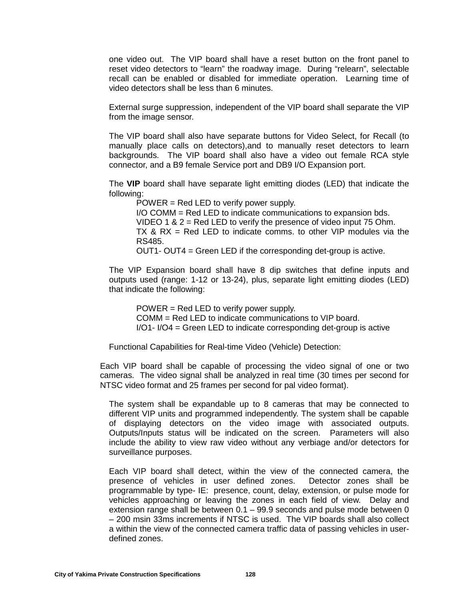one video out. The VIP board shall have a reset button on the front panel to reset video detectors to "learn" the roadway image. During "relearn", selectable recall can be enabled or disabled for immediate operation. Learning time of video detectors shall be less than 6 minutes.

External surge suppression, independent of the VIP board shall separate the VIP from the image sensor.

The VIP board shall also have separate buttons for Video Select, for Recall (to manually place calls on detectors),and to manually reset detectors to learn backgrounds. The VIP board shall also have a video out female RCA style connector, and a B9 female Service port and DB9 I/O Expansion port.

The **VIP** board shall have separate light emitting diodes (LED) that indicate the following:

POWER = Red LED to verify power supply.

I/O COMM = Red LED to indicate communications to expansion bds. VIDEO 1 & 2 = Red LED to verify the presence of video input 75 Ohm. TX & RX = Red LED to indicate comms. to other VIP modules via the RS485.

OUT1- OUT4 = Green LED if the corresponding det-group is active.

The VIP Expansion board shall have 8 dip switches that define inputs and outputs used (range: 1-12 or 13-24), plus, separate light emitting diodes (LED) that indicate the following:

POWER = Red LED to verify power supply. COMM = Red LED to indicate communications to VIP board. I/O1- I/O4 = Green LED to indicate corresponding det-group is active

Functional Capabilities for Real-time Video (Vehicle) Detection:

Each VIP board shall be capable of processing the video signal of one or two cameras. The video signal shall be analyzed in real time (30 times per second for NTSC video format and 25 frames per second for pal video format).

The system shall be expandable up to 8 cameras that may be connected to different VIP units and programmed independently. The system shall be capable of displaying detectors on the video image with associated outputs. Outputs/Inputs status will be indicated on the screen. Parameters will also include the ability to view raw video without any verbiage and/or detectors for surveillance purposes.

Each VIP board shall detect, within the view of the connected camera, the presence of vehicles in user defined zones. Detector zones shall be programmable by type- IE: presence, count, delay, extension, or pulse mode for vehicles approaching or leaving the zones in each field of view. Delay and extension range shall be between  $0.1 - 99.9$  seconds and pulse mode between 0 – 200 msin 33ms increments if NTSC is used. The VIP boards shall also collect a within the view of the connected camera traffic data of passing vehicles in userdefined zones.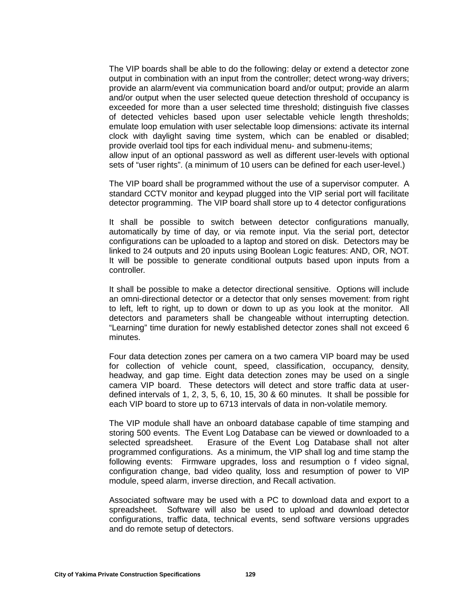The VIP boards shall be able to do the following: delay or extend a detector zone output in combination with an input from the controller; detect wrong-way drivers; provide an alarm/event via communication board and/or output; provide an alarm and/or output when the user selected queue detection threshold of occupancy is exceeded for more than a user selected time threshold; distinguish five classes of detected vehicles based upon user selectable vehicle length thresholds; emulate loop emulation with user selectable loop dimensions: activate its internal clock with daylight saving time system, which can be enabled or disabled; provide overlaid tool tips for each individual menu- and submenu-items; allow input of an optional password as well as different user-levels with optional

sets of "user rights". (a minimum of 10 users can be defined for each user-level.)

The VIP board shall be programmed without the use of a supervisor computer. A standard CCTV monitor and keypad plugged into the VIP serial port will facilitate detector programming. The VIP board shall store up to 4 detector configurations

It shall be possible to switch between detector configurations manually, automatically by time of day, or via remote input. Via the serial port, detector configurations can be uploaded to a laptop and stored on disk. Detectors may be linked to 24 outputs and 20 inputs using Boolean Logic features: AND, OR, NOT. It will be possible to generate conditional outputs based upon inputs from a controller.

It shall be possible to make a detector directional sensitive. Options will include an omni-directional detector or a detector that only senses movement: from right to left, left to right, up to down or down to up as you look at the monitor. All detectors and parameters shall be changeable without interrupting detection. "Learning" time duration for newly established detector zones shall not exceed 6 minutes.

Four data detection zones per camera on a two camera VIP board may be used for collection of vehicle count, speed, classification, occupancy, density, headway, and gap time. Eight data detection zones may be used on a single camera VIP board. These detectors will detect and store traffic data at userdefined intervals of 1, 2, 3, 5, 6, 10, 15, 30 & 60 minutes. It shall be possible for each VIP board to store up to 6713 intervals of data in non-volatile memory.

The VIP module shall have an onboard database capable of time stamping and storing 500 events. The Event Log Database can be viewed or downloaded to a selected spreadsheet. Erasure of the Event Log Database shall not alter programmed configurations. As a minimum, the VIP shall log and time stamp the following events: Firmware upgrades, loss and resumption o f video signal, configuration change, bad video quality, loss and resumption of power to VIP module, speed alarm, inverse direction, and Recall activation.

Associated software may be used with a PC to download data and export to a spreadsheet. Software will also be used to upload and download detector configurations, traffic data, technical events, send software versions upgrades and do remote setup of detectors.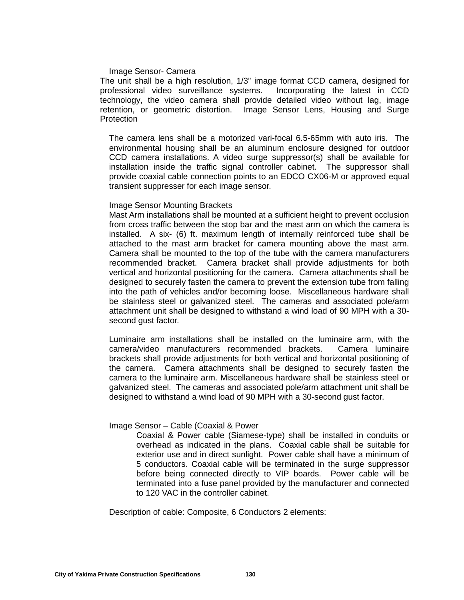#### Image Sensor- Camera

The unit shall be a high resolution, 1/3" image format CCD camera, designed for professional video surveillance systems. Incorporating the latest in CCD technology, the video camera shall provide detailed video without lag, image retention, or geometric distortion. Image Sensor Lens, Housing and Surge **Protection** 

The camera lens shall be a motorized vari-focal 6.5-65mm with auto iris. The environmental housing shall be an aluminum enclosure designed for outdoor CCD camera installations. A video surge suppressor(s) shall be available for installation inside the traffic signal controller cabinet. The suppressor shall provide coaxial cable connection points to an EDCO CX06-M or approved equal transient suppresser for each image sensor.

#### Image Sensor Mounting Brackets

Mast Arm installations shall be mounted at a sufficient height to prevent occlusion from cross traffic between the stop bar and the mast arm on which the camera is installed. A six- (6) ft. maximum length of internally reinforced tube shall be attached to the mast arm bracket for camera mounting above the mast arm. Camera shall be mounted to the top of the tube with the camera manufacturers recommended bracket. Camera bracket shall provide adjustments for both vertical and horizontal positioning for the camera. Camera attachments shall be designed to securely fasten the camera to prevent the extension tube from falling into the path of vehicles and/or becoming loose. Miscellaneous hardware shall be stainless steel or galvanized steel. The cameras and associated pole/arm attachment unit shall be designed to withstand a wind load of 90 MPH with a 30 second gust factor.

Luminaire arm installations shall be installed on the luminaire arm, with the camera/video manufacturers recommended brackets. Camera luminaire brackets shall provide adjustments for both vertical and horizontal positioning of the camera. Camera attachments shall be designed to securely fasten the camera to the luminaire arm. Miscellaneous hardware shall be stainless steel or galvanized steel. The cameras and associated pole/arm attachment unit shall be designed to withstand a wind load of 90 MPH with a 30-second gust factor.

### Image Sensor – Cable (Coaxial & Power

Coaxial & Power cable (Siamese-type) shall be installed in conduits or overhead as indicated in the plans. Coaxial cable shall be suitable for exterior use and in direct sunlight. Power cable shall have a minimum of 5 conductors. Coaxial cable will be terminated in the surge suppressor before being connected directly to VIP boards. Power cable will be terminated into a fuse panel provided by the manufacturer and connected to 120 VAC in the controller cabinet.

Description of cable: Composite, 6 Conductors 2 elements: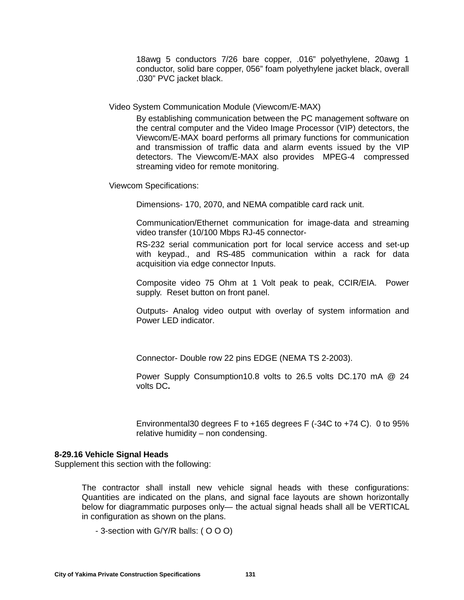18awg 5 conductors 7/26 bare copper, .016" polyethylene, 20awg 1 conductor, solid bare copper, 056" foam polyethylene jacket black, overall .030" PVC jacket black.

Video System Communication Module (Viewcom/E-MAX)

By establishing communication between the PC management software on the central computer and the Video Image Processor (VIP) detectors, the Viewcom/E-MAX board performs all primary functions for communication and transmission of traffic data and alarm events issued by the VIP detectors. The Viewcom/E-MAX also provides MPEG-4 compressed streaming video for remote monitoring.

Viewcom Specifications:

Dimensions- 170, 2070, and NEMA compatible card rack unit.

Communication/Ethernet communication for image-data and streaming video transfer (10/100 Mbps RJ-45 connector-

RS-232 serial communication port for local service access and set-up with keypad., and RS-485 communication within a rack for data acquisition via edge connector Inputs.

Composite video 75 Ohm at 1 Volt peak to peak, CCIR/EIA. Power supply. Reset button on front panel.

Outputs- Analog video output with overlay of system information and Power LED indicator.

Connector- Double row 22 pins EDGE (NEMA TS 2-2003).

Power Supply Consumption10.8 volts to 26.5 volts DC.170 mA @ 24 volts DC**.**

Environmental30 degrees F to  $+165$  degrees F (-34C to  $+74$  C). 0 to 95% relative humidity – non condensing.

### **8-29.16 Vehicle Signal Heads**

Supplement this section with the following:

The contractor shall install new vehicle signal heads with these configurations: Quantities are indicated on the plans, and signal face layouts are shown horizontally below for diagrammatic purposes only— the actual signal heads shall all be VERTICAL in configuration as shown on the plans.

- 3-section with G/Y/R balls: ( O O O)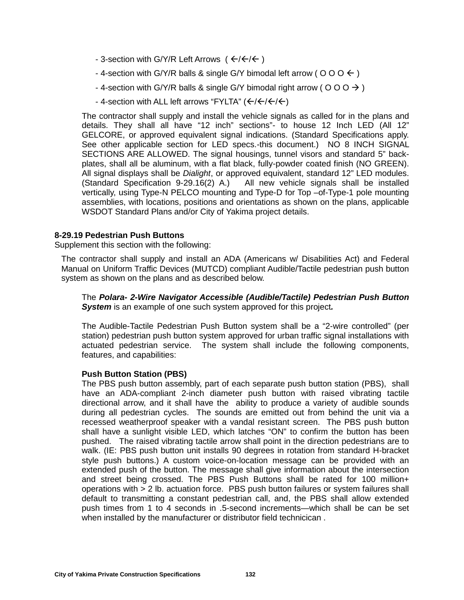- 3-section with G/Y/R Left Arrows  $($   $\leftarrow$ / $\leftarrow$ / $\leftarrow$ )
- 4-section with G/Y/R balls & single G/Y bimodal left arrow (  $0.00 \div$  )
- 4-section with G/Y/R balls & single G/Y bimodal right arrow ( $000 \rightarrow$ )
- 4-section with ALL left arrows "FYLTA"  $(\langle/ \langle/ \langle/ \rangle \rangle)$

The contractor shall supply and install the vehicle signals as called for in the plans and details. They shall all have "12 inch" sections"- to house 12 Inch LED (All 12" GELCORE, or approved equivalent signal indications. (Standard Specifications apply. See other applicable section for LED specs.-this document.) NO 8 INCH SIGNAL SECTIONS ARE ALLOWED. The signal housings, tunnel visors and standard 5" backplates, shall all be aluminum, with a flat black, fully-powder coated finish (NO GREEN). All signal displays shall be *Dialight*, or approved equivalent, standard 12" LED modules. (Standard Specification 9-29.16(2) A.) All new vehicle signals shall be installed vertically, using Type-N PELCO mounting and Type-D for Top –of-Type-1 pole mounting assemblies, with locations, positions and orientations as shown on the plans, applicable WSDOT Standard Plans and/or City of Yakima project details.

# **8-29.19 Pedestrian Push Buttons**

Supplement this section with the following:

The contractor shall supply and install an ADA (Americans w/ Disabilities Act) and Federal Manual on Uniform Traffic Devices (MUTCD) compliant Audible/Tactile pedestrian push button system as shown on the plans and as described below.

The *Polara- 2-Wire Navigator Accessible (Audible/Tactile) Pedestrian Push Button System* is an example of one such system approved for this project*.* 

The Audible-Tactile Pedestrian Push Button system shall be a "2-wire controlled" (per station) pedestrian push button system approved for urban traffic signal installations with actuated pedestrian service. The system shall include the following components, features, and capabilities:

### **Push Button Station (PBS)**

The PBS push button assembly, part of each separate push button station (PBS), shall have an ADA-compliant 2-inch diameter push button with raised vibrating tactile directional arrow, and it shall have the ability to produce a variety of audible sounds during all pedestrian cycles. The sounds are emitted out from behind the unit via a recessed weatherproof speaker with a vandal resistant screen. The PBS push button shall have a sunlight visible LED, which latches "ON" to confirm the button has been pushed. The raised vibrating tactile arrow shall point in the direction pedestrians are to walk. (IE: PBS push button unit installs 90 degrees in rotation from standard H-bracket style push buttons.) A custom voice-on-location message can be provided with an extended push of the button. The message shall give information about the intersection and street being crossed. The PBS Push Buttons shall be rated for 100 million+ operations with > 2 lb. actuation force. PBS push button failures or system failures shall default to transmitting a constant pedestrian call, and, the PBS shall allow extended push times from 1 to 4 seconds in .5-second increments—which shall be can be set when installed by the manufacturer or distributor field technicican .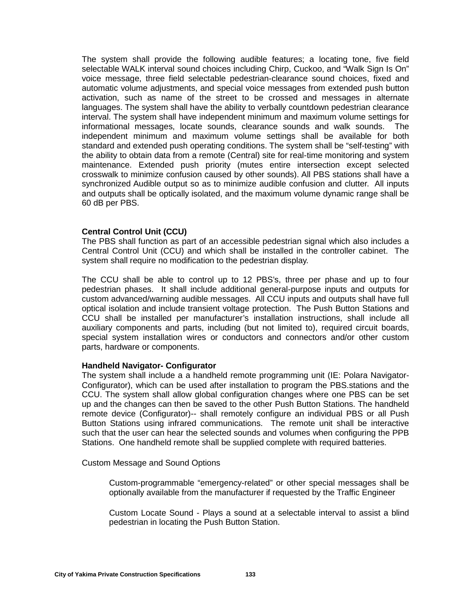The system shall provide the following audible features; a locating tone, five field selectable WALK interval sound choices including Chirp, Cuckoo, and "Walk Sign Is On" voice message, three field selectable pedestrian-clearance sound choices, fixed and automatic volume adjustments, and special voice messages from extended push button activation, such as name of the street to be crossed and messages in alternate languages. The system shall have the ability to verbally countdown pedestrian clearance interval. The system shall have independent minimum and maximum volume settings for informational messages, locate sounds, clearance sounds and walk sounds. The independent minimum and maximum volume settings shall be available for both standard and extended push operating conditions. The system shall be "self-testing" with the ability to obtain data from a remote (Central) site for real-time monitoring and system maintenance. Extended push priority (mutes entire intersection except selected crosswalk to minimize confusion caused by other sounds). All PBS stations shall have a synchronized Audible output so as to minimize audible confusion and clutter. All inputs and outputs shall be optically isolated, and the maximum volume dynamic range shall be 60 dB per PBS.

### **Central Control Unit (CCU)**

The PBS shall function as part of an accessible pedestrian signal which also includes a Central Control Unit (CCU) and which shall be installed in the controller cabinet. The system shall require no modification to the pedestrian display.

The CCU shall be able to control up to 12 PBS's, three per phase and up to four pedestrian phases. It shall include additional general-purpose inputs and outputs for custom advanced/warning audible messages. All CCU inputs and outputs shall have full optical isolation and include transient voltage protection. The Push Button Stations and CCU shall be installed per manufacturer's installation instructions, shall include all auxiliary components and parts, including (but not limited to), required circuit boards, special system installation wires or conductors and connectors and/or other custom parts, hardware or components.

### **Handheld Navigator- Configurator**

The system shall include a a handheld remote programming unit (IE: Polara Navigator-Configurator), which can be used after installation to program the PBS.stations and the CCU. The system shall allow global configuration changes where one PBS can be set up and the changes can then be saved to the other Push Button Stations. The handheld remote device (Configurator)-- shall remotely configure an individual PBS or all Push Button Stations using infrared communications. The remote unit shall be interactive such that the user can hear the selected sounds and volumes when configuring the PPB Stations. One handheld remote shall be supplied complete with required batteries.

Custom Message and Sound Options

Custom-programmable "emergency-related" or other special messages shall be optionally available from the manufacturer if requested by the Traffic Engineer

Custom Locate Sound - Plays a sound at a selectable interval to assist a blind pedestrian in locating the Push Button Station.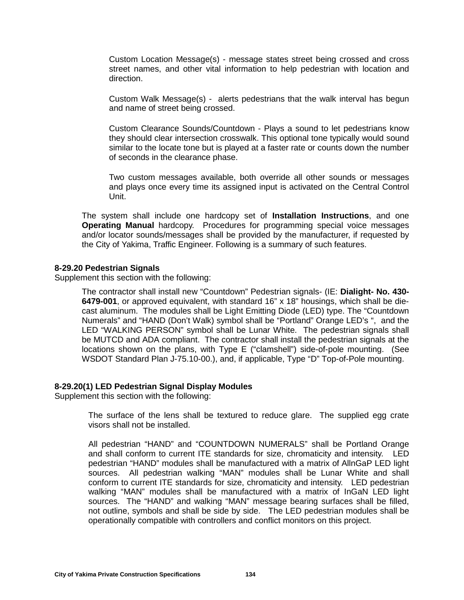Custom Location Message(s) - message states street being crossed and cross street names, and other vital information to help pedestrian with location and direction.

Custom Walk Message(s) - alerts pedestrians that the walk interval has begun and name of street being crossed.

Custom Clearance Sounds/Countdown - Plays a sound to let pedestrians know they should clear intersection crosswalk. This optional tone typically would sound similar to the locate tone but is played at a faster rate or counts down the number of seconds in the clearance phase.

Two custom messages available, both override all other sounds or messages and plays once every time its assigned input is activated on the Central Control Unit.

The system shall include one hardcopy set of **Installation Instructions**, and one **Operating Manual** hardcopy. Procedures for programming special voice messages and/or locator sounds/messages shall be provided by the manufacturer, if requested by the City of Yakima, Traffic Engineer. Following is a summary of such features.

#### **8-29.20 Pedestrian Signals**

Supplement this section with the following:

The contractor shall install new "Countdown" Pedestrian signals- (IE: **Dialight- No. 430- 6479-001**, or approved equivalent, with standard 16" x 18" housings, which shall be diecast aluminum. The modules shall be Light Emitting Diode (LED) type. The "Countdown Numerals" and "HAND (Don't Walk) symbol shall be "Portland" Orange LED's ", and the LED "WALKING PERSON" symbol shall be Lunar White. The pedestrian signals shall be MUTCD and ADA compliant. The contractor shall install the pedestrian signals at the locations shown on the plans, with Type E ("clamshell") side-of-pole mounting. (See WSDOT Standard Plan J-75.10-00.), and, if applicable, Type "D" Top-of-Pole mounting.

### **8-29.20(1) LED Pedestrian Signal Display Modules**

Supplement this section with the following:

The surface of the lens shall be textured to reduce glare. The supplied egg crate visors shall not be installed.

All pedestrian "HAND" and "COUNTDOWN NUMERALS" shall be Portland Orange and shall conform to current ITE standards for size, chromaticity and intensity. LED pedestrian "HAND" modules shall be manufactured with a matrix of AllnGaP LED light sources. All pedestrian walking "MAN" modules shall be Lunar White and shall conform to current ITE standards for size, chromaticity and intensity. LED pedestrian walking "MAN" modules shall be manufactured with a matrix of InGaN LED light sources. The "HAND" and walking "MAN" message bearing surfaces shall be filled, not outline, symbols and shall be side by side. The LED pedestrian modules shall be operationally compatible with controllers and conflict monitors on this project.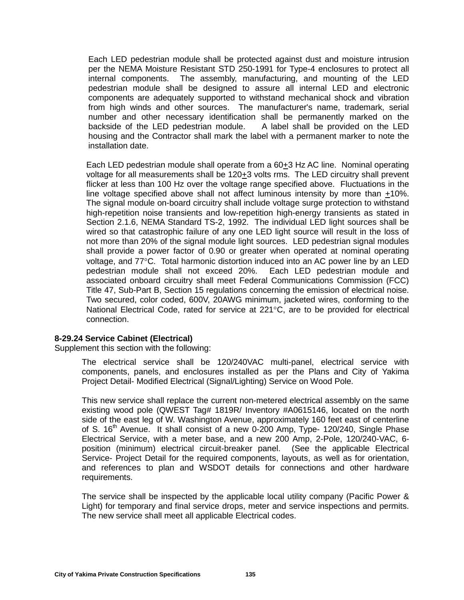Each LED pedestrian module shall be protected against dust and moisture intrusion per the NEMA Moisture Resistant STD 250-1991 for Type-4 enclosures to protect all internal components. The assembly, manufacturing, and mounting of the LED pedestrian module shall be designed to assure all internal LED and electronic components are adequately supported to withstand mechanical shock and vibration from high winds and other sources. The manufacturer's name, trademark, serial number and other necessary identification shall be permanently marked on the backside of the LED pedestrian module. A label shall be provided on the LED housing and the Contractor shall mark the label with a permanent marker to note the installation date.

Each LED pedestrian module shall operate from a 60+3 Hz AC line. Nominal operating voltage for all measurements shall be  $120+3$  volts rms. The LED circuitry shall prevent flicker at less than 100 Hz over the voltage range specified above. Fluctuations in the line voltage specified above shall not affect luminous intensity by more than +10%. The signal module on-board circuitry shall include voltage surge protection to withstand high-repetition noise transients and low-repetition high-energy transients as stated in Section 2.1.6, NEMA Standard TS-2, 1992. The individual LED light sources shall be wired so that catastrophic failure of any one LED light source will result in the loss of not more than 20% of the signal module light sources. LED pedestrian signal modules shall provide a power factor of 0.90 or greater when operated at nominal operating voltage, and 77°C. Total harmonic distortion induced into an AC power line by an LED<br>pedestrian module shall not exceed 20%. Each LED pedestrian module and pedestrian module shall not exceed 20%. associated onboard circuitry shall meet Federal Communications Commission (FCC) Title 47, Sub-Part B, Section 15 regulations concerning the emission of electrical noise. Two secured, color coded, 600V, 20AWG minimum, jacketed wires, conforming to the National Electrical Code, rated for service at 221°C, are to be provided for electrical connection.

### **8-29.24 Service Cabinet (Electrical)**

Supplement this section with the following:

The electrical service shall be 120/240VAC multi-panel, electrical service with components, panels, and enclosures installed as per the Plans and City of Yakima Project Detail- Modified Electrical (Signal/Lighting) Service on Wood Pole.

This new service shall replace the current non-metered electrical assembly on the same existing wood pole (QWEST Tag# 1819R/ Inventory #A0615146, located on the north side of the east leg of W. Washington Avenue, approximately 160 feet east of centerline of S. 16<sup>th</sup> Avenue. It shall consist of a new 0-200 Amp, Type- 120/240, Single Phase Electrical Service, with a meter base, and a new 200 Amp, 2-Pole, 120/240-VAC, 6 position (minimum) electrical circuit-breaker panel. (See the applicable Electrical Service- Project Detail for the required components, layouts, as well as for orientation, and references to plan and WSDOT details for connections and other hardware requirements.

The service shall be inspected by the applicable local utility company (Pacific Power & Light) for temporary and final service drops, meter and service inspections and permits. The new service shall meet all applicable Electrical codes.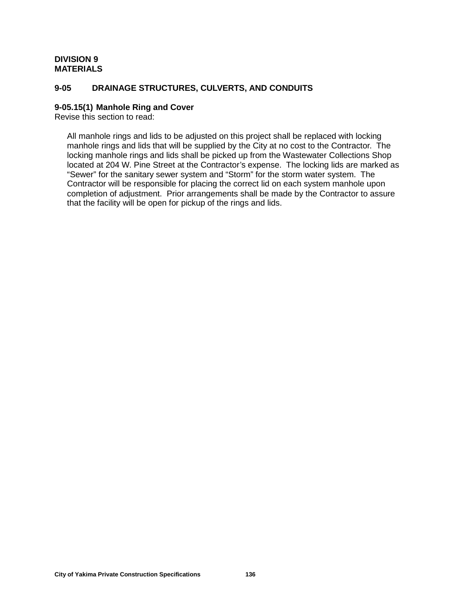### **DIVISION 9 MATERIALS**

### **9-05 DRAINAGE STRUCTURES, CULVERTS, AND CONDUITS**

### **9-05.15(1) Manhole Ring and Cover**

Revise this section to read:

All manhole rings and lids to be adjusted on this project shall be replaced with locking manhole rings and lids that will be supplied by the City at no cost to the Contractor. The locking manhole rings and lids shall be picked up from the Wastewater Collections Shop located at 204 W. Pine Street at the Contractor's expense. The locking lids are marked as "Sewer" for the sanitary sewer system and "Storm" for the storm water system. The Contractor will be responsible for placing the correct lid on each system manhole upon completion of adjustment. Prior arrangements shall be made by the Contractor to assure that the facility will be open for pickup of the rings and lids.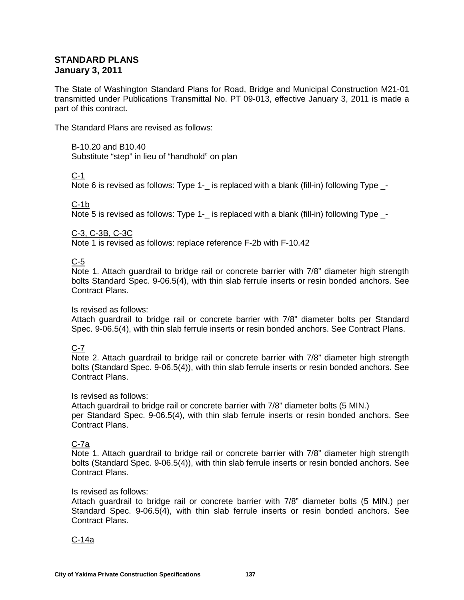# **STANDARD PLANS January 3, 2011**

The State of Washington Standard Plans for Road, Bridge and Municipal Construction M21-01 transmitted under Publications Transmittal No. PT 09-013, effective January 3, 2011 is made a part of this contract.

The Standard Plans are revised as follows:

# B-10.20 and B10.40

Substitute "step" in lieu of "handhold" on plan

# <u>C-1</u>

Note 6 is revised as follows: Type 1- is replaced with a blank (fill-in) following Type -

<u>C-1b</u>

Note 5 is revised as follows: Type 1- is replaced with a blank (fill-in) following Type -

# C-3, C-3B, C-3C

Note 1 is revised as follows: replace reference F-2b with F-10.42

# C-5

Note 1. Attach guardrail to bridge rail or concrete barrier with 7/8" diameter high strength bolts Standard Spec. 9-06.5(4), with thin slab ferrule inserts or resin bonded anchors. See Contract Plans.

# Is revised as follows:

Attach guardrail to bridge rail or concrete barrier with 7/8" diameter bolts per Standard Spec. 9-06.5(4), with thin slab ferrule inserts or resin bonded anchors. See Contract Plans.

# <u>C-7</u>

Note 2. Attach guardrail to bridge rail or concrete barrier with 7/8" diameter high strength bolts (Standard Spec. 9-06.5(4)), with thin slab ferrule inserts or resin bonded anchors. See Contract Plans.

# Is revised as follows:

Attach guardrail to bridge rail or concrete barrier with 7/8" diameter bolts (5 MIN.) per Standard Spec. 9-06.5(4), with thin slab ferrule inserts or resin bonded anchors. See Contract Plans.

# C-7a

Note 1. Attach guardrail to bridge rail or concrete barrier with 7/8" diameter high strength bolts (Standard Spec. 9-06.5(4)), with thin slab ferrule inserts or resin bonded anchors. See Contract Plans.

# Is revised as follows:

Attach guardrail to bridge rail or concrete barrier with 7/8" diameter bolts (5 MIN.) per Standard Spec. 9-06.5(4), with thin slab ferrule inserts or resin bonded anchors. See Contract Plans.

# C-14a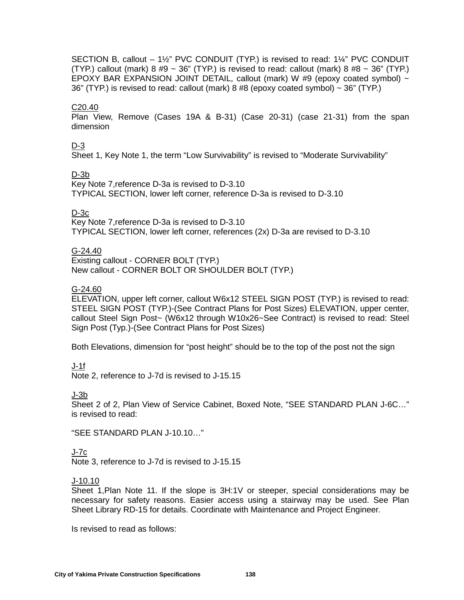SECTION B, callout – 1½" PVC CONDUIT (TYP.) is revised to read: 1¼" PVC CONDUIT (TYP.) callout (mark) 8 #9 ~ 36" (TYP.) is revised to read: callout (mark) 8 #8 ~ 36" (TYP.) EPOXY BAR EXPANSION JOINT DETAIL, callout (mark) W #9 (epoxy coated symbol)  $\sim$ 36" (TYP.) is revised to read: callout (mark)  $8\#8$  (epoxy coated symbol)  $\sim$  36" (TYP.)

# C20.40

Plan View, Remove (Cases 19A & B-31) (Case 20-31) (case 21-31) from the span dimension

D-3

Sheet 1, Key Note 1, the term "Low Survivability" is revised to "Moderate Survivability"

# D-3b

Key Note 7,reference D-3a is revised to D-3.10 TYPICAL SECTION, lower left corner, reference D-3a is revised to D-3.10

D-3c

Key Note 7,reference D-3a is revised to D-3.10 TYPICAL SECTION, lower left corner, references (2x) D-3a are revised to D-3.10

# G-24.40

Existing callout - CORNER BOLT (TYP.) New callout - CORNER BOLT OR SHOULDER BOLT (TYP.)

### G-24.60

ELEVATION, upper left corner, callout W6x12 STEEL SIGN POST (TYP.) is revised to read: STEEL SIGN POST (TYP.)-(See Contract Plans for Post Sizes) ELEVATION, upper center, callout Steel Sign Post~ (W6x12 through W10x26~See Contract) is revised to read: Steel Sign Post (Typ.)-(See Contract Plans for Post Sizes)

Both Elevations, dimension for "post height" should be to the top of the post not the sign

J-1f

Note 2, reference to J-7d is revised to J-15.15

J-3b

Sheet 2 of 2, Plan View of Service Cabinet, Boxed Note, "SEE STANDARD PLAN J-6C…" is revised to read:

"SEE STANDARD PLAN J-10.10…"

# J-7c

Note 3, reference to J-7d is revised to J-15.15

# J-10.10

Sheet 1,Plan Note 11. If the slope is 3H:1V or steeper, special considerations may be necessary for safety reasons. Easier access using a stairway may be used. See Plan Sheet Library RD-15 for details. Coordinate with Maintenance and Project Engineer.

Is revised to read as follows: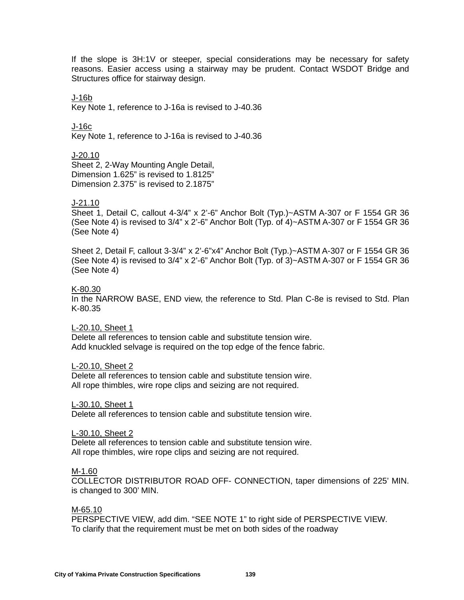If the slope is 3H:1V or steeper, special considerations may be necessary for safety reasons. Easier access using a stairway may be prudent. Contact WSDOT Bridge and Structures office for stairway design.

J-16b

Key Note 1, reference to J-16a is revised to J-40.36

J-16c

Key Note 1, reference to J-16a is revised to J-40.36

<u>J-20.10</u> Sheet 2, 2-Way Mounting Angle Detail, Dimension 1.625" is revised to 1.8125" Dimension 2.375" is revised to 2.1875"

### J-21.10

Sheet 1, Detail C, callout 4-3/4" x 2'-6" Anchor Bolt (Typ.)~ASTM A-307 or F 1554 GR 36 (See Note 4) is revised to 3/4" x 2'-6" Anchor Bolt (Typ. of 4)~ASTM A-307 or F 1554 GR 36 (See Note 4)

Sheet 2, Detail F, callout 3-3/4" x 2'-6"x4" Anchor Bolt (Typ.)~ASTM A-307 or F 1554 GR 36 (See Note 4) is revised to 3/4" x 2'-6" Anchor Bolt (Typ. of 3)~ASTM A-307 or F 1554 GR 36 (See Note 4)

#### K-80.30

In the NARROW BASE, END view, the reference to Std. Plan C-8e is revised to Std. Plan K-80.35

#### L-20.10, Sheet 1

Delete all references to tension cable and substitute tension wire. Add knuckled selvage is required on the top edge of the fence fabric.

#### L-20.10, Sheet 2

Delete all references to tension cable and substitute tension wire. All rope thimbles, wire rope clips and seizing are not required.

#### L-30.10, Sheet 1

Delete all references to tension cable and substitute tension wire.

#### L-30.10, Sheet 2

Delete all references to tension cable and substitute tension wire. All rope thimbles, wire rope clips and seizing are not required.

#### M-1.60

COLLECTOR DISTRIBUTOR ROAD OFF- CONNECTION, taper dimensions of 225' MIN. is changed to 300' MIN.

### M-65.10

PERSPECTIVE VIEW, add dim. "SEE NOTE 1" to right side of PERSPECTIVE VIEW. To clarify that the requirement must be met on both sides of the roadway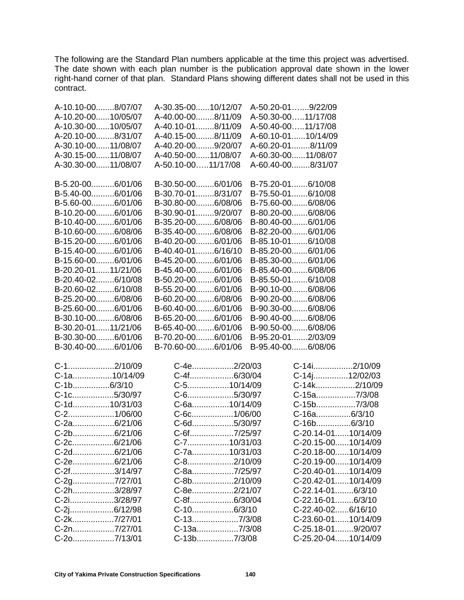The following are the Standard Plan numbers applicable at the time this project was advertised. The date shown with each plan number is the publication approval date shown in the lower right-hand corner of that plan. Standard Plans showing different dates shall not be used in this contract.

| A-10.10-008/07/07<br>A-30.35-0010/12/07  |             | A-50.20-019/22/09  |  |
|------------------------------------------|-------------|--------------------|--|
| A-10.20-0010/05/07<br>A-40.00-008/11/09  |             | A-50.30-0011/17/08 |  |
| A-10.30-0010/05/07<br>A-40.10-018/11/09  |             | A-50.40-0011/17/08 |  |
| A-20.10-008/31/07<br>A-40.15-008/11/09   |             | A-60.10-0110/14/09 |  |
| A-40.20-009/20/07<br>A-30.10-0011/08/07  |             | A-60.20-018/11/09  |  |
| A-30.15-0011/08/07<br>A-40.50-0011/08/07 |             | A-60.30-0011/08/07 |  |
| A-30.30-0011/08/07<br>A-50.10-0011/17/08 |             | A-60.40-008/31/07  |  |
|                                          |             |                    |  |
| B-30.50-006/01/06<br>B-5.20-006/01/06    |             | B-75.20-016/10/08  |  |
| B-5.40-006/01/06<br>B-30.70-018/31/07    |             | B-75.50-016/10/08  |  |
| B-5.60-006/01/06<br>B-30.80-006/08/06    |             | B-75.60-006/08/06  |  |
| B-10.20-006/01/06<br>B-30.90-019/20/07   |             | B-80.20-006/08/06  |  |
| B-10.40-006/01/06<br>B-35.20-006/08/06   |             | B-80.40-006/01/06  |  |
| B-10.60-006/08/06<br>B-35.40-006/08/06   |             | B-82.20-006/01/06  |  |
| B-15.20-006/01/06<br>B-40.20-006/01/06   |             | B-85.10-016/10/08  |  |
| B-15.40-006/01/06<br>B-40.40-016/16/10   |             | B-85.20-006/01/06  |  |
| B-15.60-006/01/06<br>B-45.20-006/01/06   |             | B-85.30-006/01/06  |  |
| B-20.20-0111/21/06<br>B-45.40-006/01/06  |             | B-85.40-006/08/06  |  |
| B-20.40-026/10/08<br>B-50.20-006/01/06   |             | B-85.50-016/10/08  |  |
| B-20.60-026/10/08<br>B-55.20-006/01/06   |             | B-90.10-006/08/06  |  |
| B-25.20-006/08/06<br>B-60.20-006/08/06   |             | B-90.20-006/08/06  |  |
| B-25.60-006/01/06<br>B-60.40-006/01/06   |             | B-90.30-006/08/06  |  |
| B-30.10-006/08/06<br>B-65.20-006/01/06   |             | B-90.40-006/08/06  |  |
| B-30.20-0111/21/06<br>B-65.40-006/01/06  |             | B-90.50-006/08/06  |  |
| B-30.30-006/01/06<br>B-70.20-006/01/06   |             | B-95.20-012/03/09  |  |
| B-70.60-006/01/06<br>B-30.40-006/01/06   |             | B-95.40-006/08/06  |  |
|                                          |             |                    |  |
| C-12/10/09<br>C-4e2/20/03                |             | C-14i2/10/09       |  |
| C-4f6/30/04<br>C-1a10/14/09              |             | C-14j12/02/03      |  |
| C-1b6/3/10<br>C-510/14/09                |             | C-14k2/10/09       |  |
| C-1c5/30/97<br>C-65/30/97                |             | C-15a7/3/08        |  |
| C-1d10/31/03<br>C-6a10/14/09             |             | C-15b7/3/08        |  |
| C-21/06/00<br>C-6c1/06/00                |             | C-16a6/3/10        |  |
| C-6d5/30/97<br>C-2a6/21/06               |             | C-16b6/3/10        |  |
| C-6f7/25/97<br>C-2b6/21/06               |             | C-20.14-0110/14/09 |  |
| C-710/31/03<br>C-2c6/21/06               |             | C-20.15-0010/14/09 |  |
| C-7a10/31/03<br>C-2d6/21/06              |             | C-20.18-0010/14/09 |  |
| C-2e6/21/06<br>C-82/10/09                |             | C-20.19-0010/14/09 |  |
| C-2f3/14/97<br>C-8a7/25/97               |             | C-20.40-0110/14/09 |  |
| C-8b2/10/09<br>C-2g7/27/01               |             | C-20.42-0110/14/09 |  |
| C-2h3/28/97<br>C-8e2/21/07               |             | C-22.14-016/3/10   |  |
| C-2i3/28/97<br>C-8f6/30/04               |             | C-22.16-016/3/10   |  |
|                                          |             | C-22.40-026/16/10  |  |
| C-137/3/08<br>C-2k7/27/01                |             | C-23.60-0110/14/09 |  |
| C-2n7/27/01                              |             |                    |  |
|                                          | C-13a7/3/08 | C-25.18-019/20/07  |  |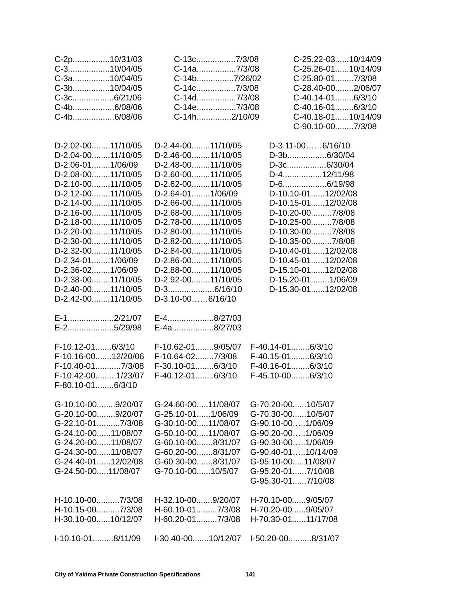| C-2p10/31/03<br>C-310/04/05                                                                                                                                                                                                                                                                                                                                    | C-13c7/3/08<br>C-14a7/3/08                                                                                                                                                                                                                                                                                                                               | C-25.22-0310/14/09<br>C-25.26-0110/14/09                                                                                                                                                                                                                                                                             |
|----------------------------------------------------------------------------------------------------------------------------------------------------------------------------------------------------------------------------------------------------------------------------------------------------------------------------------------------------------------|----------------------------------------------------------------------------------------------------------------------------------------------------------------------------------------------------------------------------------------------------------------------------------------------------------------------------------------------------------|----------------------------------------------------------------------------------------------------------------------------------------------------------------------------------------------------------------------------------------------------------------------------------------------------------------------|
| C-3a10/04/05<br>C-3b10/04/05<br>C-3c6/21/06                                                                                                                                                                                                                                                                                                                    | C-14b7/26/02<br>C-14c7/3/08<br>C-14d7/3/08                                                                                                                                                                                                                                                                                                               | C-25.80-017/3/08<br>C-28.40-002/06/07<br>C-40.14-016/3/10                                                                                                                                                                                                                                                            |
| C-4b6/08/06<br>C-4b6/08/06                                                                                                                                                                                                                                                                                                                                     | C-14e7/3/08<br>C-14h2/10/09                                                                                                                                                                                                                                                                                                                              | C-40.16-016/3/10<br>C-40.18-0110/14/09<br>C-90.10-007/3/08                                                                                                                                                                                                                                                           |
| D-2.02-0011/10/05<br>D-2.04-0011/10/05<br>D-2.06-011/06/09<br>D-2.08-0011/10/05<br>D-2.10-0011/10/05<br>D-2.12-0011/10/05<br>D-2.14-0011/10/05<br>D-2.16-0011/10/05<br>D-2.18-0011/10/05<br>D-2.20-0011/10/05<br>D-2.30-0011/10/05<br>D-2.32-0011/10/05<br>D-2.34-011/06/09<br>D-2.36-021/06/09<br>D-2.38-0011/10/05<br>D-2.40-0011/10/05<br>D-2.42-0011/10/05 | D-2.44-0011/10/05<br>D-2.46-0011/10/05<br>D-2.48-0011/10/05<br>D-2.60-0011/10/05<br>D-2.62-0011/10/05<br>D-2.64-011/06/09<br>D-2.66-0011/10/05<br>D-2.68-0011/10/05<br>D-2.78-0011/10/05<br>D-2.80-0011/10/05<br>D-2.82-0011/10/05<br>D-2.84-0011/10/05<br>D-2.86-0011/10/05<br>D-2.88-0011/10/05<br>D-2.92-0011/10/05<br>D-36/16/10<br>D-3.10-006/16/10 | D-3.11-006/16/10<br>D-3b6/30/04<br>D-3c6/30/04<br>D-412/11/98<br>D-66/19/98<br>D-10.10-0112/02/08<br>D-10.15-0112/02/08<br>D-10.20-007/8/08<br>D-10.25-007/8/08<br>D-10.30-007/8/08<br>D-10.35-007/8/08<br>D-10.40-0112/02/08<br>D-10.45-0112/02/08<br>D-15.10-0112/02/08<br>D-15.20-011/06/09<br>D-15.30-0112/02/08 |
| E-12/21/07<br>E-25/29/98                                                                                                                                                                                                                                                                                                                                       | E-48/27/03<br>E-4a8/27/03                                                                                                                                                                                                                                                                                                                                |                                                                                                                                                                                                                                                                                                                      |
| F-10.12-016/3/10<br>F-10.16-0012/20/06<br>F-10.40-017/3/08<br>F-10.42-001/23/07<br>F-80.10-016/3/10                                                                                                                                                                                                                                                            | F-10.62-019/05/07<br>F-10.64-027/3/08<br>F-30.10-016/3/10<br>F-40.12-016/3/10                                                                                                                                                                                                                                                                            | F-40.14-016/3/10<br>F-40.15-016/3/10<br>F-40.16-016/3/10<br>F-45.10-006/3/10                                                                                                                                                                                                                                         |
| G-10.10-009/20/07<br>G-20.10-009/20/07<br>G-22.10-017/3/08<br>G-24.10-0011/08/07<br>G-24.20-0011/08/07<br>G-24.30-0011/08/07<br>G-24.40-0112/02/08<br>G-24.50-0011/08/07                                                                                                                                                                                       | G-24.60-0011/08/07<br>G-25.10-011/06/09<br>G-30.10-0011/08/07<br>G-50.10-0011/08/07<br>G-60.10-008/31/07<br>G-60.20-008/31/07<br>G-60.30-008/31/07<br>G-70.10-0010/5/07                                                                                                                                                                                  | G-70.20-0010/5/07<br>G-70.30-0010/5/07<br>G-90.10-001/06/09<br>G-90.20-001/06/09<br>G-90.30-001/06/09<br>G-90.40-0110/14/09<br>G-95.10-0011/08/07<br>G-95.20-017/10/08<br>G-95.30-017/10/08                                                                                                                          |
| H-10.10-007/3/08<br>H-10.15-007/3/08<br>H-30.10-0010/12/07                                                                                                                                                                                                                                                                                                     | H-32.10-009/20/07<br>H-60.10-017/3/08<br>H-60.20-017/3/08                                                                                                                                                                                                                                                                                                | H-70.10-009/05/07<br>H-70.20-009/05/07<br>H-70.30-0111/17/08                                                                                                                                                                                                                                                         |
| I-10.10-018/11/09                                                                                                                                                                                                                                                                                                                                              | I-30.40-0010/12/07    I-50.20-008/31/07                                                                                                                                                                                                                                                                                                                  |                                                                                                                                                                                                                                                                                                                      |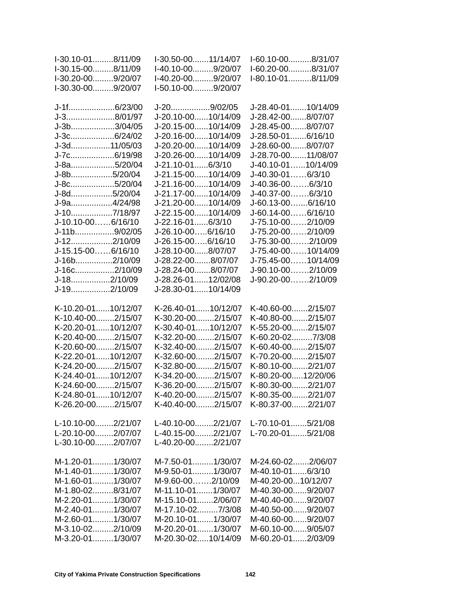| I-30.15-008/11/09<br>I-40.10-009/20/07<br>I-60.20-008/31/07<br>I-30.20-009/20/07<br>I-40.20-009/20/07<br>I-80.10-018/11/09<br>I-30.30-009/20/07<br>I-50.10-009/20/07<br>J-1f6/23/00<br>J-209/02/05<br>J-28.40-0110/14/09<br>J-38/01/97<br>J-20.10-0010/14/09<br>J-28.42-008/07/07<br>J-3b3/04/05<br>J-20.15-0010/14/09<br>J-28.45-008/07/07<br>J-20.16-0010/14/09<br>J-28.50-016/16/10<br>J-3c6/24/02<br>J-20.20-0010/14/09<br>J-28.60-008/07/07<br>J-3d11/05/03<br>J-28.70-0011/08/07<br>J-20.26-0010/14/09<br>J-7c6/19/98<br>J-21.10-016/3/10<br>J-40.10-0110/14/09<br>J-8a5/20/04<br>J-21.15-0010/14/09<br>J-40.30-016/3/10<br>J-8b5/20/04 |  |
|-----------------------------------------------------------------------------------------------------------------------------------------------------------------------------------------------------------------------------------------------------------------------------------------------------------------------------------------------------------------------------------------------------------------------------------------------------------------------------------------------------------------------------------------------------------------------------------------------------------------------------------------------|--|
|                                                                                                                                                                                                                                                                                                                                                                                                                                                                                                                                                                                                                                               |  |
|                                                                                                                                                                                                                                                                                                                                                                                                                                                                                                                                                                                                                                               |  |
|                                                                                                                                                                                                                                                                                                                                                                                                                                                                                                                                                                                                                                               |  |
|                                                                                                                                                                                                                                                                                                                                                                                                                                                                                                                                                                                                                                               |  |
|                                                                                                                                                                                                                                                                                                                                                                                                                                                                                                                                                                                                                                               |  |
|                                                                                                                                                                                                                                                                                                                                                                                                                                                                                                                                                                                                                                               |  |
|                                                                                                                                                                                                                                                                                                                                                                                                                                                                                                                                                                                                                                               |  |
|                                                                                                                                                                                                                                                                                                                                                                                                                                                                                                                                                                                                                                               |  |
|                                                                                                                                                                                                                                                                                                                                                                                                                                                                                                                                                                                                                                               |  |
|                                                                                                                                                                                                                                                                                                                                                                                                                                                                                                                                                                                                                                               |  |
|                                                                                                                                                                                                                                                                                                                                                                                                                                                                                                                                                                                                                                               |  |
|                                                                                                                                                                                                                                                                                                                                                                                                                                                                                                                                                                                                                                               |  |
| J-8c5/20/04<br>J-21.16-0010/14/09<br>J-40.36-006/3/10                                                                                                                                                                                                                                                                                                                                                                                                                                                                                                                                                                                         |  |
| J-40.37-006/3/10<br>J-8d5/20/04<br>J-21.17-0010/14/09                                                                                                                                                                                                                                                                                                                                                                                                                                                                                                                                                                                         |  |
| J-21.20-0010/14/09                                                                                                                                                                                                                                                                                                                                                                                                                                                                                                                                                                                                                            |  |
| J-9a4/24/98<br>J-60.13-006/16/10                                                                                                                                                                                                                                                                                                                                                                                                                                                                                                                                                                                                              |  |
| J-107/18/97<br>J-22.15-0010/14/09<br>J-60.14-006/16/10                                                                                                                                                                                                                                                                                                                                                                                                                                                                                                                                                                                        |  |
| J-10.10-006/16/10<br>J-22.16-016/3/10<br>J-75.10-002/10/09                                                                                                                                                                                                                                                                                                                                                                                                                                                                                                                                                                                    |  |
| J-11b9/02/05<br>J-26.10-006/16/10<br>J-75.20-002/10/09                                                                                                                                                                                                                                                                                                                                                                                                                                                                                                                                                                                        |  |
| J-122/10/09<br>J-26.15-006/16/10<br>J-75.30-002/10/09                                                                                                                                                                                                                                                                                                                                                                                                                                                                                                                                                                                         |  |
| J-15.15-006/16/10<br>J-28.10-008/07/07<br>J-75.40-0010/14/09                                                                                                                                                                                                                                                                                                                                                                                                                                                                                                                                                                                  |  |
| J-16b2/10/09<br>J-28.22-008/07/07<br>J-75.45-0010/14/09                                                                                                                                                                                                                                                                                                                                                                                                                                                                                                                                                                                       |  |
| J-28.24-008/07/07<br>J-90.10-002/10/09<br>J-16c2/10/09                                                                                                                                                                                                                                                                                                                                                                                                                                                                                                                                                                                        |  |
| J-28.26-0112/02/08<br>J-90.20-002/10/09<br>J-182/10/09                                                                                                                                                                                                                                                                                                                                                                                                                                                                                                                                                                                        |  |
| J-28.30-0110/14/09<br>J-192/10/09                                                                                                                                                                                                                                                                                                                                                                                                                                                                                                                                                                                                             |  |
|                                                                                                                                                                                                                                                                                                                                                                                                                                                                                                                                                                                                                                               |  |
| K-10.20-0110/12/07<br>K-26.40-0110/12/07<br>K-40.60-002/15/07                                                                                                                                                                                                                                                                                                                                                                                                                                                                                                                                                                                 |  |
|                                                                                                                                                                                                                                                                                                                                                                                                                                                                                                                                                                                                                                               |  |
| K-10.40-002/15/07<br>K-30.20-002/15/07<br>K-40.80-002/15/07                                                                                                                                                                                                                                                                                                                                                                                                                                                                                                                                                                                   |  |
| K-20.20-0110/12/07<br>K-30.40-0110/12/07<br>K-55.20-002/15/07                                                                                                                                                                                                                                                                                                                                                                                                                                                                                                                                                                                 |  |
|                                                                                                                                                                                                                                                                                                                                                                                                                                                                                                                                                                                                                                               |  |
| K-20.40-002/15/07<br>K-32.20-002/15/07<br>K-60.20-027/3/08                                                                                                                                                                                                                                                                                                                                                                                                                                                                                                                                                                                    |  |
| K-20.60-002/15/07<br>K-32.40-002/15/07<br>K-60.40-002/15/07                                                                                                                                                                                                                                                                                                                                                                                                                                                                                                                                                                                   |  |
| K-22.20-0110/12/07<br>K-32.60-002/15/07<br>K-70.20-002/15/07                                                                                                                                                                                                                                                                                                                                                                                                                                                                                                                                                                                  |  |
| K-24.20-002/15/07<br>K-32.80-002/15/07<br>K-80.10-002/21/07                                                                                                                                                                                                                                                                                                                                                                                                                                                                                                                                                                                   |  |
| K-24.40-0110/12/07<br>K-34.20-002/15/07<br>K-80.20-0012/20/06                                                                                                                                                                                                                                                                                                                                                                                                                                                                                                                                                                                 |  |
| K-24.60-002/15/07<br>K-36.20-002/15/07<br>K-80.30-002/21/07                                                                                                                                                                                                                                                                                                                                                                                                                                                                                                                                                                                   |  |
| K-24.80-0110/12/07<br>K-40.20-002/15/07<br>K-80.35-002/21/07                                                                                                                                                                                                                                                                                                                                                                                                                                                                                                                                                                                  |  |
| K-26.20-002/15/07<br>K-40.40-002/15/07 K-80.37-002/21/07                                                                                                                                                                                                                                                                                                                                                                                                                                                                                                                                                                                      |  |
|                                                                                                                                                                                                                                                                                                                                                                                                                                                                                                                                                                                                                                               |  |
| L-70.10-015/21/08<br>L-10.10-002/21/07<br>L-40.10-002/21/07                                                                                                                                                                                                                                                                                                                                                                                                                                                                                                                                                                                   |  |
| L-20.10-002/07/07<br>L-70.20-015/21/08<br>L-40.15-002/21/07                                                                                                                                                                                                                                                                                                                                                                                                                                                                                                                                                                                   |  |
| L-30.10-002/07/07<br>L-40.20-002/21/07                                                                                                                                                                                                                                                                                                                                                                                                                                                                                                                                                                                                        |  |
|                                                                                                                                                                                                                                                                                                                                                                                                                                                                                                                                                                                                                                               |  |
| M-1.20-011/30/07<br>M-7.50-011/30/07<br>M-24.60-022/06/07                                                                                                                                                                                                                                                                                                                                                                                                                                                                                                                                                                                     |  |
| M-1.40-011/30/07<br>M-9.50-011/30/07<br>M-40.10-016/3/10                                                                                                                                                                                                                                                                                                                                                                                                                                                                                                                                                                                      |  |
| M-1.60-011/30/07<br>M-9.60-002/10/09<br>M-40.20-0010/12/07                                                                                                                                                                                                                                                                                                                                                                                                                                                                                                                                                                                    |  |
| M-1.80-028/31/07<br>M-11.10-011/30/07<br>M-40.30-009/20/07                                                                                                                                                                                                                                                                                                                                                                                                                                                                                                                                                                                    |  |
| M-2.20-011/30/07<br>M-15.10-012/06/07<br>M-40.40-009/20/07                                                                                                                                                                                                                                                                                                                                                                                                                                                                                                                                                                                    |  |
| M-2.40-011/30/07<br>M-17.10-027/3/08<br>M-40.50-009/20/07                                                                                                                                                                                                                                                                                                                                                                                                                                                                                                                                                                                     |  |
| M-2.60-011/30/07<br>M-20.10-011/30/07<br>M-40.60-009/20/07                                                                                                                                                                                                                                                                                                                                                                                                                                                                                                                                                                                    |  |
| M-3.10-022/10/09<br>M-20.20-011/30/07<br>M-60.10-009/05/07                                                                                                                                                                                                                                                                                                                                                                                                                                                                                                                                                                                    |  |